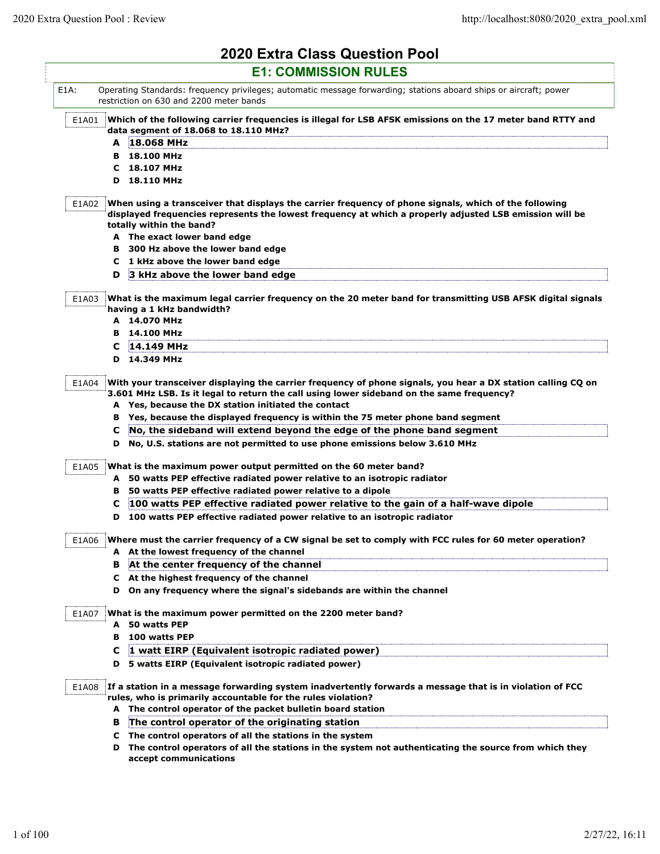|         |       | <b>2020 Extra Class Question Pool</b>                                                                                                                                                                                                                            |
|---------|-------|------------------------------------------------------------------------------------------------------------------------------------------------------------------------------------------------------------------------------------------------------------------|
|         |       | <b>E1: COMMISSION RULES</b>                                                                                                                                                                                                                                      |
| $E1A$ : |       | Operating Standards: frequency privileges; automatic message forwarding; stations aboard ships or aircraft; power<br>restriction on 630 and 2200 meter bands                                                                                                     |
|         | E1A01 | Which of the following carrier frequencies is illegal for LSB AFSK emissions on the 17 meter band RTTY and<br>data segment of 18.068 to 18.110 MHz?                                                                                                              |
|         |       | A 18.068 MHz                                                                                                                                                                                                                                                     |
|         |       | <b>B</b> 18.100 MHz                                                                                                                                                                                                                                              |
|         |       | $C$ 18.107 MHz                                                                                                                                                                                                                                                   |
|         |       | D 18.110 MHz                                                                                                                                                                                                                                                     |
|         |       | E1A02 When using a transceiver that displays the carrier frequency of phone signals, which of the following                                                                                                                                                      |
|         |       | displayed frequencies represents the lowest frequency at which a properly adjusted LSB emission will be<br>totally within the band?                                                                                                                              |
|         |       | A The exact lower band edge                                                                                                                                                                                                                                      |
|         |       | B 300 Hz above the lower band edge                                                                                                                                                                                                                               |
|         |       | C 1 kHz above the lower band edge                                                                                                                                                                                                                                |
|         | D.    | 3 kHz above the lower band edge                                                                                                                                                                                                                                  |
| E1A03   |       | What is the maximum legal carrier frequency on the 20 meter band for transmitting USB AFSK digital signals                                                                                                                                                       |
|         |       | having a 1 kHz bandwidth?                                                                                                                                                                                                                                        |
|         |       | A 14.070 MHz                                                                                                                                                                                                                                                     |
|         |       | <b>B</b> 14.100 MHz                                                                                                                                                                                                                                              |
|         | с     | 14.149 MHz                                                                                                                                                                                                                                                       |
|         |       | D 14.349 MHz                                                                                                                                                                                                                                                     |
| E1A04   |       | With your transceiver displaying the carrier frequency of phone signals, you hear a DX station calling CQ on<br>3.601 MHz LSB. Is it legal to return the call using lower sideband on the same frequency?<br>A Yes, because the DX station initiated the contact |
|         |       | B Yes, because the displayed frequency is within the 75 meter phone band segment                                                                                                                                                                                 |
|         | C.    | No, the sideband will extend beyond the edge of the phone band segment                                                                                                                                                                                           |
|         | D     | No, U.S. stations are not permitted to use phone emissions below 3.610 MHz                                                                                                                                                                                       |
| E1A05   |       | What is the maximum power output permitted on the 60 meter band?                                                                                                                                                                                                 |
|         |       | A 50 watts PEP effective radiated power relative to an isotropic radiator                                                                                                                                                                                        |
|         |       | B 50 watts PEP effective radiated power relative to a dipole                                                                                                                                                                                                     |
|         | c     | 100 watts PEP effective radiated power relative to the gain of a half-wave dipole                                                                                                                                                                                |
|         |       | D 100 watts PEP effective radiated power relative to an isotropic radiator                                                                                                                                                                                       |
| E1A06   |       | Where must the carrier frequency of a CW signal be set to comply with FCC rules for 60 meter operation?                                                                                                                                                          |
|         |       | A At the lowest frequency of the channel                                                                                                                                                                                                                         |
|         | в     | At the center frequency of the channel                                                                                                                                                                                                                           |
|         |       | C At the highest frequency of the channel                                                                                                                                                                                                                        |
|         | D     | On any frequency where the signal's sidebands are within the channel                                                                                                                                                                                             |
|         |       | What is the maximum power permitted on the 2200 meter band?                                                                                                                                                                                                      |
| E1A07   |       | A 50 watts PEP                                                                                                                                                                                                                                                   |
|         | в     | 100 watts PEP                                                                                                                                                                                                                                                    |
|         | С     | 1 watt EIRP (Equivalent isotropic radiated power)                                                                                                                                                                                                                |
|         |       | D 5 watts EIRP (Equivalent isotropic radiated power)                                                                                                                                                                                                             |
| E1A08   |       | If a station in a message forwarding system inadvertently forwards a message that is in violation of FCC                                                                                                                                                         |
|         |       | rules, who is primarily accountable for the rules violation?                                                                                                                                                                                                     |
|         |       | A The control operator of the packet bulletin board station                                                                                                                                                                                                      |
|         | в     | The control operator of the originating station                                                                                                                                                                                                                  |
|         |       | C The control operators of all the stations in the system                                                                                                                                                                                                        |
|         |       | D The control operators of all the stations in the system not authenticating the source from which they                                                                                                                                                          |
|         |       | accept communications                                                                                                                                                                                                                                            |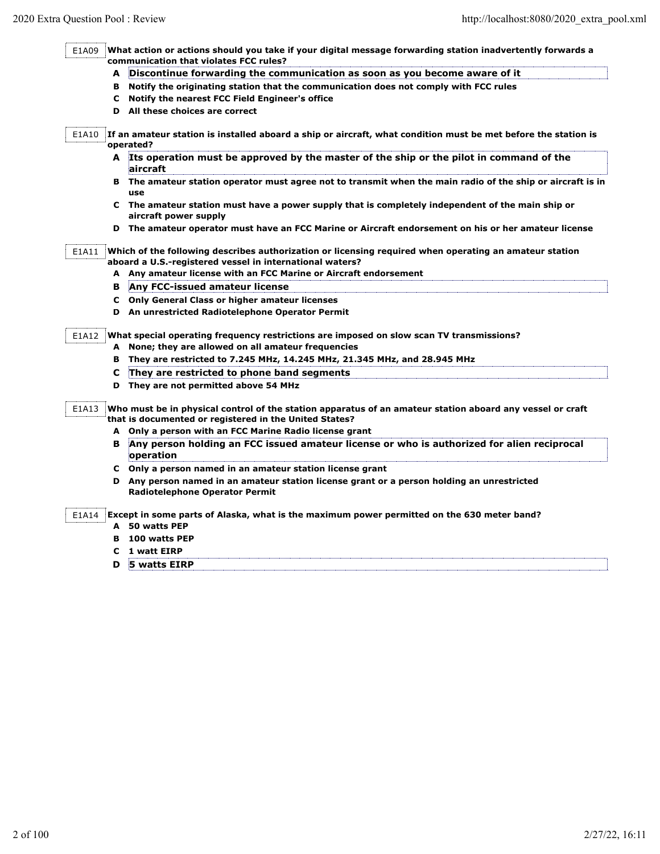| E1A09 | What action or actions should you take if your digital message forwarding station inadvertently forwards a<br>communication that violates FCC rules?                |
|-------|---------------------------------------------------------------------------------------------------------------------------------------------------------------------|
| A     | Discontinue forwarding the communication as soon as you become aware of it                                                                                          |
|       | B Notify the originating station that the communication does not comply with FCC rules                                                                              |
|       | C Notify the nearest FCC Field Engineer's office                                                                                                                    |
|       | D All these choices are correct                                                                                                                                     |
| E1A10 | If an amateur station is installed aboard a ship or aircraft, what condition must be met before the station is                                                      |
|       | operated?<br>A Its operation must be approved by the master of the ship or the pilot in command of the                                                              |
|       | aircraft<br>B The amateur station operator must agree not to transmit when the main radio of the ship or aircraft is in                                             |
|       | use<br>C The amateur station must have a power supply that is completely independent of the main ship or<br>aircraft power supply                                   |
|       | D The amateur operator must have an FCC Marine or Aircraft endorsement on his or her amateur license                                                                |
| E1A11 | Which of the following describes authorization or licensing required when operating an amateur station<br>aboard a U.S.-registered vessel in international waters?  |
|       | A Any amateur license with an FCC Marine or Aircraft endorsement                                                                                                    |
|       | <b>B</b> Any FCC-issued amateur license                                                                                                                             |
|       | C Only General Class or higher amateur licenses                                                                                                                     |
|       | D An unrestricted Radiotelephone Operator Permit                                                                                                                    |
| E1A12 | What special operating frequency restrictions are imposed on slow scan TV transmissions?                                                                            |
|       | A None; they are allowed on all amateur frequencies                                                                                                                 |
|       | B They are restricted to 7.245 MHz, 14.245 MHz, 21.345 MHz, and 28.945 MHz                                                                                          |
| C     | They are restricted to phone band segments                                                                                                                          |
|       | D They are not permitted above 54 MHz                                                                                                                               |
| E1A13 | Who must be in physical control of the station apparatus of an amateur station aboard any vessel or craft<br>that is documented or registered in the United States? |
|       | A Only a person with an FCC Marine Radio license grant                                                                                                              |
| в.    | Any person holding an FCC issued amateur license or who is authorized for alien reciprocal<br>operation                                                             |
|       | C Only a person named in an amateur station license grant                                                                                                           |
|       | D Any person named in an amateur station license grant or a person holding an unrestricted                                                                          |
|       | <b>Radiotelephone Operator Permit</b>                                                                                                                               |
| E1A14 | Except in some parts of Alaska, what is the maximum power permitted on the 630 meter band?                                                                          |
|       | A 50 watts PEP                                                                                                                                                      |
| в     | 100 watts PEP                                                                                                                                                       |
| с     | 1 watt EIRP                                                                                                                                                         |
| D     | 5 watts EIRP                                                                                                                                                        |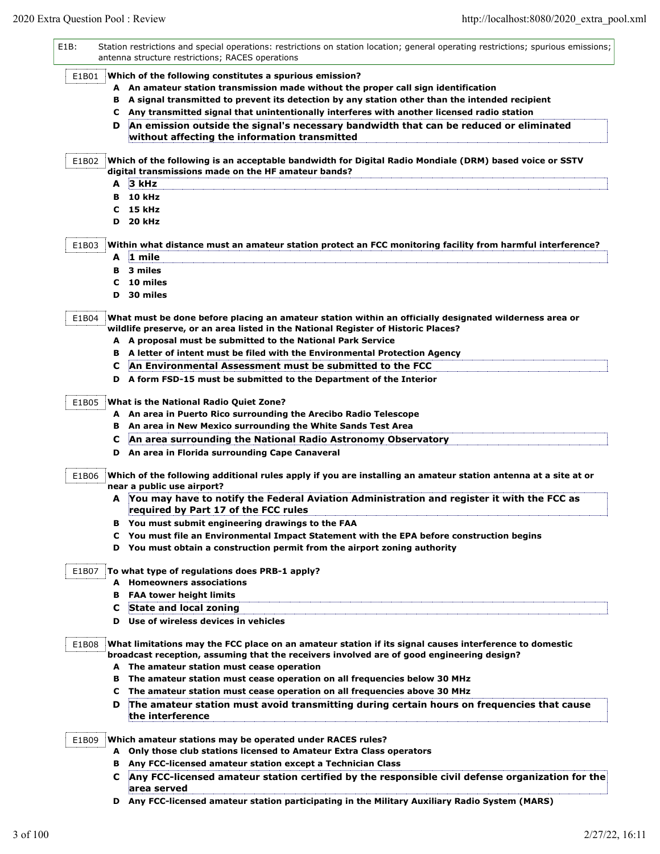| E1B:  |   | Station restrictions and special operations: restrictions on station location; general operating restrictions; spurious emissions;<br>antenna structure restrictions; RACES operations                                                                     |
|-------|---|------------------------------------------------------------------------------------------------------------------------------------------------------------------------------------------------------------------------------------------------------------|
| E1B01 |   | Which of the following constitutes a spurious emission?                                                                                                                                                                                                    |
|       |   | A An amateur station transmission made without the proper call sign identification                                                                                                                                                                         |
|       |   | B A signal transmitted to prevent its detection by any station other than the intended recipient                                                                                                                                                           |
|       |   | C Any transmitted signal that unintentionally interferes with another licensed radio station                                                                                                                                                               |
|       | D | An emission outside the signal's necessary bandwidth that can be reduced or eliminated<br>without affecting the information transmitted                                                                                                                    |
| E1B02 |   | Which of the following is an acceptable bandwidth for Digital Radio Mondiale (DRM) based voice or SSTV                                                                                                                                                     |
|       |   | digital transmissions made on the HF amateur bands?                                                                                                                                                                                                        |
|       |   | A 3 kHz                                                                                                                                                                                                                                                    |
|       |   | <b>B</b> 10 kHz                                                                                                                                                                                                                                            |
|       |   | $C15$ kHz                                                                                                                                                                                                                                                  |
|       |   | <b>D</b> 20 kHz                                                                                                                                                                                                                                            |
| E1B03 |   | Within what distance must an amateur station protect an FCC monitoring facility from harmful interference?                                                                                                                                                 |
|       |   | A 1 mile                                                                                                                                                                                                                                                   |
|       |   | <b>B</b> 3 miles                                                                                                                                                                                                                                           |
|       | c | 10 miles                                                                                                                                                                                                                                                   |
|       |   | D 30 miles                                                                                                                                                                                                                                                 |
| E1B04 |   | What must be done before placing an amateur station within an officially designated wilderness area or<br>wildlife preserve, or an area listed in the National Register of Historic Places?<br>A A proposal must be submitted to the National Park Service |
|       |   | B A letter of intent must be filed with the Environmental Protection Agency                                                                                                                                                                                |
|       |   |                                                                                                                                                                                                                                                            |
|       | С | An Environmental Assessment must be submitted to the FCC                                                                                                                                                                                                   |
|       | D | A form FSD-15 must be submitted to the Department of the Interior                                                                                                                                                                                          |
| E1B05 |   | <b>What is the National Radio Quiet Zone?</b>                                                                                                                                                                                                              |
|       |   | A An area in Puerto Rico surrounding the Arecibo Radio Telescope                                                                                                                                                                                           |
|       |   | B An area in New Mexico surrounding the White Sands Test Area                                                                                                                                                                                              |
|       | C | An area surrounding the National Radio Astronomy Observatory                                                                                                                                                                                               |
|       |   | D An area in Florida surrounding Cape Canaveral                                                                                                                                                                                                            |
| E1B06 |   | Which of the following additional rules apply if you are installing an amateur station antenna at a site at or<br>near a public use airport?                                                                                                               |
|       |   | A You may have to notify the Federal Aviation Administration and register it with the FCC as                                                                                                                                                               |
|       |   | required by Part 17 of the FCC rules                                                                                                                                                                                                                       |
|       |   | B You must submit engineering drawings to the FAA                                                                                                                                                                                                          |
|       |   | C You must file an Environmental Impact Statement with the EPA before construction begins                                                                                                                                                                  |
|       |   | D You must obtain a construction permit from the airport zoning authority                                                                                                                                                                                  |
| E1B07 |   | To what type of regulations does PRB-1 apply?                                                                                                                                                                                                              |
|       |   | A Homeowners associations                                                                                                                                                                                                                                  |
|       |   | <b>B</b> FAA tower height limits                                                                                                                                                                                                                           |
|       | C | State and local zoning                                                                                                                                                                                                                                     |
|       |   | D Use of wireless devices in vehicles                                                                                                                                                                                                                      |
| E1B08 |   | What limitations may the FCC place on an amateur station if its signal causes interference to domestic                                                                                                                                                     |
|       |   | broadcast reception, assuming that the receivers involved are of good engineering design?                                                                                                                                                                  |
|       |   | A The amateur station must cease operation                                                                                                                                                                                                                 |
|       |   | B The amateur station must cease operation on all frequencies below 30 MHz                                                                                                                                                                                 |
|       |   | C The amateur station must cease operation on all frequencies above 30 MHz                                                                                                                                                                                 |
|       | D | The amateur station must avoid transmitting during certain hours on frequencies that cause<br>the interference                                                                                                                                             |
| E1B09 |   | Which amateur stations may be operated under RACES rules?                                                                                                                                                                                                  |
|       |   | A Only those club stations licensed to Amateur Extra Class operators                                                                                                                                                                                       |
|       |   | <b>B</b> Any FCC-licensed amateur station except a Technician Class                                                                                                                                                                                        |
|       | C | Any FCC-licensed amateur station certified by the responsible civil defense organization for the                                                                                                                                                           |
|       |   | area served                                                                                                                                                                                                                                                |
|       |   |                                                                                                                                                                                                                                                            |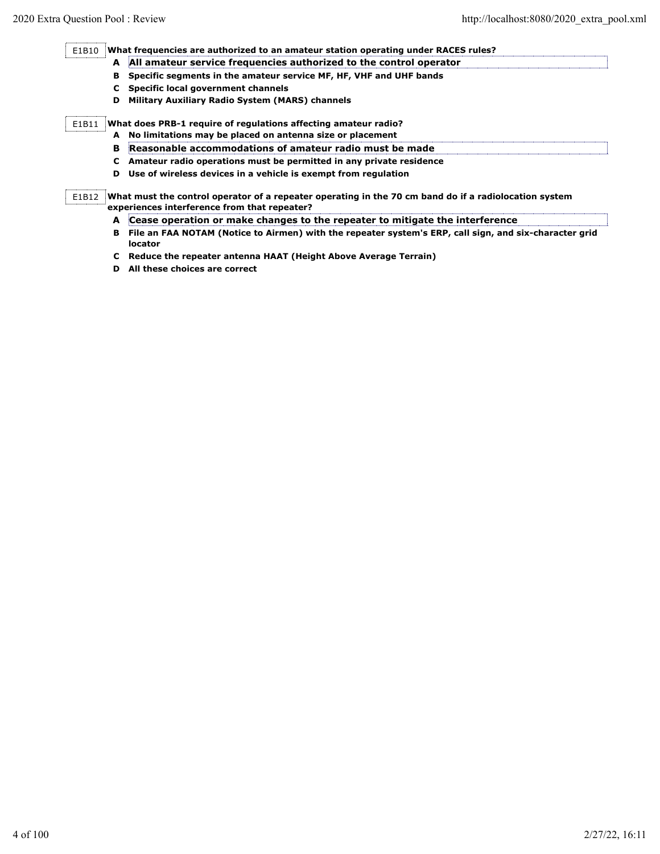E1B10 **What frequencies are authorized to an amateur station operating under RACES rules?**

- **A All amateur service frequencies authorized to the control operator**
- **B Specific segments in the amateur service MF, HF, VHF and UHF bands**
- **C Specific local government channels**
- **D Military Auxiliary Radio System (MARS) channels**

E1B11 **What does PRB-1 require of regulations affecting amateur radio?**

- **A No limitations may be placed on antenna size or placement**
- **B Reasonable accommodations of amateur radio must be made**
- **C Amateur radio operations must be permitted in any private residence**
- **D Use of wireless devices in a vehicle is exempt from regulation**

E1B12 **What must the control operator of a repeater operating in the 70 cm band do if a radiolocation system experiences interference from that repeater?**

- **A Cease operation or make changes to the repeater to mitigate the interference**
- **B File an FAA NOTAM (Notice to Airmen) with the repeater system's ERP, call sign, and six-character grid locator**
- **C Reduce the repeater antenna HAAT (Height Above Average Terrain)**
- **D All these choices are correct**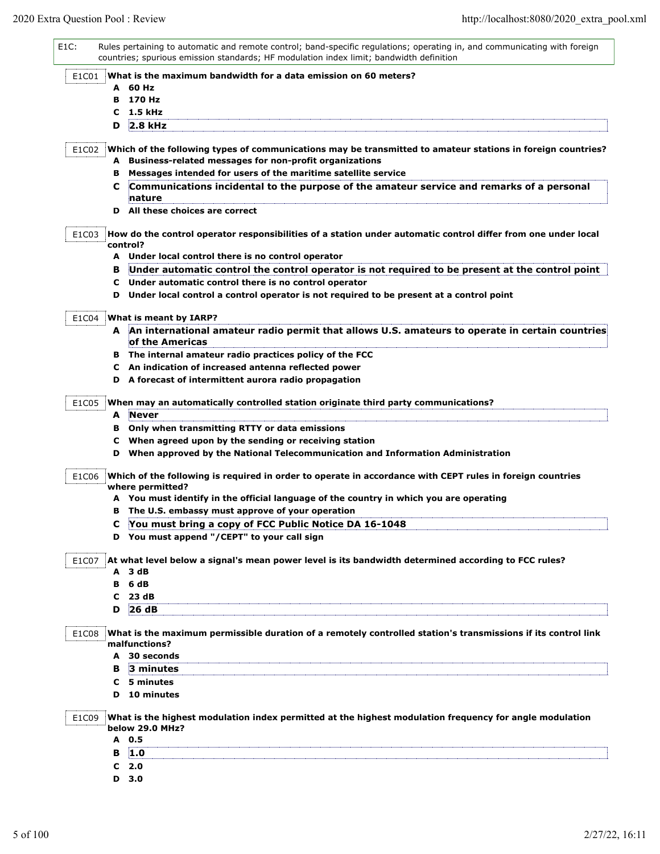| E1C:  |    | Rules pertaining to automatic and remote control; band-specific regulations; operating in, and communicating with foreign<br>countries; spurious emission standards; HF modulation index limit; bandwidth definition |
|-------|----|----------------------------------------------------------------------------------------------------------------------------------------------------------------------------------------------------------------------|
| E1C01 |    | What is the maximum bandwidth for a data emission on 60 meters?                                                                                                                                                      |
|       |    | A 60 Hz                                                                                                                                                                                                              |
|       | в  | 170 Hz                                                                                                                                                                                                               |
|       | c  | 1.5 kHz                                                                                                                                                                                                              |
|       | D  | 2.8 kHz                                                                                                                                                                                                              |
|       |    |                                                                                                                                                                                                                      |
| E1C02 |    | Which of the following types of communications may be transmitted to amateur stations in foreign countries?<br>A Business-related messages for non-profit organizations                                              |
|       |    |                                                                                                                                                                                                                      |
|       | в  | Messages intended for users of the maritime satellite service                                                                                                                                                        |
|       | C. | Communications incidental to the purpose of the amateur service and remarks of a personal<br>nature                                                                                                                  |
|       | D  | All these choices are correct                                                                                                                                                                                        |
| E1C03 |    | How do the control operator responsibilities of a station under automatic control differ from one under local                                                                                                        |
|       |    | control?                                                                                                                                                                                                             |
|       |    | A Under local control there is no control operator                                                                                                                                                                   |
|       | в  | Under automatic control the control operator is not required to be present at the control point                                                                                                                      |
|       | c  | Under automatic control there is no control operator                                                                                                                                                                 |
|       | D  | Under local control a control operator is not required to be present at a control point                                                                                                                              |
|       |    |                                                                                                                                                                                                                      |
| E1C04 |    | What is meant by IARP?                                                                                                                                                                                               |
|       |    | A An international amateur radio permit that allows U.S. amateurs to operate in certain countries<br>of the Americas                                                                                                 |
|       |    | B The internal amateur radio practices policy of the FCC                                                                                                                                                             |
|       | C  | An indication of increased antenna reflected power                                                                                                                                                                   |
|       |    | D A forecast of intermittent aurora radio propagation                                                                                                                                                                |
|       |    |                                                                                                                                                                                                                      |
| E1C05 |    | When may an automatically controlled station originate third party communications?<br><b>Never</b>                                                                                                                   |
|       | A  |                                                                                                                                                                                                                      |
|       |    | <b>B</b> Only when transmitting RTTY or data emissions                                                                                                                                                               |
|       | C  | When agreed upon by the sending or receiving station                                                                                                                                                                 |
|       | D  | When approved by the National Telecommunication and Information Administration                                                                                                                                       |
| E1C06 |    | Which of the following is required in order to operate in accordance with CEPT rules in foreign countries<br>where permitted?                                                                                        |
|       |    | A You must identify in the official language of the country in which you are operating                                                                                                                               |
|       |    | The U.S. embassy must approve of your operation                                                                                                                                                                      |
|       | с  | You must bring a copy of FCC Public Notice DA 16-1048                                                                                                                                                                |
|       |    | D You must append "/CEPT" to your call sign                                                                                                                                                                          |
| E1C07 |    | At what level below a signal's mean power level is its bandwidth determined according to FCC rules?                                                                                                                  |
|       |    | A 3 dB<br>B 6 dB                                                                                                                                                                                                     |
|       |    | C <sub>23 dB</sub>                                                                                                                                                                                                   |
|       | D  | 26dB                                                                                                                                                                                                                 |
|       |    |                                                                                                                                                                                                                      |
| E1C08 |    | What is the maximum permissible duration of a remotely controlled station's transmissions if its control link<br>malfunctions?                                                                                       |
|       |    | A 30 seconds                                                                                                                                                                                                         |
|       |    | <b>B</b> 3 minutes                                                                                                                                                                                                   |
|       |    | C 5 minutes                                                                                                                                                                                                          |
|       |    | D 10 minutes                                                                                                                                                                                                         |
|       |    |                                                                                                                                                                                                                      |
| E1C09 |    | What is the highest modulation index permitted at the highest modulation frequency for angle modulation                                                                                                              |
|       |    | below 29.0 MHz?                                                                                                                                                                                                      |
|       |    | A 0.5                                                                                                                                                                                                                |
|       |    | <b>B</b> 1.0                                                                                                                                                                                                         |
|       |    | C <sub>2.0</sub>                                                                                                                                                                                                     |
|       |    | D 3.0                                                                                                                                                                                                                |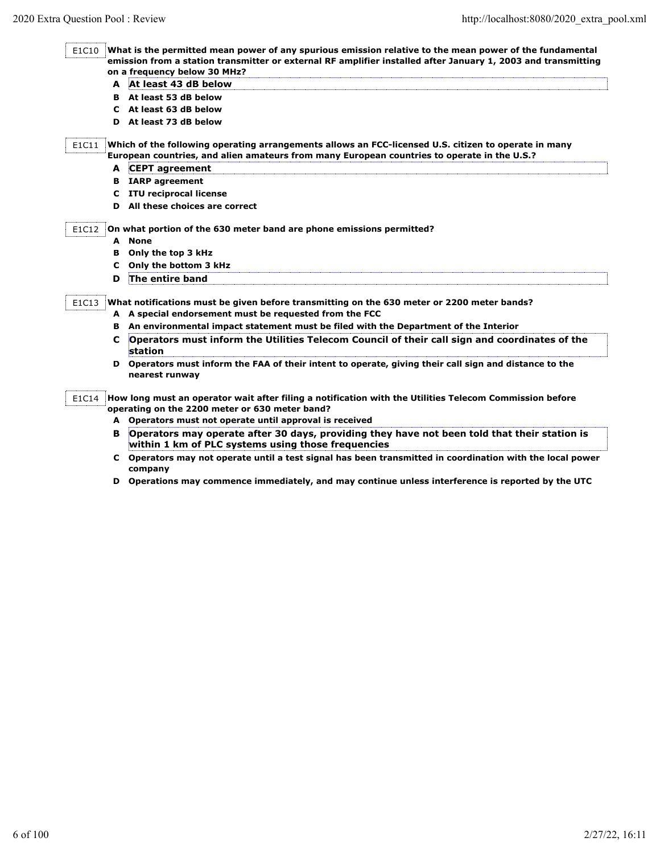|       | on a frequency below 30 MHz?                                                                                                                                                                        |
|-------|-----------------------------------------------------------------------------------------------------------------------------------------------------------------------------------------------------|
|       | At least 43 dB below<br>A                                                                                                                                                                           |
|       | <b>B</b> At least 53 dB below                                                                                                                                                                       |
|       | C At least 63 dB below                                                                                                                                                                              |
|       | D At least 73 dB below                                                                                                                                                                              |
| E1C11 | Which of the following operating arrangements allows an FCC-licensed U.S. citizen to operate in many<br>European countries, and alien amateurs from many European countries to operate in the U.S.? |
|       | A CEPT agreement                                                                                                                                                                                    |
|       | <b>B</b> IARP agreement                                                                                                                                                                             |
|       | C ITU reciprocal license                                                                                                                                                                            |
|       | All these choices are correct<br>D.                                                                                                                                                                 |
|       | Only the top 3 kHz<br>в<br>Only the bottom 3 kHz<br>C.<br>The entire band<br>D                                                                                                                      |
| E1C13 | What notifications must be given before transmitting on the 630 meter or 2200 meter bands?<br>A A special endorsement must be requested from the FCC                                                |
|       | B An environmental impact statement must be filed with the Department of the Interior                                                                                                               |
|       | Operators must inform the Utilities Telecom Council of their call sign and coordinates of the<br>C<br>station                                                                                       |
|       | Operators must inform the FAA of their intent to operate, giving their call sign and distance to the<br>D<br>nearest runway                                                                         |
|       | E1C14 How long must an operator wait after filing a notification with the Utilities Telecom Commission before<br>operating on the 2200 meter or 630 meter band?                                     |
|       | A Operators must not operate until approval is received                                                                                                                                             |
|       | Operators may operate after 30 days, providing they have not been told that their station is<br>в<br>within 1 km of PLC systems using those frequencies                                             |
|       | Cuaratara may net engrato until a teat cignal hag boon transmitted in constitution with the lead news                                                                                               |

- **C Operators may not operate until a test signal has been transmitted in coordination with the local power company**
- **D Operations may commence immediately, and may continue unless interference is reported by the UTC**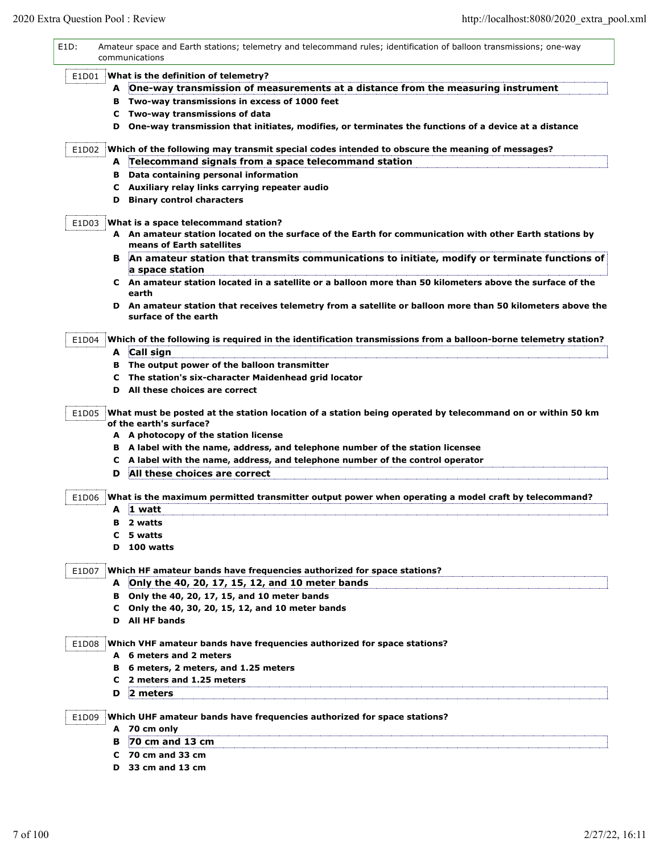| E1D: |       | Amateur space and Earth stations; telemetry and telecommand rules; identification of balloon transmissions; one-way<br>communications |
|------|-------|---------------------------------------------------------------------------------------------------------------------------------------|
|      | E1D01 | What is the definition of telemetry?                                                                                                  |
|      |       | A One-way transmission of measurements at a distance from the measuring instrument                                                    |
|      |       | B Two-way transmissions in excess of 1000 feet                                                                                        |
|      |       | C Two-way transmissions of data                                                                                                       |
|      |       | D One-way transmission that initiates, modifies, or terminates the functions of a device at a distance                                |
|      |       |                                                                                                                                       |
|      | E1D02 | Which of the following may transmit special codes intended to obscure the meaning of messages?                                        |
|      |       | A Telecommand signals from a space telecommand station                                                                                |
|      |       | <b>B</b> Data containing personal information                                                                                         |
|      |       | C Auxiliary relay links carrying repeater audio                                                                                       |
|      |       | <b>D</b> Binary control characters                                                                                                    |
|      | E1D03 | What is a space telecommand station?                                                                                                  |
|      |       | A An amateur station located on the surface of the Earth for communication with other Earth stations by<br>means of Earth satellites  |
|      | в     | An amateur station that transmits communications to initiate, modify or terminate functions of<br>a space station                     |
|      |       | C An amateur station located in a satellite or a balloon more than 50 kilometers above the surface of the<br>earth                    |
|      |       | D An amateur station that receives telemetry from a satellite or balloon more than 50 kilometers above the<br>surface of the earth    |
|      | E1D04 | Which of the following is required in the identification transmissions from a balloon-borne telemetry station?<br>A Call sign         |
|      |       |                                                                                                                                       |
|      |       | B The output power of the balloon transmitter                                                                                         |
|      |       | C The station's six-character Maidenhead grid locator<br>D All these choices are correct                                              |
|      | E1D05 | What must be posted at the station location of a station being operated by telecommand on or within 50 km<br>of the earth's surface?  |
|      |       | A A photocopy of the station license                                                                                                  |
|      |       | B A label with the name, address, and telephone number of the station licensee                                                        |
|      |       | C A label with the name, address, and telephone number of the control operator                                                        |
|      | D     | All these choices are correct                                                                                                         |
|      |       |                                                                                                                                       |
|      | E1D06 | What is the maximum permitted transmitter output power when operating a model craft by telecommand?                                   |
|      |       | A 1 watt                                                                                                                              |
|      | в     | 2 watts                                                                                                                               |
|      |       | C 5 watts                                                                                                                             |
|      |       | D 100 watts                                                                                                                           |
|      | E1D07 | Which HF amateur bands have frequencies authorized for space stations?                                                                |
|      |       | A Only the 40, 20, 17, 15, 12, and 10 meter bands                                                                                     |
|      |       | B Only the 40, 20, 17, 15, and 10 meter bands                                                                                         |
|      |       | C Only the 40, 30, 20, 15, 12, and 10 meter bands                                                                                     |
|      |       | <b>D</b> All HF bands                                                                                                                 |
|      | E1D08 | Which VHF amateur bands have frequencies authorized for space stations?                                                               |
|      |       | A 6 meters and 2 meters                                                                                                               |
|      |       | B 6 meters, 2 meters, and 1.25 meters                                                                                                 |
|      |       | C 2 meters and 1.25 meters                                                                                                            |
|      | D     | 2 meters                                                                                                                              |
|      |       |                                                                                                                                       |
|      | E1D09 | Which UHF amateur bands have frequencies authorized for space stations?<br>A 70 cm only                                               |
|      |       |                                                                                                                                       |
|      | в     | 70 cm and 13 cm                                                                                                                       |
|      |       | $C$ 70 cm and 33 cm<br>$D$ 33 cm and 13 cm                                                                                            |
|      |       |                                                                                                                                       |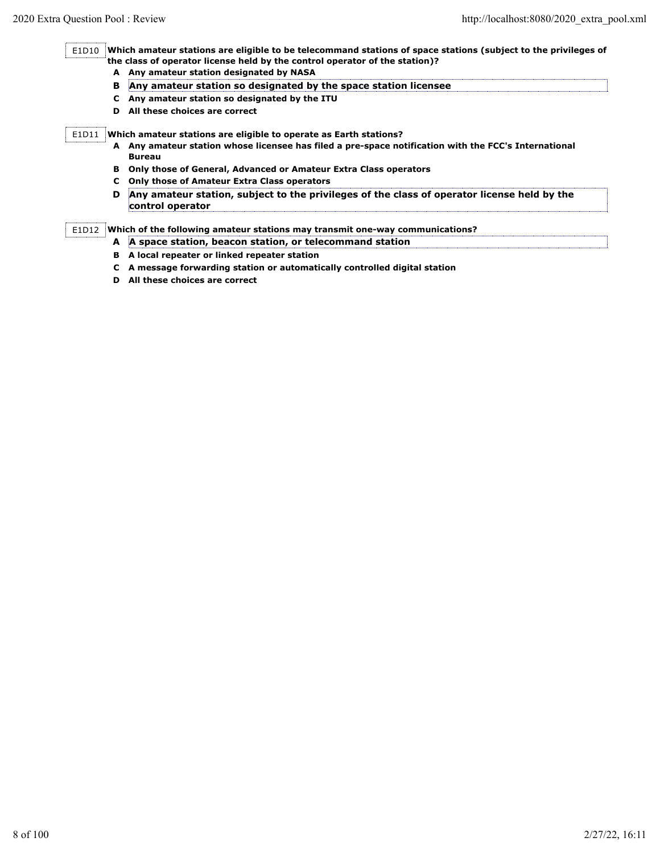E1D10 **Which amateur stations are eligible to be telecommand stations of space stations (subject to the privileges of the class of operator license held by the control operator of the station)?**

- **A Any amateur station designated by NASA**
- **B Any amateur station so designated by the space station licensee**
- **C Any amateur station so designated by the ITU**
- **D All these choices are correct**

E1D11 **Which amateur stations are eligible to operate as Earth stations?**

- **A Any amateur station whose licensee has filed a pre-space notification with the FCC's International Bureau**
- **B Only those of General, Advanced or Amateur Extra Class operators**
- **C Only those of Amateur Extra Class operators**
- **D Any amateur station, subject to the privileges of the class of operator license held by the control operator**

E1D12 **Which of the following amateur stations may transmit one-way communications?**

- **A A space station, beacon station, or telecommand station**
- **B A local repeater or linked repeater station**
- **C A message forwarding station or automatically controlled digital station**
- **D All these choices are correct**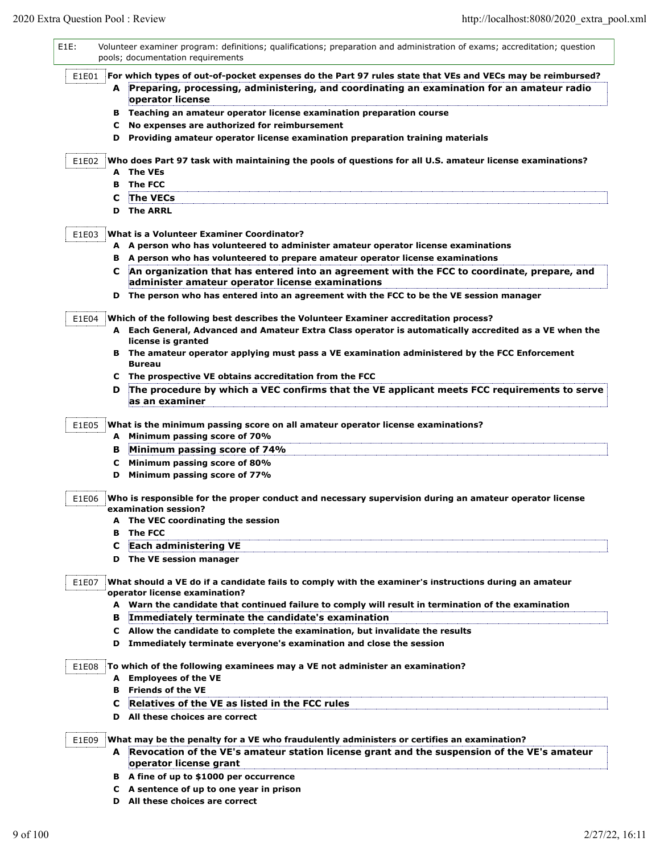| $E1E$ : |        | Volunteer examiner program: definitions; qualifications; preparation and administration of exams; accreditation; question<br>pools; documentation requirements |
|---------|--------|----------------------------------------------------------------------------------------------------------------------------------------------------------------|
| E1E01   |        | For which types of out-of-pocket expenses do the Part 97 rules state that VEs and VECs may be reimbursed?                                                      |
|         |        | A Preparing, processing, administering, and coordinating an examination for an amateur radio<br>operator license                                               |
|         |        | B Teaching an amateur operator license examination preparation course                                                                                          |
|         | C      | No expenses are authorized for reimbursement                                                                                                                   |
|         |        | D Providing amateur operator license examination preparation training materials                                                                                |
|         |        |                                                                                                                                                                |
| E1E02   |        | Who does Part 97 task with maintaining the pools of questions for all U.S. amateur license examinations?<br>A The VEs                                          |
|         |        | <b>B</b> The FCC                                                                                                                                               |
|         | C      | The VECs                                                                                                                                                       |
|         |        | <b>D</b> The ARRL                                                                                                                                              |
| E1E03   |        | What is a Volunteer Examiner Coordinator?                                                                                                                      |
|         |        | A A person who has volunteered to administer amateur operator license examinations                                                                             |
|         |        | B A person who has volunteered to prepare amateur operator license examinations                                                                                |
|         |        | C An organization that has entered into an agreement with the FCC to coordinate, prepare, and                                                                  |
|         |        | administer amateur operator license examinations                                                                                                               |
|         |        | D The person who has entered into an agreement with the FCC to be the VE session manager                                                                       |
| E1E04   |        | Which of the following best describes the Volunteer Examiner accreditation process?                                                                            |
|         |        | A Each General, Advanced and Amateur Extra Class operator is automatically accredited as a VE when the                                                         |
|         |        | license is granted                                                                                                                                             |
|         |        | B The amateur operator applying must pass a VE examination administered by the FCC Enforcement<br><b>Bureau</b>                                                |
|         |        | C The prospective VE obtains accreditation from the FCC                                                                                                        |
|         |        | D The procedure by which a VEC confirms that the VE applicant meets FCC requirements to serve                                                                  |
|         |        | as an examiner                                                                                                                                                 |
|         |        |                                                                                                                                                                |
| E1E05   |        | What is the minimum passing score on all amateur operator license examinations?                                                                                |
|         |        | A Minimum passing score of 70%                                                                                                                                 |
|         | в      | Minimum passing score of 74%                                                                                                                                   |
|         | C<br>D | Minimum passing score of 80%<br>Minimum passing score of 77%                                                                                                   |
|         |        |                                                                                                                                                                |
| E1E06   |        | Who is responsible for the proper conduct and necessary supervision during an amateur operator license                                                         |
|         |        | examination session?                                                                                                                                           |
|         |        | A The VEC coordinating the session                                                                                                                             |
|         | в      | The FCC                                                                                                                                                        |
|         | с      | <b>Each administering VE</b>                                                                                                                                   |
|         |        | D The VE session manager                                                                                                                                       |
| E1E07   |        | What should a VE do if a candidate fails to comply with the examiner's instructions during an amateur                                                          |
|         |        | operator license examination?                                                                                                                                  |
|         |        | A Warn the candidate that continued failure to comply will result in termination of the examination                                                            |
|         | в      | Immediately terminate the candidate's examination                                                                                                              |
|         |        | C Allow the candidate to complete the examination, but invalidate the results                                                                                  |
|         |        | D Immediately terminate everyone's examination and close the session                                                                                           |
| E1E08   |        | To which of the following examinees may a VE not administer an examination?                                                                                    |
|         |        | A Employees of the VE                                                                                                                                          |
|         |        | <b>B</b> Friends of the VE                                                                                                                                     |
|         | C      | Relatives of the VE as listed in the FCC rules                                                                                                                 |
|         |        | D All these choices are correct                                                                                                                                |
| E1E09   |        | What may be the penalty for a VE who fraudulently administers or certifies an examination?                                                                     |
|         |        | A Revocation of the VE's amateur station license grant and the suspension of the VE's amateur                                                                  |
|         |        | operator license grant                                                                                                                                         |
|         |        | B A fine of up to \$1000 per occurrence                                                                                                                        |
|         |        | C A sentence of up to one year in prison                                                                                                                       |
|         |        | D All these choices are correct                                                                                                                                |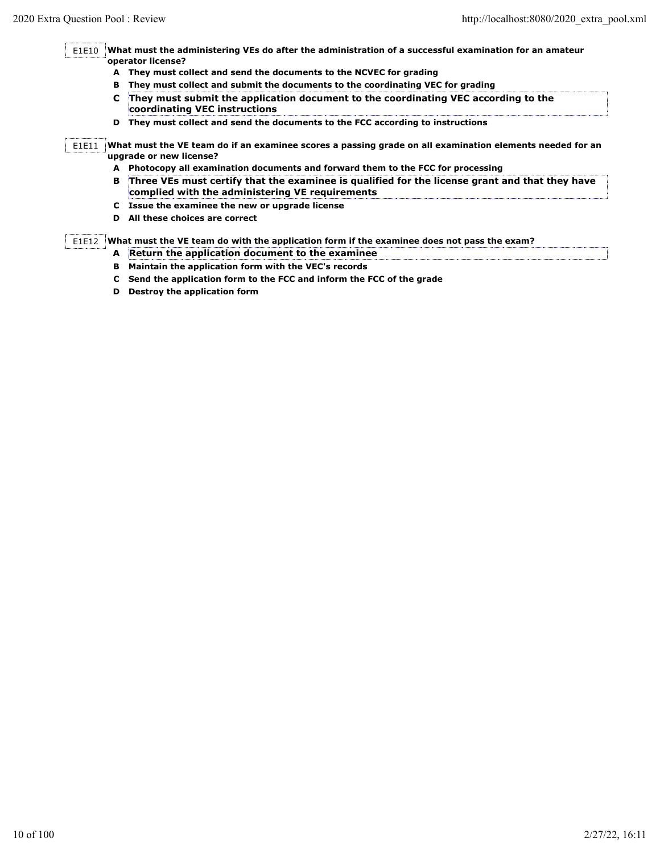E1E10 **What must the administering VEs do after the administration of a successful examination for an amateur operator license?**

- **A They must collect and send the documents to the NCVEC for grading**
- **B They must collect and submit the documents to the coordinating VEC for grading**
- **C They must submit the application document to the coordinating VEC according to the coordinating VEC instructions**
- **D They must collect and send the documents to the FCC according to instructions**

E1E11 **What must the VE team do if an examinee scores a passing grade on all examination elements needed for an upgrade or new license?**

- **A Photocopy all examination documents and forward them to the FCC for processing**
- **B Three VEs must certify that the examinee is qualified for the license grant and that they have complied with the administering VE requirements**
- **C Issue the examinee the new or upgrade license**
- **D All these choices are correct**

E1E12 **What must the VE team do with the application form if the examinee does not pass the exam?**

- **A Return the application document to the examinee**
	- **B Maintain the application form with the VEC's records**
	- **C Send the application form to the FCC and inform the FCC of the grade**
	- **D Destroy the application form**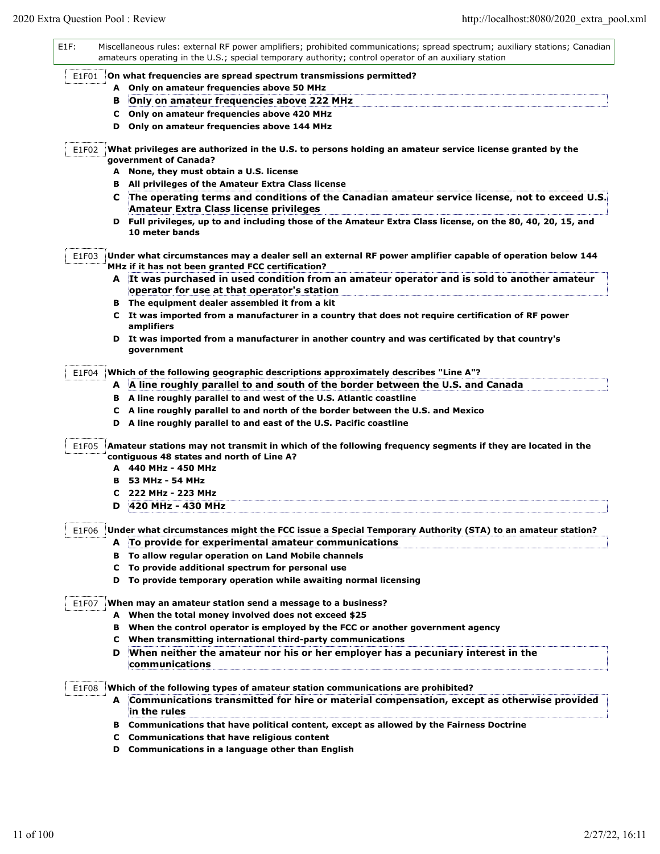| E1F:  |   | Miscellaneous rules: external RF power amplifiers; prohibited communications; spread spectrum; auxiliary stations; Canadian<br>amateurs operating in the U.S.; special temporary authority; control operator of an auxiliary station |
|-------|---|--------------------------------------------------------------------------------------------------------------------------------------------------------------------------------------------------------------------------------------|
| E1F01 |   | On what frequencies are spread spectrum transmissions permitted?<br>A Only on amateur frequencies above 50 MHz                                                                                                                       |
|       | в | Only on amateur frequencies above 222 MHz                                                                                                                                                                                            |
|       |   | C Only on amateur frequencies above 420 MHz                                                                                                                                                                                          |
|       |   | D Only on amateur frequencies above 144 MHz                                                                                                                                                                                          |
|       |   |                                                                                                                                                                                                                                      |
| E1F02 |   | What privileges are authorized in the U.S. to persons holding an amateur service license granted by the<br>government of Canada?                                                                                                     |
|       |   | A None, they must obtain a U.S. license                                                                                                                                                                                              |
|       |   | <b>B</b> All privileges of the Amateur Extra Class license                                                                                                                                                                           |
|       |   | C The operating terms and conditions of the Canadian amateur service license, not to exceed U.S.<br>Amateur Extra Class license privileges                                                                                           |
|       |   | D Full privileges, up to and including those of the Amateur Extra Class license, on the 80, 40, 20, 15, and<br>10 meter bands                                                                                                        |
| E1F03 |   | Under what circumstances may a dealer sell an external RF power amplifier capable of operation below 144<br>MHz if it has not been granted FCC certification?                                                                        |
|       |   | A It was purchased in used condition from an amateur operator and is sold to another amateur<br>operator for use at that operator's station                                                                                          |
|       |   | B The equipment dealer assembled it from a kit                                                                                                                                                                                       |
|       |   | C It was imported from a manufacturer in a country that does not require certification of RF power<br>amplifiers                                                                                                                     |
|       |   | D It was imported from a manufacturer in another country and was certificated by that country's<br>qovernment                                                                                                                        |
| E1F04 |   | Which of the following geographic descriptions approximately describes "Line A"?                                                                                                                                                     |
|       |   | A A line roughly parallel to and south of the border between the U.S. and Canada                                                                                                                                                     |
|       |   | B A line roughly parallel to and west of the U.S. Atlantic coastline                                                                                                                                                                 |
|       |   | C A line roughly parallel to and north of the border between the U.S. and Mexico                                                                                                                                                     |
|       |   | D A line roughly parallel to and east of the U.S. Pacific coastline                                                                                                                                                                  |
| E1F05 |   | Amateur stations may not transmit in which of the following frequency segments if they are located in the<br>contiguous 48 states and north of Line A?                                                                               |
|       |   | A 440 MHz - 450 MHz                                                                                                                                                                                                                  |
|       |   | <b>B</b> 53 MHz - 54 MHz                                                                                                                                                                                                             |
|       | C | 222 MHz - 223 MHz                                                                                                                                                                                                                    |
|       | D | 420 MHz - 430 MHz                                                                                                                                                                                                                    |
| E1F06 |   | Under what circumstances might the FCC issue a Special Temporary Authority (STA) to an amateur station?                                                                                                                              |
|       |   | A To provide for experimental amateur communications                                                                                                                                                                                 |
|       |   | <b>B</b> To allow regular operation on Land Mobile channels                                                                                                                                                                          |
|       |   | C To provide additional spectrum for personal use                                                                                                                                                                                    |
|       |   | D To provide temporary operation while awaiting normal licensing                                                                                                                                                                     |
|       |   |                                                                                                                                                                                                                                      |
| E1F07 |   | When may an amateur station send a message to a business?                                                                                                                                                                            |
|       |   | A When the total money involved does not exceed \$25                                                                                                                                                                                 |
|       |   | B When the control operator is employed by the FCC or another government agency                                                                                                                                                      |
|       |   | C When transmitting international third-party communications                                                                                                                                                                         |
|       | D | When neither the amateur nor his or her employer has a pecuniary interest in the<br>communications                                                                                                                                   |
| E1F08 |   | Which of the following types of amateur station communications are prohibited?                                                                                                                                                       |
|       | A | Communications transmitted for hire or material compensation, except as otherwise provided                                                                                                                                           |
|       |   | in the rules                                                                                                                                                                                                                         |
|       |   | B Communications that have political content, except as allowed by the Fairness Doctrine                                                                                                                                             |
|       | C | <b>Communications that have religious content</b>                                                                                                                                                                                    |
|       |   | D Communications in a language other than English                                                                                                                                                                                    |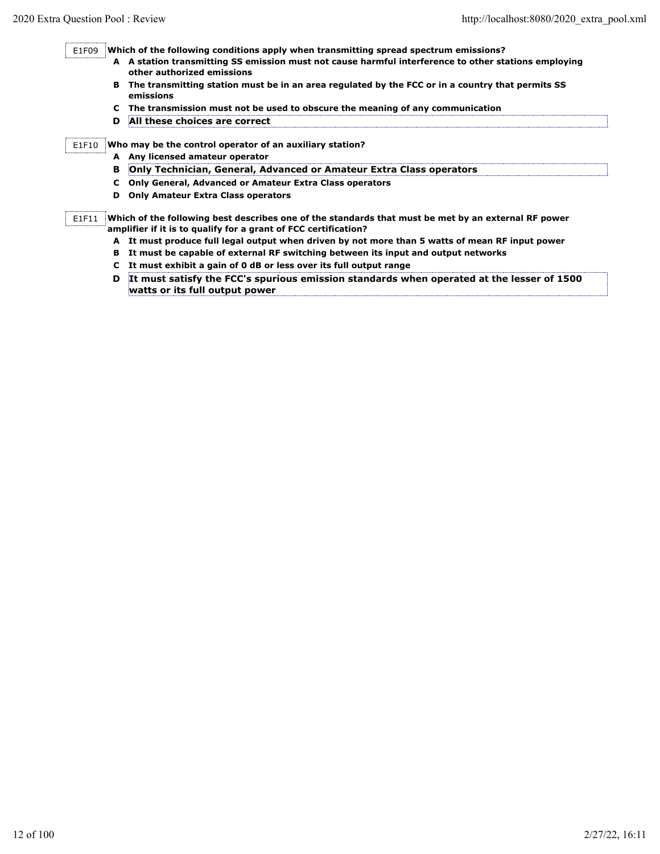E1F09 **Which of the following conditions apply when transmitting spread spectrum emissions?**

- **A A station transmitting SS emission must not cause harmful interference to other stations employing other authorized emissions**
- **B The transmitting station must be in an area regulated by the FCC or in a country that permits SS emissions**
- **C The transmission must not be used to obscure the meaning of any communication**
- **D All these choices are correct**

E1F10 **Who may be the control operator of an auxiliary station?**

- **A Any licensed amateur operator**
- **B Only Technician, General, Advanced or Amateur Extra Class operators**
- **C Only General, Advanced or Amateur Extra Class operators**
- **D Only Amateur Extra Class operators**

E1F11 **Which of the following best describes one of the standards that must be met by an external RF power amplifier if it is to qualify for a grant of FCC certification?**

- **A It must produce full legal output when driven by not more than 5 watts of mean RF input power**
- **B It must be capable of external RF switching between its input and output networks**
- **C It must exhibit a gain of 0 dB or less over its full output range**
- **D It must satisfy the FCC's spurious emission standards when operated at the lesser of 1500 watts or its full output power**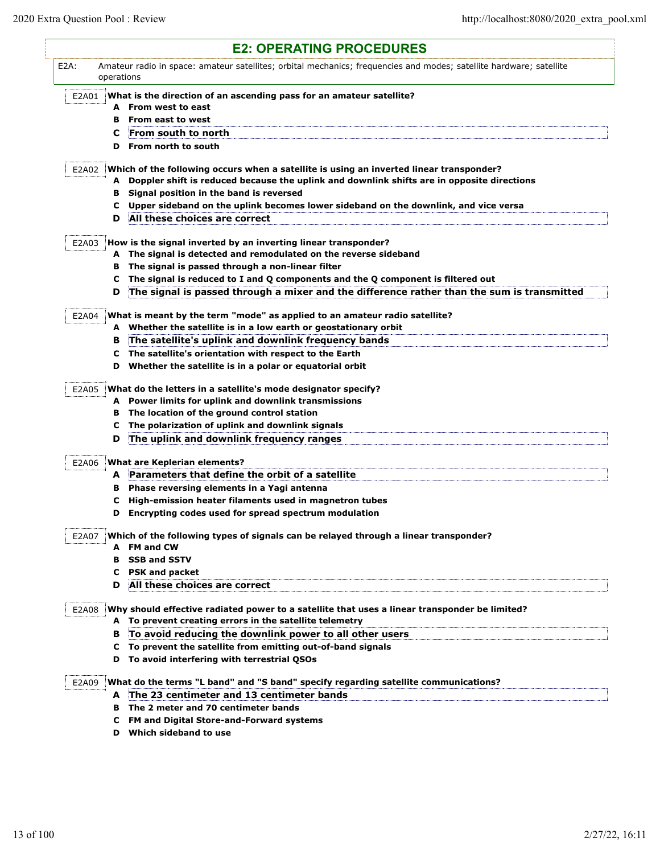| <b>E2: OPERATING PROCEDURES</b> |            |                                                                                                                                                                       |
|---------------------------------|------------|-----------------------------------------------------------------------------------------------------------------------------------------------------------------------|
| E2A:                            | operations | Amateur radio in space: amateur satellites; orbital mechanics; frequencies and modes; satellite hardware; satellite                                                   |
| E2A01                           |            | What is the direction of an ascending pass for an amateur satellite?                                                                                                  |
|                                 |            | A From west to east                                                                                                                                                   |
|                                 | в          | From east to west                                                                                                                                                     |
|                                 | C          | From south to north                                                                                                                                                   |
|                                 | D          | <b>From north to south</b>                                                                                                                                            |
| E2A02                           |            | Which of the following occurs when a satellite is using an inverted linear transponder?                                                                               |
|                                 |            | A Doppler shift is reduced because the uplink and downlink shifts are in opposite directions                                                                          |
|                                 |            | B Signal position in the band is reversed                                                                                                                             |
|                                 |            | C Upper sideband on the uplink becomes lower sideband on the downlink, and vice versa                                                                                 |
|                                 | D          | All these choices are correct                                                                                                                                         |
| E2A03                           |            | How is the signal inverted by an inverting linear transponder?                                                                                                        |
|                                 |            | A The signal is detected and remodulated on the reverse sideband                                                                                                      |
|                                 |            | B The signal is passed through a non-linear filter                                                                                                                    |
|                                 |            | C The signal is reduced to I and Q components and the Q component is filtered out                                                                                     |
|                                 | D          | The signal is passed through a mixer and the difference rather than the sum is transmitted                                                                            |
| E2A04                           |            | What is meant by the term "mode" as applied to an amateur radio satellite?                                                                                            |
|                                 |            | A Whether the satellite is in a low earth or geostationary orbit                                                                                                      |
|                                 | в          | The satellite's uplink and downlink frequency bands                                                                                                                   |
|                                 |            | C The satellite's orientation with respect to the Earth                                                                                                               |
|                                 |            | D Whether the satellite is in a polar or equatorial orbit                                                                                                             |
| E2A05                           |            | What do the letters in a satellite's mode designator specify?<br>A Power limits for uplink and downlink transmissions<br>B The location of the ground control station |
|                                 | C          | The polarization of uplink and downlink signals                                                                                                                       |
|                                 | D          | The uplink and downlink frequency ranges                                                                                                                              |
| E2A06                           |            | What are Keplerian elements?                                                                                                                                          |
|                                 | A          | Parameters that define the orbit of a satellite                                                                                                                       |
|                                 |            | B Phase reversing elements in a Yagi antenna                                                                                                                          |
|                                 | С          | High-emission heater filaments used in magnetron tubes                                                                                                                |
|                                 | D          | Encrypting codes used for spread spectrum modulation                                                                                                                  |
| E2A07                           |            | Which of the following types of signals can be relayed through a linear transponder?                                                                                  |
|                                 |            | A FM and CW                                                                                                                                                           |
|                                 |            | <b>B</b> SSB and SSTV                                                                                                                                                 |
|                                 |            | C PSK and packet                                                                                                                                                      |
|                                 | D          | All these choices are correct                                                                                                                                         |
|                                 |            |                                                                                                                                                                       |
| E2A08                           |            | Why should effective radiated power to a satellite that uses a linear transponder be limited?<br>A To prevent creating errors in the satellite telemetry              |
|                                 |            | B To avoid reducing the downlink power to all other users                                                                                                             |
|                                 |            | C To prevent the satellite from emitting out-of-band signals                                                                                                          |
|                                 |            | D To avoid interfering with terrestrial QSOs                                                                                                                          |
| E2A09                           |            | What do the terms "L band" and "S band" specify regarding satellite communications?                                                                                   |
|                                 |            | A The 23 centimeter and 13 centimeter bands                                                                                                                           |
|                                 |            | B The 2 meter and 70 centimeter bands                                                                                                                                 |
|                                 |            | C FM and Digital Store-and-Forward systems                                                                                                                            |
|                                 |            |                                                                                                                                                                       |

**D Which sideband to use**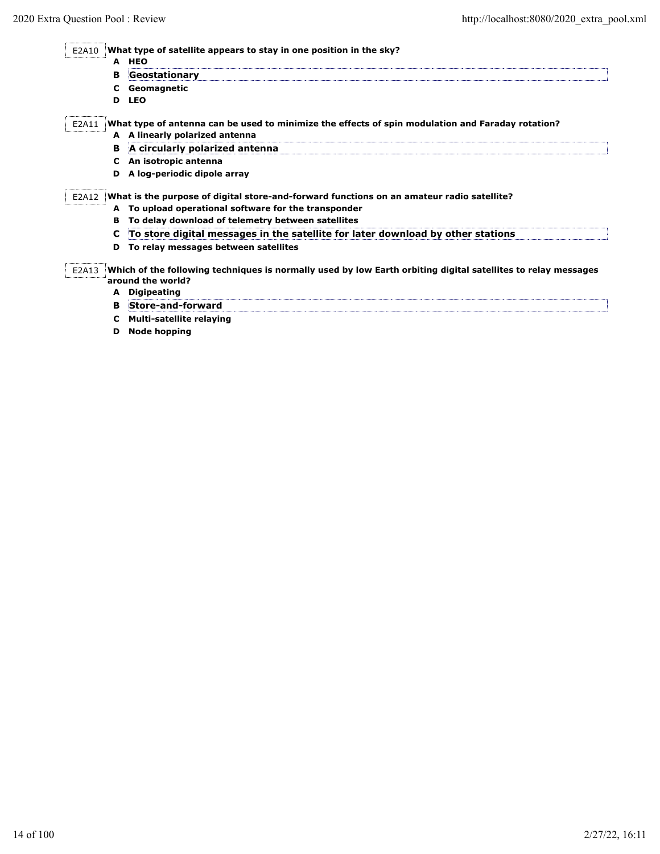E2A10 **What type of satellite appears to stay in one position in the sky?**

- **A HEO B Geostationary C Geomagnetic**
- **D LEO**

E2A11 **What type of antenna can be used to minimize the effects of spin modulation and Faraday rotation?**

- **A A linearly polarized antenna**
	- **B A circularly polarized antenna**
	- **C An isotropic antenna**
	- **D A log-periodic dipole array**

#### E2A12 **What is the purpose of digital store-and-forward functions on an amateur radio satellite?**

- **A To upload operational software for the transponder**
- **B To delay download of telemetry between satellites**
- **C To store digital messages in the satellite for later download by other stations**
- **D To relay messages between satellites**

E2A13 **Which of the following techniques is normally used by low Earth orbiting digital satellites to relay messages around the world?**

#### **A Digipeating**

- **B Store-and-forward C Multi-satellite relaying**
- 
- **D Node hopping**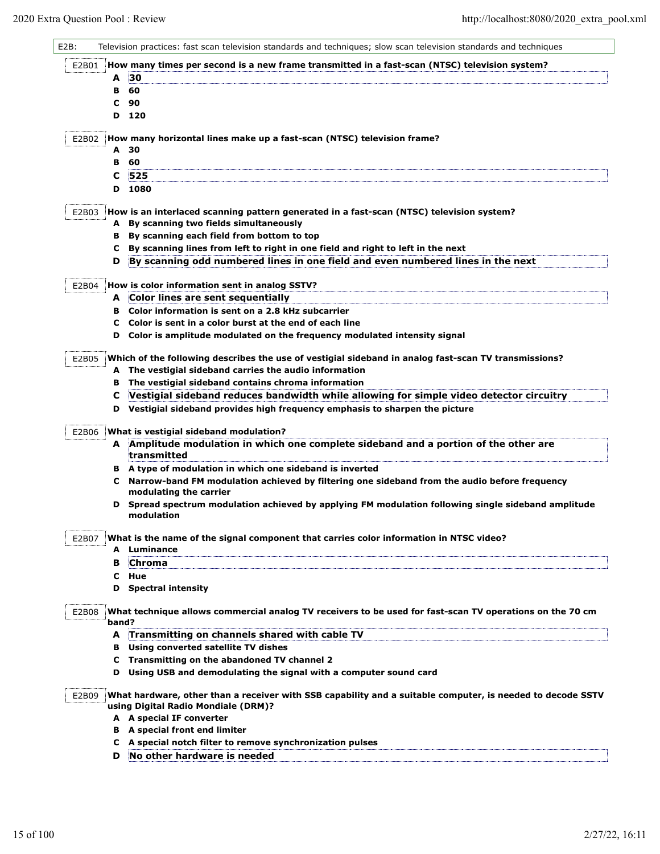| $E2B$ : |       | Television practices: fast scan television standards and techniques; slow scan television standards and techniques                                |
|---------|-------|---------------------------------------------------------------------------------------------------------------------------------------------------|
| E2B01   |       | How many times per second is a new frame transmitted in a fast-scan (NTSC) television system?                                                     |
|         | A     | 30                                                                                                                                                |
|         | в     | 60                                                                                                                                                |
|         | c     | 90                                                                                                                                                |
|         | D     | 120                                                                                                                                               |
|         |       |                                                                                                                                                   |
| E2B02   |       | How many horizontal lines make up a fast-scan (NTSC) television frame?                                                                            |
|         | A     | 30                                                                                                                                                |
|         | в     | 60                                                                                                                                                |
|         | С     | 525                                                                                                                                               |
|         |       | D 1080                                                                                                                                            |
| E2B03   |       | How is an interlaced scanning pattern generated in a fast-scan (NTSC) television system?                                                          |
|         |       | A By scanning two fields simultaneously                                                                                                           |
|         |       | B By scanning each field from bottom to top                                                                                                       |
|         | C     | By scanning lines from left to right in one field and right to left in the next                                                                   |
|         | D     | By scanning odd numbered lines in one field and even numbered lines in the next                                                                   |
|         |       |                                                                                                                                                   |
| E2B04   |       | How is color information sent in analog SSTV?                                                                                                     |
|         |       | A Color lines are sent sequentially                                                                                                               |
|         |       | B Color information is sent on a 2.8 kHz subcarrier                                                                                               |
|         | c     | Color is sent in a color burst at the end of each line                                                                                            |
|         | D     | Color is amplitude modulated on the frequency modulated intensity signal                                                                          |
| E2B05   |       | Which of the following describes the use of vestigial sideband in analog fast-scan TV transmissions?                                              |
|         |       | A The vestigial sideband carries the audio information                                                                                            |
|         | в     | The vestigial sideband contains chroma information                                                                                                |
|         | С     | Vestigial sideband reduces bandwidth while allowing for simple video detector circuitry                                                           |
|         | D     | Vestigial sideband provides high frequency emphasis to sharpen the picture                                                                        |
|         |       |                                                                                                                                                   |
| E2B06   |       | What is vestigial sideband modulation?                                                                                                            |
|         |       | A Amplitude modulation in which one complete sideband and a portion of the other are                                                              |
|         |       | transmitted                                                                                                                                       |
|         |       | B A type of modulation in which one sideband is inverted                                                                                          |
|         |       | C Narrow-band FM modulation achieved by filtering one sideband from the audio before frequency<br>modulating the carrier                          |
|         |       | D Spread spectrum modulation achieved by applying FM modulation following single sideband amplitude                                               |
|         |       | modulation                                                                                                                                        |
|         |       |                                                                                                                                                   |
| E2B07   |       | What is the name of the signal component that carries color information in NTSC video?                                                            |
|         | A     | Luminance                                                                                                                                         |
|         | в     | <b>Chroma</b>                                                                                                                                     |
|         | C     | Hue                                                                                                                                               |
|         |       | <b>D</b> Spectral intensity                                                                                                                       |
| E2B08   |       | What technique allows commercial analog TV receivers to be used for fast-scan TV operations on the 70 cm                                          |
|         | band? |                                                                                                                                                   |
|         | A     | Transmitting on channels shared with cable TV                                                                                                     |
|         | в     | Using converted satellite TV dishes                                                                                                               |
|         | c     | Transmitting on the abandoned TV channel 2                                                                                                        |
|         | D     | Using USB and demodulating the signal with a computer sound card                                                                                  |
|         |       |                                                                                                                                                   |
| E2B09   |       | What hardware, other than a receiver with SSB capability and a suitable computer, is needed to decode SSTV<br>using Digital Radio Mondiale (DRM)? |
|         |       | A A special IF converter                                                                                                                          |
|         |       | <b>B</b> A special front end limiter                                                                                                              |
|         | C     | A special notch filter to remove synchronization pulses                                                                                           |
|         | D     | No other hardware is needed                                                                                                                       |
|         |       |                                                                                                                                                   |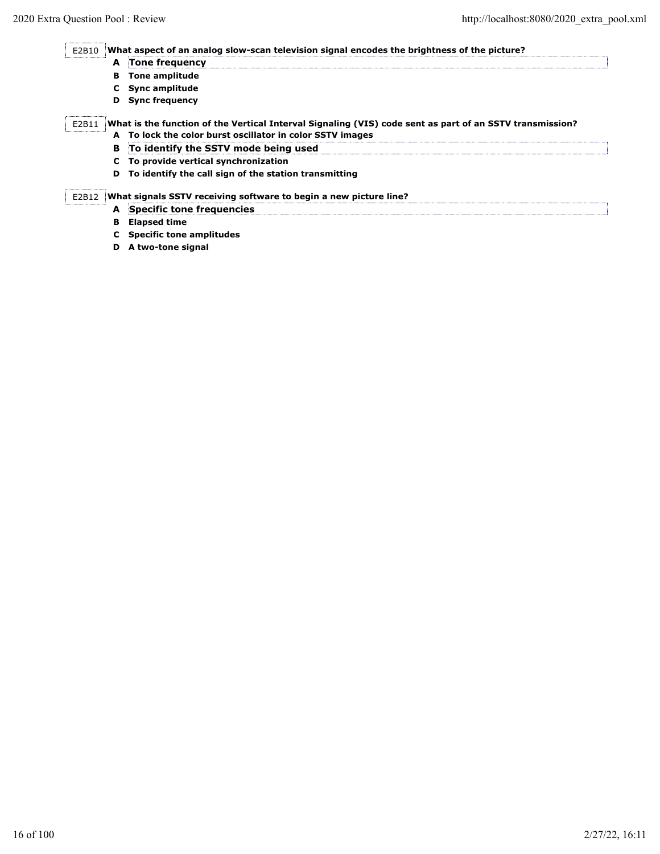E2B10 **What aspect of an analog slow-scan television signal encodes the brightness of the picture?**

- **A Tone frequency**
- **B Tone amplitude**
- **C Sync amplitude**
- **D Sync frequency**

E2B11 **What is the function of the Vertical Interval Signaling (VIS) code sent as part of an SSTV transmission?**

- **A To lock the color burst oscillator in color SSTV images**
- **B To identify the SSTV mode being used**
- **C To provide vertical synchronization**
- **D To identify the call sign of the station transmitting**

## E2B12 **What signals SSTV receiving software to begin a new picture line?**

- **A Specific tone frequencies**
- **B Elapsed time**
- **C Specific tone amplitudes**
- **D A two-tone signal**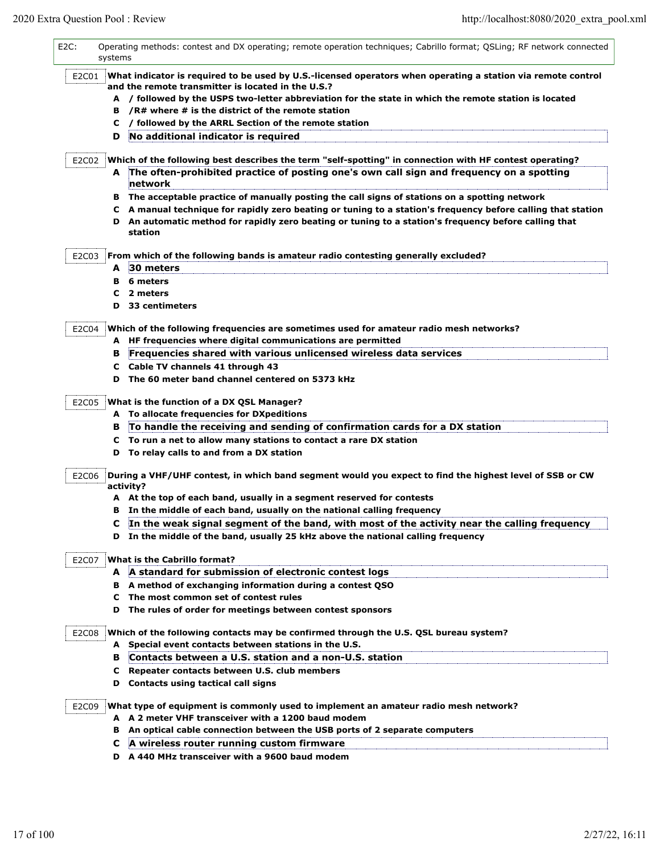| E <sub>2</sub> C: |       | systems | Operating methods: contest and DX operating; remote operation techniques; Cabrillo format; QSLing; RF network connected                                            |
|-------------------|-------|---------|--------------------------------------------------------------------------------------------------------------------------------------------------------------------|
|                   | E2C01 |         | What indicator is required to be used by U.S.-licensed operators when operating a station via remote control<br>and the remote transmitter is located in the U.S.? |
|                   |       |         | A / followed by the USPS two-letter abbreviation for the state in which the remote station is located                                                              |
|                   |       |         | B / $R#$ where $#$ is the district of the remote station                                                                                                           |
|                   |       |         | C / followed by the ARRL Section of the remote station                                                                                                             |
|                   |       | D       | No additional indicator is required                                                                                                                                |
|                   | E2C02 |         | Which of the following best describes the term "self-spotting" in connection with HF contest operating?                                                            |
|                   |       |         | A The often-prohibited practice of posting one's own call sign and frequency on a spotting<br>network                                                              |
|                   |       |         | B The acceptable practice of manually posting the call signs of stations on a spotting network                                                                     |
|                   |       |         | C A manual technique for rapidly zero beating or tuning to a station's frequency before calling that station                                                       |
|                   |       |         | D An automatic method for rapidly zero beating or tuning to a station's frequency before calling that<br>station                                                   |
|                   | E2C03 |         | From which of the following bands is amateur radio contesting generally excluded?                                                                                  |
|                   |       |         | A 30 meters                                                                                                                                                        |
|                   |       |         | <b>B</b> 6 meters                                                                                                                                                  |
|                   |       |         | C 2 meters                                                                                                                                                         |
|                   |       |         | D 33 centimeters                                                                                                                                                   |
|                   | E2C04 |         | Which of the following frequencies are sometimes used for amateur radio mesh networks?                                                                             |
|                   |       |         | A HF frequencies where digital communications are permitted                                                                                                        |
|                   |       | в       | Frequencies shared with various unlicensed wireless data services                                                                                                  |
|                   |       |         | C Cable TV channels 41 through 43                                                                                                                                  |
|                   |       |         | D The 60 meter band channel centered on 5373 kHz                                                                                                                   |
|                   | E2C05 |         | What is the function of a DX QSL Manager?                                                                                                                          |
|                   |       |         | A To allocate frequencies for DXpeditions                                                                                                                          |
|                   |       | в       | To handle the receiving and sending of confirmation cards for a DX station                                                                                         |
|                   |       |         | C To run a net to allow many stations to contact a rare DX station                                                                                                 |
|                   |       |         | D To relay calls to and from a DX station                                                                                                                          |
|                   | E2C06 |         | During a VHF/UHF contest, in which band segment would you expect to find the highest level of SSB or CW<br>activity?                                               |
|                   |       |         | A At the top of each band, usually in a segment reserved for contests                                                                                              |
|                   |       |         | B In the middle of each band, usually on the national calling frequency                                                                                            |
|                   |       |         | C In the weak signal segment of the band, with most of the activity near the calling frequency                                                                     |
|                   |       |         | D In the middle of the band, usually 25 kHz above the national calling frequency                                                                                   |
|                   | E2C07 |         | <b>What is the Cabrillo format?</b>                                                                                                                                |
|                   |       |         | A A standard for submission of electronic contest logs                                                                                                             |
|                   |       |         | B A method of exchanging information during a contest QSO                                                                                                          |
|                   |       |         | C The most common set of contest rules                                                                                                                             |
|                   |       |         | D The rules of order for meetings between contest sponsors                                                                                                         |
|                   | E2C08 |         | Which of the following contacts may be confirmed through the U.S. QSL bureau system?<br>A Special event contacts between stations in the U.S.                      |
|                   |       | в       | Contacts between a U.S. station and a non-U.S. station                                                                                                             |
|                   |       |         | C Repeater contacts between U.S. club members                                                                                                                      |
|                   |       |         | D Contacts using tactical call signs                                                                                                                               |
|                   | E2C09 |         | What type of equipment is commonly used to implement an amateur radio mesh network?                                                                                |
|                   |       |         | A A 2 meter VHF transceiver with a 1200 baud modem                                                                                                                 |
|                   |       |         | B An optical cable connection between the USB ports of 2 separate computers                                                                                        |
|                   |       |         | C A wireless router running custom firmware                                                                                                                        |
|                   |       |         | D A 440 MHz transceiver with a 9600 baud modem                                                                                                                     |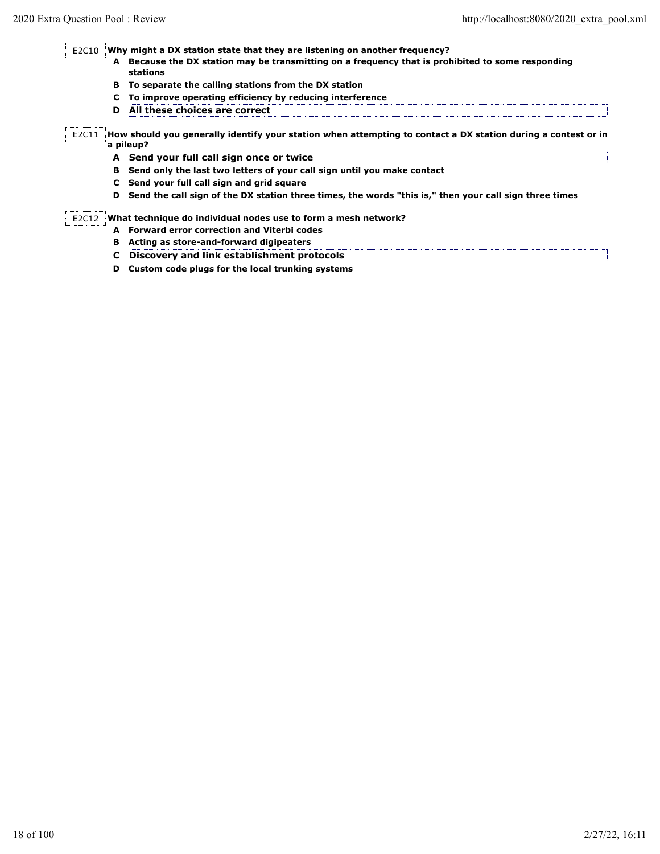E2C10 **Why might a DX station state that they are listening on another frequency?**

- **A Because the DX station may be transmitting on a frequency that is prohibited to some responding stations**
	- **B To separate the calling stations from the DX station**
	- **C To improve operating efficiency by reducing interference**
	- **D All these choices are correct**

E2C11 **How should you generally identify your station when attempting to contact a DX station during a contest or in a pileup?** 

- **A Send your full call sign once or twice**
- **B Send only the last two letters of your call sign until you make contact**
- **C Send your full call sign and grid square**
- **D Send the call sign of the DX station three times, the words "this is," then your call sign three times**

## E2C12 **What technique do individual nodes use to form a mesh network?**

- **A Forward error correction and Viterbi codes**
- **B Acting as store-and-forward digipeaters**
- **C Discovery and link establishment protocols**
- **D Custom code plugs for the local trunking systems**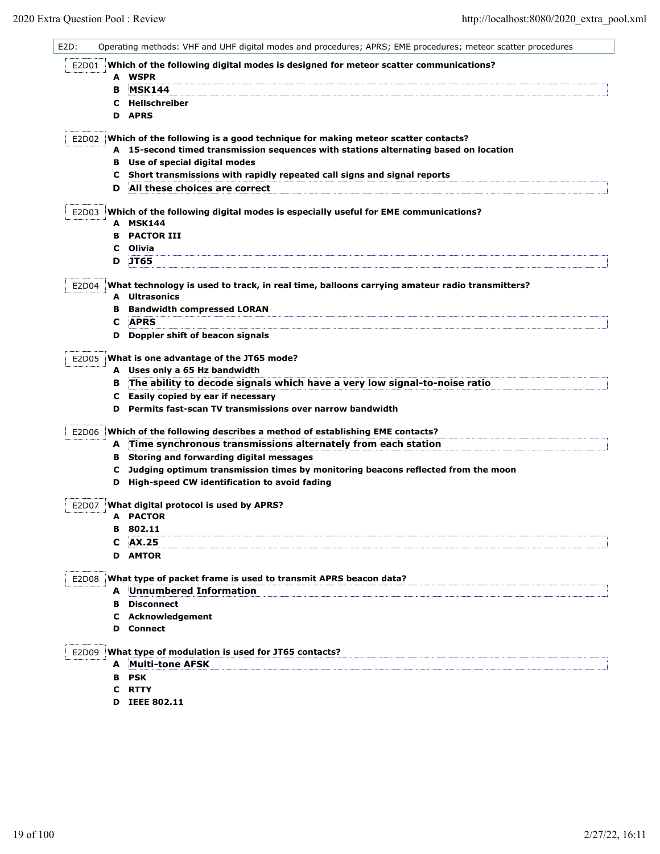2020 Extra Question Pool : Review http://localhost:8080/2020\_extra\_pool.xml

| $E2D$ : |   | Operating methods: VHF and UHF digital modes and procedures; APRS; EME procedures; meteor scatter procedures   |
|---------|---|----------------------------------------------------------------------------------------------------------------|
| E2D01   |   | Which of the following digital modes is designed for meteor scatter communications?                            |
|         |   | A WSPR                                                                                                         |
|         | в | <b>MSK144</b>                                                                                                  |
|         | C | Hellschreiber                                                                                                  |
|         |   | <b>D</b> APRS                                                                                                  |
|         |   |                                                                                                                |
| E2D02   |   | Which of the following is a good technique for making meteor scatter contacts?                                 |
|         |   | A 15-second timed transmission sequences with stations alternating based on location                           |
|         | в | Use of special digital modes                                                                                   |
|         | C | Short transmissions with rapidly repeated call signs and signal reports                                        |
|         | D | All these choices are correct                                                                                  |
| E2D03   |   | Which of the following digital modes is especially useful for EME communications?                              |
|         |   | A MSK144                                                                                                       |
|         | в | <b>PACTOR III</b>                                                                                              |
|         | c | Olivia                                                                                                         |
|         | D | <b>JT65</b>                                                                                                    |
|         |   |                                                                                                                |
| E2D04   |   | What technology is used to track, in real time, balloons carrying amateur radio transmitters?<br>A Ultrasonics |
|         |   |                                                                                                                |
|         | в | <b>Bandwidth compressed LORAN</b>                                                                              |
|         | C | <b>APRS</b>                                                                                                    |
|         |   | D Doppler shift of beacon signals                                                                              |
| E2D05   |   | What is one advantage of the JT65 mode?                                                                        |
|         |   | A Uses only a 65 Hz bandwidth                                                                                  |
|         | в | The ability to decode signals which have a very low signal-to-noise ratio                                      |
|         | c | Easily copied by ear if necessary                                                                              |
|         | D | Permits fast-scan TV transmissions over narrow bandwidth                                                       |
|         |   |                                                                                                                |
| E2D06   |   | Which of the following describes a method of establishing EME contacts?                                        |
|         |   | A Time synchronous transmissions alternately from each station                                                 |
|         |   | <b>B</b> Storing and forwarding digital messages                                                               |
|         | C | Judging optimum transmission times by monitoring beacons reflected from the moon                               |
|         | D | High-speed CW identification to avoid fading                                                                   |
| E2D07   |   | What digital protocol is used by APRS?                                                                         |
|         |   | A PACTOR                                                                                                       |
|         | в | 802.11                                                                                                         |
|         | с | AX.25                                                                                                          |
|         |   | <b>D</b> AMTOR                                                                                                 |
|         |   |                                                                                                                |
| E2D08   |   | What type of packet frame is used to transmit APRS beacon data?<br>A Unnumbered Information                    |
|         |   |                                                                                                                |
|         |   | <b>B</b> Disconnect                                                                                            |
|         | c | Acknowledgement                                                                                                |
|         |   | <b>D</b> Connect                                                                                               |
| E2D09   |   | What type of modulation is used for JT65 contacts?                                                             |
|         |   | <b>A</b> Multi-tone AFSK                                                                                       |
|         |   | <b>B</b> PSK                                                                                                   |
|         |   | C RTTY                                                                                                         |
|         |   | D IEEE 802.11                                                                                                  |
|         |   |                                                                                                                |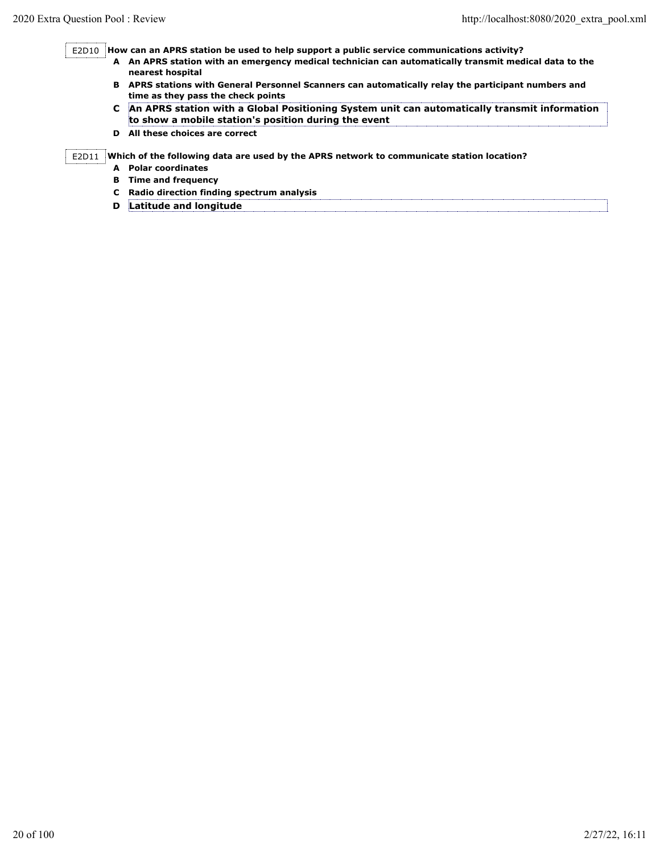E2D10 **How can an APRS station be used to help support a public service communications activity?**

- **A An APRS station with an emergency medical technician can automatically transmit medical data to the nearest hospital**
	- **B APRS stations with General Personnel Scanners can automatically relay the participant numbers and time as they pass the check points**
	- **C An APRS station with a Global Positioning System unit can automatically transmit information to show a mobile station's position during the event**
	- **D All these choices are correct**

E2D11 **Which of the following data are used by the APRS network to communicate station location?**

- **A Polar coordinates**
- **B Time and frequency**
- **C Radio direction finding spectrum analysis**
- **D Latitude and longitude**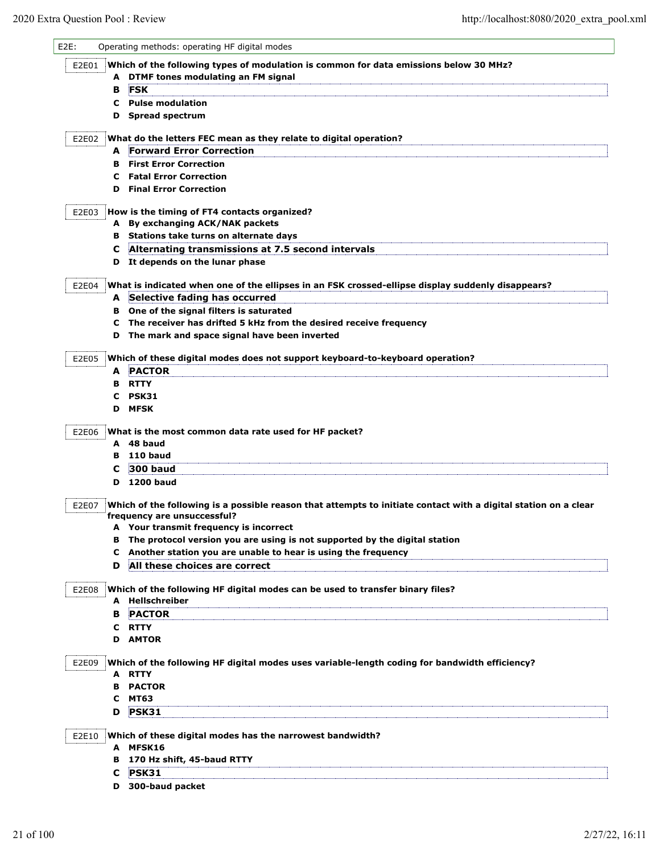| $E2E$ : | Operating methods: operating HF digital modes |                                                                                                                                      |
|---------|-----------------------------------------------|--------------------------------------------------------------------------------------------------------------------------------------|
| E2E01   |                                               | Which of the following types of modulation is common for data emissions below 30 MHz?                                                |
|         | A                                             | DTMF tones modulating an FM signal                                                                                                   |
|         | в                                             | <b>FSK</b>                                                                                                                           |
|         | C                                             | <b>Pulse modulation</b>                                                                                                              |
|         | D                                             | <b>Spread spectrum</b>                                                                                                               |
|         |                                               |                                                                                                                                      |
| E2E02   |                                               | What do the letters FEC mean as they relate to digital operation?                                                                    |
|         |                                               | <b>A</b> Forward Error Correction                                                                                                    |
|         | в                                             | <b>First Error Correction</b>                                                                                                        |
|         | C                                             | <b>Fatal Error Correction</b>                                                                                                        |
|         | D                                             | <b>Final Error Correction</b>                                                                                                        |
| E2E03   |                                               | How is the timing of FT4 contacts organized?                                                                                         |
|         |                                               | A By exchanging ACK/NAK packets                                                                                                      |
|         |                                               | <b>B</b> Stations take turns on alternate days                                                                                       |
|         | С                                             | Alternating transmissions at 7.5 second intervals                                                                                    |
|         | D                                             | It depends on the lunar phase                                                                                                        |
|         |                                               |                                                                                                                                      |
| E2E04   |                                               | What is indicated when one of the ellipses in an FSK crossed-ellipse display suddenly disappears?<br>A Selective fading has occurred |
|         | в                                             | One of the signal filters is saturated                                                                                               |
|         | c                                             | The receiver has drifted 5 kHz from the desired receive frequency                                                                    |
|         | D                                             | The mark and space signal have been inverted                                                                                         |
|         |                                               |                                                                                                                                      |
| E2E05   |                                               | Which of these digital modes does not support keyboard-to-keyboard operation?                                                        |
|         | A                                             | <b>PACTOR</b>                                                                                                                        |
|         | в                                             | <b>RTTY</b>                                                                                                                          |
|         |                                               |                                                                                                                                      |
|         | C                                             | <b>PSK31</b>                                                                                                                         |
|         | D                                             | <b>MFSK</b>                                                                                                                          |
|         |                                               |                                                                                                                                      |
| E2E06   |                                               | What is the most common data rate used for HF packet?<br>A 48 baud                                                                   |
|         |                                               |                                                                                                                                      |
|         |                                               | <b>B</b> 110 baud                                                                                                                    |
|         | c                                             | 300 baud                                                                                                                             |
|         | D                                             | 1200 baud                                                                                                                            |
| E2E07   |                                               | Which of the following is a possible reason that attempts to initiate contact with a digital station on a clear                      |
|         |                                               | frequency are unsuccessful?                                                                                                          |
|         |                                               | Your transmit frequency is incorrect                                                                                                 |
|         | в                                             | The protocol version you are using is not supported by the digital station                                                           |
|         | c                                             | Another station you are unable to hear is using the frequency                                                                        |
|         | D                                             | All these choices are correct                                                                                                        |
| E2E08   |                                               | Which of the following HF digital modes can be used to transfer binary files?                                                        |
|         |                                               | A Hellschreiber                                                                                                                      |
|         | в                                             | <b>PACTOR</b>                                                                                                                        |
|         | C.                                            | RTTY                                                                                                                                 |
|         | D                                             | <b>AMTOR</b>                                                                                                                         |
|         |                                               |                                                                                                                                      |
| E2E09   |                                               | Which of the following HF digital modes uses variable-length coding for bandwidth efficiency?                                        |
|         |                                               | A RTTY                                                                                                                               |
|         |                                               | <b>B</b> PACTOR                                                                                                                      |
|         | c                                             | MT63                                                                                                                                 |
|         | D                                             | PSK31                                                                                                                                |
|         |                                               |                                                                                                                                      |
| E2E10   |                                               | Which of these digital modes has the narrowest bandwidth?<br>A MFSK16                                                                |
|         | в                                             |                                                                                                                                      |
|         | С                                             | 170 Hz shift, 45-baud RTTY<br><b>PSK31</b>                                                                                           |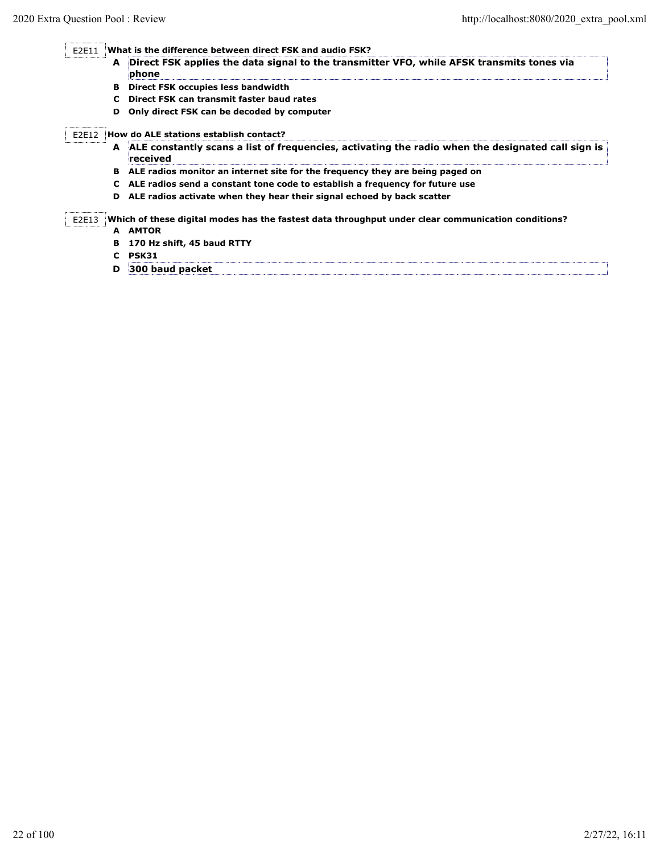E2E11 **What is the difference between direct FSK and audio FSK?**

- **A Direct FSK applies the data signal to the transmitter VFO, while AFSK transmits tones via phone**
	- **B Direct FSK occupies less bandwidth**
	- **C Direct FSK can transmit faster baud rates**
	- **D Only direct FSK can be decoded by computer**

E2E12 **How do ALE stations establish contact?**

- **A ALE constantly scans a list of frequencies, activating the radio when the designated call sign is received**
- **B ALE radios monitor an internet site for the frequency they are being paged on**
- **C ALE radios send a constant tone code to establish a frequency for future use**
- **D ALE radios activate when they hear their signal echoed by back scatter**

E2E13 **Which of these digital modes has the fastest data throughput under clear communication conditions?**

- **A AMTOR**
- **B 170 Hz shift, 45 baud RTTY**
- **C PSK31**
- **D 300 baud packet**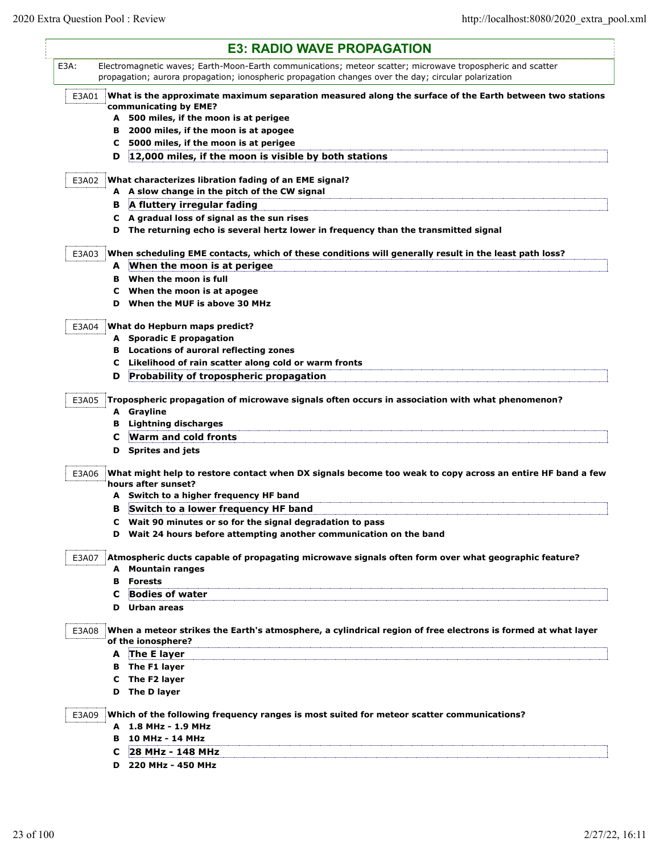i<br>L

|       | <b>E3: RADIO WAVE PROPAGATION</b>                                                                                                                                                                                  |
|-------|--------------------------------------------------------------------------------------------------------------------------------------------------------------------------------------------------------------------|
| E3A:  | Electromagnetic waves; Earth-Moon-Earth communications; meteor scatter; microwave tropospheric and scatter<br>propagation; aurora propagation; ionospheric propagation changes over the day; circular polarization |
| E3A01 | What is the approximate maximum separation measured along the surface of the Earth between two stations                                                                                                            |
|       | communicating by EME?                                                                                                                                                                                              |
|       | A 500 miles, if the moon is at perigee                                                                                                                                                                             |
| в     | 2000 miles, if the moon is at apogee                                                                                                                                                                               |
| C     | 5000 miles, if the moon is at perigee                                                                                                                                                                              |
| D     | 12,000 miles, if the moon is visible by both stations                                                                                                                                                              |
| E3A02 | What characterizes libration fading of an EME signal?                                                                                                                                                              |
|       | A A slow change in the pitch of the CW signal                                                                                                                                                                      |
| в     | A fluttery irregular fading                                                                                                                                                                                        |
|       | C A gradual loss of signal as the sun rises                                                                                                                                                                        |
|       | D The returning echo is several hertz lower in frequency than the transmitted signal                                                                                                                               |
| E3A03 | When scheduling EME contacts, which of these conditions will generally result in the least path loss?                                                                                                              |
|       | A When the moon is at perigee                                                                                                                                                                                      |
|       | <b>B</b> When the moon is full                                                                                                                                                                                     |
|       | C When the moon is at apogee                                                                                                                                                                                       |
| D     | When the MUF is above 30 MHz                                                                                                                                                                                       |
| E3A04 | What do Hepburn maps predict?                                                                                                                                                                                      |
|       | A Sporadic E propagation                                                                                                                                                                                           |
|       | <b>B</b> Locations of auroral reflecting zones                                                                                                                                                                     |
|       | C Likelihood of rain scatter along cold or warm fronts                                                                                                                                                             |
| D     | Probability of tropospheric propagation                                                                                                                                                                            |
|       |                                                                                                                                                                                                                    |
| E3A05 | Tropospheric propagation of microwave signals often occurs in association with what phenomenon?<br>A Grayline                                                                                                      |
|       |                                                                                                                                                                                                                    |
| в     | <b>Lightning discharges</b>                                                                                                                                                                                        |
| С     | Warm and cold fronts                                                                                                                                                                                               |
| D     | <b>Sprites and jets</b>                                                                                                                                                                                            |
| E3A06 | What might help to restore contact when DX signals become too weak to copy across an entire HF band a few                                                                                                          |
|       | hours after sunset?                                                                                                                                                                                                |
|       | A Switch to a higher frequency HF band                                                                                                                                                                             |
| в     | Switch to a lower frequency HF band                                                                                                                                                                                |
| с     | Wait 90 minutes or so for the signal degradation to pass<br>D Wait 24 hours before attempting another communication on the band                                                                                    |
|       |                                                                                                                                                                                                                    |
| E3A07 | Atmospheric ducts capable of propagating microwave signals often form over what geographic feature?                                                                                                                |
|       | A Mountain ranges<br><b>B</b> Forests                                                                                                                                                                              |
|       |                                                                                                                                                                                                                    |
| c     | <b>Bodies of water</b>                                                                                                                                                                                             |
|       | <b>D</b> Urban areas                                                                                                                                                                                               |
| E3A08 | When a meteor strikes the Earth's atmosphere, a cylindrical region of free electrons is formed at what layer<br>of the ionosphere?                                                                                 |
|       | A The E layer                                                                                                                                                                                                      |
|       | <b>B</b> The F1 layer                                                                                                                                                                                              |
|       | C The F2 layer                                                                                                                                                                                                     |
|       | D The D layer                                                                                                                                                                                                      |
|       |                                                                                                                                                                                                                    |
| E3A09 | Which of the following frequency ranges is most suited for meteor scatter communications?                                                                                                                          |
|       | A 1.8 MHz - 1.9 MHz                                                                                                                                                                                                |
|       | <b>B</b> 10 MHz - 14 MHz                                                                                                                                                                                           |
| C     | 28 MHz - 148 MHz                                                                                                                                                                                                   |
|       | D 220 MHz - 450 MHz                                                                                                                                                                                                |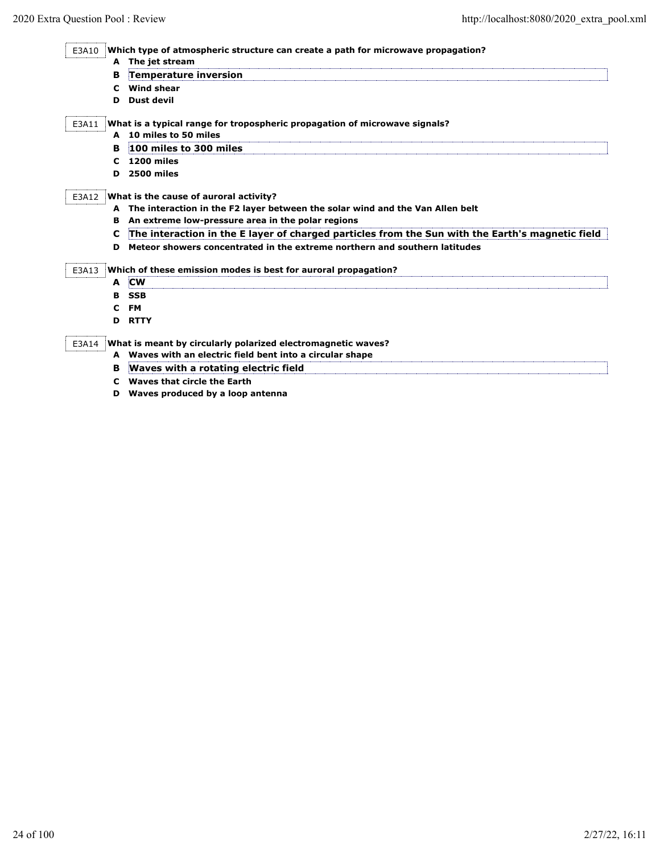E3A10 **Which type of atmospheric structure can create a path for microwave propagation? A The jet stream B Temperature inversion C Wind shear D Dust devil** E3A11 **What is a typical range for tropospheric propagation of microwave signals? A 10 miles to 50 miles B 100 miles to 300 miles C 1200 miles D 2500 miles** E3A12 **What is the cause of auroral activity? A The interaction in the F2 layer between the solar wind and the Van Allen belt B An extreme low-pressure area in the polar regions C The interaction in the E layer of charged particles from the Sun with the Earth's magnetic field D Meteor showers concentrated in the extreme northern and southern latitudes** E3A13 **Which of these emission modes is best for auroral propagation? A CW B SSB C FM D RTTY** E3A14 **What is meant by circularly polarized electromagnetic waves? A Waves with an electric field bent into a circular shape B Waves with a rotating electric field C Waves that circle the Earth** 2020 Extra Question Pool : Review http://localhost:8080/2020\_extra\_pool.xml

**D Waves produced by a loop antenna**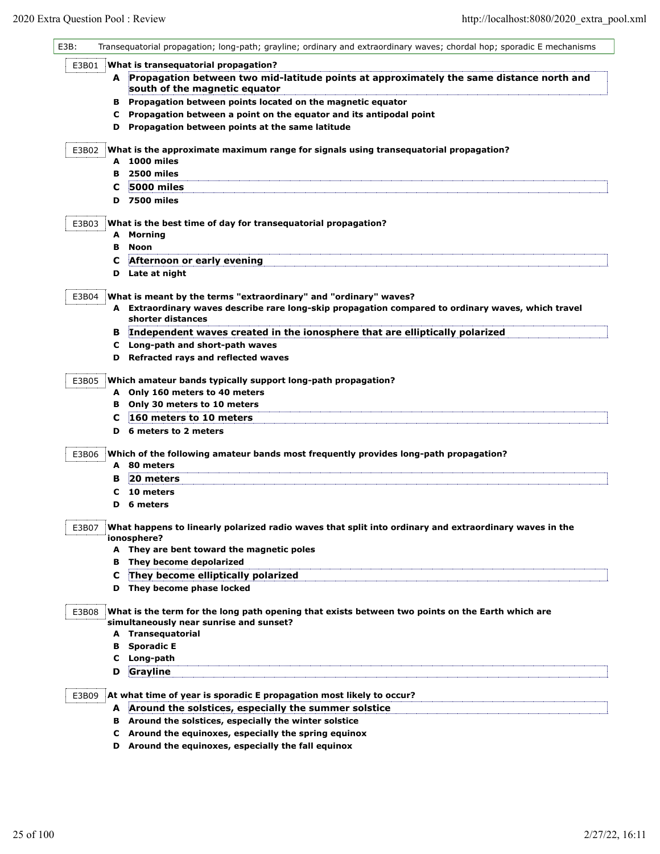| E3B:  |   | Transequatorial propagation; long-path; grayline; ordinary and extraordinary waves; chordal hop; sporadic E mechanisms  |
|-------|---|-------------------------------------------------------------------------------------------------------------------------|
| E3B01 |   | What is transequatorial propagation?                                                                                    |
|       |   | A Propagation between two mid-latitude points at approximately the same distance north and                              |
|       |   | south of the magnetic equator                                                                                           |
|       |   | B Propagation between points located on the magnetic equator                                                            |
|       |   | C Propagation between a point on the equator and its antipodal point                                                    |
|       |   | D Propagation between points at the same latitude                                                                       |
|       |   |                                                                                                                         |
| E3B02 |   | What is the approximate maximum range for signals using transequatorial propagation?<br>A 1000 miles                    |
|       | в | 2500 miles                                                                                                              |
|       | c | 5000 miles                                                                                                              |
|       | D | 7500 miles                                                                                                              |
|       |   |                                                                                                                         |
| E3B03 |   | What is the best time of day for transequatorial propagation?                                                           |
|       |   | A Morning                                                                                                               |
|       | в | Noon                                                                                                                    |
|       | С | Afternoon or early evening                                                                                              |
|       |   | D Late at night                                                                                                         |
|       |   |                                                                                                                         |
| E3B04 |   | What is meant by the terms "extraordinary" and "ordinary" waves?                                                        |
|       |   | A Extraordinary waves describe rare long-skip propagation compared to ordinary waves, which travel<br>shorter distances |
|       |   | B Independent waves created in the ionosphere that are elliptically polarized                                           |
|       |   | C Long-path and short-path waves                                                                                        |
|       |   | D Refracted rays and reflected waves                                                                                    |
|       |   |                                                                                                                         |
| E3B05 |   | Which amateur bands typically support long-path propagation?                                                            |
|       |   | A Only 160 meters to 40 meters                                                                                          |
|       |   | <b>B</b> Only 30 meters to 10 meters                                                                                    |
|       | c | 160 meters to 10 meters                                                                                                 |
|       |   | D 6 meters to 2 meters                                                                                                  |
| E3B06 |   | Which of the following amateur bands most frequently provides long-path propagation?                                    |
|       |   | A 80 meters                                                                                                             |
|       | в | 20 meters                                                                                                               |
|       | c | 10 meters                                                                                                               |
|       | D | 6 meters                                                                                                                |
|       |   |                                                                                                                         |
| E3B07 |   | What happens to linearly polarized radio waves that split into ordinary and extraordinary waves in the                  |
|       |   | ionosphere?                                                                                                             |
|       |   | A They are bent toward the magnetic poles                                                                               |
|       |   | <b>B</b> They become depolarized                                                                                        |
|       | C | They become elliptically polarized                                                                                      |
|       |   | D They become phase locked                                                                                              |
| E3B08 |   | What is the term for the long path opening that exists between two points on the Earth which are                        |
|       |   | simultaneously near sunrise and sunset?                                                                                 |
|       |   | A Transequatorial                                                                                                       |
|       |   | <b>B</b> Sporadic E                                                                                                     |
|       |   | C Long-path                                                                                                             |
|       | D | Grayline                                                                                                                |
|       |   |                                                                                                                         |
| E3B09 |   | At what time of year is sporadic E propagation most likely to occur?                                                    |
|       | A | Around the solstices, especially the summer solstice                                                                    |
|       |   | B Around the solstices, especially the winter solstice                                                                  |
|       |   | C Around the equinoxes, especially the spring equinox                                                                   |
|       |   | D Around the equinoxes, especially the fall equinox                                                                     |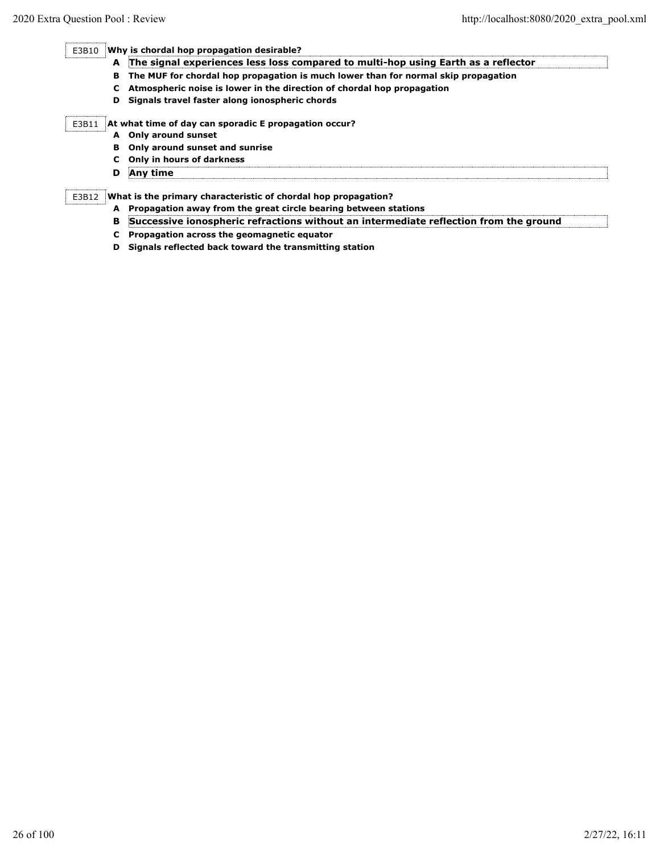E3B10 **Why is chordal hop propagation desirable?**

- **A The signal experiences less loss compared to multi-hop using Earth as a reflector**
- **B The MUF for chordal hop propagation is much lower than for normal skip propagation**
- **C Atmospheric noise is lower in the direction of chordal hop propagation**
- **D Signals travel faster along ionospheric chords**

## E3B11 **At what time of day can sporadic E propagation occur?**

- **A Only around sunset**
	- **B Only around sunset and sunrise**
	- **C Only in hours of darkness**
- **D Any time**

E3B12 **What is the primary characteristic of chordal hop propagation?**

- **A Propagation away from the great circle bearing between stations**
- **B Successive ionospheric refractions without an intermediate reflection from the ground**
- **C Propagation across the geomagnetic equator**
- **D Signals reflected back toward the transmitting station**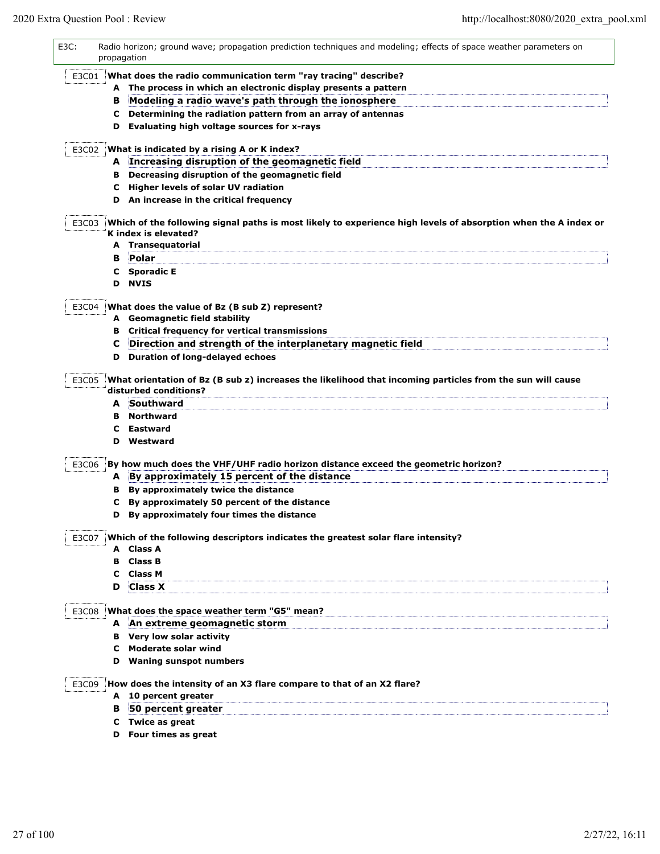| $E3C$ : | propagation | Radio horizon; ground wave; propagation prediction techniques and modeling; effects of space weather parameters on |
|---------|-------------|--------------------------------------------------------------------------------------------------------------------|
|         |             | E3C01 What does the radio communication term "ray tracing" describe?                                               |
|         |             | A The process in which an electronic display presents a pattern                                                    |
|         | в           | Modeling a radio wave's path through the ionosphere                                                                |
|         | C           | Determining the radiation pattern from an array of antennas                                                        |
|         | D           | Evaluating high voltage sources for x-rays                                                                         |
|         |             |                                                                                                                    |
|         | E3C02       | What is indicated by a rising A or K index?                                                                        |
|         | A           | Increasing disruption of the geomagnetic field                                                                     |
|         | в           | Decreasing disruption of the geomagnetic field                                                                     |
|         | c           | <b>Higher levels of solar UV radiation</b>                                                                         |
|         | D           | An increase in the critical frequency                                                                              |
|         | E3C03       | Which of the following signal paths is most likely to experience high levels of absorption when the A index or     |
|         |             | K index is elevated?                                                                                               |
|         |             | A Transequatorial                                                                                                  |
|         | в           | Polar                                                                                                              |
|         | с           | <b>Sporadic E</b>                                                                                                  |
|         |             | <b>D</b> NVIS                                                                                                      |
|         |             |                                                                                                                    |
|         | E3C04       | What does the value of Bz (B sub Z) represent?<br>A Geomagnetic field stability                                    |
|         | в           | <b>Critical frequency for vertical transmissions</b>                                                               |
|         | с           | Direction and strength of the interplanetary magnetic field                                                        |
|         | D           | Duration of long-delayed echoes                                                                                    |
|         |             |                                                                                                                    |
|         | E3C05       | What orientation of Bz (B sub z) increases the likelihood that incoming particles from the sun will cause          |
|         |             | disturbed conditions?                                                                                              |
|         |             | A Southward                                                                                                        |
|         | в           | Northward                                                                                                          |
|         | с           | <b>Eastward</b>                                                                                                    |
|         | D           | Westward                                                                                                           |
|         | E3C06       | By how much does the VHF/UHF radio horizon distance exceed the geometric horizon?                                  |
|         | A           | By approximately 15 percent of the distance                                                                        |
|         | в           | By approximately twice the distance                                                                                |
|         | С           | By approximately 50 percent of the distance                                                                        |
|         |             | D By approximately four times the distance                                                                         |
|         |             |                                                                                                                    |
|         | E3C07       | Which of the following descriptors indicates the greatest solar flare intensity?<br>A Class A                      |
|         | в           | Class B                                                                                                            |
|         | c           | Class M                                                                                                            |
|         | D           | <b>Class X</b>                                                                                                     |
|         |             |                                                                                                                    |
|         | E3C08       | What does the space weather term "G5" mean?                                                                        |
|         |             | A An extreme geomagnetic storm                                                                                     |
|         |             | <b>B</b> Very low solar activity                                                                                   |
|         | с           | <b>Moderate solar wind</b>                                                                                         |
|         |             | D Waning sunspot numbers                                                                                           |
|         |             | How does the intensity of an X3 flare compare to that of an X2 flare?                                              |
|         | E3C09       | A 10 percent greater                                                                                               |
|         | в           | 50 percent greater                                                                                                 |
|         |             | C Twice as great                                                                                                   |
|         |             |                                                                                                                    |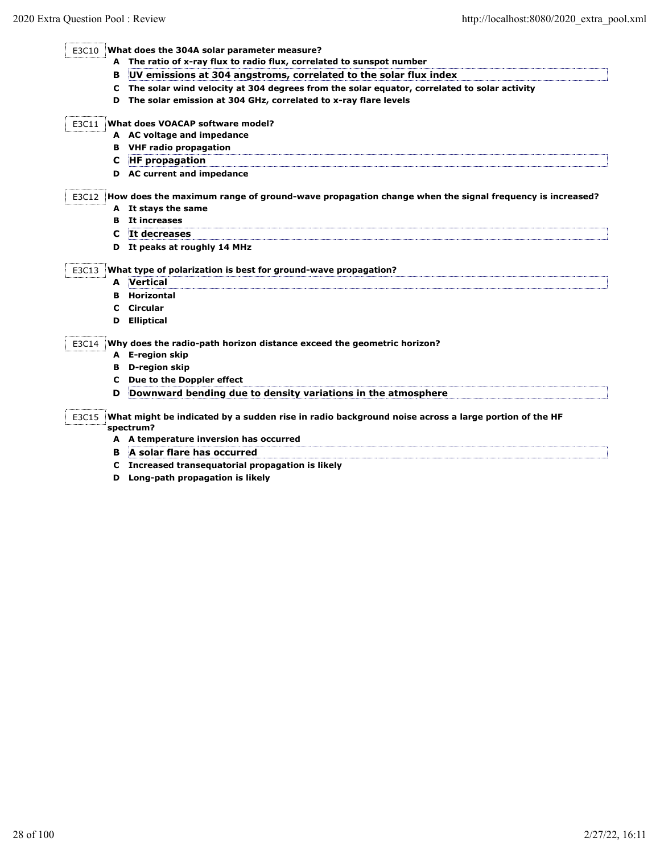| E3C10 | What does the 304A solar parameter measure? |                                                                                                      |  |
|-------|---------------------------------------------|------------------------------------------------------------------------------------------------------|--|
|       | A                                           | The ratio of x-ray flux to radio flux, correlated to sunspot number                                  |  |
|       | в                                           | UV emissions at 304 angstroms, correlated to the solar flux index                                    |  |
|       | C                                           | The solar wind velocity at 304 degrees from the solar equator, correlated to solar activity          |  |
|       | D                                           | The solar emission at 304 GHz, correlated to x-ray flare levels                                      |  |
| E3C11 |                                             | What does VOACAP software model?                                                                     |  |
|       |                                             | A AC voltage and impedance                                                                           |  |
|       |                                             | <b>B</b> VHF radio propagation                                                                       |  |
|       | C                                           | <b>HF</b> propagation                                                                                |  |
|       |                                             | D AC current and impedance                                                                           |  |
|       |                                             |                                                                                                      |  |
| E3C12 |                                             | How does the maximum range of ground-wave propagation change when the signal frequency is increased? |  |
|       |                                             | A It stays the same                                                                                  |  |
|       | в                                           | It increases                                                                                         |  |
|       | C                                           | It decreases                                                                                         |  |
|       |                                             | D It peaks at roughly 14 MHz                                                                         |  |
| E3C13 |                                             | What type of polarization is best for ground-wave propagation?                                       |  |
|       | A                                           | Vertical                                                                                             |  |
|       | в                                           | Horizontal                                                                                           |  |
|       | С                                           | Circular                                                                                             |  |
|       |                                             | <b>D</b> Elliptical                                                                                  |  |
| E3C14 |                                             | Why does the radio-path horizon distance exceed the geometric horizon?                               |  |
|       |                                             | A E-region skip                                                                                      |  |
|       | в                                           | D-region skip                                                                                        |  |
|       |                                             | C Due to the Doppler effect                                                                          |  |
|       | D                                           | Downward bending due to density variations in the atmosphere                                         |  |
| E3C15 |                                             | What might be indicated by a sudden rise in radio background noise across a large portion of the HF  |  |
|       |                                             | spectrum?                                                                                            |  |
|       |                                             | A A temperature inversion has occurred                                                               |  |
|       | в                                           | A solar flare has occurred                                                                           |  |
|       |                                             | C Increased transequatorial propagation is likely                                                    |  |
|       |                                             |                                                                                                      |  |

**D Long-path propagation is likely**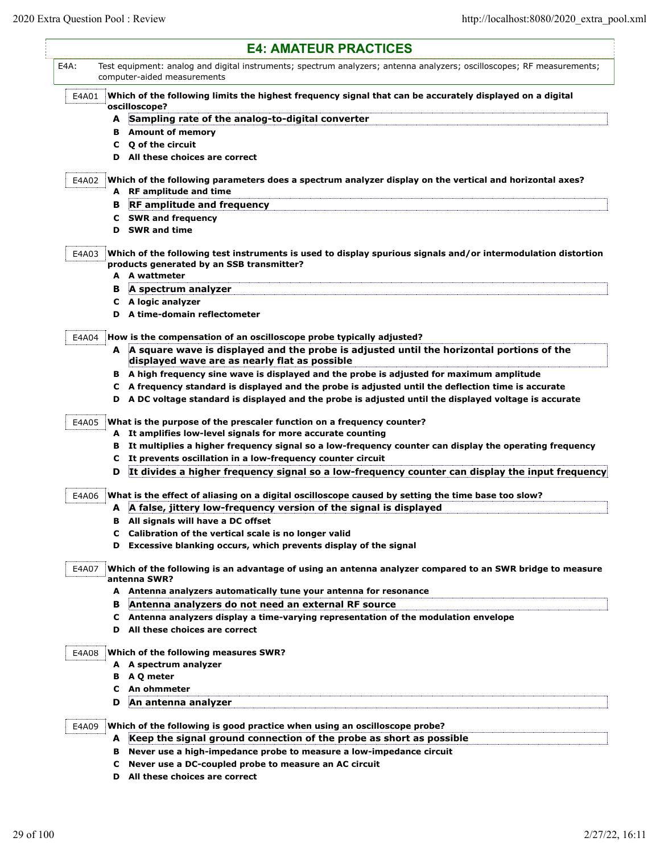i<br>L

|       | <b>E4: AMATEUR PRACTICES</b>                                                                                                                          |
|-------|-------------------------------------------------------------------------------------------------------------------------------------------------------|
| E4A:  | Test equipment: analog and digital instruments; spectrum analyzers; antenna analyzers; oscilloscopes; RF measurements;<br>computer-aided measurements |
| E4A01 | Which of the following limits the highest frequency signal that can be accurately displayed on a digital<br>oscilloscope?                             |
|       | A Sampling rate of the analog-to-digital converter                                                                                                    |
|       | <b>B</b> Amount of memory                                                                                                                             |
|       | C Q of the circuit                                                                                                                                    |
|       | D All these choices are correct                                                                                                                       |
|       |                                                                                                                                                       |
| E4A02 | Which of the following parameters does a spectrum analyzer display on the vertical and horizontal axes?<br>A RF amplitude and time                    |
| в     | <b>RF</b> amplitude and frequency                                                                                                                     |
|       |                                                                                                                                                       |
| D     | <b>C</b> SWR and frequency<br><b>SWR and time</b>                                                                                                     |
|       |                                                                                                                                                       |
| E4A03 | Which of the following test instruments is used to display spurious signals and/or intermodulation distortion                                         |
|       | products generated by an SSB transmitter?                                                                                                             |
|       | A A wattmeter                                                                                                                                         |
| в     | A spectrum analyzer                                                                                                                                   |
|       | C A logic analyzer                                                                                                                                    |
| D     | A time-domain reflectometer                                                                                                                           |
| E4A04 | How is the compensation of an oscilloscope probe typically adjusted?                                                                                  |
|       | A A square wave is displayed and the probe is adjusted until the horizontal portions of the                                                           |
|       | displayed wave are as nearly flat as possible                                                                                                         |
|       | B A high frequency sine wave is displayed and the probe is adjusted for maximum amplitude                                                             |
|       | C A frequency standard is displayed and the probe is adjusted until the deflection time is accurate                                                   |
| D     | A DC voltage standard is displayed and the probe is adjusted until the displayed voltage is accurate                                                  |
|       |                                                                                                                                                       |
| E4A05 | What is the purpose of the prescaler function on a frequency counter?<br>A It amplifies low-level signals for more accurate counting                  |
| в     | It multiplies a higher frequency signal so a low-frequency counter can display the operating frequency                                                |
| C     | It prevents oscillation in a low-frequency counter circuit                                                                                            |
| D     | It divides a higher frequency signal so a low-frequency counter can display the input frequency                                                       |
|       |                                                                                                                                                       |
| E4A06 | What is the effect of aliasing on a digital oscilloscope caused by setting the time base too slow?                                                    |
| A     | A false, jittery low-frequency version of the signal is displayed                                                                                     |
|       | <b>B</b> All signals will have a DC offset                                                                                                            |
|       | C Calibration of the vertical scale is no longer valid                                                                                                |
|       | D Excessive blanking occurs, which prevents display of the signal                                                                                     |
| E4A07 | Which of the following is an advantage of using an antenna analyzer compared to an SWR bridge to measure<br>antenna SWR?                              |
|       | A Antenna analyzers automatically tune your antenna for resonance                                                                                     |
| в     | Antenna analyzers do not need an external RF source                                                                                                   |
|       | C Antenna analyzers display a time-varying representation of the modulation envelope                                                                  |
| D     | All these choices are correct                                                                                                                         |
|       |                                                                                                                                                       |
| E4A08 | Which of the following measures SWR?<br>A A spectrum analyzer                                                                                         |
|       |                                                                                                                                                       |
|       | <b>B</b> A Q meter<br>C An ohmmeter                                                                                                                   |
| D     | An antenna analyzer                                                                                                                                   |
|       |                                                                                                                                                       |
| E4A09 | Which of the following is good practice when using an oscilloscope probe?                                                                             |
| A     | Keep the signal ground connection of the probe as short as possible                                                                                   |
| в     | Never use a high-impedance probe to measure a low-impedance circuit                                                                                   |
| C     | Never use a DC-coupled probe to measure an AC circuit                                                                                                 |
|       | D All these choices are correct                                                                                                                       |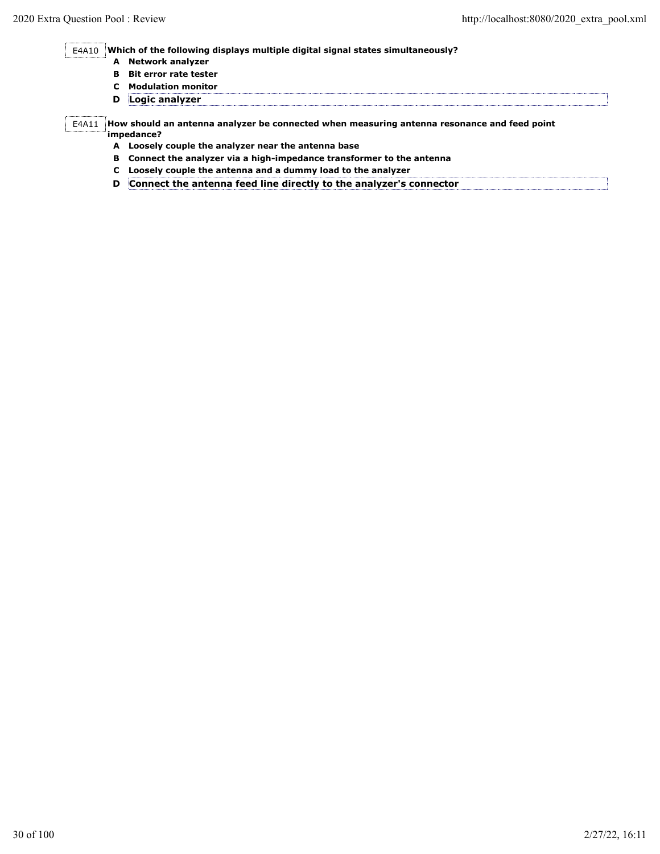E4A10 **Which of the following displays multiple digital signal states simultaneously?**

- **A Network analyzer**
- **B Bit error rate tester**
- **C Modulation monitor**
- **D Logic analyzer**

E4A11 **How should an antenna analyzer be connected when measuring antenna resonance and feed point impedance?**

- **A Loosely couple the analyzer near the antenna base**
- **B Connect the analyzer via a high-impedance transformer to the antenna**
- **C Loosely couple the antenna and a dummy load to the analyzer**
- **D Connect the antenna feed line directly to the analyzer's connector**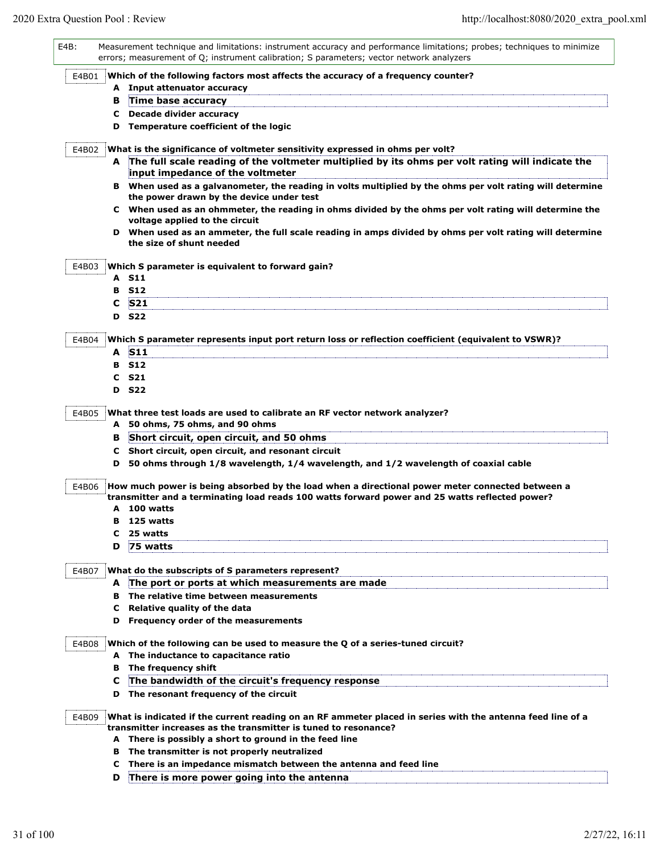| E4B: |       |        | Measurement technique and limitations: instrument accuracy and performance limitations; probes; techniques to minimize<br>errors; measurement of Q; instrument calibration; S parameters; vector network analyzers |
|------|-------|--------|--------------------------------------------------------------------------------------------------------------------------------------------------------------------------------------------------------------------|
|      | E4B01 |        | Which of the following factors most affects the accuracy of a frequency counter?                                                                                                                                   |
|      |       |        | A Input attenuator accuracy                                                                                                                                                                                        |
|      |       |        | <b>B</b> Time base accuracy                                                                                                                                                                                        |
|      |       |        | C Decade divider accuracy                                                                                                                                                                                          |
|      |       |        | D Temperature coefficient of the logic                                                                                                                                                                             |
|      | E4B02 |        | What is the significance of voltmeter sensitivity expressed in ohms per volt?                                                                                                                                      |
|      |       |        | A The full scale reading of the voltmeter multiplied by its ohms per volt rating will indicate the                                                                                                                 |
|      |       |        | input impedance of the voltmeter                                                                                                                                                                                   |
|      |       |        | B When used as a galvanometer, the reading in volts multiplied by the ohms per volt rating will determine<br>the power drawn by the device under test                                                              |
|      |       |        | C When used as an ohmmeter, the reading in ohms divided by the ohms per volt rating will determine the<br>voltage applied to the circuit                                                                           |
|      |       |        | D When used as an ammeter, the full scale reading in amps divided by ohms per volt rating will determine                                                                                                           |
|      |       |        | the size of shunt needed                                                                                                                                                                                           |
|      | E4B03 |        | Which S parameter is equivalent to forward gain?                                                                                                                                                                   |
|      |       |        | A S11                                                                                                                                                                                                              |
|      |       |        | <b>B</b> S12                                                                                                                                                                                                       |
|      |       | C      | <b>S21</b>                                                                                                                                                                                                         |
|      |       |        | <b>D</b> S22                                                                                                                                                                                                       |
|      | E4B04 |        | Which S parameter represents input port return loss or reflection coefficient (equivalent to VSWR)?                                                                                                                |
|      |       |        | A S11                                                                                                                                                                                                              |
|      |       |        | <b>B</b> S12                                                                                                                                                                                                       |
|      |       |        | $C$ S <sub>21</sub>                                                                                                                                                                                                |
|      |       |        | <b>D</b> S22                                                                                                                                                                                                       |
|      |       |        |                                                                                                                                                                                                                    |
|      | E4B05 |        | What three test loads are used to calibrate an RF vector network analyzer?                                                                                                                                         |
|      |       |        | A 50 ohms, 75 ohms, and 90 ohms                                                                                                                                                                                    |
|      |       | в      | Short circuit, open circuit, and 50 ohms                                                                                                                                                                           |
|      |       | C      | Short circuit, open circuit, and resonant circuit                                                                                                                                                                  |
|      |       | D      | 50 ohms through 1/8 wavelength, 1/4 wavelength, and 1/2 wavelength of coaxial cable                                                                                                                                |
|      | E4B06 |        | How much power is being absorbed by the load when a directional power meter connected between a                                                                                                                    |
|      |       |        | transmitter and a terminating load reads 100 watts forward power and 25 watts reflected power?                                                                                                                     |
|      |       |        | A 100 watts                                                                                                                                                                                                        |
|      |       | в      | 125 watts                                                                                                                                                                                                          |
|      |       | с      | 25 watts                                                                                                                                                                                                           |
|      |       | D      | 75 watts                                                                                                                                                                                                           |
|      | E4B07 |        | What do the subscripts of S parameters represent?                                                                                                                                                                  |
|      |       |        | A The port or ports at which measurements are made                                                                                                                                                                 |
|      |       |        | <b>B</b> The relative time between measurements                                                                                                                                                                    |
|      |       |        | C Relative quality of the data                                                                                                                                                                                     |
|      |       |        | D Frequency order of the measurements                                                                                                                                                                              |
|      |       |        |                                                                                                                                                                                                                    |
|      | E4B08 |        | Which of the following can be used to measure the Q of a series-tuned circuit?                                                                                                                                     |
|      |       |        | A The inductance to capacitance ratio                                                                                                                                                                              |
|      |       |        | <b>B</b> The frequency shift                                                                                                                                                                                       |
|      |       | c<br>D | The bandwidth of the circuit's frequency response<br>The resonant frequency of the circuit                                                                                                                         |
|      |       |        |                                                                                                                                                                                                                    |
|      | E4B09 |        | What is indicated if the current reading on an RF ammeter placed in series with the antenna feed line of a<br>transmitter increases as the transmitter is tuned to resonance?                                      |
|      |       |        | A There is possibly a short to ground in the feed line                                                                                                                                                             |
|      |       | в      | The transmitter is not properly neutralized                                                                                                                                                                        |
|      |       | C      | There is an impedance mismatch between the antenna and feed line                                                                                                                                                   |
|      |       | D      | There is more power going into the antenna                                                                                                                                                                         |
|      |       |        |                                                                                                                                                                                                                    |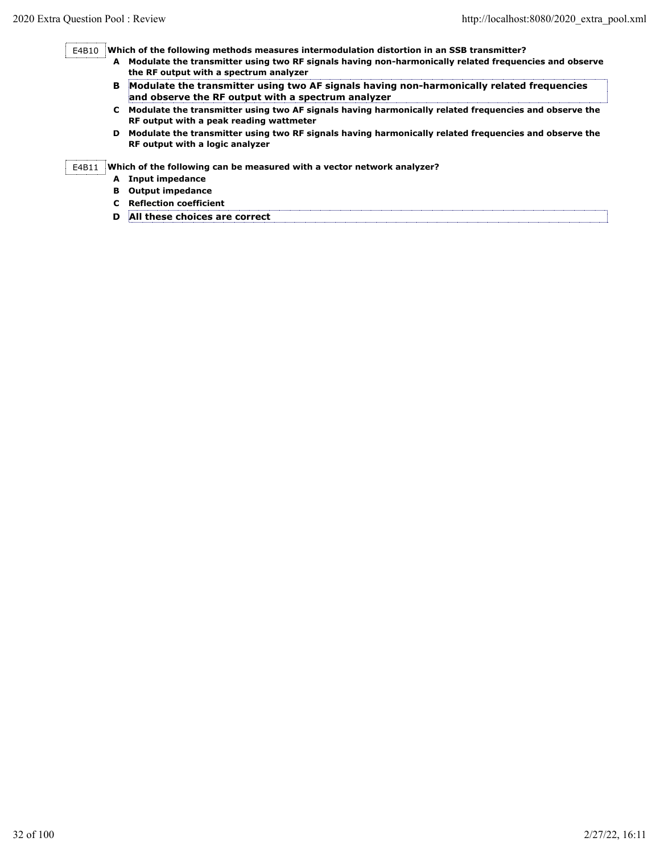E4B10 **Which of the following methods measures intermodulation distortion in an SSB transmitter?**

- **A Modulate the transmitter using two RF signals having non-harmonically related frequencies and observe the RF output with a spectrum analyzer**
- **B Modulate the transmitter using two AF signals having non-harmonically related frequencies and observe the RF output with a spectrum analyzer**
- **C Modulate the transmitter using two AF signals having harmonically related frequencies and observe the RF output with a peak reading wattmeter**
- **D Modulate the transmitter using two RF signals having harmonically related frequencies and observe the RF output with a logic analyzer**

E4B11 **Which of the following can be measured with a vector network analyzer?**

- **A Input impedance**
- **B Output impedance**
- **C Reflection coefficient**
- **D All these choices are correct**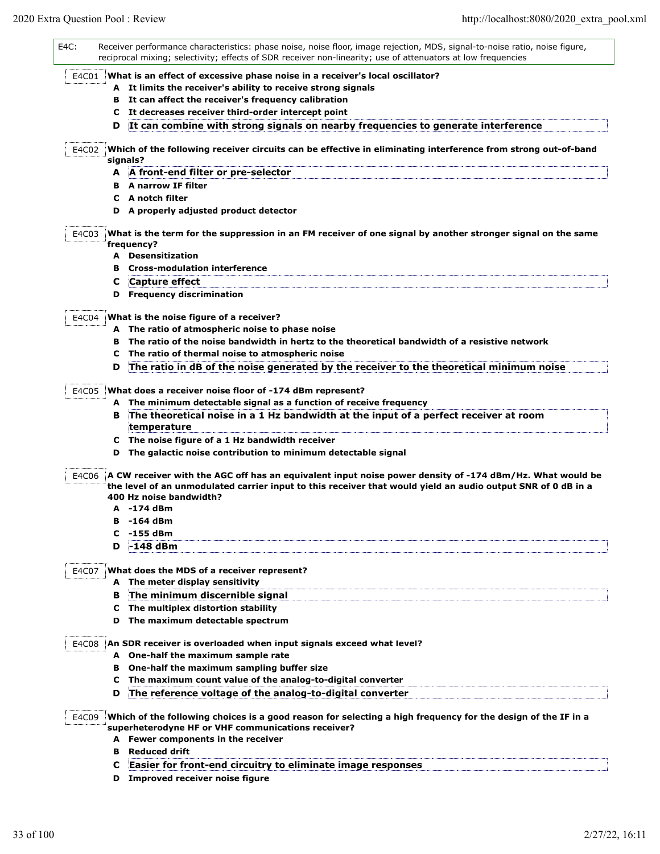E4C: Receiver performance characteristics: phase noise, noise floor, image rejection, MDS, signal-to-noise ratio, noise figure, reciprocal mixing; selectivity; effects of SDR receiver non-linearity; use of attenuators at low frequencies E4C01 **A It limits the receiver's ability to receive strong signals B It can affect the receiver's frequency calibration C It decreases receiver third-order intercept point D It can combine with strong signals on nearby frequencies to generate interference What is an effect of excessive phase noise in a receiver's local oscillator?** E4C02 **Which of the following receiver circuits can be effective in eliminating interference from strong out-of-band A A front-end filter or pre-selector B A narrow IF filter C A notch filter D A properly adjusted product detector signals?** E4C03 **A Desensitization B Cross-modulation interference C Capture effect D Frequency discrimination What is the term for the suppression in an FM receiver of one signal by another stronger signal on the same frequency?** E4C04 **A The ratio of atmospheric noise to phase noise B The ratio of the noise bandwidth in hertz to the theoretical bandwidth of a resistive network C The ratio of thermal noise to atmospheric noise D The ratio in dB of the noise generated by the receiver to the theoretical minimum noise What is the noise figure of a receiver?** E4C05 **What does a receiver noise floor of -174 dBm represent? A The minimum detectable signal as a function of receive frequency B The theoretical noise in a 1 Hz bandwidth at the input of a perfect receiver at room temperature C The noise figure of a 1 Hz bandwidth receiver D The galactic noise contribution to minimum detectable signal** E4C06 **A -174 dBm B -164 dBm C -155 dBm D -148 dBm A CW receiver with the AGC off has an equivalent input noise power density of -174 dBm/Hz. What would be the level of an unmodulated carrier input to this receiver that would yield an audio output SNR of 0 dB in a 400 Hz noise bandwidth?** E4C07 **What does the MDS of a receiver represent? A The meter display sensitivity B The minimum discernible signal C The multiplex distortion stability D The maximum detectable spectrum** E4C08 **An SDR receiver is overloaded when input signals exceed what level? A One-half the maximum sample rate B One-half the maximum sampling buffer size C The maximum count value of the analog-to-digital converter D The reference voltage of the analog-to-digital converter** E4C09 **A Fewer components in the receiver B Reduced drift C Easier for front-end circuitry to eliminate image responses D Improved receiver noise figure Which of the following choices is a good reason for selecting a high frequency for the design of the IF in a superheterodyne HF or VHF communications receiver?**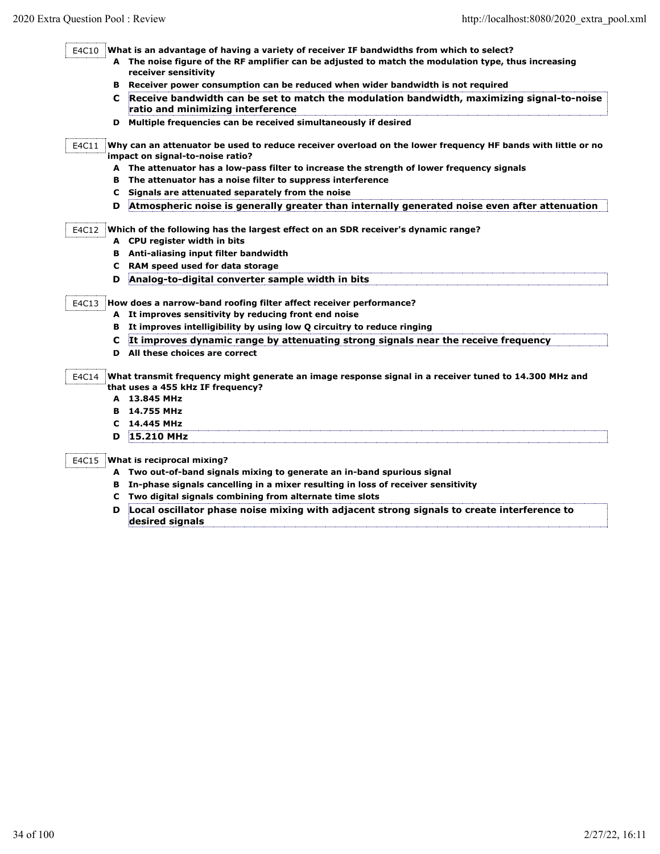E4C10 **What is an advantage of having a variety of receiver IF bandwidths from which to select?**

- **A The noise figure of the RF amplifier can be adjusted to match the modulation type, thus increasing receiver sensitivity**
- **B Receiver power consumption can be reduced when wider bandwidth is not required**
- **C Receive bandwidth can be set to match the modulation bandwidth, maximizing signal-to-noise ratio and minimizing interference**
- **D Multiple frequencies can be received simultaneously if desired**

E4C11 **Why can an attenuator be used to reduce receiver overload on the lower frequency HF bands with little or no impact on signal-to-noise ratio?**

- **A The attenuator has a low-pass filter to increase the strength of lower frequency signals**
- **B The attenuator has a noise filter to suppress interference**
- **C Signals are attenuated separately from the noise**
- **D Atmospheric noise is generally greater than internally generated noise even after attenuation**

## E4C12 **Which of the following has the largest effect on an SDR receiver's dynamic range?**

- **A CPU register width in bits**
	- **B Anti-aliasing input filter bandwidth**
	- **C RAM speed used for data storage**
	- **D Analog-to-digital converter sample width in bits**

E4C13 **How does a narrow-band roofing filter affect receiver performance?**

- **A It improves sensitivity by reducing front end noise**
- **B It improves intelligibility by using low Q circuitry to reduce ringing**
- **C It improves dynamic range by attenuating strong signals near the receive frequency**
- **D All these choices are correct**

E4C14 **What transmit frequency might generate an image response signal in a receiver tuned to 14.300 MHz and that uses a 455 kHz IF frequency?**

- **A 13.845 MHz**
- **B 14.755 MHz**
- **C 14.445 MHz**

# **D 15.210 MHz**

#### E4C15 **What is reciprocal mixing?**

- **A Two out-of-band signals mixing to generate an in-band spurious signal**
- **B In-phase signals cancelling in a mixer resulting in loss of receiver sensitivity**
- **C Two digital signals combining from alternate time slots**
- **D Local oscillator phase noise mixing with adjacent strong signals to create interference to desired signals**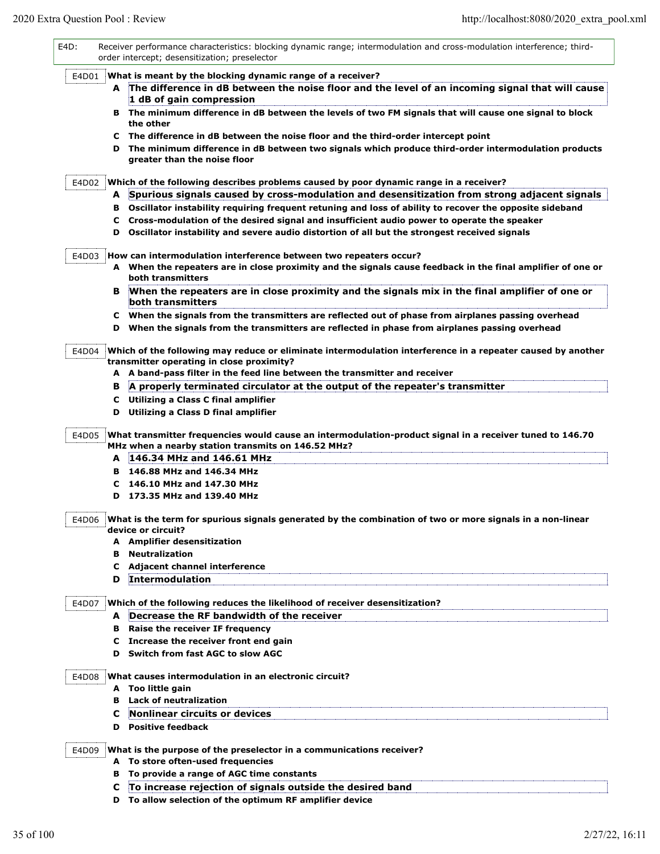| E4D:  |    | Receiver performance characteristics: blocking dynamic range; intermodulation and cross-modulation interference; third-<br>order intercept; desensitization; preselector |
|-------|----|--------------------------------------------------------------------------------------------------------------------------------------------------------------------------|
| E4D01 |    | What is meant by the blocking dynamic range of a receiver?                                                                                                               |
|       |    | A The difference in dB between the noise floor and the level of an incoming signal that will cause<br>1 dB of gain compression                                           |
|       |    | B The minimum difference in dB between the levels of two FM signals that will cause one signal to block<br>the other                                                     |
|       |    | C The difference in dB between the noise floor and the third-order intercept point                                                                                       |
|       |    | D The minimum difference in dB between two signals which produce third-order intermodulation products                                                                    |
|       |    | greater than the noise floor                                                                                                                                             |
| E4D02 |    | Which of the following describes problems caused by poor dynamic range in a receiver?                                                                                    |
|       |    | A Spurious signals caused by cross-modulation and desensitization from strong adjacent signals                                                                           |
|       |    | B Oscillator instability requiring frequent retuning and loss of ability to recover the opposite sideband                                                                |
|       |    | C Cross-modulation of the desired signal and insufficient audio power to operate the speaker                                                                             |
|       | D  | Oscillator instability and severe audio distortion of all but the strongest received signals                                                                             |
|       |    |                                                                                                                                                                          |
| E4D03 |    | How can intermodulation interference between two repeaters occur?                                                                                                        |
|       |    | A When the repeaters are in close proximity and the signals cause feedback in the final amplifier of one or                                                              |
|       |    | both transmitters                                                                                                                                                        |
|       |    | B When the repeaters are in close proximity and the signals mix in the final amplifier of one or                                                                         |
|       |    | both transmitters                                                                                                                                                        |
|       |    | C When the signals from the transmitters are reflected out of phase from airplanes passing overhead                                                                      |
|       |    | D When the signals from the transmitters are reflected in phase from airplanes passing overhead                                                                          |
|       |    |                                                                                                                                                                          |
| E4D04 |    | Which of the following may reduce or eliminate intermodulation interference in a repeater caused by another                                                              |
|       |    | transmitter operating in close proximity?                                                                                                                                |
|       |    | A A band-pass filter in the feed line between the transmitter and receiver                                                                                               |
|       | в  | A properly terminated circulator at the output of the repeater's transmitter                                                                                             |
|       |    | C Utilizing a Class C final amplifier                                                                                                                                    |
|       |    | D Utilizing a Class D final amplifier                                                                                                                                    |
| E4D05 |    | What transmitter frequencies would cause an intermodulation-product signal in a receiver tuned to 146.70                                                                 |
|       |    | MHz when a nearby station transmits on 146.52 MHz?                                                                                                                       |
|       |    | A 146.34 MHz and 146.61 MHz                                                                                                                                              |
|       |    | B 146.88 MHz and 146.34 MHz                                                                                                                                              |
|       |    | C 146.10 MHz and 147.30 MHz                                                                                                                                              |
|       | D  | 173.35 MHz and 139.40 MHz                                                                                                                                                |
|       |    |                                                                                                                                                                          |
| E4D06 |    | What is the term for spurious signals generated by the combination of two or more signals in a non-linear<br>device or circuit?                                          |
|       |    | A Amplifier desensitization                                                                                                                                              |
|       |    | <b>B</b> Neutralization                                                                                                                                                  |
|       | C. | Adjacent channel interference                                                                                                                                            |
|       | D  | <b>Intermodulation</b>                                                                                                                                                   |
|       |    |                                                                                                                                                                          |
| E4D07 |    | Which of the following reduces the likelihood of receiver desensitization?                                                                                               |
|       | A  | Decrease the RF bandwidth of the receiver                                                                                                                                |
|       |    | <b>B</b> Raise the receiver IF frequency                                                                                                                                 |
|       |    | C Increase the receiver front end gain                                                                                                                                   |
|       | D  | Switch from fast AGC to slow AGC                                                                                                                                         |
|       |    |                                                                                                                                                                          |
| E4D08 |    | What causes intermodulation in an electronic circuit?                                                                                                                    |
|       |    | A Too little gain                                                                                                                                                        |
|       | в  | <b>Lack of neutralization</b>                                                                                                                                            |
|       | C  | Nonlinear circuits or devices                                                                                                                                            |
|       |    | <b>D</b> Positive feedback                                                                                                                                               |
|       |    |                                                                                                                                                                          |
| E4D09 |    | What is the purpose of the preselector in a communications receiver?                                                                                                     |
|       |    | A To store often-used frequencies                                                                                                                                        |
|       |    | <b>B</b> To provide a range of AGC time constants                                                                                                                        |
|       | C  | To increase rejection of signals outside the desired band                                                                                                                |
|       |    | D To allow selection of the optimum RF amplifier device                                                                                                                  |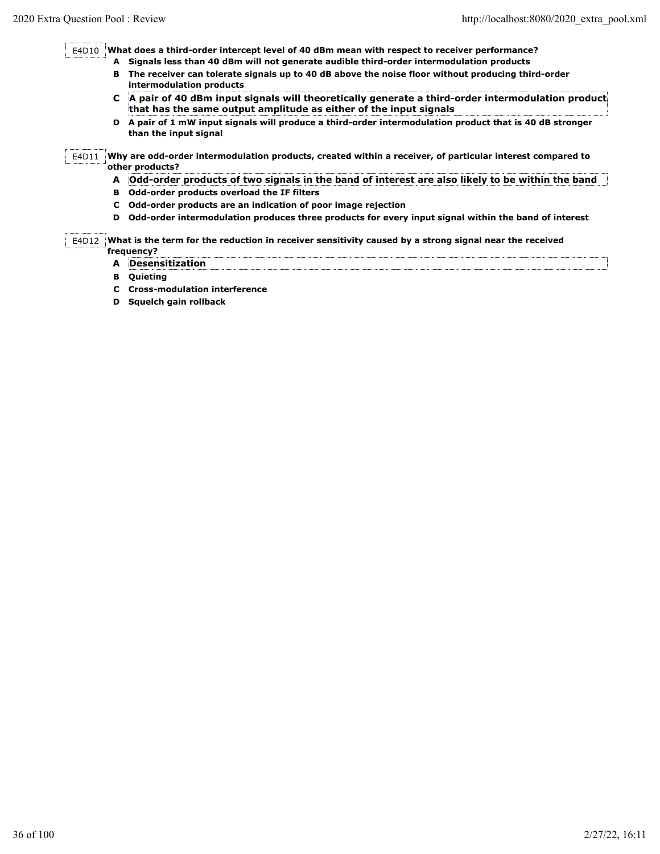E4D10 **What does a third-order intercept level of 40 dBm mean with respect to receiver performance?**

- **A Signals less than 40 dBm will not generate audible third-order intermodulation products**
- **B The receiver can tolerate signals up to 40 dB above the noise floor without producing third-order intermodulation products**
- **C A pair of 40 dBm input signals will theoretically generate a third-order intermodulation product that has the same output amplitude as either of the input signals**
- **D A pair of 1 mW input signals will produce a third-order intermodulation product that is 40 dB stronger than the input signal**

E4D11 **Why are odd-order intermodulation products, created within a receiver, of particular interest compared to other products?**

- **A Odd-order products of two signals in the band of interest are also likely to be within the band**
- **B Odd-order products overload the IF filters**
- **C Odd-order products are an indication of poor image rejection**
- **D Odd-order intermodulation produces three products for every input signal within the band of interest**

E4D12 **What is the term for the reduction in receiver sensitivity caused by a strong signal near the received frequency?**

- **A Desensitization B Quieting**
- **C Cross-modulation interference**
- **D Squelch gain rollback**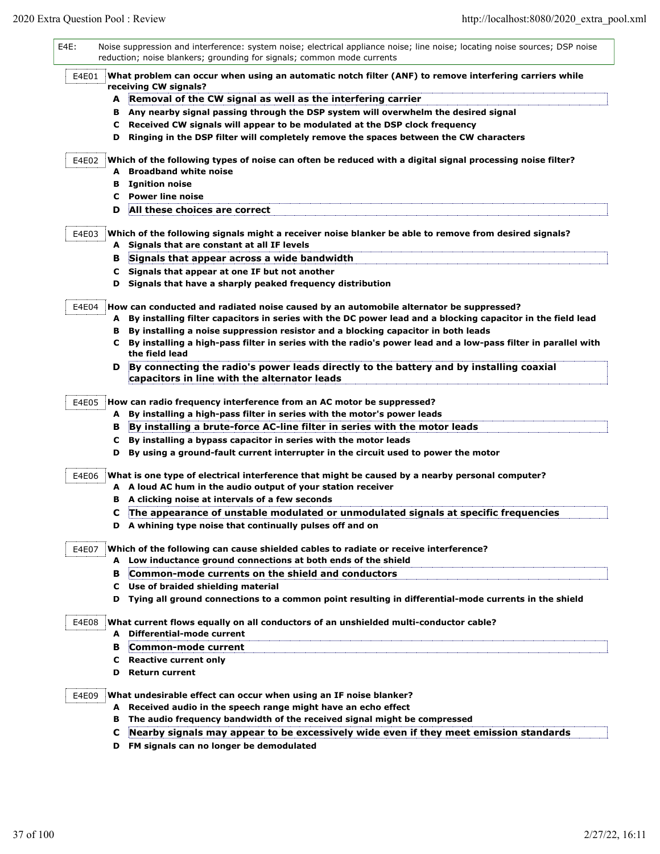| $E4E$ : | Noise suppression and interference: system noise; electrical appliance noise; line noise; locating noise sources; DSP noise<br>reduction; noise blankers; grounding for signals; common mode currents |
|---------|-------------------------------------------------------------------------------------------------------------------------------------------------------------------------------------------------------|
| E4E01   | What problem can occur when using an automatic notch filter (ANF) to remove interfering carriers while<br>receiving CW signals?                                                                       |
|         | A Removal of the CW signal as well as the interfering carrier                                                                                                                                         |
|         | B Any nearby signal passing through the DSP system will overwhelm the desired signal                                                                                                                  |
|         | C Received CW signals will appear to be modulated at the DSP clock frequency                                                                                                                          |
|         | Ringing in the DSP filter will completely remove the spaces between the CW characters<br>D                                                                                                            |
|         |                                                                                                                                                                                                       |
| E4E02   | Which of the following types of noise can often be reduced with a digital signal processing noise filter?                                                                                             |
|         | <b>Broadband white noise</b>                                                                                                                                                                          |
|         | <b>Ignition noise</b><br>в                                                                                                                                                                            |
|         | <b>Power line noise</b><br>C.                                                                                                                                                                         |
|         | All these choices are correct<br>D                                                                                                                                                                    |
| E4E03   | Which of the following signals might a receiver noise blanker be able to remove from desired signals?                                                                                                 |
|         | A Signals that are constant at all IF levels                                                                                                                                                          |
|         | Signals that appear across a wide bandwidth<br>в                                                                                                                                                      |
|         | Signals that appear at one IF but not another<br>C                                                                                                                                                    |
|         | Signals that have a sharply peaked frequency distribution<br>D                                                                                                                                        |
|         |                                                                                                                                                                                                       |
| E4E04   | How can conducted and radiated noise caused by an automobile alternator be suppressed?                                                                                                                |
|         | A By installing filter capacitors in series with the DC power lead and a blocking capacitor in the field lead                                                                                         |
|         | B By installing a noise suppression resistor and a blocking capacitor in both leads                                                                                                                   |
|         | C By installing a high-pass filter in series with the radio's power lead and a low-pass filter in parallel with                                                                                       |
|         | the field lead                                                                                                                                                                                        |
|         | By connecting the radio's power leads directly to the battery and by installing coaxial<br>D                                                                                                          |
|         | capacitors in line with the alternator leads                                                                                                                                                          |
| E4E05   | How can radio frequency interference from an AC motor be suppressed?                                                                                                                                  |
|         | A By installing a high-pass filter in series with the motor's power leads                                                                                                                             |
|         |                                                                                                                                                                                                       |
|         | By installing a brute-force AC-line filter in series with the motor leads<br>в                                                                                                                        |
|         | By installing a bypass capacitor in series with the motor leads<br>C                                                                                                                                  |
|         | By using a ground-fault current interrupter in the circuit used to power the motor<br>D                                                                                                               |
| E4E06   | What is one type of electrical interference that might be caused by a nearby personal computer?                                                                                                       |
|         | A A loud AC hum in the audio output of your station receiver                                                                                                                                          |
|         | A clicking noise at intervals of a few seconds<br>в                                                                                                                                                   |
|         | The appearance of unstable modulated or unmodulated signals at specific frequencies<br>c                                                                                                              |
|         | A whining type noise that continually pulses off and on                                                                                                                                               |
|         |                                                                                                                                                                                                       |
| E4E07   | Which of the following can cause shielded cables to radiate or receive interference?                                                                                                                  |
|         | A Low inductance ground connections at both ends of the shield                                                                                                                                        |
|         | Common-mode currents on the shield and conductors<br>в                                                                                                                                                |
|         | Use of braided shielding material<br>C                                                                                                                                                                |
|         | D Tying all ground connections to a common point resulting in differential-mode currents in the shield                                                                                                |
| E4E08   | What current flows equally on all conductors of an unshielded multi-conductor cable?                                                                                                                  |
|         | A Differential-mode current                                                                                                                                                                           |
|         | Common-mode current<br>в                                                                                                                                                                              |
|         | <b>Reactive current only</b>                                                                                                                                                                          |
|         | C.<br><b>Return current</b><br>D                                                                                                                                                                      |
|         |                                                                                                                                                                                                       |
| E4E09   | What undesirable effect can occur when using an IF noise blanker?                                                                                                                                     |
|         | A Received audio in the speech range might have an echo effect                                                                                                                                        |
|         | The audio frequency bandwidth of the received signal might be compressed<br>в                                                                                                                         |
|         | Nearby signals may appear to be excessively wide even if they meet emission standards<br>c                                                                                                            |
|         | FM signals can no longer be demodulated<br>D                                                                                                                                                          |
|         |                                                                                                                                                                                                       |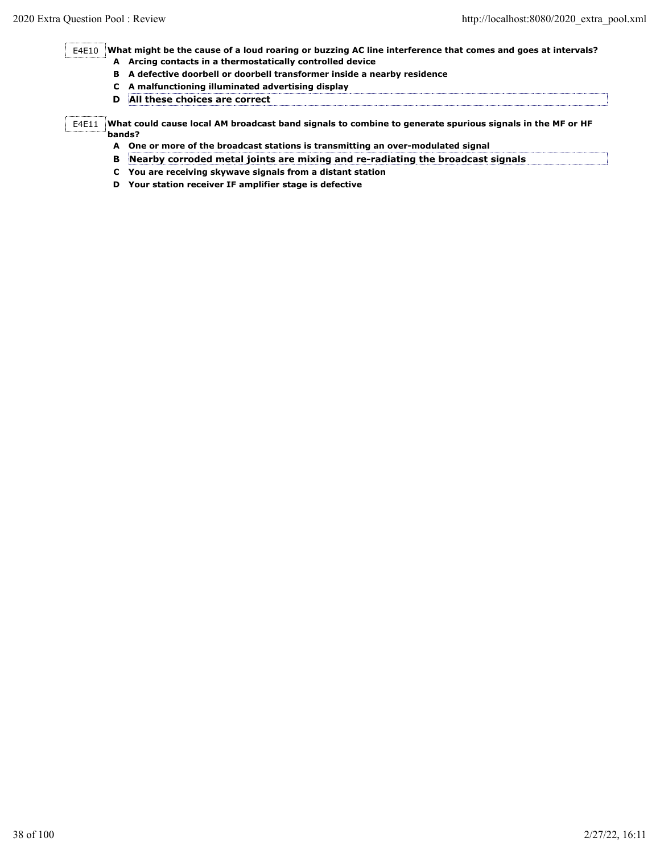E4E10 **What might be the cause of a loud roaring or buzzing AC line interference that comes and goes at intervals?**

- **A Arcing contacts in a thermostatically controlled device**
- **B A defective doorbell or doorbell transformer inside a nearby residence**
- **C A malfunctioning illuminated advertising display**
- **D All these choices are correct**

E4E11 **What could cause local AM broadcast band signals to combine to generate spurious signals in the MF or HF bands?**

- **A One or more of the broadcast stations is transmitting an over-modulated signal**
- **B Nearby corroded metal joints are mixing and re-radiating the broadcast signals**
- **C You are receiving skywave signals from a distant station**
- **D Your station receiver IF amplifier stage is defective**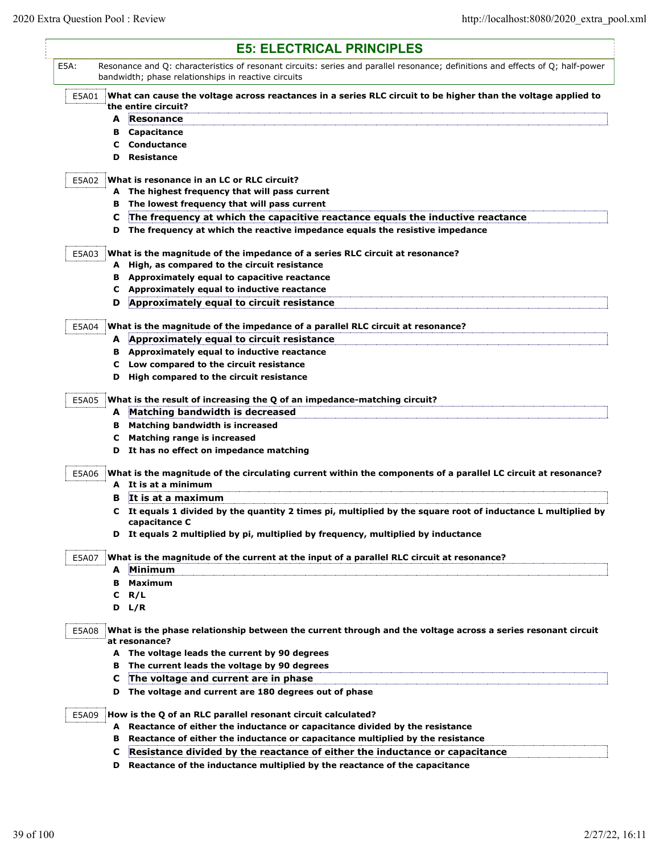|       | <b>E5: ELECTRICAL PRINCIPLES</b>                                                                                                                                                      |
|-------|---------------------------------------------------------------------------------------------------------------------------------------------------------------------------------------|
| E5A:  | Resonance and Q: characteristics of resonant circuits: series and parallel resonance; definitions and effects of Q; half-power<br>bandwidth; phase relationships in reactive circuits |
| E5A01 | What can cause the voltage across reactances in a series RLC circuit to be higher than the voltage applied to                                                                         |
|       | the entire circuit?                                                                                                                                                                   |
| A     | Resonance                                                                                                                                                                             |
|       | <b>B</b> Capacitance                                                                                                                                                                  |
| c     | Conductance                                                                                                                                                                           |
|       | <b>D</b> Resistance                                                                                                                                                                   |
| E5A02 | What is resonance in an LC or RLC circuit?                                                                                                                                            |
|       | A The highest frequency that will pass current                                                                                                                                        |
|       | B The lowest frequency that will pass current                                                                                                                                         |
| C     | The frequency at which the capacitive reactance equals the inductive reactance                                                                                                        |
| D     | The frequency at which the reactive impedance equals the resistive impedance                                                                                                          |
|       |                                                                                                                                                                                       |
| E5A03 | What is the magnitude of the impedance of a series RLC circuit at resonance?<br>A High, as compared to the circuit resistance                                                         |
|       | B Approximately equal to capacitive reactance                                                                                                                                         |
| С     | Approximately equal to inductive reactance                                                                                                                                            |
| D     | Approximately equal to circuit resistance                                                                                                                                             |
|       |                                                                                                                                                                                       |
| E5A04 | What is the magnitude of the impedance of a parallel RLC circuit at resonance?                                                                                                        |
|       | A Approximately equal to circuit resistance                                                                                                                                           |
|       | <b>B</b> Approximately equal to inductive reactance                                                                                                                                   |
|       | C Low compared to the circuit resistance                                                                                                                                              |
|       | D High compared to the circuit resistance                                                                                                                                             |
|       |                                                                                                                                                                                       |
| E5A05 | What is the result of increasing the Q of an impedance-matching circuit?                                                                                                              |
| A     | Matching bandwidth is decreased                                                                                                                                                       |
|       | <b>B</b> Matching bandwidth is increased                                                                                                                                              |
|       | C Matching range is increased                                                                                                                                                         |
|       | D It has no effect on impedance matching                                                                                                                                              |
| E5A06 | What is the magnitude of the circulating current within the components of a parallel LC circuit at resonance?                                                                         |
|       | A It is at a minimum                                                                                                                                                                  |
| в     | It is at a maximum                                                                                                                                                                    |
|       | C It equals 1 divided by the quantity 2 times pi, multiplied by the square root of inductance L multiplied by                                                                         |
|       | capacitance C                                                                                                                                                                         |
|       | D It equals 2 multiplied by pi, multiplied by frequency, multiplied by inductance                                                                                                     |
| E5A07 | What is the magnitude of the current at the input of a parallel RLC circuit at resonance?                                                                                             |
| A     | Minimum                                                                                                                                                                               |
|       | <b>B</b> Maximum                                                                                                                                                                      |
|       | $C$ R/L                                                                                                                                                                               |
|       | D L/R                                                                                                                                                                                 |
|       |                                                                                                                                                                                       |
| E5A08 | What is the phase relationship between the current through and the voltage across a series resonant circuit                                                                           |
|       | at resonance?                                                                                                                                                                         |
|       | A The voltage leads the current by 90 degrees                                                                                                                                         |
|       | B The current leads the voltage by 90 degrees                                                                                                                                         |
|       | C The voltage and current are in phase                                                                                                                                                |
|       | D The voltage and current are 180 degrees out of phase                                                                                                                                |
| E5A09 | How is the Q of an RLC parallel resonant circuit calculated?                                                                                                                          |
|       | A Reactance of either the inductance or capacitance divided by the resistance                                                                                                         |
|       | B Reactance of either the inductance or capacitance multiplied by the resistance                                                                                                      |
| C     | Resistance divided by the reactance of either the inductance or capacitance                                                                                                           |
|       | D Reactance of the inductance multiplied by the reactance of the capacitance                                                                                                          |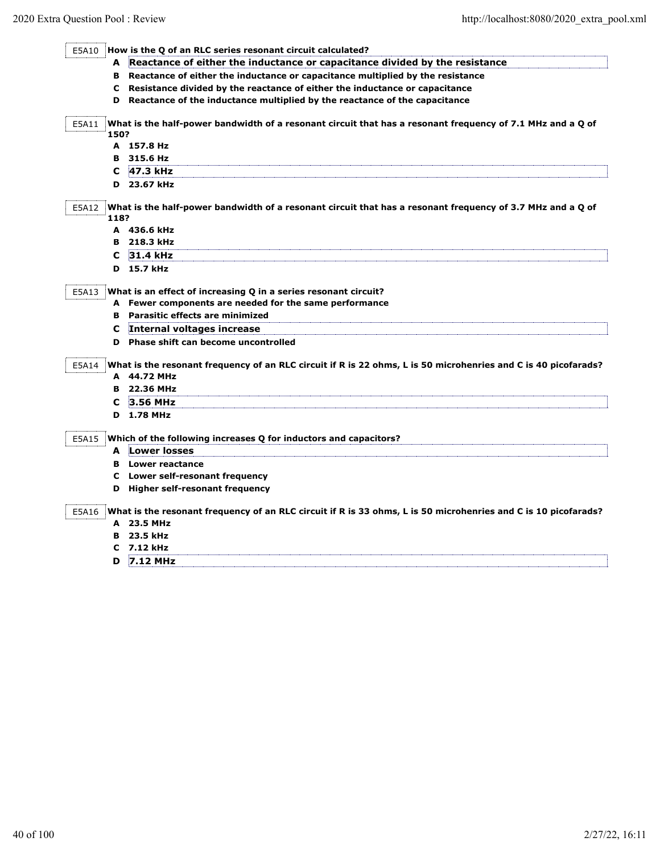|               | A Reactance of either the inductance or capacitance divided by the resistance                                                                                                                                                                |
|---------------|----------------------------------------------------------------------------------------------------------------------------------------------------------------------------------------------------------------------------------------------|
|               | B Reactance of either the inductance or capacitance multiplied by the resistance                                                                                                                                                             |
|               | C Resistance divided by the reactance of either the inductance or capacitance                                                                                                                                                                |
|               | D Reactance of the inductance multiplied by the reactance of the capacitance                                                                                                                                                                 |
| E5A11<br>150? | What is the half-power bandwidth of a resonant circuit that has a resonant frequency of 7.1 MHz and a Q of                                                                                                                                   |
|               | A 157.8 Hz                                                                                                                                                                                                                                   |
|               | B 315.6 Hz                                                                                                                                                                                                                                   |
|               | C 47.3 kHz                                                                                                                                                                                                                                   |
|               | D 23.67 kHz                                                                                                                                                                                                                                  |
| E5A12<br>118? | What is the half-power bandwidth of a resonant circuit that has a resonant frequency of 3.7 MHz and a Q of                                                                                                                                   |
|               | A 436.6 kHz                                                                                                                                                                                                                                  |
|               | B 218.3 kHz                                                                                                                                                                                                                                  |
| C.            | 31.4 kHz                                                                                                                                                                                                                                     |
|               | D 15.7 kHz                                                                                                                                                                                                                                   |
|               | A Fewer components are needed for the same performance                                                                                                                                                                                       |
|               | <b>B</b> Parasitic effects are minimized<br>C Internal voltages increase                                                                                                                                                                     |
|               | D Phase shift can become uncontrolled                                                                                                                                                                                                        |
| E5A14         |                                                                                                                                                                                                                                              |
|               | A 44.72 MHz                                                                                                                                                                                                                                  |
|               | B 22.36 MHz                                                                                                                                                                                                                                  |
| C             | 3.56 MHz                                                                                                                                                                                                                                     |
|               | D 1.78 MHz                                                                                                                                                                                                                                   |
| E5A15         | Which of the following increases Q for inductors and capacitors?                                                                                                                                                                             |
|               | <b>A</b> Lower losses                                                                                                                                                                                                                        |
|               | <b>B</b> Lower reactance                                                                                                                                                                                                                     |
|               | C Lower self-resonant frequency                                                                                                                                                                                                              |
|               | D Higher self-resonant frequency                                                                                                                                                                                                             |
| E5A16         |                                                                                                                                                                                                                                              |
|               | A 23.5 MHz                                                                                                                                                                                                                                   |
|               | <b>B</b> 23.5 kHz                                                                                                                                                                                                                            |
| c             | What is the resonant frequency of an RLC circuit if R is 22 ohms, L is 50 microhenries and C is 40 picofarads?<br>What is the resonant frequency of an RLC circuit if R is 33 ohms, L is 50 microhenries and C is 10 picofarads?<br>7.12 kHz |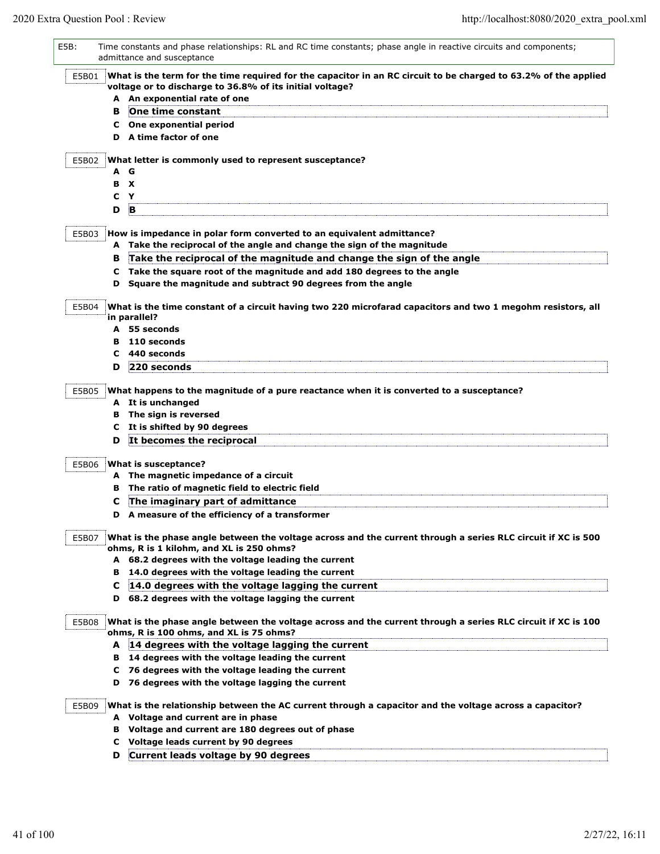| E5B:  |     | Time constants and phase relationships: RL and RC time constants; phase angle in reactive circuits and components;<br>admittance and susceptance                            |
|-------|-----|-----------------------------------------------------------------------------------------------------------------------------------------------------------------------------|
| E5B01 |     | What is the term for the time required for the capacitor in an RC circuit to be charged to 63.2% of the applied<br>voltage or to discharge to 36.8% of its initial voltage? |
|       |     | A An exponential rate of one                                                                                                                                                |
|       | в   | One time constant                                                                                                                                                           |
|       | C   | One exponential period                                                                                                                                                      |
|       |     | D A time factor of one                                                                                                                                                      |
| E5B02 |     | What letter is commonly used to represent susceptance?                                                                                                                      |
|       | A G |                                                                                                                                                                             |
|       | в   | X                                                                                                                                                                           |
|       | c   | Y                                                                                                                                                                           |
|       | D   | B                                                                                                                                                                           |
| E5B03 |     | How is impedance in polar form converted to an equivalent admittance?<br>A Take the reciprocal of the angle and change the sign of the magnitude                            |
|       | в   | Take the reciprocal of the magnitude and change the sign of the angle                                                                                                       |
|       |     | C Take the square root of the magnitude and add 180 degrees to the angle                                                                                                    |
|       | D   | Square the magnitude and subtract 90 degrees from the angle                                                                                                                 |
| E5B04 |     | What is the time constant of a circuit having two 220 microfarad capacitors and two 1 megohm resistors, all<br>in parallel?                                                 |
|       |     | A 55 seconds                                                                                                                                                                |
|       |     | <b>B</b> 110 seconds                                                                                                                                                        |
|       |     | C 440 seconds                                                                                                                                                               |
|       | D.  | 220 seconds                                                                                                                                                                 |
|       |     |                                                                                                                                                                             |
| E5B05 |     | What happens to the magnitude of a pure reactance when it is converted to a susceptance?<br>A It is unchanged                                                               |
|       | в   | The sign is reversed                                                                                                                                                        |
|       | C   | It is shifted by 90 degrees                                                                                                                                                 |
|       | D   | It becomes the reciprocal                                                                                                                                                   |
| E5B06 |     | What is susceptance?                                                                                                                                                        |
|       |     | A The magnetic impedance of a circuit                                                                                                                                       |
|       |     | B The ratio of magnetic field to electric field                                                                                                                             |
|       | c   | The imaginary part of admittance                                                                                                                                            |
|       |     | D A measure of the efficiency of a transformer                                                                                                                              |
| E5B07 |     | What is the phase angle between the voltage across and the current through a series RLC circuit if XC is 500<br>ohms, R is 1 kilohm, and XL is 250 ohms?                    |
|       |     | A 68.2 degrees with the voltage leading the current                                                                                                                         |
|       |     | B 14.0 degrees with the voltage leading the current                                                                                                                         |
|       | c   | 14.0 degrees with the voltage lagging the current                                                                                                                           |
|       |     | D 68.2 degrees with the voltage lagging the current                                                                                                                         |
| E5B08 |     | What is the phase angle between the voltage across and the current through a series RLC circuit if XC is 100<br>ohms, R is 100 ohms, and XL is 75 ohms?                     |
|       |     | A 14 degrees with the voltage lagging the current                                                                                                                           |
|       |     | B 14 degrees with the voltage leading the current                                                                                                                           |
|       |     | C 76 degrees with the voltage leading the current                                                                                                                           |
|       |     | D 76 degrees with the voltage lagging the current                                                                                                                           |
| E5B09 |     | What is the relationship between the AC current through a capacitor and the voltage across a capacitor?                                                                     |
|       |     | A Voltage and current are in phase                                                                                                                                          |
|       |     | B Voltage and current are 180 degrees out of phase                                                                                                                          |
|       |     | C Voltage leads current by 90 degrees                                                                                                                                       |
|       | D   | Current leads voltage by 90 degrees                                                                                                                                         |
|       |     |                                                                                                                                                                             |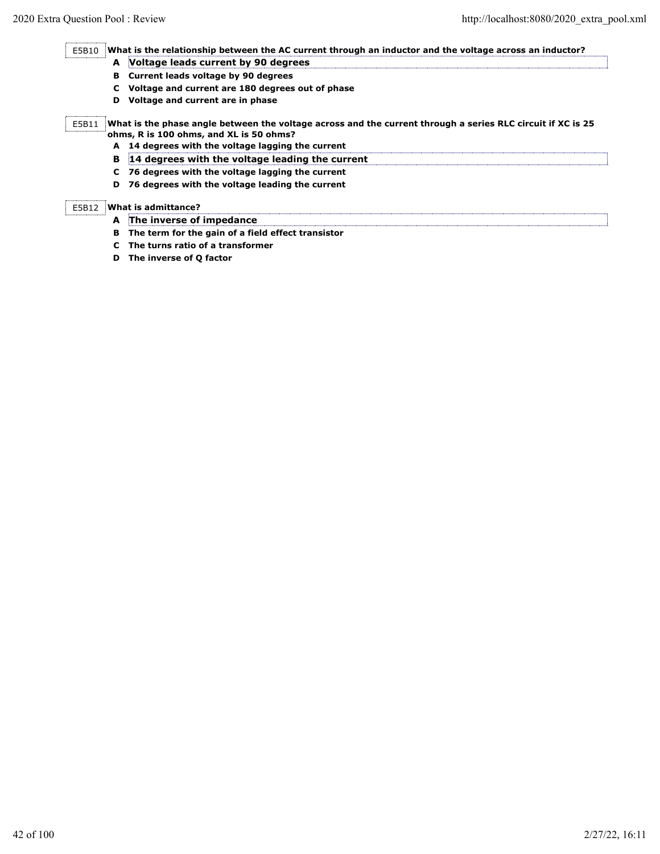# E5B10 **What is the relationship between the AC current through an inductor and the voltage across an inductor?**

- **A Voltage leads current by 90 degrees**
- **B Current leads voltage by 90 degrees**
- **C Voltage and current are 180 degrees out of phase**
- **D Voltage and current are in phase**

#### E5B11 **What is the phase angle between the voltage across and the current through a series RLC circuit if XC is 25 ohms, R is 100 ohms, and XL is 50 ohms?**

- **A 14 degrees with the voltage lagging the current B 14 degrees with the voltage leading the current**
- **C 76 degrees with the voltage lagging the current**
- **D 76 degrees with the voltage leading the current**

# E5B12 **What is admittance?**

- **A The inverse of impedance**
- **B The term for the gain of a field effect transistor**
- **C The turns ratio of a transformer**
- **D The inverse of Q factor**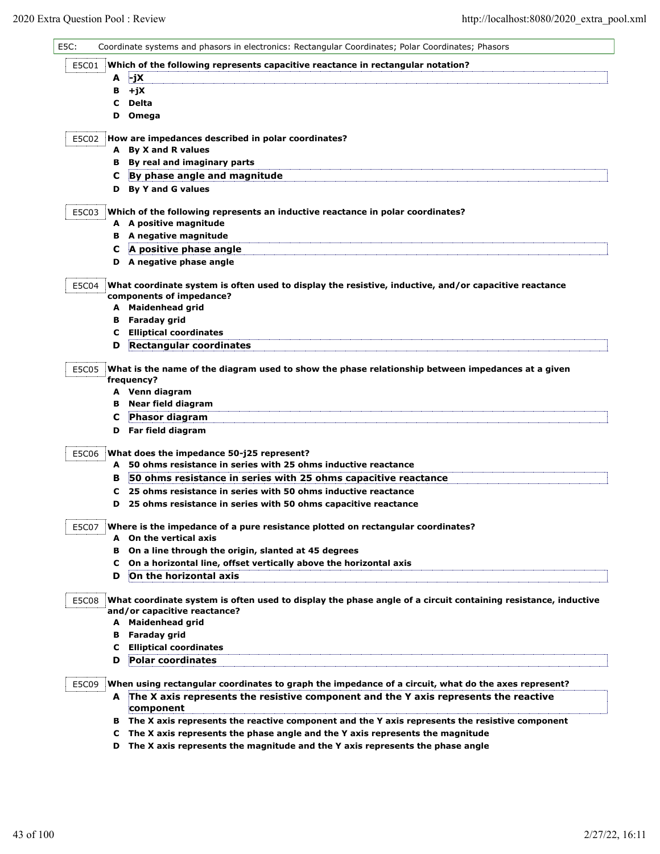| E5C01<br>Which of the following represents capacitive reactance in rectangular notation?<br>∤jX<br>A<br>$+$ jX<br>в<br>c<br>Delta<br>Omega<br>D<br>E5C02<br>How are impedances described in polar coordinates?<br>A By X and R values<br><b>B</b> By real and imaginary parts<br>By phase angle and magnitude<br>C<br>D By Y and G values<br>Which of the following represents an inductive reactance in polar coordinates?<br>E5C03<br>A A positive magnitude<br><b>B</b> A negative magnitude<br>A positive phase angle<br>C<br>D A negative phase angle |
|------------------------------------------------------------------------------------------------------------------------------------------------------------------------------------------------------------------------------------------------------------------------------------------------------------------------------------------------------------------------------------------------------------------------------------------------------------------------------------------------------------------------------------------------------------|
|                                                                                                                                                                                                                                                                                                                                                                                                                                                                                                                                                            |
|                                                                                                                                                                                                                                                                                                                                                                                                                                                                                                                                                            |
|                                                                                                                                                                                                                                                                                                                                                                                                                                                                                                                                                            |
|                                                                                                                                                                                                                                                                                                                                                                                                                                                                                                                                                            |
|                                                                                                                                                                                                                                                                                                                                                                                                                                                                                                                                                            |
|                                                                                                                                                                                                                                                                                                                                                                                                                                                                                                                                                            |
|                                                                                                                                                                                                                                                                                                                                                                                                                                                                                                                                                            |
|                                                                                                                                                                                                                                                                                                                                                                                                                                                                                                                                                            |
|                                                                                                                                                                                                                                                                                                                                                                                                                                                                                                                                                            |
|                                                                                                                                                                                                                                                                                                                                                                                                                                                                                                                                                            |
|                                                                                                                                                                                                                                                                                                                                                                                                                                                                                                                                                            |
|                                                                                                                                                                                                                                                                                                                                                                                                                                                                                                                                                            |
|                                                                                                                                                                                                                                                                                                                                                                                                                                                                                                                                                            |
|                                                                                                                                                                                                                                                                                                                                                                                                                                                                                                                                                            |
|                                                                                                                                                                                                                                                                                                                                                                                                                                                                                                                                                            |
|                                                                                                                                                                                                                                                                                                                                                                                                                                                                                                                                                            |
|                                                                                                                                                                                                                                                                                                                                                                                                                                                                                                                                                            |
| E5C04<br>What coordinate system is often used to display the resistive, inductive, and/or capacitive reactance                                                                                                                                                                                                                                                                                                                                                                                                                                             |
| components of impedance?                                                                                                                                                                                                                                                                                                                                                                                                                                                                                                                                   |
| A Maidenhead grid                                                                                                                                                                                                                                                                                                                                                                                                                                                                                                                                          |
| <b>B</b> Faraday grid                                                                                                                                                                                                                                                                                                                                                                                                                                                                                                                                      |
| <b>Elliptical coordinates</b><br>C.                                                                                                                                                                                                                                                                                                                                                                                                                                                                                                                        |
| Rectangular coordinates<br>D                                                                                                                                                                                                                                                                                                                                                                                                                                                                                                                               |
| E5C05<br>What is the name of the diagram used to show the phase relationship between impedances at a given<br>frequency?                                                                                                                                                                                                                                                                                                                                                                                                                                   |
| A Venn diagram                                                                                                                                                                                                                                                                                                                                                                                                                                                                                                                                             |
| <b>B</b> Near field diagram                                                                                                                                                                                                                                                                                                                                                                                                                                                                                                                                |
| Phasor diagram<br>C                                                                                                                                                                                                                                                                                                                                                                                                                                                                                                                                        |
| D Far field diagram                                                                                                                                                                                                                                                                                                                                                                                                                                                                                                                                        |
| E5C06<br>What does the impedance 50-j25 represent?                                                                                                                                                                                                                                                                                                                                                                                                                                                                                                         |
| A 50 ohms resistance in series with 25 ohms inductive reactance                                                                                                                                                                                                                                                                                                                                                                                                                                                                                            |
| 50 ohms resistance in series with 25 ohms capacitive reactance<br>в                                                                                                                                                                                                                                                                                                                                                                                                                                                                                        |
| 25 ohms resistance in series with 50 ohms inductive reactance<br>C                                                                                                                                                                                                                                                                                                                                                                                                                                                                                         |
| 25 ohms resistance in series with 50 ohms capacitive reactance<br>D                                                                                                                                                                                                                                                                                                                                                                                                                                                                                        |
|                                                                                                                                                                                                                                                                                                                                                                                                                                                                                                                                                            |
| Where is the impedance of a pure resistance plotted on rectangular coordinates?<br>E5C07                                                                                                                                                                                                                                                                                                                                                                                                                                                                   |
| A On the vertical axis                                                                                                                                                                                                                                                                                                                                                                                                                                                                                                                                     |
| On a line through the origin, slanted at 45 degrees<br>в                                                                                                                                                                                                                                                                                                                                                                                                                                                                                                   |
| On a horizontal line, offset vertically above the horizontal axis<br>C.                                                                                                                                                                                                                                                                                                                                                                                                                                                                                    |
| On the horizontal axis<br>D                                                                                                                                                                                                                                                                                                                                                                                                                                                                                                                                |
|                                                                                                                                                                                                                                                                                                                                                                                                                                                                                                                                                            |
| What coordinate system is often used to display the phase angle of a circuit containing resistance, inductive<br>E5C08                                                                                                                                                                                                                                                                                                                                                                                                                                     |
| and/or capacitive reactance?                                                                                                                                                                                                                                                                                                                                                                                                                                                                                                                               |
| A Maidenhead grid                                                                                                                                                                                                                                                                                                                                                                                                                                                                                                                                          |
| Faraday grid<br>в                                                                                                                                                                                                                                                                                                                                                                                                                                                                                                                                          |
| <b>Elliptical coordinates</b><br>C.                                                                                                                                                                                                                                                                                                                                                                                                                                                                                                                        |
| Polar coordinates<br>D                                                                                                                                                                                                                                                                                                                                                                                                                                                                                                                                     |
| When using rectangular coordinates to graph the impedance of a circuit, what do the axes represent?<br>E5C09                                                                                                                                                                                                                                                                                                                                                                                                                                               |
| A The X axis represents the resistive component and the Y axis represents the reactive                                                                                                                                                                                                                                                                                                                                                                                                                                                                     |
| component                                                                                                                                                                                                                                                                                                                                                                                                                                                                                                                                                  |
| B The X axis represents the reactive component and the Y axis represents the resistive component                                                                                                                                                                                                                                                                                                                                                                                                                                                           |
| C The X axis represents the phase angle and the Y axis represents the magnitude                                                                                                                                                                                                                                                                                                                                                                                                                                                                            |
| D The X axis represents the magnitude and the Y axis represents the phase angle                                                                                                                                                                                                                                                                                                                                                                                                                                                                            |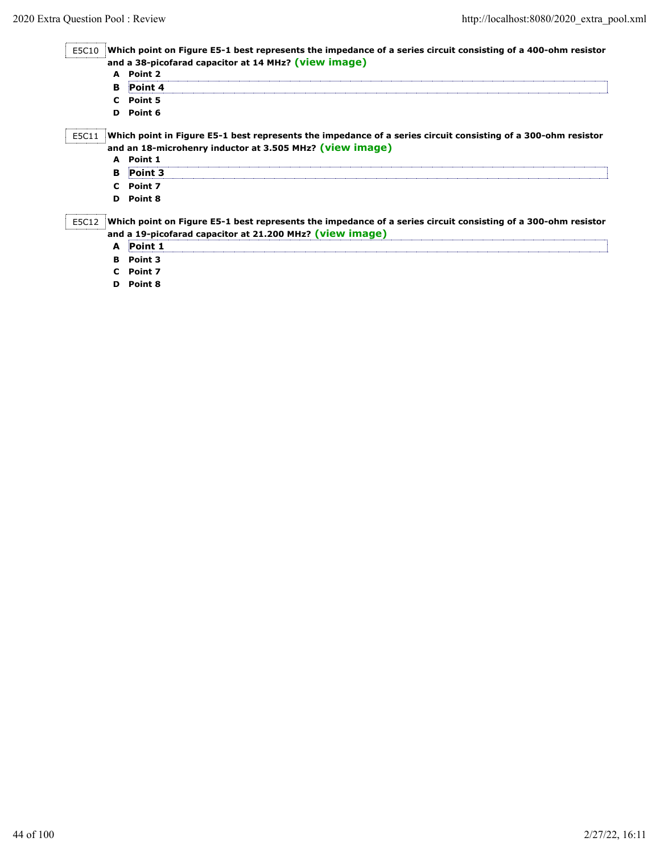| E5C10 |   | Which point on Figure E5-1 best represents the impedance of a series circuit consisting of a 400-ohm resistor |
|-------|---|---------------------------------------------------------------------------------------------------------------|
|       |   | and a 38-picofarad capacitor at 14 MHz? (view image)                                                          |
|       |   | A Point 2                                                                                                     |
|       | в | Point 4                                                                                                       |
|       |   | C Point 5                                                                                                     |
|       |   | D Point 6                                                                                                     |
| E5C11 |   | Which point in Figure E5-1 best represents the impedance of a series circuit consisting of a 300-ohm resistor |
|       |   | and an 18-microhenry inductor at 3.505 MHz? (view image)                                                      |
|       |   | A Point 1                                                                                                     |
|       |   | <b>B</b> Point 3                                                                                              |
|       |   | C Point 7                                                                                                     |
|       |   | D Point 8                                                                                                     |
| E5C12 |   | Which point on Figure E5-1 best represents the impedance of a series circuit consisting of a 300-ohm resistor |
|       |   | and a 19-picofarad capacitor at 21.200 MHz? (view image)                                                      |
|       | A | Point 1                                                                                                       |
|       |   | <b>B</b> Point 3                                                                                              |
|       |   | C Point 7                                                                                                     |
|       |   | D Point 8                                                                                                     |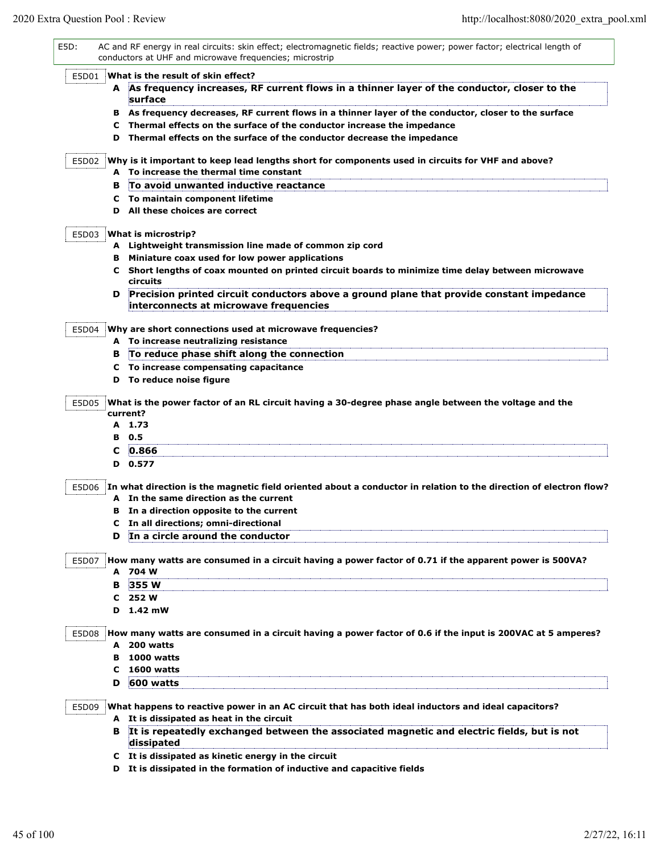| E5D: |        | AC and RF energy in real circuits: skin effect; electromagnetic fields; reactive power; power factor; electrical length of<br>conductors at UHF and microwave frequencies; microstrip |
|------|--------|---------------------------------------------------------------------------------------------------------------------------------------------------------------------------------------|
|      | E5D01  | What is the result of skin effect?                                                                                                                                                    |
|      |        | A As frequency increases, RF current flows in a thinner layer of the conductor, closer to the<br>surface                                                                              |
|      |        | B As frequency decreases, RF current flows in a thinner layer of the conductor, closer to the surface                                                                                 |
|      | C      | Thermal effects on the surface of the conductor increase the impedance                                                                                                                |
|      | D      | Thermal effects on the surface of the conductor decrease the impedance                                                                                                                |
|      | E5D02  | Why is it important to keep lead lengths short for components used in circuits for VHF and above?                                                                                     |
|      | A      | To increase the thermal time constant                                                                                                                                                 |
|      | в      | To avoid unwanted inductive reactance                                                                                                                                                 |
|      | C<br>D | To maintain component lifetime<br>All these choices are correct                                                                                                                       |
|      |        |                                                                                                                                                                                       |
|      | E5D03  | What is microstrip?                                                                                                                                                                   |
|      |        | A Lightweight transmission line made of common zip cord                                                                                                                               |
|      |        | <b>B</b> Miniature coax used for low power applications                                                                                                                               |
|      |        | C Short lengths of coax mounted on printed circuit boards to minimize time delay between microwave                                                                                    |
|      |        | circuits                                                                                                                                                                              |
|      | D      | Precision printed circuit conductors above a ground plane that provide constant impedance                                                                                             |
|      |        | interconnects at microwave frequencies                                                                                                                                                |
|      |        |                                                                                                                                                                                       |
|      | E5D04  | Why are short connections used at microwave frequencies?<br>A To increase neutralizing resistance                                                                                     |
|      | в      | To reduce phase shift along the connection                                                                                                                                            |
|      | C      | To increase compensating capacitance                                                                                                                                                  |
|      |        | D To reduce noise figure                                                                                                                                                              |
|      |        |                                                                                                                                                                                       |
|      | E5D05  | What is the power factor of an RL circuit having a 30-degree phase angle between the voltage and the                                                                                  |
|      |        | current?                                                                                                                                                                              |
|      |        | A 1.73                                                                                                                                                                                |
|      |        | B 0.5                                                                                                                                                                                 |
|      | c      | 0.866                                                                                                                                                                                 |
|      | D      | 0.577                                                                                                                                                                                 |
|      |        |                                                                                                                                                                                       |
|      | E5D06  | In what direction is the magnetic field oriented about a conductor in relation to the direction of electron flow?<br>A In the same direction as the current                           |
|      |        | <b>B</b> In a direction opposite to the current                                                                                                                                       |
|      |        | In all directions; omni-directional                                                                                                                                                   |
|      | D      | In a circle around the conductor                                                                                                                                                      |
|      |        |                                                                                                                                                                                       |
|      | E5D07  | How many watts are consumed in a circuit having a power factor of 0.71 if the apparent power is 500VA?<br>A 704 W                                                                     |
|      | в      | 355 W                                                                                                                                                                                 |
|      | C      | 252 W                                                                                                                                                                                 |
|      |        | $D$ 1.42 mW                                                                                                                                                                           |
|      |        |                                                                                                                                                                                       |
|      | E5D08  | How many watts are consumed in a circuit having a power factor of 0.6 if the input is 200VAC at 5 amperes?                                                                            |
|      | A      | 200 watts                                                                                                                                                                             |
|      | в      | 1000 watts                                                                                                                                                                            |
|      | C      | 1600 watts                                                                                                                                                                            |
|      | D      | 600 watts                                                                                                                                                                             |
|      | E5D09  | What happens to reactive power in an AC circuit that has both ideal inductors and ideal capacitors?                                                                                   |
|      |        | A It is dissipated as heat in the circuit                                                                                                                                             |
|      | в      | It is repeatedly exchanged between the associated magnetic and electric fields, but is not<br>dissipated                                                                              |
|      |        | C It is dissipated as kinetic energy in the circuit                                                                                                                                   |
|      |        | D It is dissipated in the formation of inductive and capacitive fields                                                                                                                |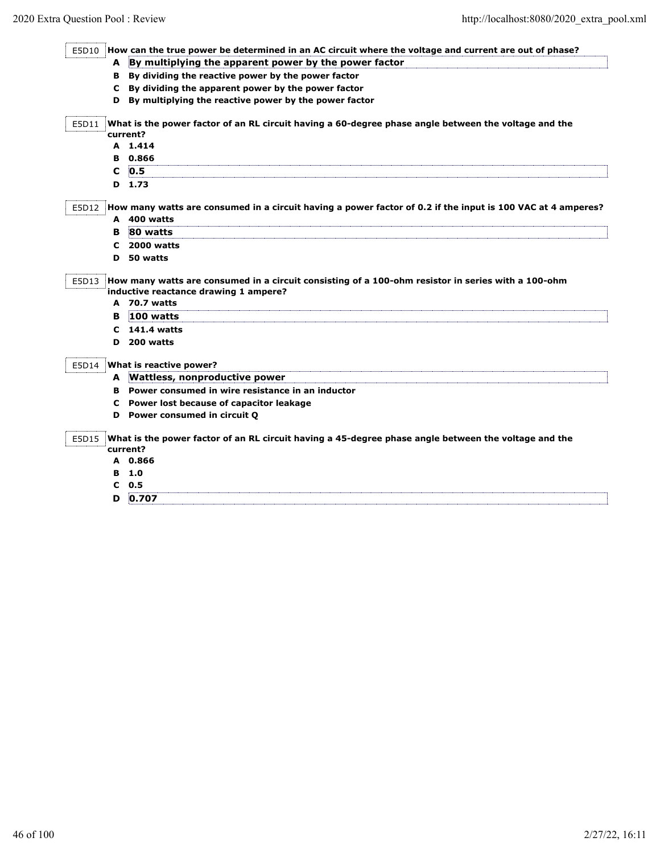| E5D10      | How can the true power be determined in an AC circuit where the voltage and current are out of phase?                        |
|------------|------------------------------------------------------------------------------------------------------------------------------|
|            | A By multiplying the apparent power by the power factor                                                                      |
|            | B By dividing the reactive power by the power factor                                                                         |
| C          | By dividing the apparent power by the power factor                                                                           |
|            | D By multiplying the reactive power by the power factor                                                                      |
| E5D11      | What is the power factor of an RL circuit having a 60-degree phase angle between the voltage and the                         |
|            | current?<br>A 1.414                                                                                                          |
|            | B 0.866                                                                                                                      |
| C          | 0.5                                                                                                                          |
|            |                                                                                                                              |
|            | $D$ 1.73                                                                                                                     |
| E5D12      | How many watts are consumed in a circuit having a power factor of 0.2 if the input is 100 VAC at 4 amperes?                  |
|            | A 400 watts                                                                                                                  |
| в          | 80 watts                                                                                                                     |
|            |                                                                                                                              |
| C          |                                                                                                                              |
| D<br>E5D13 | 2000 watts<br>50 watts<br>How many watts are consumed in a circuit consisting of a 100-ohm resistor in series with a 100-ohm |
|            | inductive reactance drawing 1 ampere?<br>A 70.7 watts                                                                        |
| в          | 100 watts                                                                                                                    |
| C          | <b>141.4 watts</b>                                                                                                           |
| D          | 200 watts                                                                                                                    |
| E5D14      | What is reactive power?                                                                                                      |
| A          | Wattless, nonproductive power                                                                                                |
|            | B Power consumed in wire resistance in an inductor                                                                           |
| c          | Power lost because of capacitor leakage                                                                                      |
|            | D Power consumed in circuit Q                                                                                                |
|            |                                                                                                                              |
| E5D15      | What is the power factor of an RL circuit having a 45-degree phase angle between the voltage and the<br>current?             |
|            | A 0.866                                                                                                                      |
| в          | 1.0                                                                                                                          |
| c          | 0.5                                                                                                                          |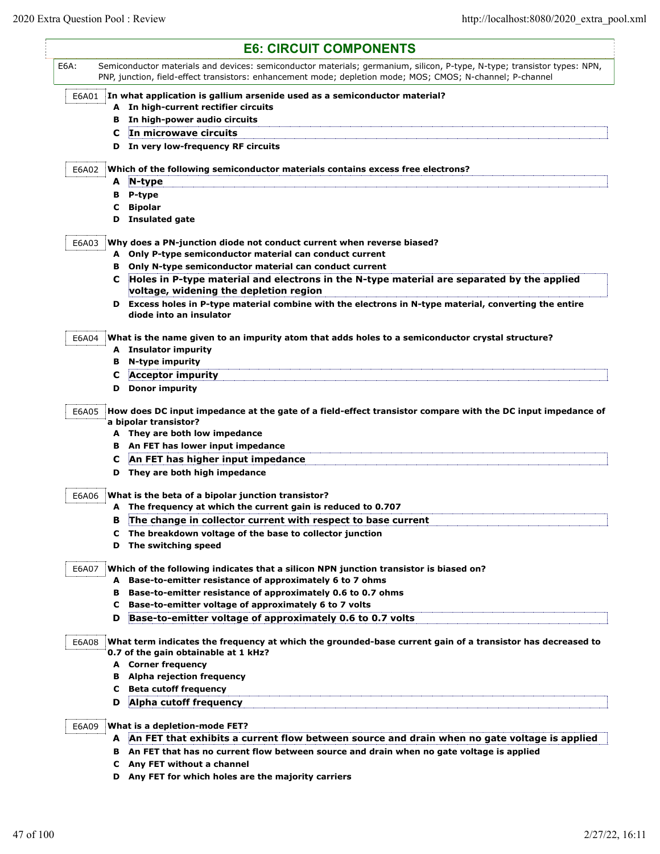L

|       |   | <b>E6: CIRCUIT COMPONENTS</b>                                                                                            |
|-------|---|--------------------------------------------------------------------------------------------------------------------------|
| E6A:  |   | Semiconductor materials and devices: semiconductor materials; germanium, silicon, P-type, N-type; transistor types: NPN, |
|       |   | PNP, junction, field-effect transistors: enhancement mode; depletion mode; MOS; CMOS; N-channel; P-channel               |
| E6A01 |   | In what application is gallium arsenide used as a semiconductor material?                                                |
|       |   | A In high-current rectifier circuits                                                                                     |
|       | в | In high-power audio circuits                                                                                             |
|       | c | In microwave circuits                                                                                                    |
|       |   | D In very low-frequency RF circuits                                                                                      |
|       |   |                                                                                                                          |
| E6A02 |   | Which of the following semiconductor materials contains excess free electrons?                                           |
|       | A | N-type                                                                                                                   |
|       | в | P-type                                                                                                                   |
|       | с | <b>Bipolar</b>                                                                                                           |
|       | D | Insulated gate                                                                                                           |
| E6A03 |   | Why does a PN-junction diode not conduct current when reverse biased?                                                    |
|       |   | A Only P-type semiconductor material can conduct current                                                                 |
|       |   | <b>B</b> Only N-type semiconductor material can conduct current                                                          |
|       | C | Holes in P-type material and electrons in the N-type material are separated by the applied                               |
|       |   | voltage, widening the depletion region                                                                                   |
|       |   | D Excess holes in P-type material combine with the electrons in N-type material, converting the entire                   |
|       |   | diode into an insulator                                                                                                  |
|       |   |                                                                                                                          |
| E6A04 |   | What is the name given to an impurity atom that adds holes to a semiconductor crystal structure?                         |
|       |   | A Insulator impurity                                                                                                     |
|       | в | N-type impurity                                                                                                          |
|       | с | <b>Acceptor impurity</b>                                                                                                 |
|       | D | <b>Donor impurity</b>                                                                                                    |
|       |   | How does DC input impedance at the gate of a field-effect transistor compare with the DC input impedance of              |
| E6A05 |   | a bipolar transistor?                                                                                                    |
|       |   | A They are both low impedance                                                                                            |
|       | в | An FET has lower input impedance                                                                                         |
|       | с | An FET has higher input impedance                                                                                        |
|       |   | D They are both high impedance                                                                                           |
|       |   |                                                                                                                          |
| E6A06 |   | What is the beta of a bipolar junction transistor?                                                                       |
|       |   | A The frequency at which the current gain is reduced to 0.707                                                            |
|       | в | The change in collector current with respect to base current                                                             |
|       | C | The breakdown voltage of the base to collector junction                                                                  |
|       |   | D The switching speed                                                                                                    |
|       |   |                                                                                                                          |
| E6A07 |   | Which of the following indicates that a silicon NPN junction transistor is biased on?                                    |
|       |   | A Base-to-emitter resistance of approximately 6 to 7 ohms                                                                |
|       |   | B Base-to-emitter resistance of approximately 0.6 to 0.7 ohms                                                            |
|       | C | Base-to-emitter voltage of approximately 6 to 7 volts                                                                    |
|       | D | Base-to-emitter voltage of approximately 0.6 to 0.7 volts                                                                |
|       |   |                                                                                                                          |
| E6A08 |   | What term indicates the frequency at which the grounded-base current gain of a transistor has decreased to               |
|       |   | 0.7 of the gain obtainable at 1 kHz?                                                                                     |
|       |   | A Corner frequency                                                                                                       |
|       |   | <b>B</b> Alpha rejection frequency                                                                                       |
|       | C | <b>Beta cutoff frequency</b>                                                                                             |
|       | D | Alpha cutoff frequency                                                                                                   |
| E6A09 |   | What is a depletion-mode FET?                                                                                            |
|       | A | An FET that exhibits a current flow between source and drain when no gate voltage is applied                             |
|       |   | B An FET that has no current flow between source and drain when no gate voltage is applied                               |
|       |   | C Any FET without a channel                                                                                              |
|       |   |                                                                                                                          |

**D Any FET for which holes are the majority carriers**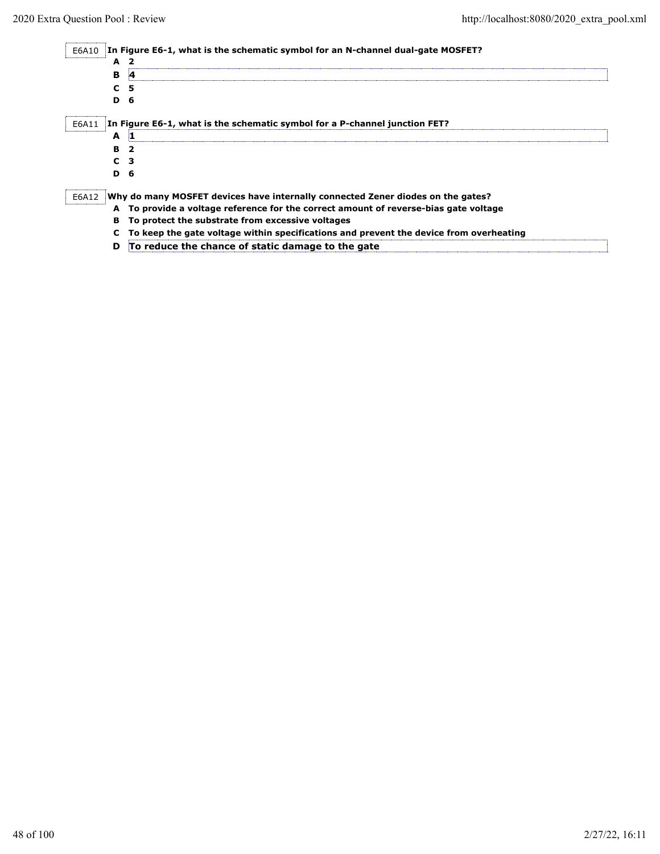| E6A10 |                | In Figure E6-1, what is the schematic symbol for an N-channel dual-gate MOSFET?        |
|-------|----------------|----------------------------------------------------------------------------------------|
|       | A              | - 2                                                                                    |
|       | в              | $\boldsymbol{A}$                                                                       |
|       | C.             | 5                                                                                      |
|       | D <sub>6</sub> |                                                                                        |
| E6A11 |                | In Figure E6-1, what is the schematic symbol for a P-channel junction FET?             |
|       | A              | Ю                                                                                      |
|       | в.             | 2                                                                                      |
|       | C.             | 3                                                                                      |
|       | D 6            |                                                                                        |
| E6A12 |                | Why do many MOSFET devices have internally connected Zener diodes on the gates?        |
|       | A              | To provide a voltage reference for the correct amount of reverse-bias gate voltage     |
|       | в              | To protect the substrate from excessive voltages                                       |
|       |                | To keep the gate voltage within specifications and prevent the device from overheating |

**D To reduce the chance of static damage to the gate**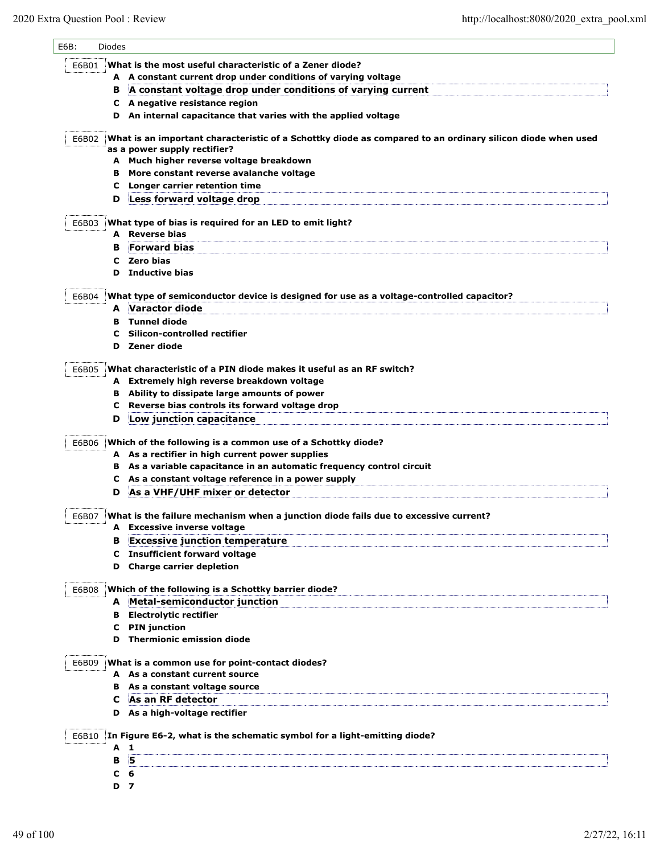| E6B:  | <b>Diodes</b>                                                                                              |
|-------|------------------------------------------------------------------------------------------------------------|
| E6B01 | What is the most useful characteristic of a Zener diode?                                                   |
|       | A A constant current drop under conditions of varying voltage                                              |
|       | A constant voltage drop under conditions of varying current<br>в                                           |
|       | A negative resistance region<br>c                                                                          |
|       | D An internal capacitance that varies with the applied voltage                                             |
|       |                                                                                                            |
| E6B02 | What is an important characteristic of a Schottky diode as compared to an ordinary silicon diode when used |
|       | as a power supply rectifier?                                                                               |
|       | A Much higher reverse voltage breakdown                                                                    |
|       | More constant reverse avalanche voltage<br>в                                                               |
|       | <b>Longer carrier retention time</b><br>c                                                                  |
|       | Less forward voltage drop<br>D                                                                             |
|       |                                                                                                            |
| E6B03 | What type of bias is required for an LED to emit light?                                                    |
|       | A Reverse bias                                                                                             |
|       | <b>Forward bias</b><br>в                                                                                   |
|       | C Zero bias                                                                                                |
|       | <b>D</b> Inductive bias                                                                                    |
|       |                                                                                                            |
| E6B04 | What type of semiconductor device is designed for use as a voltage-controlled capacitor?                   |
|       | <b>A</b> Varactor diode                                                                                    |
|       | Tunnel diode<br>в                                                                                          |
|       | Silicon-controlled rectifier<br>C                                                                          |
|       | D Zener diode                                                                                              |
|       | What characteristic of a PIN diode makes it useful as an RF switch?                                        |
| E6B05 | A Extremely high reverse breakdown voltage                                                                 |
|       | Ability to dissipate large amounts of power<br>в                                                           |
|       | Reverse bias controls its forward voltage drop<br>C                                                        |
|       | D<br>Low junction capacitance                                                                              |
|       |                                                                                                            |
| E6B06 | Which of the following is a common use of a Schottky diode?                                                |
|       | A As a rectifier in high current power supplies                                                            |
|       | B As a variable capacitance in an automatic frequency control circuit                                      |
|       | As a constant voltage reference in a power supply<br>C                                                     |
|       | As a VHF/UHF mixer or detector<br>D                                                                        |
|       |                                                                                                            |
| E6B07 | What is the failure mechanism when a junction diode fails due to excessive current?                        |
|       | <b>Excessive inverse voltage</b><br>A                                                                      |
|       | <b>Excessive junction temperature</b><br>в                                                                 |
|       | <b>Insufficient forward voltage</b><br>c                                                                   |
|       | D Charge carrier depletion                                                                                 |
|       |                                                                                                            |
| E6B08 | Which of the following is a Schottky barrier diode?                                                        |
|       | Metal-semiconductor junction<br>A                                                                          |
|       | <b>B</b> Electrolytic rectifier                                                                            |
|       | <b>PIN</b> junction<br>c                                                                                   |
|       | D Thermionic emission diode                                                                                |
|       |                                                                                                            |
| E6B09 | What is a common use for point-contact diodes?                                                             |
|       | A As a constant current source                                                                             |
|       | <b>B</b> As a constant voltage source                                                                      |
|       | As an RF detector<br>c                                                                                     |
|       | D As a high-voltage rectifier                                                                              |
|       | In Figure E6-2, what is the schematic symbol for a light-emitting diode?                                   |
| E6B10 | A<br>-1                                                                                                    |
|       | 5<br>в                                                                                                     |
|       |                                                                                                            |
|       | C<br>- 6<br>D 7                                                                                            |
|       |                                                                                                            |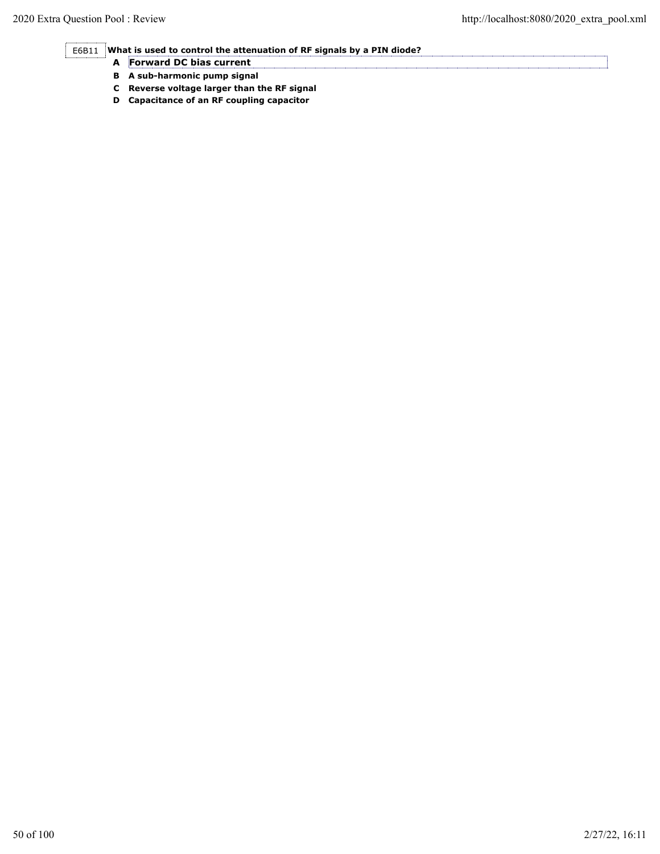E6B11 **What is used to control the attenuation of RF signals by a PIN diode?**

- **A Forward DC bias current**
- **B A sub-harmonic pump signal**
- **C Reverse voltage larger than the RF signal**
- **D Capacitance of an RF coupling capacitor**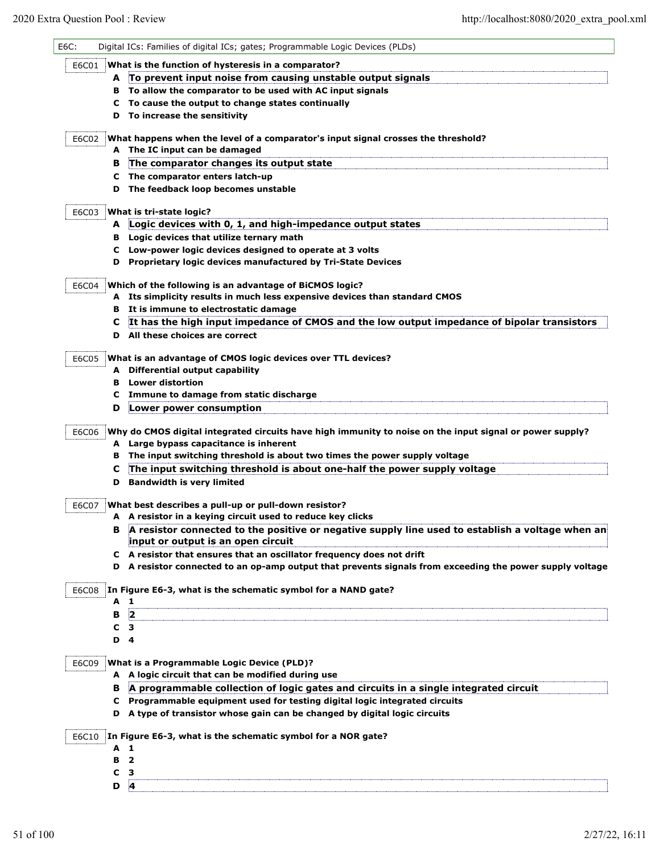| E6C:  | Digital ICs: Families of digital ICs; gates; Programmable Logic Devices (PLDs)                              |
|-------|-------------------------------------------------------------------------------------------------------------|
|       | E6C01 What is the function of hysteresis in a comparator?                                                   |
|       | A To prevent input noise from causing unstable output signals                                               |
|       | B To allow the comparator to be used with AC input signals                                                  |
|       | C To cause the output to change states continually                                                          |
|       | D To increase the sensitivity                                                                               |
| E6C02 | What happens when the level of a comparator's input signal crosses the threshold?                           |
|       | A The IC input can be damaged                                                                               |
| в     | The comparator changes its output state                                                                     |
|       | C The comparator enters latch-up                                                                            |
| D     | The feedback loop becomes unstable                                                                          |
| E6C03 | What is tri-state logic?                                                                                    |
|       | A Logic devices with 0, 1, and high-impedance output states                                                 |
|       | B Logic devices that utilize ternary math                                                                   |
|       | C Low-power logic devices designed to operate at 3 volts                                                    |
|       | D Proprietary logic devices manufactured by Tri-State Devices                                               |
| E6C04 | Which of the following is an advantage of BiCMOS logic?                                                     |
|       | A Its simplicity results in much less expensive devices than standard CMOS                                  |
|       | <b>B</b> It is immune to electrostatic damage                                                               |
| C     | It has the high input impedance of CMOS and the low output impedance of bipolar transistors                 |
|       | D All these choices are correct                                                                             |
| E6C05 | What is an advantage of CMOS logic devices over TTL devices?                                                |
|       | A Differential output capability                                                                            |
|       | <b>B</b> Lower distortion                                                                                   |
| c     | Immune to damage from static discharge                                                                      |
| D     | Lower power consumption                                                                                     |
| E6C06 | Why do CMOS digital integrated circuits have high immunity to noise on the input signal or power supply?    |
|       | A Large bypass capacitance is inherent                                                                      |
|       | B The input switching threshold is about two times the power supply voltage                                 |
| С     | The input switching threshold is about one-half the power supply voltage                                    |
|       | D Bandwidth is very limited                                                                                 |
| E6C07 | What best describes a pull-up or pull-down resistor?                                                        |
|       | A resistor in a keying circuit used to reduce key clicks                                                    |
| в     | A resistor connected to the positive or negative supply line used to establish a voltage when an            |
|       | input or output is an open circuit<br>C A resistor that ensures that an oscillator frequency does not drift |
|       | D A resistor connected to an op-amp output that prevents signals from exceeding the power supply voltage    |
|       |                                                                                                             |
|       | E6C08 In Figure E6-3, what is the schematic symbol for a NAND gate?                                         |
|       | A 1                                                                                                         |
| в     | $\vert$ 2                                                                                                   |
| С     | - 3                                                                                                         |
|       | $D$ 4                                                                                                       |
| E6C09 | What is a Programmable Logic Device (PLD)?                                                                  |
|       | A A logic circuit that can be modified during use                                                           |
|       | B A programmable collection of logic gates and circuits in a single integrated circuit                      |
|       | C Programmable equipment used for testing digital logic integrated circuits                                 |
|       | D A type of transistor whose gain can be changed by digital logic circuits                                  |
| E6C10 | In Figure E6-3, what is the schematic symbol for a NOR gate?                                                |
|       | A 1                                                                                                         |
| в     | $\mathbf{2}$                                                                                                |
| с     | - 3                                                                                                         |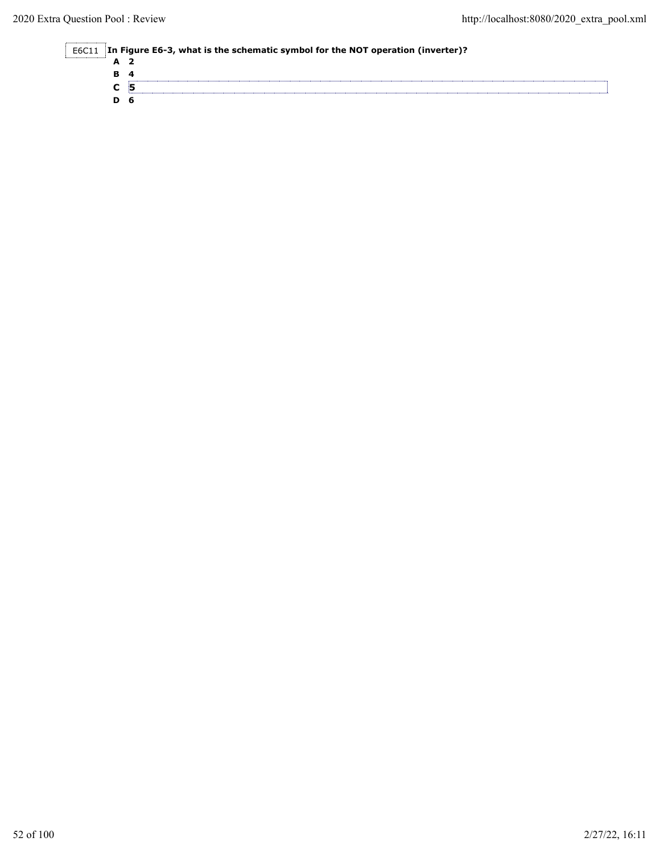#### E6C11 **In Figure E6-3, what is the schematic symbol for the NOT operation (inverter)?**

| . | A |          |
|---|---|----------|
|   | в | Δ        |
|   |   | æ<br>. . |
|   | D | n        |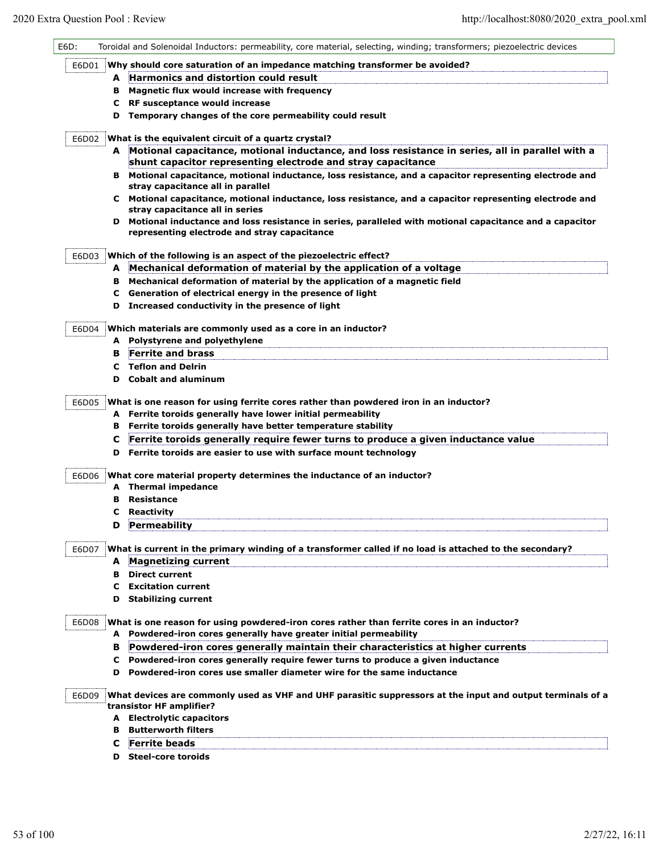| E6D: |       |   | Toroidal and Solenoidal Inductors: permeability, core material, selecting, winding; transformers; piezoelectric devices                                   |
|------|-------|---|-----------------------------------------------------------------------------------------------------------------------------------------------------------|
|      | E6D01 |   | Why should core saturation of an impedance matching transformer be avoided?                                                                               |
|      |       | A | <b>Harmonics and distortion could result</b>                                                                                                              |
|      |       | в | Magnetic flux would increase with frequency                                                                                                               |
|      |       | C | RF susceptance would increase                                                                                                                             |
|      |       | D | Temporary changes of the core permeability could result                                                                                                   |
|      | E6D02 |   | What is the equivalent circuit of a quartz crystal?                                                                                                       |
|      |       | A | Motional capacitance, motional inductance, and loss resistance in series, all in parallel with a                                                          |
|      |       |   | shunt capacitor representing electrode and stray capacitance                                                                                              |
|      |       | В | Motional capacitance, motional inductance, loss resistance, and a capacitor representing electrode and<br>stray capacitance all in parallel               |
|      |       |   | C Motional capacitance, motional inductance, loss resistance, and a capacitor representing electrode and<br>stray capacitance all in series               |
|      |       |   | D Motional inductance and loss resistance in series, paralleled with motional capacitance and a capacitor<br>representing electrode and stray capacitance |
|      | E6D03 |   | Which of the following is an aspect of the piezoelectric effect?                                                                                          |
|      |       | A | Mechanical deformation of material by the application of a voltage                                                                                        |
|      |       | B | Mechanical deformation of material by the application of a magnetic field                                                                                 |
|      |       | C | Generation of electrical energy in the presence of light                                                                                                  |
|      |       |   | D Increased conductivity in the presence of light                                                                                                         |
|      | E6D04 |   | Which materials are commonly used as a core in an inductor?                                                                                               |
|      |       |   | A Polystyrene and polyethylene                                                                                                                            |
|      |       | в | <b>Ferrite and brass</b>                                                                                                                                  |
|      |       | C | <b>Teflon and Delrin</b>                                                                                                                                  |
|      |       | D | <b>Cobalt and aluminum</b>                                                                                                                                |
|      | E6D05 |   | What is one reason for using ferrite cores rather than powdered iron in an inductor?                                                                      |
|      |       |   | A Ferrite toroids generally have lower initial permeability                                                                                               |
|      |       |   | B Ferrite toroids generally have better temperature stability                                                                                             |
|      |       | C | Ferrite toroids generally require fewer turns to produce a given inductance value                                                                         |
|      |       | D | Ferrite toroids are easier to use with surface mount technology                                                                                           |
|      | E6D06 |   | What core material property determines the inductance of an inductor?                                                                                     |
|      |       |   | A Thermal impedance                                                                                                                                       |
|      |       | в | Resistance                                                                                                                                                |
|      |       | с | Reactivity                                                                                                                                                |
|      |       | D | Permeability                                                                                                                                              |
|      | E6D07 |   | What is current in the primary winding of a transformer called if no load is attached to the secondary?                                                   |
|      |       | A | <b>Magnetizing current</b>                                                                                                                                |
|      |       |   | <b>B</b> Direct current                                                                                                                                   |
|      |       |   | <b>C</b> Excitation current                                                                                                                               |
|      |       |   | <b>D</b> Stabilizing current                                                                                                                              |
|      | E6D08 |   | What is one reason for using powdered-iron cores rather than ferrite cores in an inductor?                                                                |
|      |       |   | A Powdered-iron cores generally have greater initial permeability                                                                                         |
|      |       | в | Powdered-iron cores generally maintain their characteristics at higher currents                                                                           |
|      |       |   | C Powdered-iron cores generally require fewer turns to produce a given inductance                                                                         |
|      |       | D | Powdered-iron cores use smaller diameter wire for the same inductance                                                                                     |
|      | E6D09 |   | What devices are commonly used as VHF and UHF parasitic suppressors at the input and output terminals of a                                                |
|      |       |   | transistor HF amplifier?                                                                                                                                  |
|      |       |   | A Electrolytic capacitors                                                                                                                                 |
|      |       |   | <b>B</b> Butterworth filters                                                                                                                              |
|      |       | C | <b>Ferrite beads</b>                                                                                                                                      |
|      |       | D | <b>Steel-core toroids</b>                                                                                                                                 |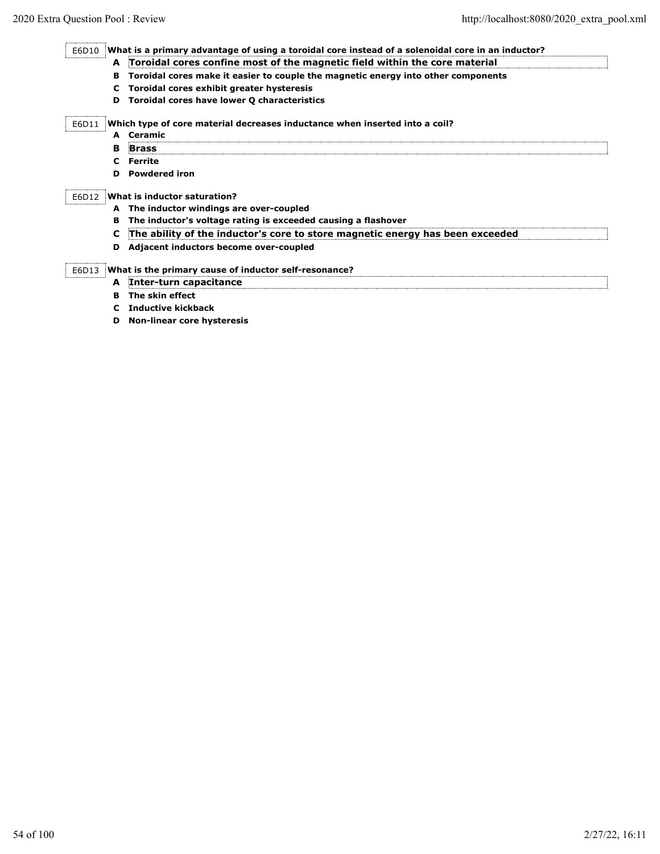E6D10 **What is a primary advantage of using a toroidal core instead of a solenoidal core in an inductor?**

- **A Toroidal cores confine most of the magnetic field within the core material**
- **B Toroidal cores make it easier to couple the magnetic energy into other components**
- **C Toroidal cores exhibit greater hysteresis**
- **D Toroidal cores have lower Q characteristics**

#### E6D11 **Which type of core material decreases inductance when inserted into a coil?**

## **A Ceramic**

- **B Brass**
- **C Ferrite**
- **D Powdered iron**

## E6D12 **What is inductor saturation?**

- **A The inductor windings are over-coupled**
- **B The inductor's voltage rating is exceeded causing a flashover**
- **C The ability of the inductor's core to store magnetic energy has been exceeded**
- **D Adjacent inductors become over-coupled**

## E6D13 **What is the primary cause of inductor self-resonance?**

- **A Inter-turn capacitance**
- **B The skin effect**
- **C Inductive kickback**
- **D Non-linear core hysteresis**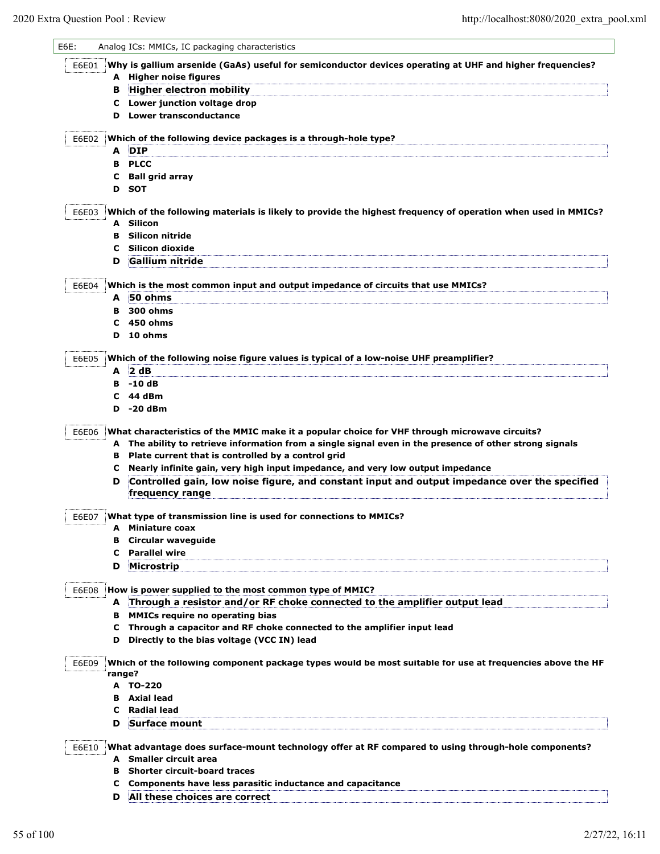E6E: Analog ICs: MMICs, IC packaging characteristics E6E01 **A Higher noise figures B Higher electron mobility C Lower junction voltage drop D Lower transconductance Why is gallium arsenide (GaAs) useful for semiconductor devices operating at UHF and higher frequencies?** E6E02 **A DIP B PLCC C Ball grid array D SOT Which of the following device packages is a through-hole type?** E6E03 **Which of the following materials is likely to provide the highest frequency of operation when used in MMICs? A Silicon B Silicon nitride C Silicon dioxide D Gallium nitride** E6E04 **A 50 ohms B 300 ohms C 450 ohms D 10 ohms Which is the most common input and output impedance of circuits that use MMICs?** E6E05 **A 2 dB B -10 dB C 44 dBm D -20 dBm Which of the following noise figure values is typical of a low-noise UHF preamplifier?** E6E06 **A The ability to retrieve information from a single signal even in the presence of other strong signals B Plate current that is controlled by a control grid C Nearly infinite gain, very high input impedance, and very low output impedance D Controlled gain, low noise figure, and constant input and output impedance over the specified frequency range What characteristics of the MMIC make it a popular choice for VHF through microwave circuits?** E6E07 **A Miniature coax B Circular waveguide C Parallel wire D Microstrip What type of transmission line is used for connections to MMICs?** E6E08 **A Through a resistor and/or RF choke connected to the amplifier output lead B MMICs require no operating bias C Through a capacitor and RF choke connected to the amplifier input lead D Directly to the bias voltage (VCC IN) lead How is power supplied to the most common type of MMIC?** E6E09 **A TO-220 B Axial lead C Radial lead D Surface mount Which of the following component package types would be most suitable for use at frequencies above the HF range?** E6E10 **What advantage does surface-mount technology offer at RF compared to using through-hole components? A Smaller circuit area B Shorter circuit-board traces C Components have less parasitic inductance and capacitance D All these choices are correct**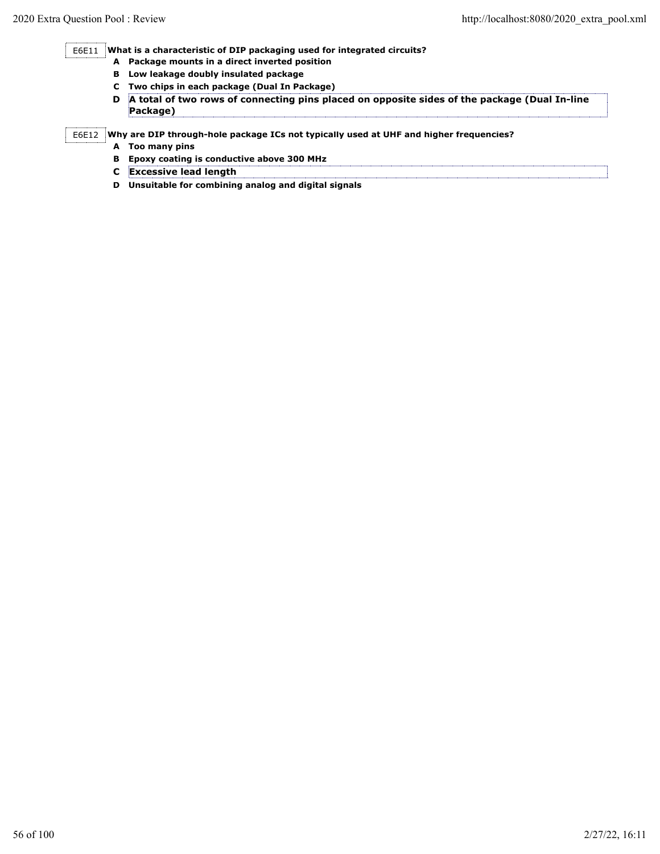E6E11 **What is a characteristic of DIP packaging used for integrated circuits?**

- **A Package mounts in a direct inverted position**
- **B Low leakage doubly insulated package**
- **C Two chips in each package (Dual In Package)**
- **D A total of two rows of connecting pins placed on opposite sides of the package (Dual In-line Package)**

E6E12 **Why are DIP through-hole package ICs not typically used at UHF and higher frequencies?**

- **A Too many pins**
- **B Epoxy coating is conductive above 300 MHz**
- **C Excessive lead length**
- **D Unsuitable for combining analog and digital signals**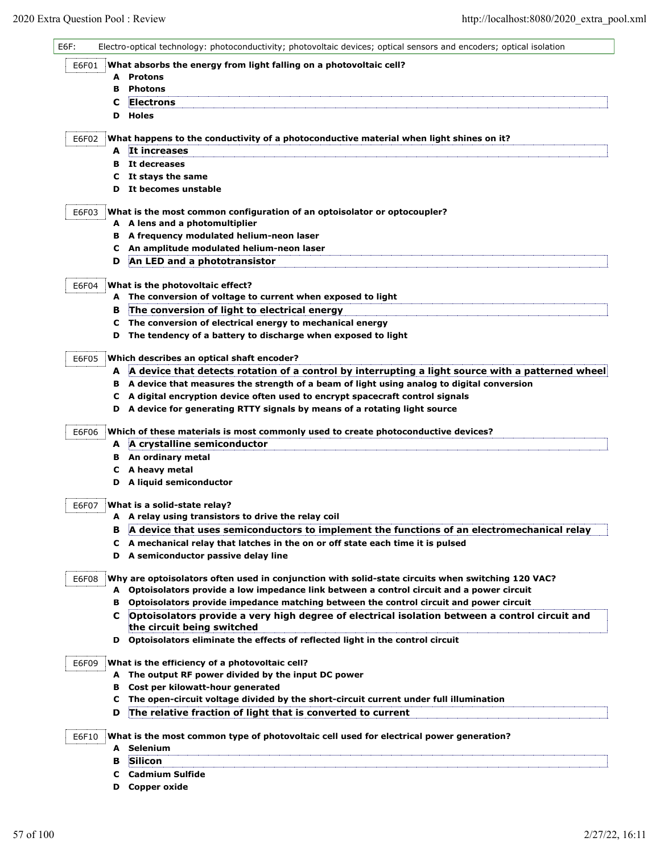|       | Electro-optical technology: photoconductivity; photovoltaic devices; optical sensors and encoders; optical isolation |                                                                                                     |
|-------|----------------------------------------------------------------------------------------------------------------------|-----------------------------------------------------------------------------------------------------|
| E6F01 |                                                                                                                      | What absorbs the energy from light falling on a photovoltaic cell?                                  |
|       |                                                                                                                      | A Protons                                                                                           |
|       | в                                                                                                                    | <b>Photons</b>                                                                                      |
|       | c                                                                                                                    | <b>Electrons</b>                                                                                    |
|       |                                                                                                                      | <b>D</b> Holes                                                                                      |
| E6F02 |                                                                                                                      | What happens to the conductivity of a photoconductive material when light shines on it?             |
|       |                                                                                                                      | A It increases                                                                                      |
|       | в                                                                                                                    | It decreases                                                                                        |
|       |                                                                                                                      | C It stays the same                                                                                 |
|       |                                                                                                                      | D It becomes unstable                                                                               |
| E6F03 |                                                                                                                      | What is the most common configuration of an optoisolator or optocoupler?                            |
|       |                                                                                                                      | A A lens and a photomultiplier                                                                      |
|       |                                                                                                                      | B A frequency modulated helium-neon laser                                                           |
|       |                                                                                                                      | C An amplitude modulated helium-neon laser                                                          |
|       | D                                                                                                                    | An LED and a phototransistor                                                                        |
|       |                                                                                                                      |                                                                                                     |
| E6F04 |                                                                                                                      | What is the photovoltaic effect?<br>A The conversion of voltage to current when exposed to light    |
|       | в                                                                                                                    | The conversion of light to electrical energy                                                        |
|       | C.                                                                                                                   | The conversion of electrical energy to mechanical energy                                            |
|       | D                                                                                                                    | The tendency of a battery to discharge when exposed to light                                        |
|       |                                                                                                                      |                                                                                                     |
| E6F05 |                                                                                                                      | Which describes an optical shaft encoder?                                                           |
|       |                                                                                                                      | A A device that detects rotation of a control by interrupting a light source with a patterned wheel |
|       |                                                                                                                      | B A device that measures the strength of a beam of light using analog to digital conversion         |
|       |                                                                                                                      | C A digital encryption device often used to encrypt spacecraft control signals                      |
|       |                                                                                                                      | D A device for generating RTTY signals by means of a rotating light source                          |
| E6F06 |                                                                                                                      | Which of these materials is most commonly used to create photoconductive devices?                   |
|       |                                                                                                                      | A A crystalline semiconductor                                                                       |
|       |                                                                                                                      | <b>B</b> An ordinary metal                                                                          |
|       | C.                                                                                                                   | A heavy metal                                                                                       |
|       |                                                                                                                      | D A liquid semiconductor                                                                            |
| E6F07 |                                                                                                                      | What is a solid-state relay?                                                                        |
|       |                                                                                                                      |                                                                                                     |
|       |                                                                                                                      | A A relay using transistors to drive the relay coil                                                 |
|       | в                                                                                                                    | A device that uses semiconductors to implement the functions of an electromechanical relay          |
|       |                                                                                                                      | C A mechanical relay that latches in the on or off state each time it is pulsed                     |
|       |                                                                                                                      | D A semiconductor passive delay line                                                                |
| E6F08 |                                                                                                                      | Why are optoisolators often used in conjunction with solid-state circuits when switching 120 VAC?   |
|       |                                                                                                                      | A Optoisolators provide a low impedance link between a control circuit and a power circuit          |
|       | в                                                                                                                    | Optoisolators provide impedance matching between the control circuit and power circuit              |
|       | C.                                                                                                                   | Optoisolators provide a very high degree of electrical isolation between a control circuit and      |
|       | D                                                                                                                    | the circuit being switched                                                                          |
|       |                                                                                                                      | Optoisolators eliminate the effects of reflected light in the control circuit                       |
| E6F09 |                                                                                                                      | What is the efficiency of a photovoltaic cell?                                                      |
|       |                                                                                                                      | A The output RF power divided by the input DC power                                                 |
|       | в                                                                                                                    | Cost per kilowatt-hour generated                                                                    |
|       | C.<br>D                                                                                                              | The open-circuit voltage divided by the short-circuit current under full illumination               |
|       |                                                                                                                      | The relative fraction of light that is converted to current                                         |
| E6F10 |                                                                                                                      | What is the most common type of photovoltaic cell used for electrical power generation?             |
|       |                                                                                                                      | A Selenium                                                                                          |
|       | в<br>c                                                                                                               | Silicon<br><b>Cadmium Sulfide</b>                                                                   |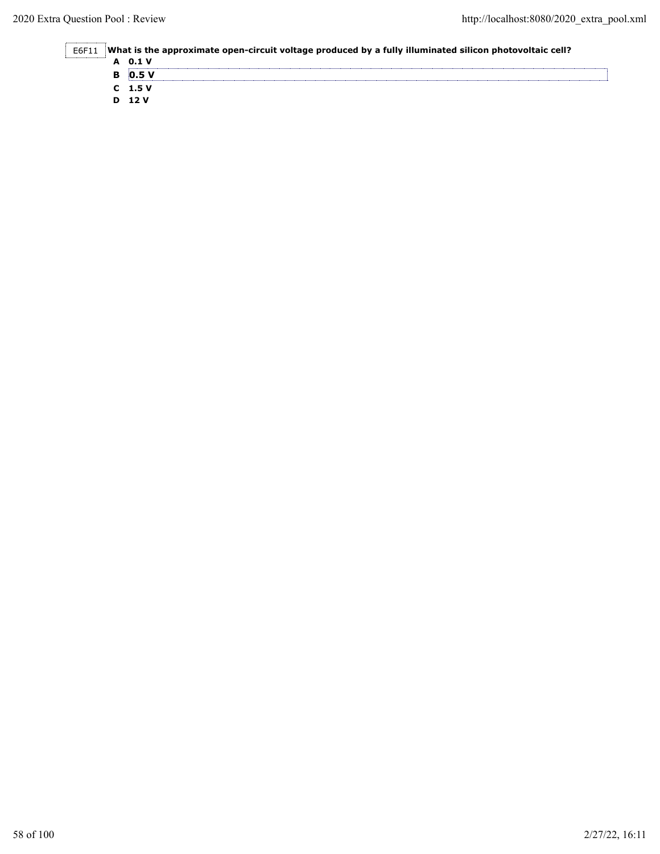E6F11 **What is the approximate open-circuit voltage produced by a fully illuminated silicon photovoltaic cell?**

| A 0.1 V           |
|-------------------|
| <b>B</b> 0.5 V    |
| C <sub>1.5V</sub> |
| D 12 V            |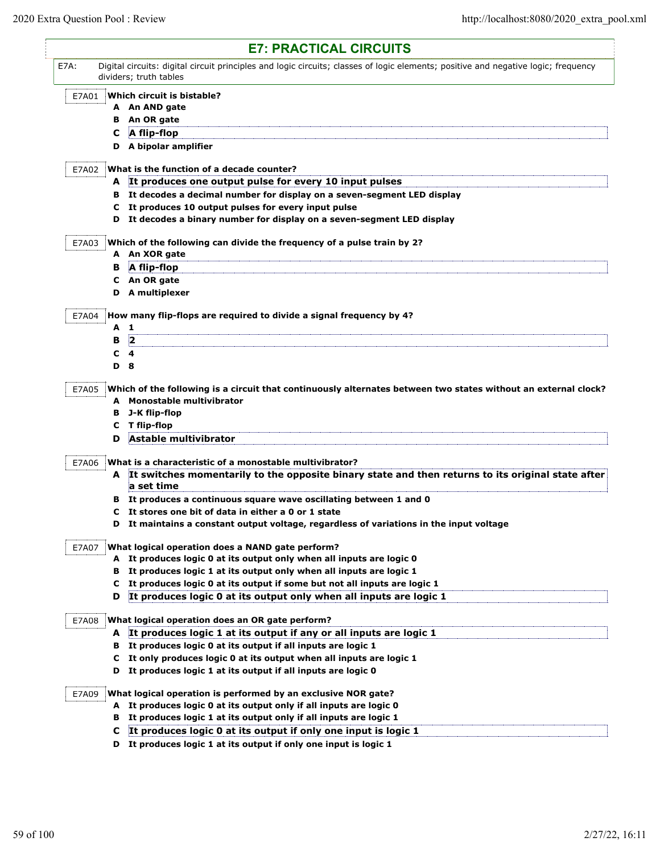L

|       |             | <b>E7: PRACTICAL CIRCUITS</b>                                                                                                                                                                         |
|-------|-------------|-------------------------------------------------------------------------------------------------------------------------------------------------------------------------------------------------------|
| E7A:  |             | Digital circuits: digital circuit principles and logic circuits; classes of logic elements; positive and negative logic; frequency<br>dividers; truth tables                                          |
| E7A01 |             | Which circuit is bistable?                                                                                                                                                                            |
|       |             | A An AND gate                                                                                                                                                                                         |
|       | в           | An OR gate                                                                                                                                                                                            |
|       | C           | A flip-flop                                                                                                                                                                                           |
|       |             | D A bipolar amplifier                                                                                                                                                                                 |
| E7A02 |             | What is the function of a decade counter?                                                                                                                                                             |
|       |             | A It produces one output pulse for every 10 input pulses                                                                                                                                              |
|       |             | B It decodes a decimal number for display on a seven-segment LED display                                                                                                                              |
|       | C           | It produces 10 output pulses for every input pulse                                                                                                                                                    |
|       |             | D It decodes a binary number for display on a seven-segment LED display                                                                                                                               |
| E7A03 |             | Which of the following can divide the frequency of a pulse train by 2?                                                                                                                                |
|       |             | A An XOR gate                                                                                                                                                                                         |
|       | в           | A flip-flop                                                                                                                                                                                           |
|       |             | C An OR gate<br>D A multiplexer                                                                                                                                                                       |
|       |             | How many flip-flops are required to divide a signal frequency by 4?                                                                                                                                   |
| E7A04 | A           | -1                                                                                                                                                                                                    |
|       | в           | $\mathbf{2}$                                                                                                                                                                                          |
|       | с           | 4                                                                                                                                                                                                     |
|       | <b>D</b> 8  |                                                                                                                                                                                                       |
| E7A05 | в<br>C<br>D | Which of the following is a circuit that continuously alternates between two states without an external clock?<br>A Monostable multivibrator<br>J-K flip-flop<br>T flip-flop<br>Astable multivibrator |
|       |             |                                                                                                                                                                                                       |
| E7A06 |             | What is a characteristic of a monostable multivibrator?                                                                                                                                               |
|       |             | A It switches momentarily to the opposite binary state and then returns to its original state after<br>a set time                                                                                     |
|       |             | B It produces a continuous square wave oscillating between 1 and 0                                                                                                                                    |
|       | C           | It stores one bit of data in either a 0 or 1 state                                                                                                                                                    |
|       |             | D It maintains a constant output voltage, regardless of variations in the input voltage                                                                                                               |
| E7A07 |             | What logical operation does a NAND gate perform?                                                                                                                                                      |
|       |             | A It produces logic 0 at its output only when all inputs are logic 0                                                                                                                                  |
|       | в           | It produces logic 1 at its output only when all inputs are logic 1                                                                                                                                    |
|       | C<br>D      | It produces logic 0 at its output if some but not all inputs are logic 1<br>It produces logic 0 at its output only when all inputs are logic 1                                                        |
| E7A08 |             | What logical operation does an OR gate perform?                                                                                                                                                       |
|       | A           | It produces logic 1 at its output if any or all inputs are logic 1                                                                                                                                    |
|       |             | It produces logic 0 at its output if all inputs are logic 1                                                                                                                                           |
|       | в<br>c      | It only produces logic 0 at its output when all inputs are logic 1                                                                                                                                    |
|       | D           | It produces logic 1 at its output if all inputs are logic 0                                                                                                                                           |
| E7A09 |             | What logical operation is performed by an exclusive NOR gate?                                                                                                                                         |
|       | A           | It produces logic 0 at its output only if all inputs are logic 0                                                                                                                                      |
|       | в           | It produces logic 1 at its output only if all inputs are logic 1                                                                                                                                      |
|       | c           | It produces logic 0 at its output if only one input is logic 1                                                                                                                                        |
|       | D           | It produces logic 1 at its output if only one input is logic 1                                                                                                                                        |
|       |             |                                                                                                                                                                                                       |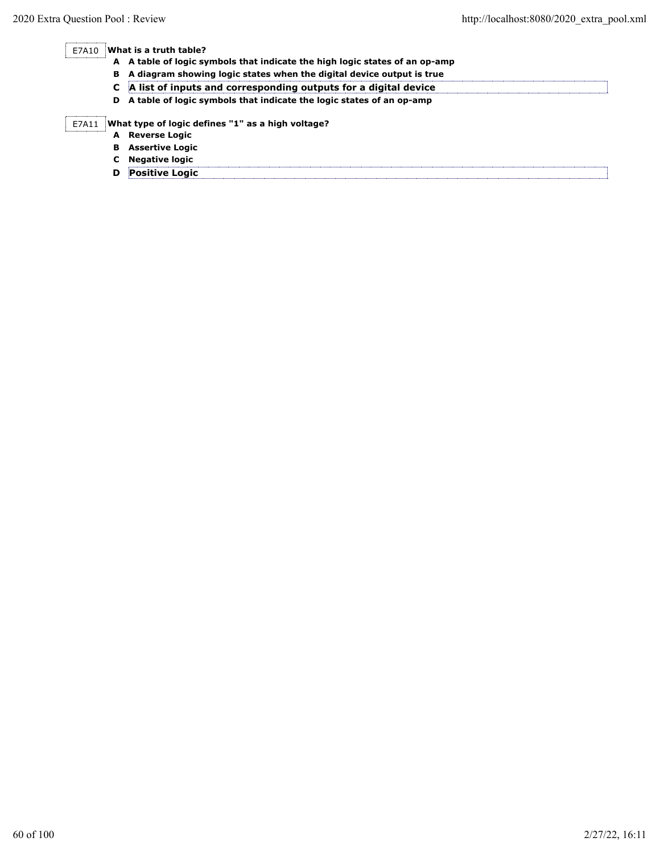#### E7A10 **What is a truth table?**

- **A A table of logic symbols that indicate the high logic states of an op-amp**
- **B A diagram showing logic states when the digital device output is true C A list of inputs and corresponding outputs for a digital device**
- **D A table of logic symbols that indicate the logic states of an op-amp**

## E7A11 **What type of logic defines "1" as a high voltage?**

- **A Reverse Logic**
	- **B Assertive Logic**

| C. | Negative logic        |
|----|-----------------------|
| D  | <b>Positive Logic</b> |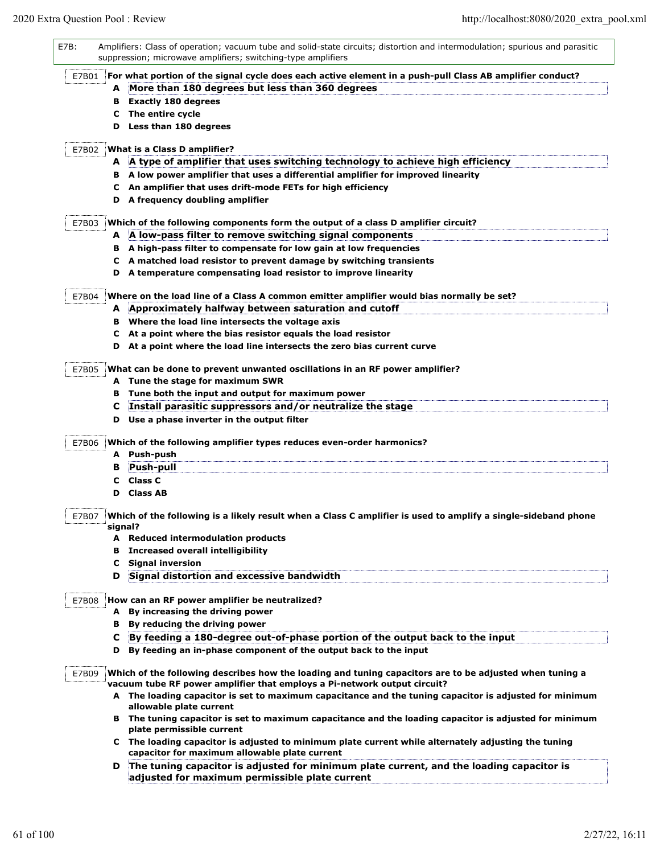| E7B:  | Amplifiers: Class of operation; vacuum tube and solid-state circuits; distortion and intermodulation; spurious and parasitic<br>suppression; microwave amplifiers; switching-type amplifiers |
|-------|----------------------------------------------------------------------------------------------------------------------------------------------------------------------------------------------|
| E7B01 | For what portion of the signal cycle does each active element in a push-pull Class AB amplifier conduct?                                                                                     |
|       | A More than 180 degrees but less than 360 degrees                                                                                                                                            |
|       | <b>B</b> Exactly 180 degrees                                                                                                                                                                 |
|       | C The entire cycle                                                                                                                                                                           |
|       | D Less than 180 degrees                                                                                                                                                                      |
| E7B02 | What is a Class D amplifier?                                                                                                                                                                 |
|       | A A type of amplifier that uses switching technology to achieve high efficiency                                                                                                              |
|       | B A low power amplifier that uses a differential amplifier for improved linearity                                                                                                            |
|       | C An amplifier that uses drift-mode FETs for high efficiency                                                                                                                                 |
|       | D A frequency doubling amplifier                                                                                                                                                             |
|       |                                                                                                                                                                                              |
| E7B03 | Which of the following components form the output of a class D amplifier circuit?                                                                                                            |
|       | A A low-pass filter to remove switching signal components                                                                                                                                    |
|       | B A high-pass filter to compensate for low gain at low frequencies                                                                                                                           |
|       | C A matched load resistor to prevent damage by switching transients                                                                                                                          |
|       | D A temperature compensating load resistor to improve linearity                                                                                                                              |
| E7B04 | Where on the load line of a Class A common emitter amplifier would bias normally be set?                                                                                                     |
|       | A Approximately halfway between saturation and cutoff                                                                                                                                        |
|       | B Where the load line intersects the voltage axis                                                                                                                                            |
|       | C At a point where the bias resistor equals the load resistor                                                                                                                                |
|       | D At a point where the load line intersects the zero bias current curve                                                                                                                      |
|       |                                                                                                                                                                                              |
| E7B05 | What can be done to prevent unwanted oscillations in an RF power amplifier?                                                                                                                  |
|       | A Tune the stage for maximum SWR                                                                                                                                                             |
|       | B Tune both the input and output for maximum power                                                                                                                                           |
|       | Install parasitic suppressors and/or neutralize the stage<br>C                                                                                                                               |
|       | D Use a phase inverter in the output filter                                                                                                                                                  |
| E7B06 | Which of the following amplifier types reduces even-order harmonics?                                                                                                                         |
|       | A Push-push                                                                                                                                                                                  |
|       | Push-pull<br>в                                                                                                                                                                               |
|       | <b>Class C</b><br>C                                                                                                                                                                          |
|       | <b>Class AB</b><br>D                                                                                                                                                                         |
| E7B07 | Which of the following is a likely result when a Class C amplifier is used to amplify a single-sideband phone<br>signal?                                                                     |
|       | A Reduced intermodulation products                                                                                                                                                           |
|       | <b>B</b> Increased overall intelligibility                                                                                                                                                   |
|       | <b>Signal inversion</b><br>C                                                                                                                                                                 |
|       | Signal distortion and excessive bandwidth<br>D                                                                                                                                               |
| E7B08 | How can an RF power amplifier be neutralized?                                                                                                                                                |
|       | By increasing the driving power<br>A                                                                                                                                                         |
|       | By reducing the driving power<br>в                                                                                                                                                           |
|       |                                                                                                                                                                                              |
|       | By feeding a 180-degree out-of-phase portion of the output back to the input<br>C.                                                                                                           |
|       | By feeding an in-phase component of the output back to the input<br>D                                                                                                                        |
| E7B09 | Which of the following describes how the loading and tuning capacitors are to be adjusted when tuning a<br>vacuum tube RF power amplifier that employs a Pi-network output circuit?          |
|       | A The loading capacitor is set to maximum capacitance and the tuning capacitor is adjusted for minimum                                                                                       |
|       | allowable plate current<br>B The tuning capacitor is set to maximum capacitance and the loading capacitor is adjusted for minimum                                                            |
|       | plate permissible current<br>C The loading capacitor is adjusted to minimum plate current while alternately adjusting the tuning                                                             |
|       | capacitor for maximum allowable plate current                                                                                                                                                |
|       | The tuning capacitor is adjusted for minimum plate current, and the loading capacitor is<br>D<br>adjusted for maximum permissible plate current                                              |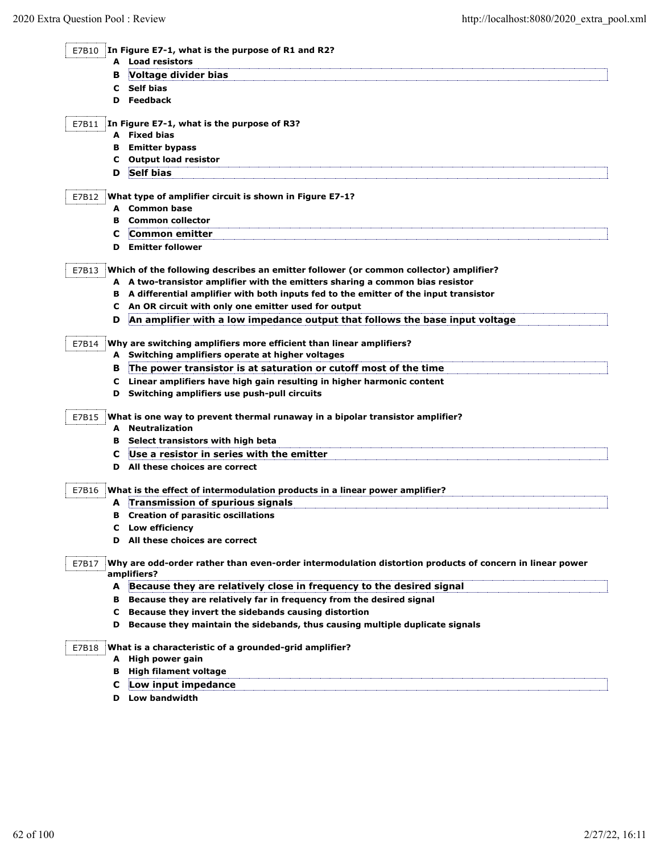| E7B10 | In Figure E7-1, what is the purpose of R1 and R2?                                                                        |
|-------|--------------------------------------------------------------------------------------------------------------------------|
|       | A Load resistors                                                                                                         |
| в     | Voltage divider bias                                                                                                     |
|       | C Self bias                                                                                                              |
|       | D Feedback                                                                                                               |
| E7B11 | In Figure E7-1, what is the purpose of R3?                                                                               |
|       | A Fixed bias                                                                                                             |
|       | <b>B</b> Emitter bypass                                                                                                  |
|       | C Output load resistor                                                                                                   |
|       | D Self bias                                                                                                              |
| E7B12 | What type of amplifier circuit is shown in Figure E7-1?                                                                  |
|       | A Common base                                                                                                            |
| в     | <b>Common collector</b>                                                                                                  |
| c     | <b>Common emitter</b>                                                                                                    |
| D     | <b>Emitter follower</b>                                                                                                  |
| E7B13 | Which of the following describes an emitter follower (or common collector) amplifier?                                    |
|       | A A two-transistor amplifier with the emitters sharing a common bias resistor                                            |
|       | B A differential amplifier with both inputs fed to the emitter of the input transistor                                   |
|       | C An OR circuit with only one emitter used for output                                                                    |
| D     | An amplifier with a low impedance output that follows the base input voltage                                             |
|       |                                                                                                                          |
| E7B14 | Why are switching amplifiers more efficient than linear amplifiers?<br>A Switching amplifiers operate at higher voltages |
|       | The power transistor is at saturation or cutoff most of the time                                                         |
| в     |                                                                                                                          |
|       | C Linear amplifiers have high gain resulting in higher harmonic content<br>D Switching amplifiers use push-pull circuits |
|       |                                                                                                                          |
| E7B15 | What is one way to prevent thermal runaway in a bipolar transistor amplifier?                                            |
|       | A Neutralization                                                                                                         |
|       | <b>B</b> Select transistors with high beta                                                                               |
| c     | Use a resistor in series with the emitter                                                                                |
| D     | All these choices are correct                                                                                            |
| E7B16 | What is the effect of intermodulation products in a linear power amplifier?                                              |
| A     | Transmission of spurious signals                                                                                         |
|       | <b>B</b> Creation of parasitic oscillations                                                                              |
| С     | Low efficiency                                                                                                           |
| D     | All these choices are correct                                                                                            |
| E7B17 | Why are odd-order rather than even-order intermodulation distortion products of concern in linear power<br>amplifiers?   |
|       | A Because they are relatively close in frequency to the desired signal                                                   |
|       | B Because they are relatively far in frequency from the desired signal                                                   |
|       | C Because they invert the sidebands causing distortion                                                                   |
|       | D Because they maintain the sidebands, thus causing multiple duplicate signals                                           |
| E7B18 | What is a characteristic of a grounded-grid amplifier?                                                                   |
|       | A High power gain                                                                                                        |
|       | <b>B</b> High filament voltage                                                                                           |
| C     | Low input impedance                                                                                                      |
|       | <b>D</b> Low bandwidth                                                                                                   |
|       |                                                                                                                          |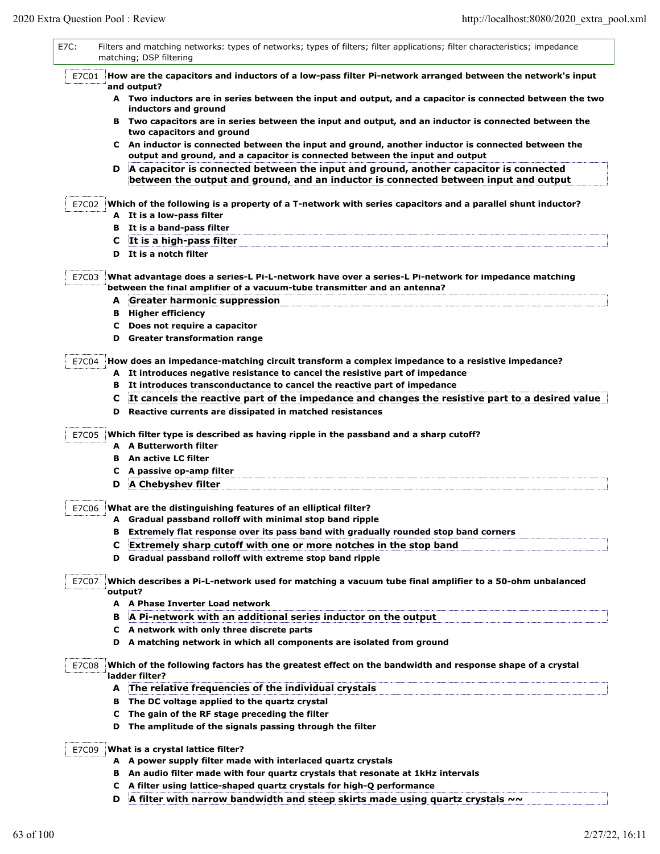| $E7C$ : | Filters and matching networks: types of networks; types of filters; filter applications; filter characteristics; impedance<br>matching; DSP filtering |
|---------|-------------------------------------------------------------------------------------------------------------------------------------------------------|
|         |                                                                                                                                                       |
| E7C01   | How are the capacitors and inductors of a low-pass filter Pi-network arranged between the network's input                                             |
|         | and output?                                                                                                                                           |
|         | A Two inductors are in series between the input and output, and a capacitor is connected between the two                                              |
|         | inductors and ground                                                                                                                                  |
|         | B Two capacitors are in series between the input and output, and an inductor is connected between the                                                 |
|         | two capacitors and ground                                                                                                                             |
|         | C An inductor is connected between the input and ground, another inductor is connected between the                                                    |
|         | output and ground, and a capacitor is connected between the input and output                                                                          |
|         | D A capacitor is connected between the input and ground, another capacitor is connected                                                               |
|         | between the output and ground, and an inductor is connected between input and output                                                                  |
|         |                                                                                                                                                       |
| E7C02   | Which of the following is a property of a T-network with series capacitors and a parallel shunt inductor?                                             |
|         | A It is a low-pass filter                                                                                                                             |
|         | <b>B</b> It is a band-pass filter                                                                                                                     |
| c       | It is a high-pass filter                                                                                                                              |
|         | D It is a notch filter                                                                                                                                |
|         |                                                                                                                                                       |
| E7C03   | What advantage does a series-L Pi-L-network have over a series-L Pi-network for impedance matching                                                    |
|         | between the final amplifier of a vacuum-tube transmitter and an antenna?                                                                              |
|         | A Greater harmonic suppression                                                                                                                        |
|         | <b>B</b> Higher efficiency                                                                                                                            |
| C.      | Does not require a capacitor                                                                                                                          |
|         | D Greater transformation range                                                                                                                        |
|         |                                                                                                                                                       |
| E7C04   | How does an impedance-matching circuit transform a complex impedance to a resistive impedance?                                                        |
|         | A It introduces negative resistance to cancel the resistive part of impedance                                                                         |
| в       | It introduces transconductance to cancel the reactive part of impedance                                                                               |
| c       | It cancels the reactive part of the impedance and changes the resistive part to a desired value                                                       |
| D       | Reactive currents are dissipated in matched resistances                                                                                               |
|         |                                                                                                                                                       |
| E7C05   | Which filter type is described as having ripple in the passband and a sharp cutoff?                                                                   |
|         | A A Butterworth filter                                                                                                                                |
|         | <b>B</b> An active LC filter                                                                                                                          |
| c       | A passive op-amp filter                                                                                                                               |
| D       | A Chebyshev filter                                                                                                                                    |
|         |                                                                                                                                                       |
| E7C06   | What are the distinguishing features of an elliptical filter?                                                                                         |
|         | Gradual passband rolloff with minimal stop band ripple                                                                                                |
|         | B Extremely flat response over its pass band with gradually rounded stop band corners                                                                 |
|         |                                                                                                                                                       |
| С       | Extremely sharp cutoff with one or more notches in the stop band                                                                                      |
| D       | Gradual passband rolloff with extreme stop band ripple                                                                                                |
|         |                                                                                                                                                       |
| E7C07   | Which describes a Pi-L-network used for matching a vacuum tube final amplifier to a 50-ohm unbalanced                                                 |
|         | output?                                                                                                                                               |
|         | A A Phase Inverter Load network                                                                                                                       |
| в       | A Pi-network with an additional series inductor on the output                                                                                         |
|         | C A network with only three discrete parts                                                                                                            |
|         | D A matching network in which all components are isolated from ground                                                                                 |
|         |                                                                                                                                                       |
| E7C08   | Which of the following factors has the greatest effect on the bandwidth and response shape of a crystal                                               |
|         | ladder filter?                                                                                                                                        |
|         | A The relative frequencies of the individual crystals                                                                                                 |
|         | B The DC voltage applied to the quartz crystal                                                                                                        |
|         | C The gain of the RF stage preceding the filter                                                                                                       |
| D       | The amplitude of the signals passing through the filter                                                                                               |
|         |                                                                                                                                                       |
| E7C09   | What is a crystal lattice filter?                                                                                                                     |
|         | A A power supply filter made with interlaced quartz crystals                                                                                          |
|         | B An audio filter made with four quartz crystals that resonate at 1kHz intervals                                                                      |
|         | C A filter using lattice-shaped quartz crystals for high-Q performance                                                                                |

**D A** filter with narrow bandwidth and steep skirts made using quartz crystals ~~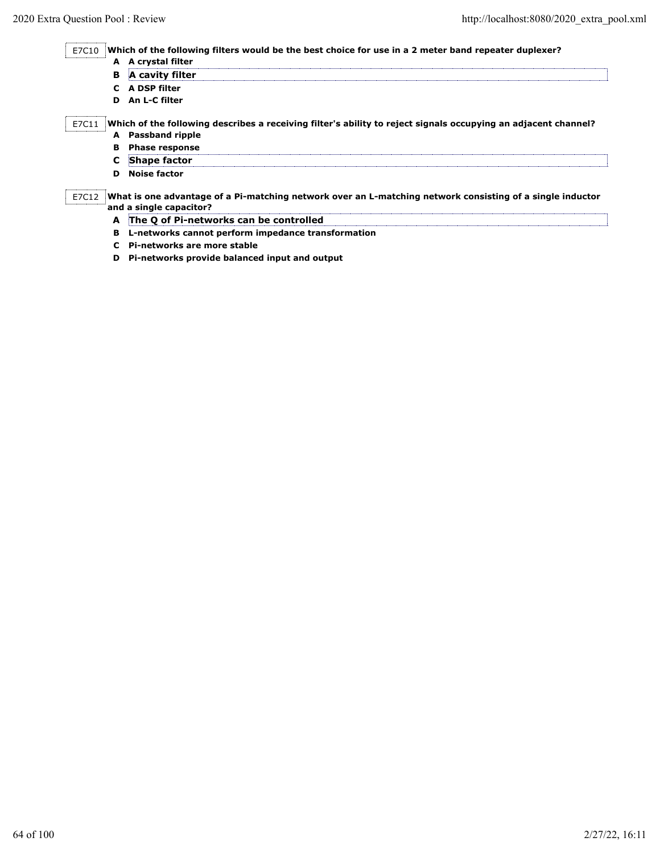E7C10 **Which of the following filters would be the best choice for use in a 2 meter band repeater duplexer?**

- **A A crystal filter**
- **B A cavity filter**
- **C A DSP filter**
- **D An L-C filter**

E7C11 **Which of the following describes a receiving filter's ability to reject signals occupying an adjacent channel?**

**A Passband ripple**

- **B Phase response C Shape factor**
- **D Noise factor**

E7C12 **What is one advantage of a Pi-matching network over an L-matching network consisting of a single inductor and a single capacitor?**

- **A The Q of Pi-networks can be controlled**
- **B L-networks cannot perform impedance transformation**
- **C Pi-networks are more stable**

**D Pi-networks provide balanced input and output**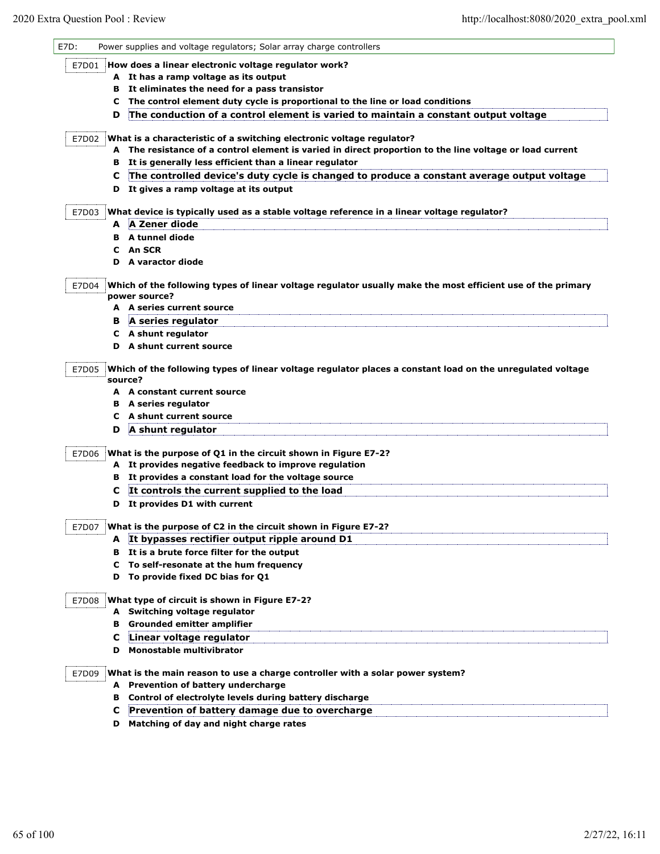| E7D:  |   | Power supplies and voltage regulators; Solar array charge controllers                                       |
|-------|---|-------------------------------------------------------------------------------------------------------------|
|       |   | E7D01 How does a linear electronic voltage regulator work?                                                  |
|       |   | A It has a ramp voltage as its output                                                                       |
|       |   | B It eliminates the need for a pass transistor                                                              |
|       | C | The control element duty cycle is proportional to the line or load conditions                               |
|       | D | The conduction of a control element is varied to maintain a constant output voltage                         |
|       |   | E7D02 What is a characteristic of a switching electronic voltage regulator?                                 |
|       |   | A The resistance of a control element is varied in direct proportion to the line voltage or load current    |
|       |   | B It is generally less efficient than a linear regulator                                                    |
|       | С | The controlled device's duty cycle is changed to produce a constant average output voltage                  |
|       |   | D It gives a ramp voltage at its output                                                                     |
| E7D03 |   | What device is typically used as a stable voltage reference in a linear voltage regulator?                  |
|       |   | A A Zener diode                                                                                             |
|       |   | <b>B</b> A tunnel diode                                                                                     |
|       | C | <b>An SCR</b>                                                                                               |
|       |   | D A varactor diode                                                                                          |
|       |   |                                                                                                             |
| E7D04 |   | Which of the following types of linear voltage regulator usually make the most efficient use of the primary |
|       |   | power source?                                                                                               |
|       |   | A A series current source                                                                                   |
|       |   | <b>B</b> A series regulator                                                                                 |
|       |   | C A shunt regulator                                                                                         |
|       |   | D A shunt current source                                                                                    |
|       |   | A A constant current source                                                                                 |
|       |   | <b>B</b> A series regulator                                                                                 |
|       |   | C A shunt current source                                                                                    |
|       | D | A shunt regulator                                                                                           |
| E7D06 |   | What is the purpose of Q1 in the circuit shown in Figure E7-2?                                              |
|       |   | A It provides negative feedback to improve regulation                                                       |
|       |   | B It provides a constant load for the voltage source                                                        |
|       | C | It controls the current supplied to the load                                                                |
|       |   | D It provides D1 with current                                                                               |
|       |   | E7D07   What is the purpose of C2 in the circuit shown in Figure E7-2?                                      |
|       |   | A It bypasses rectifier output ripple around D1                                                             |
|       |   | B It is a brute force filter for the output                                                                 |
|       |   | C To self-resonate at the hum frequency                                                                     |
|       |   | D To provide fixed DC bias for Q1                                                                           |
| E7D08 |   | What type of circuit is shown in Figure E7-2?                                                               |
|       |   | A Switching voltage regulator                                                                               |
|       |   | <b>B</b> Grounded emitter amplifier                                                                         |
|       |   |                                                                                                             |
|       |   |                                                                                                             |
|       | C | Linear voltage regulator<br>D Monostable multivibrator                                                      |
|       |   |                                                                                                             |
| E7D09 |   | What is the main reason to use a charge controller with a solar power system?                               |
|       | в | A Prevention of battery undercharge<br>Control of electrolyte levels during battery discharge               |

**D Matching of day and night charge rates**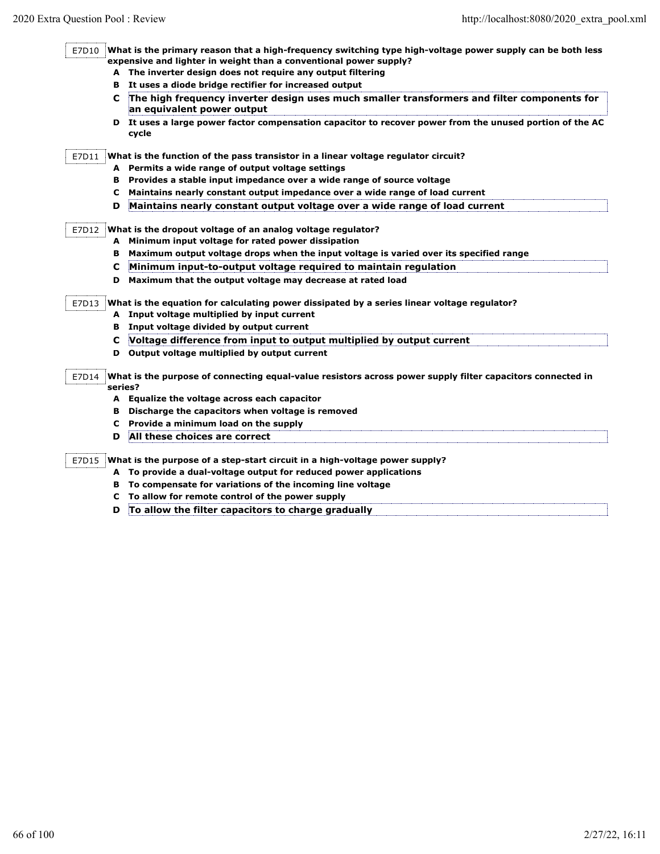E7D10 **What is the primary reason that a high-frequency switching type high-voltage power supply can be both less expensive and lighter in weight than a conventional power supply?**

- **A The inverter design does not require any output filtering**
- **B It uses a diode bridge rectifier for increased output**
- **C The high frequency inverter design uses much smaller transformers and filter components for an equivalent power output**
- **D It uses a large power factor compensation capacitor to recover power from the unused portion of the AC cycle**

E7D11 **What is the function of the pass transistor in a linear voltage regulator circuit?**

- **A Permits a wide range of output voltage settings**
- **B Provides a stable input impedance over a wide range of source voltage**
- **C Maintains nearly constant output impedance over a wide range of load current**
- **D Maintains nearly constant output voltage over a wide range of load current**

E7D12 **What is the dropout voltage of an analog voltage regulator?**

- **A Minimum input voltage for rated power dissipation**
- **B Maximum output voltage drops when the input voltage is varied over its specified range**
- **C Minimum input-to-output voltage required to maintain regulation**
- **D Maximum that the output voltage may decrease at rated load**

E7D13 **What is the equation for calculating power dissipated by a series linear voltage regulator?**

- **A Input voltage multiplied by input current**
- **B Input voltage divided by output current**
- **C Voltage difference from input to output multiplied by output current**
- **D Output voltage multiplied by output current**

E7D14 **What is the purpose of connecting equal-value resistors across power supply filter capacitors connected in series?**

- **A Equalize the voltage across each capacitor**
- **B Discharge the capacitors when voltage is removed**
- **C Provide a minimum load on the supply**
- **D All these choices are correct**

E7D15 **What is the purpose of a step-start circuit in a high-voltage power supply?**

**A To provide a dual-voltage output for reduced power applications**

- **B To compensate for variations of the incoming line voltage**
- **C To allow for remote control of the power supply**
- **D To allow the filter capacitors to charge gradually**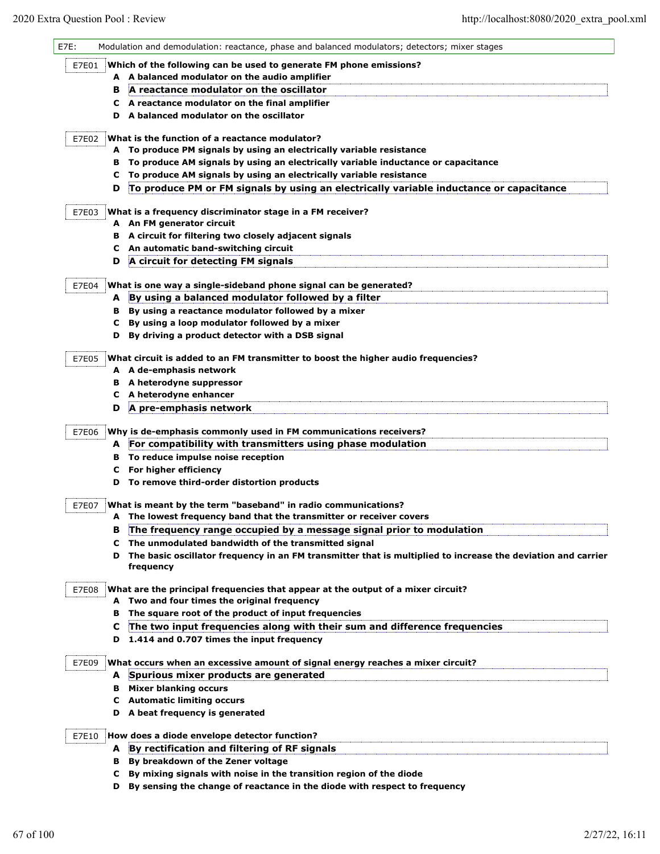| E7E:  |    | Modulation and demodulation: reactance, phase and balanced modulators; detectors; mixer stages               |
|-------|----|--------------------------------------------------------------------------------------------------------------|
| E7E01 |    | Which of the following can be used to generate FM phone emissions?                                           |
|       |    | A A balanced modulator on the audio amplifier                                                                |
|       | в  | A reactance modulator on the oscillator                                                                      |
|       |    | C A reactance modulator on the final amplifier                                                               |
|       | D  | A balanced modulator on the oscillator                                                                       |
|       |    |                                                                                                              |
| E7E02 |    | What is the function of a reactance modulator?                                                               |
|       |    | A To produce PM signals by using an electrically variable resistance                                         |
|       | в  | To produce AM signals by using an electrically variable inductance or capacitance                            |
|       | с  | To produce AM signals by using an electrically variable resistance                                           |
|       | D  | To produce PM or FM signals by using an electrically variable inductance or capacitance                      |
| E7E03 |    | What is a frequency discriminator stage in a FM receiver?                                                    |
|       |    | A An FM generator circuit                                                                                    |
|       | в  | A circuit for filtering two closely adjacent signals                                                         |
|       | c  | An automatic band-switching circuit                                                                          |
|       | D  | A circuit for detecting FM signals                                                                           |
|       |    |                                                                                                              |
| E7E04 |    | What is one way a single-sideband phone signal can be generated?                                             |
|       |    | A By using a balanced modulator followed by a filter                                                         |
|       |    | B By using a reactance modulator followed by a mixer                                                         |
|       | C. | By using a loop modulator followed by a mixer                                                                |
|       | D  | By driving a product detector with a DSB signal                                                              |
| E7E05 |    | What circuit is added to an FM transmitter to boost the higher audio frequencies?                            |
|       |    | A A de-emphasis network                                                                                      |
|       | в  | A heterodyne suppressor                                                                                      |
|       | c  | A heterodyne enhancer                                                                                        |
|       | D  | A pre-emphasis network                                                                                       |
|       |    |                                                                                                              |
| E7E06 |    | Why is de-emphasis commonly used in FM communications receivers?                                             |
|       |    | A For compatibility with transmitters using phase modulation                                                 |
|       |    | <b>B</b> To reduce impulse noise reception                                                                   |
|       | с  | For higher efficiency                                                                                        |
|       |    | D To remove third-order distortion products                                                                  |
| E7E07 |    | What is meant by the term "baseband" in radio communications?                                                |
|       |    | A The lowest frequency band that the transmitter or receiver covers                                          |
|       | в  | The frequency range occupied by a message signal prior to modulation                                         |
|       | c  | The unmodulated bandwidth of the transmitted signal                                                          |
|       | D  | The basic oscillator frequency in an FM transmitter that is multiplied to increase the deviation and carrier |
|       |    | frequency                                                                                                    |
|       |    |                                                                                                              |
| E7E08 |    | What are the principal frequencies that appear at the output of a mixer circuit?                             |
|       | в  | A Two and four times the original frequency<br>The square root of the product of input frequencies           |
|       | C  | The two input frequencies along with their sum and difference frequencies                                    |
|       | D  | 1.414 and 0.707 times the input frequency                                                                    |
|       |    |                                                                                                              |
| E7E09 |    | What occurs when an excessive amount of signal energy reaches a mixer circuit?                               |
|       | A  | Spurious mixer products are generated                                                                        |
|       | в  | <b>Mixer blanking occurs</b>                                                                                 |
|       | c  | <b>Automatic limiting occurs</b>                                                                             |
|       | D  | A beat frequency is generated                                                                                |
|       |    |                                                                                                              |
| E7E10 |    | How does a diode envelope detector function?                                                                 |
|       | A  | By rectification and filtering of RF signals                                                                 |
|       | в  | By breakdown of the Zener voltage                                                                            |
|       | с  | By mixing signals with noise in the transition region of the diode                                           |
|       |    | D By sensing the change of reactance in the diode with respect to frequency                                  |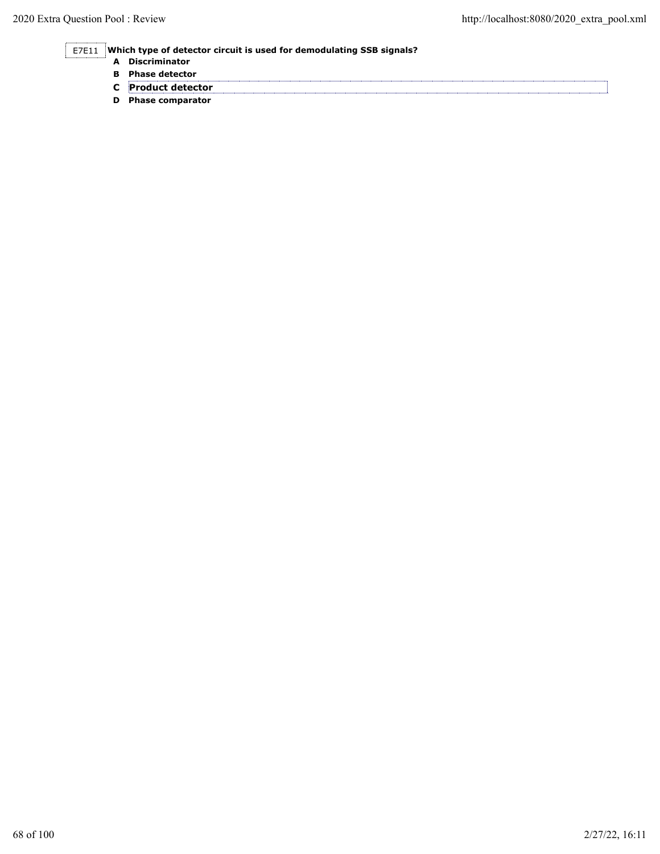## E7E11 **Which type of detector circuit is used for demodulating SSB signals?**

| A | Discriminator             |
|---|---------------------------|
|   | <b>B</b> Phase detector   |
|   | <b>C</b> Product detector |
|   | D Phase comparator        |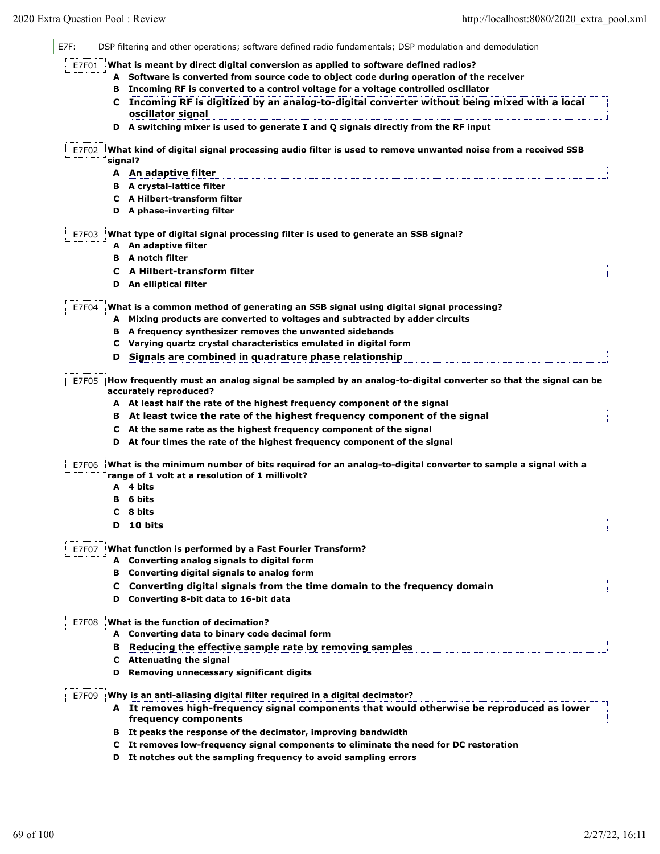$\mathsf{l}$ 

| E7F:  |   | DSP filtering and other operations; software defined radio fundamentals; DSP modulation and demodulation            |
|-------|---|---------------------------------------------------------------------------------------------------------------------|
| E7F01 |   | What is meant by direct digital conversion as applied to software defined radios?                                   |
|       |   | A Software is converted from source code to object code during operation of the receiver                            |
|       | в | Incoming RF is converted to a control voltage for a voltage controlled oscillator                                   |
|       | C | Incoming RF is digitized by an analog-to-digital converter without being mixed with a local<br>oscillator signal    |
|       |   | D A switching mixer is used to generate I and Q signals directly from the RF input                                  |
| E7F02 |   | What kind of digital signal processing audio filter is used to remove unwanted noise from a received SSB<br>signal? |
|       |   | A An adaptive filter                                                                                                |
|       |   | <b>B</b> A crystal-lattice filter                                                                                   |
|       |   | C A Hilbert-transform filter                                                                                        |
|       |   | D A phase-inverting filter                                                                                          |
| E7F03 |   | What type of digital signal processing filter is used to generate an SSB signal?                                    |
|       |   | A An adaptive filter                                                                                                |
|       | в | A notch filter                                                                                                      |
|       | C | A Hilbert-transform filter                                                                                          |
|       |   | D An elliptical filter                                                                                              |
|       |   |                                                                                                                     |
| E7F04 |   | What is a common method of generating an SSB signal using digital signal processing?                                |
|       |   | A Mixing products are converted to voltages and subtracted by adder circuits                                        |
|       |   | <b>B</b> A frequency synthesizer removes the unwanted sidebands                                                     |
|       | c | Varying quartz crystal characteristics emulated in digital form                                                     |
|       | D | Signals are combined in quadrature phase relationship                                                               |
| E7F05 |   | How frequently must an analog signal be sampled by an analog-to-digital converter so that the signal can be         |
|       |   | accurately reproduced?                                                                                              |
|       |   | A At least half the rate of the highest frequency component of the signal                                           |
|       | в | At least twice the rate of the highest frequency component of the signal                                            |
|       |   | C At the same rate as the highest frequency component of the signal                                                 |
|       | D | At four times the rate of the highest frequency component of the signal                                             |
| E7F06 |   | What is the minimum number of bits required for an analog-to-digital converter to sample a signal with a            |
|       |   | range of 1 volt at a resolution of 1 millivolt?                                                                     |
|       |   | A 4 bits                                                                                                            |
|       | в | 6 bits                                                                                                              |
|       | c | 8 bits                                                                                                              |
|       | D | $10 \text{ bits}$                                                                                                   |
| E7F07 |   | What function is performed by a Fast Fourier Transform?                                                             |
|       |   | A Converting analog signals to digital form                                                                         |
|       | в | Converting digital signals to analog form                                                                           |
|       | C | Converting digital signals from the time domain to the frequency domain                                             |
|       | D | Converting 8-bit data to 16-bit data                                                                                |
| E7F08 |   | What is the function of decimation?                                                                                 |
|       |   | A Converting data to binary code decimal form                                                                       |
|       | в | Reducing the effective sample rate by removing samples                                                              |
|       | C | <b>Attenuating the signal</b>                                                                                       |
|       | D | Removing unnecessary significant digits                                                                             |
|       |   |                                                                                                                     |
| E7F09 |   | Why is an anti-aliasing digital filter required in a digital decimator?                                             |
|       |   | A It removes high-frequency signal components that would otherwise be reproduced as lower<br>frequency components   |
|       |   | B It peaks the response of the decimator, improving bandwidth                                                       |
|       | c | It removes low-frequency signal components to eliminate the need for DC restoration                                 |
|       |   | D It notches out the sampling frequency to avoid sampling errors                                                    |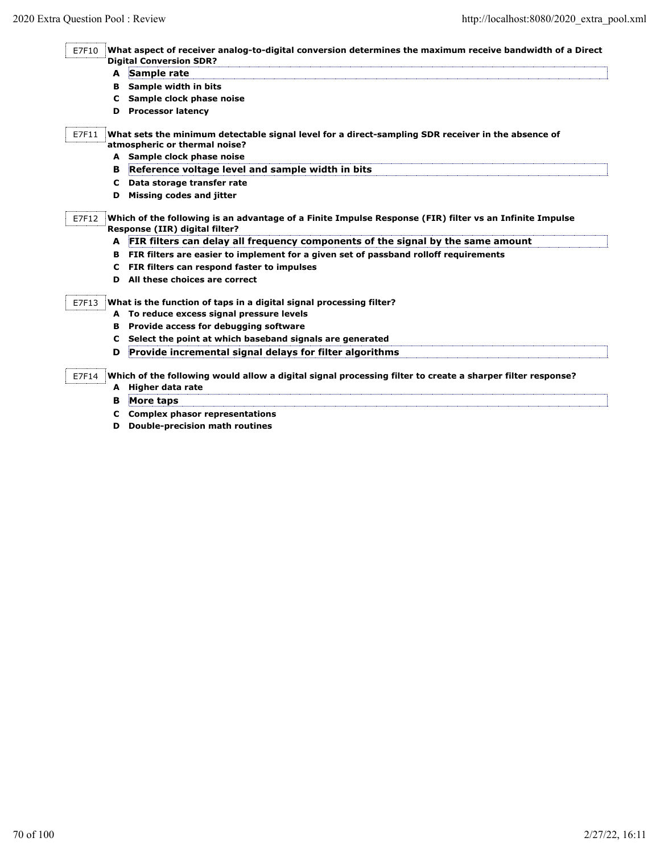| <b>Digital Conversion SDR?</b><br>A | Sample rate                                                                                                                                                             |
|-------------------------------------|-------------------------------------------------------------------------------------------------------------------------------------------------------------------------|
|                                     | Sample width in bits                                                                                                                                                    |
| в<br>c                              | Sample clock phase noise                                                                                                                                                |
| D                                   | <b>Processor latency</b>                                                                                                                                                |
| E7F11                               | What sets the minimum detectable signal level for a direct-sampling SDR receiver in the absence of                                                                      |
|                                     | atmospheric or thermal noise?                                                                                                                                           |
|                                     | A Sample clock phase noise<br>Reference voltage level and sample width in bits                                                                                          |
| в                                   |                                                                                                                                                                         |
| C<br>D                              | Data storage transfer rate<br><b>Missing codes and jitter</b>                                                                                                           |
|                                     |                                                                                                                                                                         |
| E7F12                               | Which of the following is an advantage of a Finite Impulse Response (FIR) filter vs an Infinite Impulse                                                                 |
| A                                   | Response (IIR) digital filter?                                                                                                                                          |
| в                                   | FIR filters can delay all frequency components of the signal by the same amount<br>FIR filters are easier to implement for a given set of passband rolloff requirements |
| C                                   | FIR filters can respond faster to impulses                                                                                                                              |
| D.                                  | All these choices are correct                                                                                                                                           |
| E7F13                               | What is the function of taps in a digital signal processing filter?                                                                                                     |
|                                     | A To reduce excess signal pressure levels                                                                                                                               |
| в                                   | Provide access for debugging software                                                                                                                                   |
| C                                   | Select the point at which baseband signals are generated                                                                                                                |
| D                                   | Provide incremental signal delays for filter algorithms                                                                                                                 |
| E7F14                               | Which of the following would allow a digital signal processing filter to create a sharper filter response?                                                              |
| A                                   | <b>Higher data rate</b>                                                                                                                                                 |
| в                                   | More taps                                                                                                                                                               |
| C                                   | <b>Complex phasor representations</b>                                                                                                                                   |

**D Double-precision math routines**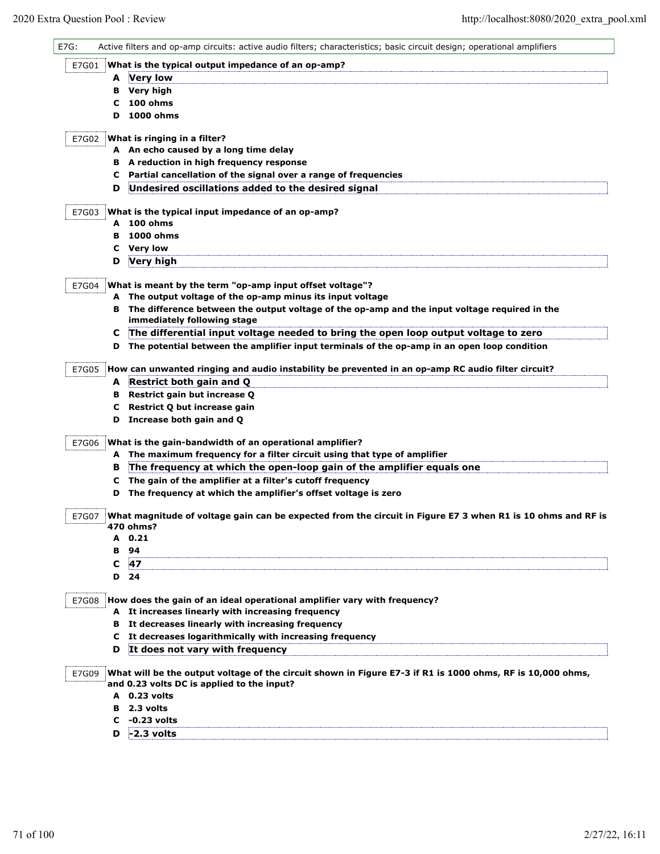| E7G: |       | Active filters and op-amp circuits: active audio filters; characteristics; basic circuit design; operational amplifiers                                  |
|------|-------|----------------------------------------------------------------------------------------------------------------------------------------------------------|
|      | E7G01 | What is the typical output impedance of an op-amp?                                                                                                       |
|      |       | A Very low                                                                                                                                               |
|      |       | <b>B</b> Very high                                                                                                                                       |
|      | c     | 100 ohms                                                                                                                                                 |
|      | D     | 1000 ohms                                                                                                                                                |
|      |       |                                                                                                                                                          |
|      | E7G02 | What is ringing in a filter?<br>A An echo caused by a long time delay                                                                                    |
|      |       | B A reduction in high frequency response                                                                                                                 |
|      |       | C Partial cancellation of the signal over a range of frequencies                                                                                         |
|      | D     | Undesired oscillations added to the desired signal                                                                                                       |
|      |       |                                                                                                                                                          |
|      | E7G03 | What is the typical input impedance of an op-amp?                                                                                                        |
|      | в     | A 100 ohms<br>1000 ohms                                                                                                                                  |
|      | c     | <b>Very low</b>                                                                                                                                          |
|      | D     | <b>Very high</b>                                                                                                                                         |
|      |       |                                                                                                                                                          |
|      | E7G04 | What is meant by the term "op-amp input offset voltage"?                                                                                                 |
|      |       | A The output voltage of the op-amp minus its input voltage                                                                                               |
|      | в     | The difference between the output voltage of the op-amp and the input voltage required in the<br>immediately following stage                             |
|      | c     | The differential input voltage needed to bring the open loop output voltage to zero                                                                      |
|      | D     | The potential between the amplifier input terminals of the op-amp in an open loop condition                                                              |
|      |       |                                                                                                                                                          |
|      | E7G05 | How can unwanted ringing and audio instability be prevented in an op-amp RC audio filter circuit?                                                        |
|      |       | A Restrict both gain and Q                                                                                                                               |
|      |       | <b>B</b> Restrict gain but increase Q                                                                                                                    |
|      | C     | Restrict Q but increase gain                                                                                                                             |
|      | D     | Increase both gain and Q                                                                                                                                 |
|      | E7G06 | What is the gain-bandwidth of an operational amplifier?                                                                                                  |
|      |       | A The maximum frequency for a filter circuit using that type of amplifier                                                                                |
|      | в     | The frequency at which the open-loop gain of the amplifier equals one                                                                                    |
|      | C.    | The gain of the amplifier at a filter's cutoff frequency                                                                                                 |
|      | D     | The frequency at which the amplifier's offset voltage is zero                                                                                            |
|      | E7G07 | What magnitude of voltage gain can be expected from the circuit in Figure E7 3 when R1 is 10 ohms and RF is                                              |
|      |       | 470 ohms?                                                                                                                                                |
|      |       | A 0.21                                                                                                                                                   |
|      |       | B 94                                                                                                                                                     |
|      | C     | <b>47</b>                                                                                                                                                |
|      | D     | - 24                                                                                                                                                     |
|      | E7G08 | How does the gain of an ideal operational amplifier vary with frequency?                                                                                 |
|      |       | A It increases linearly with increasing frequency                                                                                                        |
|      |       | B It decreases linearly with increasing frequency                                                                                                        |
|      |       | C It decreases logarithmically with increasing frequency                                                                                                 |
|      | D     | It does not vary with frequency                                                                                                                          |
|      |       |                                                                                                                                                          |
|      | E7G09 | What will be the output voltage of the circuit shown in Figure E7-3 if R1 is 1000 ohms, RF is 10,000 ohms,<br>and 0.23 volts DC is applied to the input? |
|      |       | A 0.23 volts                                                                                                                                             |
|      | в     | 2.3 volts                                                                                                                                                |
|      | c     | -0.23 volts                                                                                                                                              |
|      | D     | $-2.3$ volts                                                                                                                                             |
|      |       |                                                                                                                                                          |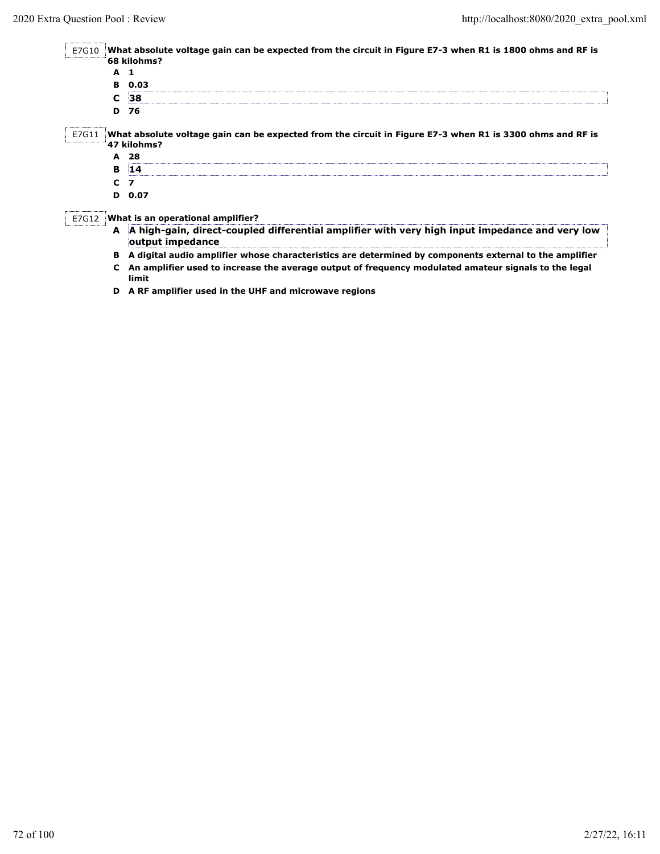| E7G10 | What absolute voltage gain can be expected from the circuit in Figure E7-3 when R1 is 1800 ohms and RF is<br>68 kilohms? |                                                                                                                          |  |  |  |
|-------|--------------------------------------------------------------------------------------------------------------------------|--------------------------------------------------------------------------------------------------------------------------|--|--|--|
|       | A                                                                                                                        | 1                                                                                                                        |  |  |  |
|       |                                                                                                                          | B 0.03                                                                                                                   |  |  |  |
|       | C                                                                                                                        | 38                                                                                                                       |  |  |  |
|       | D                                                                                                                        | 76                                                                                                                       |  |  |  |
| E7G11 |                                                                                                                          | What absolute voltage gain can be expected from the circuit in Figure E7-3 when R1 is 3300 ohms and RF is<br>47 kilohms? |  |  |  |
|       | A                                                                                                                        | -28                                                                                                                      |  |  |  |
|       | в                                                                                                                        | 14                                                                                                                       |  |  |  |
|       | C                                                                                                                        | $\overline{ }$                                                                                                           |  |  |  |
|       |                                                                                                                          | D 0.07                                                                                                                   |  |  |  |
| E7G12 | What is an operational amplifier?                                                                                        |                                                                                                                          |  |  |  |
|       |                                                                                                                          | A A ligh-gain, direct-coupled differential amplifier with very high input impedance and very low<br>output impedance     |  |  |  |
|       | в                                                                                                                        | A digital audio amplifier whose characteristics are determined by components external to the amplifier                   |  |  |  |
|       | C                                                                                                                        | An amplifier used to increase the average output of frequency modulated amateur signals to the legal<br>limit            |  |  |  |
|       |                                                                                                                          | A RF amplifier used in the UHF and microwave regions                                                                     |  |  |  |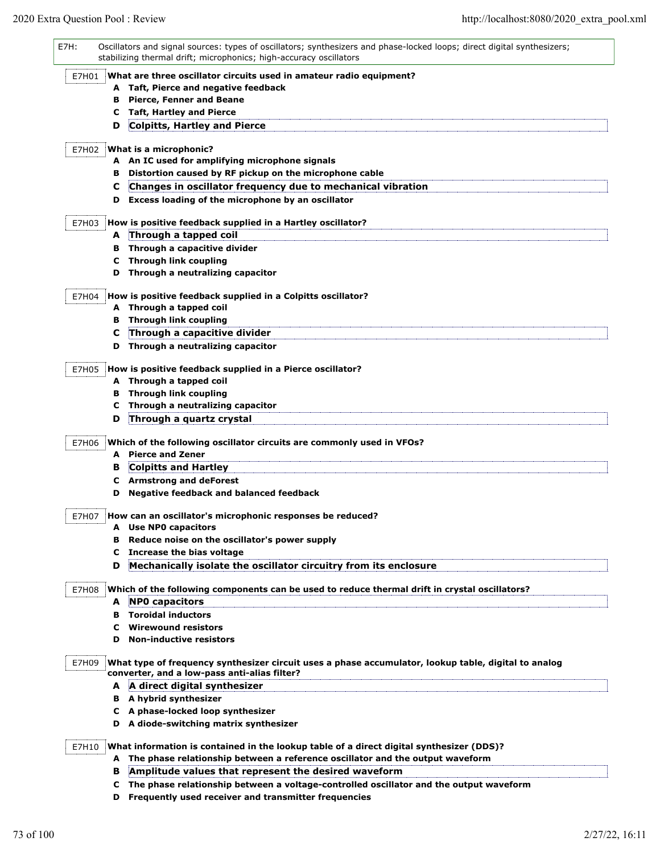| E7H: |       | Oscillators and signal sources: types of oscillators; synthesizers and phase-locked loops; direct digital synthesizers;<br>stabilizing thermal drift; microphonics; high-accuracy oscillators |
|------|-------|-----------------------------------------------------------------------------------------------------------------------------------------------------------------------------------------------|
|      | E7H01 | What are three oscillator circuits used in amateur radio equipment?                                                                                                                           |
|      |       | A Taft, Pierce and negative feedback                                                                                                                                                          |
|      | в     | <b>Pierce, Fenner and Beane</b>                                                                                                                                                               |
|      | c     | <b>Taft, Hartley and Pierce</b>                                                                                                                                                               |
|      | D     | <b>Colpitts, Hartley and Pierce</b>                                                                                                                                                           |
|      | E7H02 | What is a microphonic?                                                                                                                                                                        |
|      |       | A An IC used for amplifying microphone signals                                                                                                                                                |
|      |       | B Distortion caused by RF pickup on the microphone cable                                                                                                                                      |
|      | C     | Changes in oscillator frequency due to mechanical vibration                                                                                                                                   |
|      |       | D Excess loading of the microphone by an oscillator                                                                                                                                           |
|      | E7H03 | How is positive feedback supplied in a Hartley oscillator?                                                                                                                                    |
|      |       | A Through a tapped coil                                                                                                                                                                       |
|      |       | <b>B</b> Through a capacitive divider                                                                                                                                                         |
|      | C     | <b>Through link coupling</b>                                                                                                                                                                  |
|      |       | D Through a neutralizing capacitor                                                                                                                                                            |
|      | E7H04 | How is positive feedback supplied in a Colpitts oscillator?                                                                                                                                   |
|      |       | A Through a tapped coil                                                                                                                                                                       |
|      | в     | <b>Through link coupling</b>                                                                                                                                                                  |
|      | C     | Through a capacitive divider                                                                                                                                                                  |
|      |       | D Through a neutralizing capacitor                                                                                                                                                            |
|      | E7H05 | How is positive feedback supplied in a Pierce oscillator?                                                                                                                                     |
|      |       | A Through a tapped coil                                                                                                                                                                       |
|      |       | <b>B</b> Through link coupling                                                                                                                                                                |
|      | c     | Through a neutralizing capacitor                                                                                                                                                              |
|      | D     | Through a quartz crystal                                                                                                                                                                      |
|      | E7H06 | Which of the following oscillator circuits are commonly used in VFOs?                                                                                                                         |
|      |       | A Pierce and Zener                                                                                                                                                                            |
|      | в     | <b>Colpitts and Hartley</b>                                                                                                                                                                   |
|      |       | C Armstrong and deForest                                                                                                                                                                      |
|      | D     | <b>Negative feedback and balanced feedback</b>                                                                                                                                                |
|      | E7H07 | How can an oscillator's microphonic responses be reduced?                                                                                                                                     |
|      |       | A Use NPO capacitors                                                                                                                                                                          |
|      | в     | Reduce noise on the oscillator's power supply                                                                                                                                                 |
|      |       | C Increase the bias voltage                                                                                                                                                                   |
|      | D     | Mechanically isolate the oscillator circuitry from its enclosure                                                                                                                              |
|      | E7H08 | Which of the following components can be used to reduce thermal drift in crystal oscillators?                                                                                                 |
|      | A     | <b>NPO capacitors</b>                                                                                                                                                                         |
|      |       | <b>B</b> Toroidal inductors                                                                                                                                                                   |
|      |       | <b>C</b> Wirewound resistors                                                                                                                                                                  |
|      |       | <b>D</b> Non-inductive resistors                                                                                                                                                              |
|      | E7H09 | What type of frequency synthesizer circuit uses a phase accumulator, lookup table, digital to analog                                                                                          |
|      |       | converter, and a low-pass anti-alias filter?                                                                                                                                                  |
|      |       | A A direct digital synthesizer                                                                                                                                                                |
|      |       | <b>B</b> A hybrid synthesizer                                                                                                                                                                 |
|      |       | C A phase-locked loop synthesizer                                                                                                                                                             |
|      |       | D A diode-switching matrix synthesizer                                                                                                                                                        |
|      | E7H10 | What information is contained in the lookup table of a direct digital synthesizer (DDS)?                                                                                                      |
|      |       | A The phase relationship between a reference oscillator and the output waveform                                                                                                               |
|      | в     | Amplitude values that represent the desired waveform                                                                                                                                          |
|      |       | C The phase relationship between a voltage-controlled oscillator and the output waveform                                                                                                      |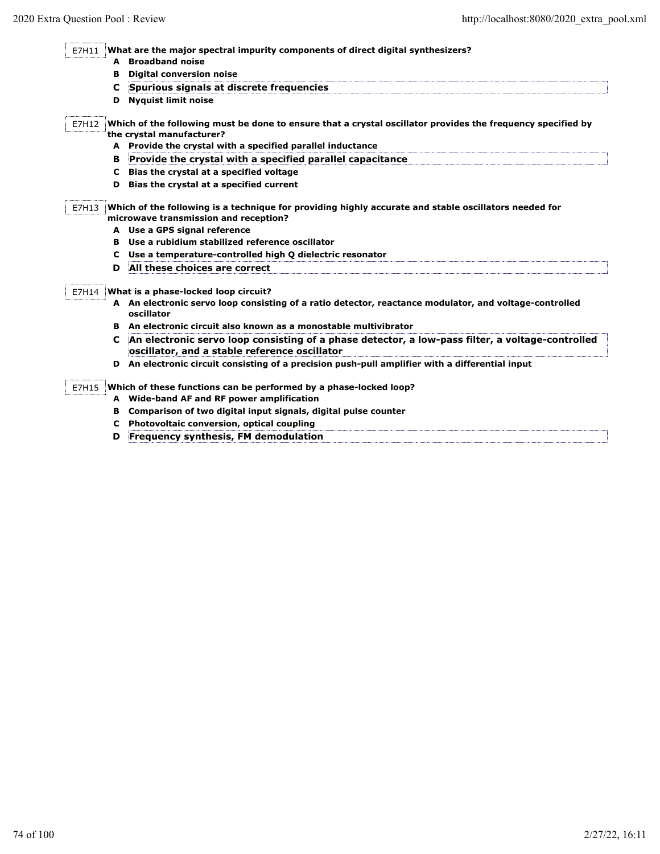| E7H11 |   | What are the major spectral impurity components of direct digital synthesizers?                                                                   |
|-------|---|---------------------------------------------------------------------------------------------------------------------------------------------------|
|       |   | A Broadband noise                                                                                                                                 |
|       | в | <b>Digital conversion noise</b>                                                                                                                   |
|       | C | Spurious signals at discrete frequencies                                                                                                          |
|       | D | <b>Nyquist limit noise</b>                                                                                                                        |
| E7H12 |   | Which of the following must be done to ensure that a crystal oscillator provides the frequency specified by                                       |
|       |   | the crystal manufacturer?                                                                                                                         |
|       |   | A Provide the crystal with a specified parallel inductance                                                                                        |
|       | в | Provide the crystal with a specified parallel capacitance                                                                                         |
|       | C | Bias the crystal at a specified voltage                                                                                                           |
|       | D | Bias the crystal at a specified current                                                                                                           |
| E7H13 |   | Which of the following is a technique for providing highly accurate and stable oscillators needed for<br>microwave transmission and reception?    |
|       |   | A Use a GPS signal reference                                                                                                                      |
|       | в | Use a rubidium stabilized reference oscillator                                                                                                    |
|       | C | Use a temperature-controlled high Q dielectric resonator                                                                                          |
|       | D | All these choices are correct                                                                                                                     |
| E7H14 |   | What is a phase-locked loop circuit?                                                                                                              |
|       |   | A An electronic servo loop consisting of a ratio detector, reactance modulator, and voltage-controlled<br>oscillator                              |
|       |   | B An electronic circuit also known as a monostable multivibrator                                                                                  |
|       | C | An electronic servo loop consisting of a phase detector, a low-pass filter, a voltage-controlled<br>oscillator, and a stable reference oscillator |
|       |   | D An electronic circuit consisting of a precision push-pull amplifier with a differential input                                                   |
| E7H15 |   | Which of these functions can be performed by a phase-locked loop?                                                                                 |
|       |   | A Wide-band AF and RF power amplification                                                                                                         |
|       | в | Comparison of two digital input signals, digital pulse counter                                                                                    |
|       | c | Photovoltaic conversion, optical coupling                                                                                                         |
|       | D | Frequency synthesis, FM demodulation                                                                                                              |
|       |   |                                                                                                                                                   |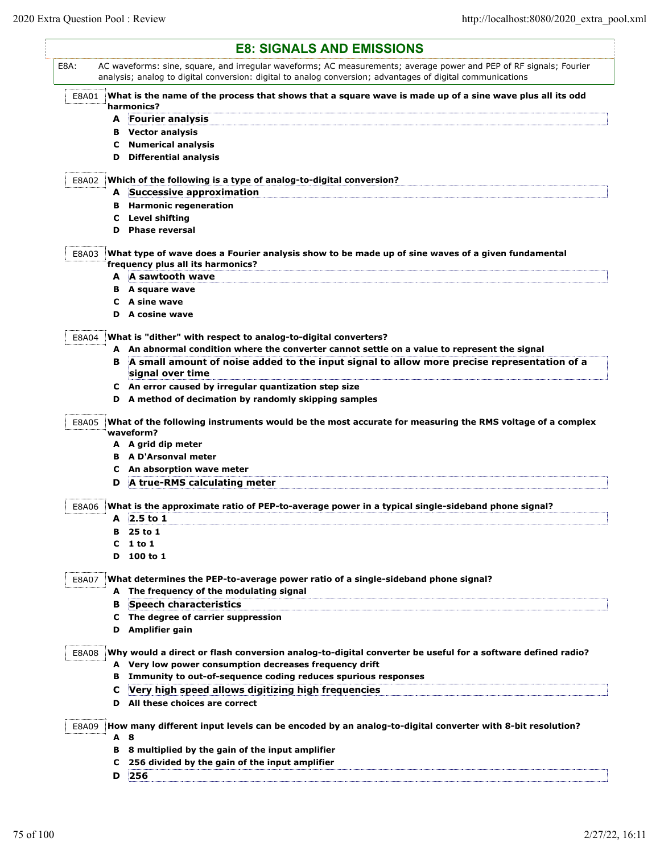i<br>L

|       | <b>E8: SIGNALS AND EMISSIONS</b>                                                                                                                                                                                                 |
|-------|----------------------------------------------------------------------------------------------------------------------------------------------------------------------------------------------------------------------------------|
| E8A:  | AC waveforms: sine, square, and irregular waveforms; AC measurements; average power and PEP of RF signals; Fourier<br>analysis; analog to digital conversion: digital to analog conversion; advantages of digital communications |
| E8A01 | What is the name of the process that shows that a square wave is made up of a sine wave plus all its odd<br>harmonics?                                                                                                           |
| A     | <b>Fourier analysis</b>                                                                                                                                                                                                          |
|       | <b>B</b> Vector analysis                                                                                                                                                                                                         |
| c     | <b>Numerical analysis</b>                                                                                                                                                                                                        |
| D     | <b>Differential analysis</b>                                                                                                                                                                                                     |
| E8A02 | Which of the following is a type of analog-to-digital conversion?                                                                                                                                                                |
|       | A Successive approximation                                                                                                                                                                                                       |
|       | <b>B</b> Harmonic regeneration                                                                                                                                                                                                   |
|       | <b>C</b> Level shifting                                                                                                                                                                                                          |
|       | <b>D</b> Phase reversal                                                                                                                                                                                                          |
| E8A03 | What type of wave does a Fourier analysis show to be made up of sine waves of a given fundamental<br>frequency plus all its harmonics?                                                                                           |
|       | A A sawtooth wave                                                                                                                                                                                                                |
|       | <b>B</b> A square wave                                                                                                                                                                                                           |
|       | C A sine wave                                                                                                                                                                                                                    |
|       | D A cosine wave                                                                                                                                                                                                                  |
| E8A04 | What is "dither" with respect to analog-to-digital converters?                                                                                                                                                                   |
|       | A An abnormal condition where the converter cannot settle on a value to represent the signal                                                                                                                                     |
| в     | A small amount of noise added to the input signal to allow more precise representation of a<br>signal over time                                                                                                                  |
|       | C An error caused by irregular quantization step size                                                                                                                                                                            |
|       | D A method of decimation by randomly skipping samples                                                                                                                                                                            |
| E8A05 | What of the following instruments would be the most accurate for measuring the RMS voltage of a complex<br>waveform?<br>A A grid dip meter                                                                                       |
|       | <b>B</b> A D'Arsonval meter                                                                                                                                                                                                      |
| c     | An absorption wave meter                                                                                                                                                                                                         |
| D     | A true-RMS calculating meter                                                                                                                                                                                                     |
| E8A06 | What is the approximate ratio of PEP-to-average power in a typical single-sideband phone signal?                                                                                                                                 |
|       | A 2.5 to 1                                                                                                                                                                                                                       |
| в     | 25 to 1                                                                                                                                                                                                                          |
| с     | $1$ to $1$                                                                                                                                                                                                                       |
| D     | 100 to 1                                                                                                                                                                                                                         |
| E8A07 | What determines the PEP-to-average power ratio of a single-sideband phone signal?                                                                                                                                                |
|       | A The frequency of the modulating signal                                                                                                                                                                                         |
| в     | <b>Speech characteristics</b>                                                                                                                                                                                                    |
|       | C The degree of carrier suppression                                                                                                                                                                                              |
| D     | Amplifier gain                                                                                                                                                                                                                   |
| E8A08 | Why would a direct or flash conversion analog-to-digital converter be useful for a software defined radio?                                                                                                                       |
|       | A Very low power consumption decreases frequency drift                                                                                                                                                                           |
| в     | Immunity to out-of-sequence coding reduces spurious responses                                                                                                                                                                    |
| C     | Very high speed allows digitizing high frequencies                                                                                                                                                                               |
| D     | All these choices are correct                                                                                                                                                                                                    |
| E8A09 | How many different input levels can be encoded by an analog-to-digital converter with 8-bit resolution?                                                                                                                          |
|       | A 8                                                                                                                                                                                                                              |
| в     | 8 multiplied by the gain of the input amplifier                                                                                                                                                                                  |
| C     | 256 divided by the gain of the input amplifier                                                                                                                                                                                   |
| D     | 256                                                                                                                                                                                                                              |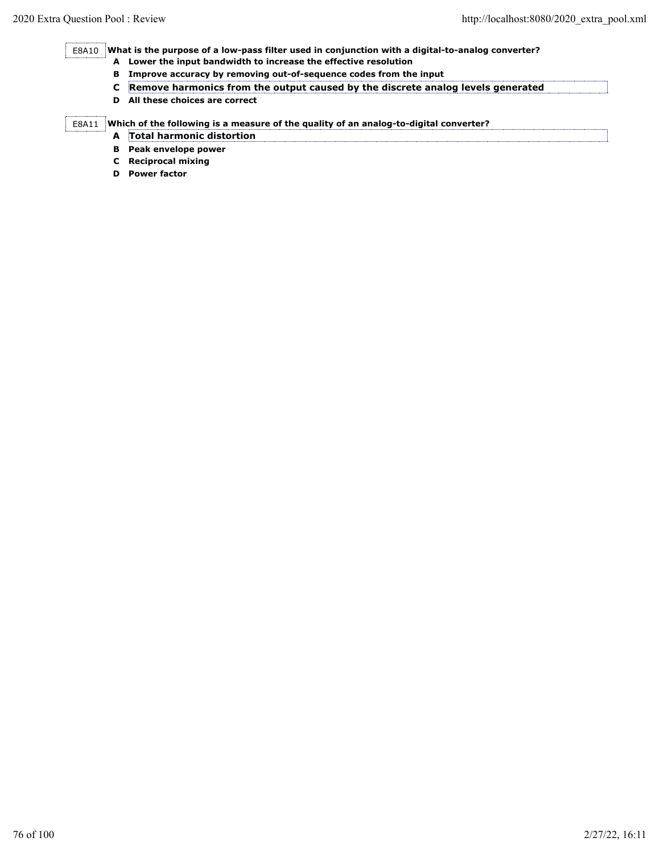E8A10 **What is the purpose of a low-pass filter used in conjunction with a digital-to-analog converter?**

- **A Lower the input bandwidth to increase the effective resolution**
- **B Improve accuracy by removing out-of-sequence codes from the input**
- **C Remove harmonics from the output caused by the discrete analog levels generated**
- **D All these choices are correct**

E8A11 **Which of the following is a measure of the quality of an analog-to-digital converter?**

- **A Total harmonic distortion**
- **B Peak envelope power**
- **C Reciprocal mixing**
- **D Power factor**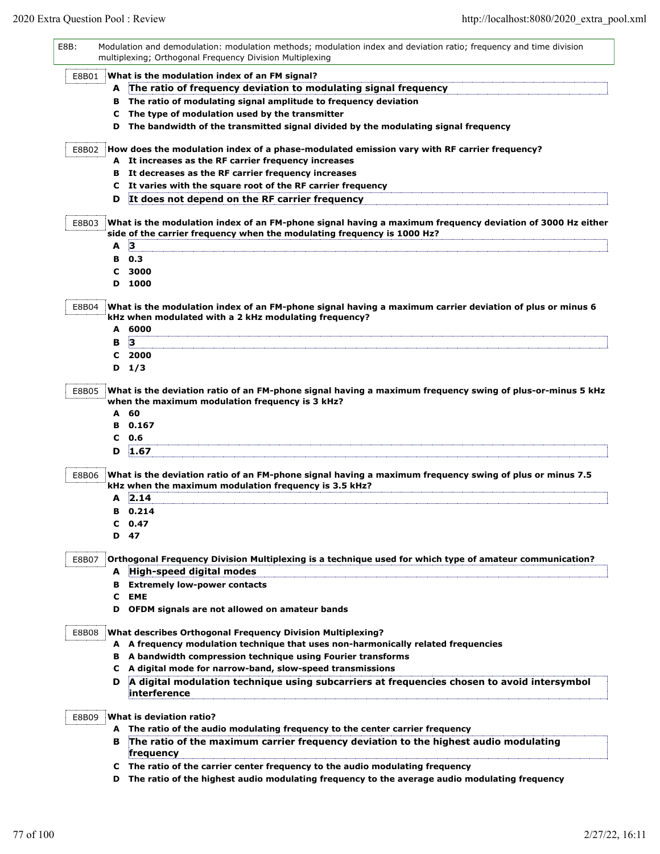| E8B:  | Modulation and demodulation: modulation methods; modulation index and deviation ratio; frequency and time division<br>multiplexing; Orthogonal Frequency Division Multiplexing |
|-------|--------------------------------------------------------------------------------------------------------------------------------------------------------------------------------|
| E8B01 | What is the modulation index of an FM signal?                                                                                                                                  |
|       | A The ratio of frequency deviation to modulating signal frequency                                                                                                              |
|       | B The ratio of modulating signal amplitude to frequency deviation                                                                                                              |
|       | The type of modulation used by the transmitter<br>c                                                                                                                            |
|       | The bandwidth of the transmitted signal divided by the modulating signal frequency<br>D                                                                                        |
|       |                                                                                                                                                                                |
| E8B02 | How does the modulation index of a phase-modulated emission vary with RF carrier frequency?<br>A It increases as the RF carrier frequency increases                            |
|       | B It decreases as the RF carrier frequency increases                                                                                                                           |
|       | C It varies with the square root of the RF carrier frequency                                                                                                                   |
|       | It does not depend on the RF carrier frequency<br>D                                                                                                                            |
|       | What is the modulation index of an FM-phone signal having a maximum frequency deviation of 3000 Hz either                                                                      |
| E8B03 | side of the carrier frequency when the modulating frequency is 1000 Hz?                                                                                                        |
|       | $\vert$ 3<br>A                                                                                                                                                                 |
|       | <b>B</b> 0.3                                                                                                                                                                   |
|       | 3000                                                                                                                                                                           |
|       | c                                                                                                                                                                              |
|       | D 1000                                                                                                                                                                         |
| E8B04 | What is the modulation index of an FM-phone signal having a maximum carrier deviation of plus or minus 6                                                                       |
|       | kHz when modulated with a 2 kHz modulating frequency?                                                                                                                          |
|       | 6000<br>A                                                                                                                                                                      |
|       | $\vert$ 3<br>в                                                                                                                                                                 |
|       | 2000<br>c                                                                                                                                                                      |
|       | $D \quad 1/3$                                                                                                                                                                  |
|       | when the maximum modulation frequency is 3 kHz?<br>A 60<br>B 0.167<br>0.6<br>c                                                                                                 |
|       | 1.67<br>D                                                                                                                                                                      |
| E8B06 | What is the deviation ratio of an FM-phone signal having a maximum frequency swing of plus or minus 7.5<br>kHz when the maximum modulation frequency is 3.5 kHz?               |
|       | 2.14<br>A                                                                                                                                                                      |
|       | 0.214<br>в                                                                                                                                                                     |
|       | 0.47                                                                                                                                                                           |
|       | D 47                                                                                                                                                                           |
| E8B07 | Orthogonal Frequency Division Multiplexing is a technique used for which type of amateur communication?                                                                        |
|       | A High-speed digital modes                                                                                                                                                     |
|       | <b>Extremely low-power contacts</b><br>в                                                                                                                                       |
|       |                                                                                                                                                                                |
|       | <b>EME</b><br>c<br>OFDM signals are not allowed on amateur bands<br>D                                                                                                          |
| E8B08 | What describes Orthogonal Frequency Division Multiplexing?                                                                                                                     |
|       | A A frequency modulation technique that uses non-harmonically related frequencies                                                                                              |
|       | <b>B</b> A bandwidth compression technique using Fourier transforms                                                                                                            |
|       | C A digital mode for narrow-band, slow-speed transmissions                                                                                                                     |
|       |                                                                                                                                                                                |
|       | A digital modulation technique using subcarriers at frequencies chosen to avoid intersymbol<br>D<br>interference                                                               |
|       |                                                                                                                                                                                |
| E8B09 | What is deviation ratio?<br>A The ratio of the audio modulating frequency to the center carrier frequency                                                                      |
|       |                                                                                                                                                                                |
|       | The ratio of the maximum carrier frequency deviation to the highest audio modulating<br>в<br>frequency                                                                         |
|       | The ratio of the carrier center frequency to the audio modulating frequency<br>C                                                                                               |
|       | The ratio of the highest audio modulating frequency to the average audio modulating frequency<br>D                                                                             |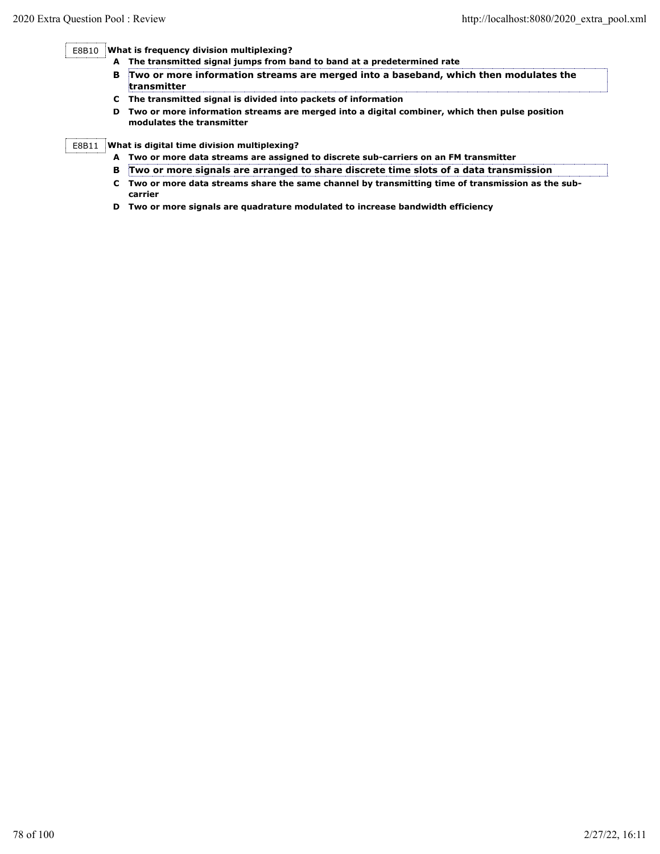E8B10 **What is frequency division multiplexing?**

- **A The transmitted signal jumps from band to band at a predetermined rate**
- **B Two or more information streams are merged into a baseband, which then modulates the transmitter**
- **C The transmitted signal is divided into packets of information**
- **D Two or more information streams are merged into a digital combiner, which then pulse position modulates the transmitter**

E8B11 **What is digital time division multiplexing?**

- **A Two or more data streams are assigned to discrete sub-carriers on an FM transmitter**
- **B Two or more signals are arranged to share discrete time slots of a data transmission**
- **C Two or more data streams share the same channel by transmitting time of transmission as the subcarrier**
- **D Two or more signals are quadrature modulated to increase bandwidth efficiency**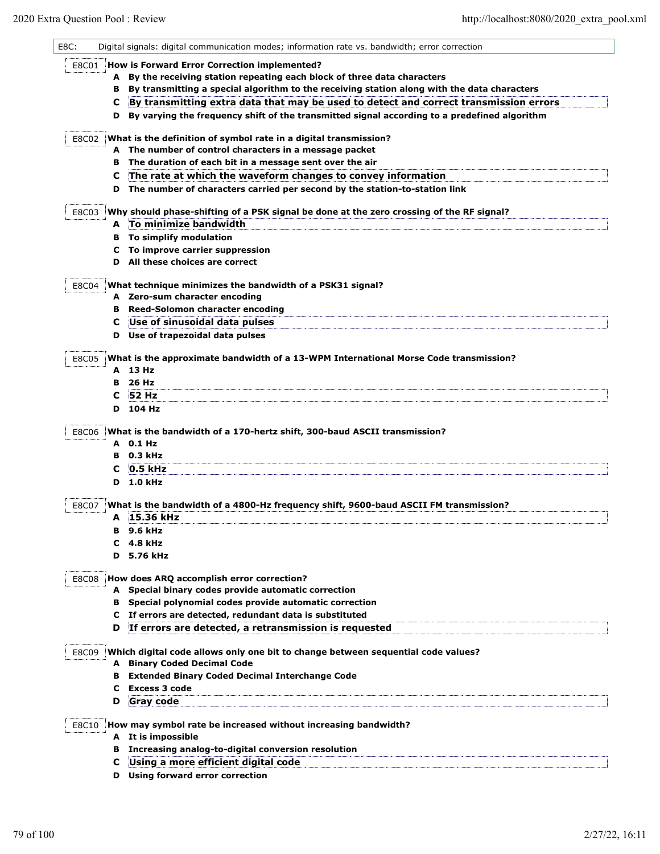| E8C:  |        | Digital signals: digital communication modes; information rate vs. bandwidth; error correction    |
|-------|--------|---------------------------------------------------------------------------------------------------|
| E8C01 |        | How is Forward Error Correction implemented?                                                      |
|       |        | A By the receiving station repeating each block of three data characters                          |
|       | в      | By transmitting a special algorithm to the receiving station along with the data characters       |
|       | C      | By transmitting extra data that may be used to detect and correct transmission errors             |
|       | D      | By varying the frequency shift of the transmitted signal according to a predefined algorithm      |
| E8C02 |        | What is the definition of symbol rate in a digital transmission?                                  |
|       |        | A The number of control characters in a message packet                                            |
|       | в      | The duration of each bit in a message sent over the air                                           |
|       | С      | The rate at which the waveform changes to convey information                                      |
|       |        | D The number of characters carried per second by the station-to-station link                      |
| E8C03 |        | Why should phase-shifting of a PSK signal be done at the zero crossing of the RF signal?          |
|       |        | A To minimize bandwidth                                                                           |
|       |        | <b>B</b> To simplify modulation                                                                   |
|       |        | C To improve carrier suppression                                                                  |
|       |        | D All these choices are correct                                                                   |
| E8C04 |        | What technique minimizes the bandwidth of a PSK31 signal?                                         |
|       |        | A Zero-sum character encoding                                                                     |
|       |        | <b>B</b> Reed-Solomon character encoding                                                          |
|       | C.     | Use of sinusoidal data pulses                                                                     |
|       |        | D Use of trapezoidal data pulses                                                                  |
| E8C05 |        | What is the approximate bandwidth of a 13-WPM International Morse Code transmission?              |
|       |        | A 13 Hz                                                                                           |
|       | в      | 26 Hz                                                                                             |
|       | с      | 52 Hz                                                                                             |
|       |        | D 104 Hz                                                                                          |
| E8C06 |        | What is the bandwidth of a 170-hertz shift, 300-baud ASCII transmission?                          |
|       |        | A 0.1 Hz                                                                                          |
|       |        | <b>B</b> 0.3 kHz                                                                                  |
|       | с      | 0.5 kHz                                                                                           |
|       |        | <b>D</b> 1.0 kHz                                                                                  |
|       |        |                                                                                                   |
| E8C07 | A      | What is the bandwidth of a 4800-Hz frequency shift, 9600-baud ASCII FM transmission?<br>15.36 kHz |
|       |        |                                                                                                   |
|       | в<br>с | 9.6 kHz<br>4.8 kHz                                                                                |
|       | D      | 5.76 kHz                                                                                          |
|       |        |                                                                                                   |
| E8C08 |        | How does ARQ accomplish error correction?                                                         |
|       |        | A Special binary codes provide automatic correction                                               |
|       |        | B Special polynomial codes provide automatic correction                                           |
|       |        | C If errors are detected, redundant data is substituted                                           |
|       | D      | If errors are detected, a retransmission is requested                                             |
| E8C09 |        | Which digital code allows only one bit to change between sequential code values?                  |
|       |        | <b>A</b> Binary Coded Decimal Code                                                                |
|       |        | <b>B</b> Extended Binary Coded Decimal Interchange Code                                           |
|       | C.     | <b>Excess 3 code</b>                                                                              |
|       | D      | Gray code                                                                                         |
| E8C10 |        | How may symbol rate be increased without increasing bandwidth?                                    |
|       |        | A It is impossible                                                                                |
|       |        | B Increasing analog-to-digital conversion resolution                                              |
|       | C.     | Using a more efficient digital code                                                               |
|       |        | D Using forward error correction                                                                  |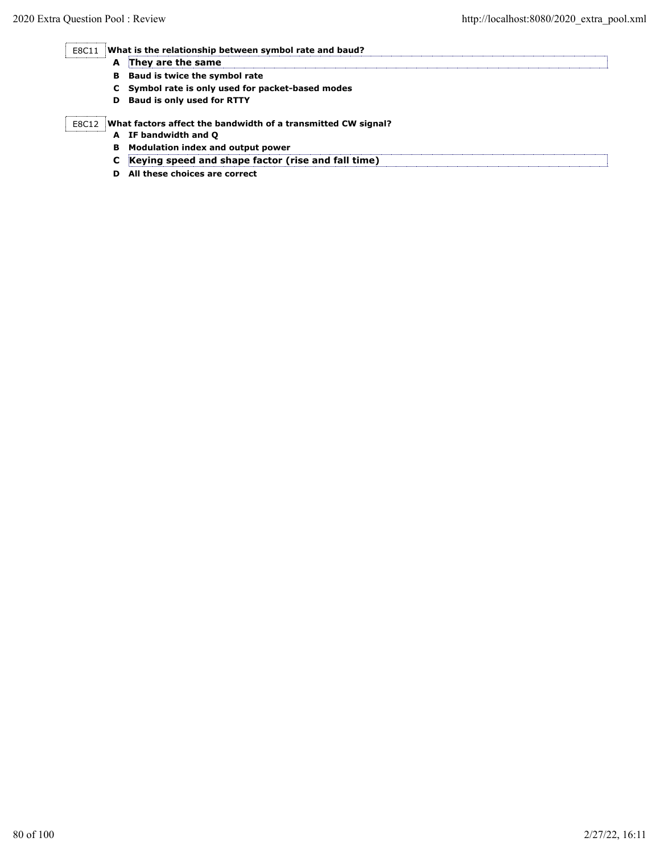## E8C11 **What is the relationship between symbol rate and baud?**

- **A They are the same**
- **B Baud is twice the symbol rate**
- **C Symbol rate is only used for packet-based modes**
- **D Baud is only used for RTTY**

## E8C12 **What factors affect the bandwidth of a transmitted CW signal?**

- **A IF bandwidth and Q**
	- **B Modulation index and output power**
	- **C Keying speed and shape factor (rise and fall time)**
	- **D All these choices are correct**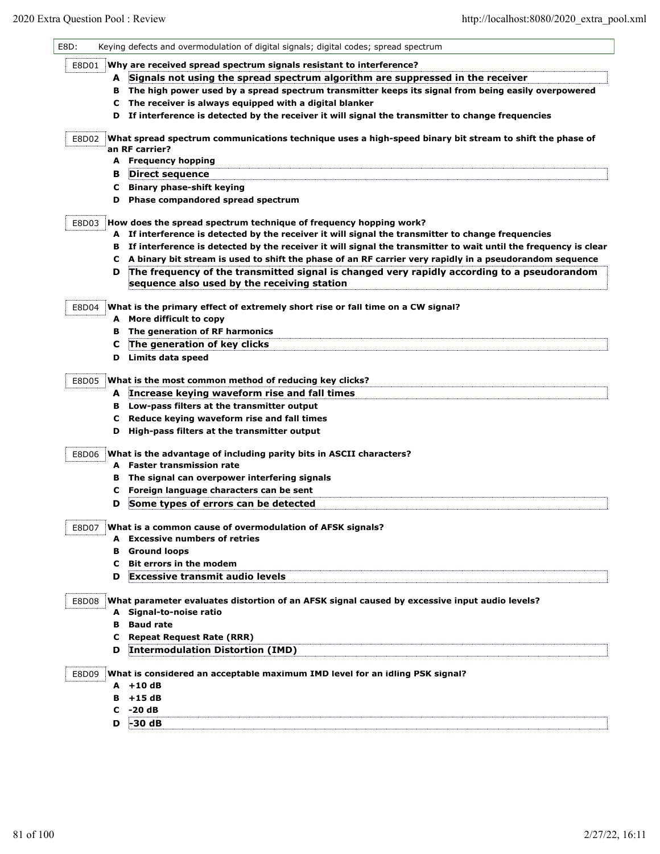| E8D:  |    | Keying defects and overmodulation of digital signals; digital codes; spread spectrum                                                       |
|-------|----|--------------------------------------------------------------------------------------------------------------------------------------------|
| E8D01 |    | Why are received spread spectrum signals resistant to interference?                                                                        |
|       | A  | Signals not using the spread spectrum algorithm are suppressed in the receiver                                                             |
|       | в  | The high power used by a spread spectrum transmitter keeps its signal from being easily overpowered                                        |
|       | C  | The receiver is always equipped with a digital blanker                                                                                     |
|       |    | D If interference is detected by the receiver it will signal the transmitter to change frequencies                                         |
| E8D02 |    | What spread spectrum communications technique uses a high-speed binary bit stream to shift the phase of                                    |
|       |    | an RF carrier?                                                                                                                             |
|       |    | A Frequency hopping                                                                                                                        |
|       | в  | Direct sequence                                                                                                                            |
|       | C  | <b>Binary phase-shift keying</b>                                                                                                           |
|       |    | D Phase compandored spread spectrum                                                                                                        |
|       |    | E8D03 How does the spread spectrum technique of frequency hopping work?                                                                    |
|       |    | A If interference is detected by the receiver it will signal the transmitter to change frequencies                                         |
|       |    | B If interference is detected by the receiver it will signal the transmitter to wait until the frequency is clear                          |
|       | C. | A binary bit stream is used to shift the phase of an RF carrier very rapidly in a pseudorandom sequence                                    |
|       | D  | The frequency of the transmitted signal is changed very rapidly according to a pseudorandom<br>sequence also used by the receiving station |
| E8D04 |    | What is the primary effect of extremely short rise or fall time on a CW signal?                                                            |
|       |    | A More difficult to copy                                                                                                                   |
|       | в  | The generation of RF harmonics                                                                                                             |
|       | С  | The generation of key clicks                                                                                                               |
|       |    | D Limits data speed                                                                                                                        |
|       |    |                                                                                                                                            |
| E8D05 |    | What is the most common method of reducing key clicks?                                                                                     |
|       |    | A Increase keying waveform rise and fall times                                                                                             |
|       |    | B Low-pass filters at the transmitter output                                                                                               |
|       | C. | Reduce keying waveform rise and fall times                                                                                                 |
|       |    | D High-pass filters at the transmitter output                                                                                              |
| E8D06 |    | What is the advantage of including parity bits in ASCII characters?                                                                        |
|       |    | A Faster transmission rate                                                                                                                 |
|       | в  | The signal can overpower interfering signals                                                                                               |
|       | с  | Foreign language characters can be sent                                                                                                    |
|       | D  | Some types of errors can be detected                                                                                                       |
| E8D07 |    | What is a common cause of overmodulation of AFSK signals?                                                                                  |
|       |    | A Excessive numbers of retries                                                                                                             |
|       |    | <b>B</b> Ground loops                                                                                                                      |
|       | c  | Bit errors in the modem                                                                                                                    |
|       | D  | <b>Excessive transmit audio levels</b>                                                                                                     |
| E8D08 |    | What parameter evaluates distortion of an AFSK signal caused by excessive input audio levels?                                              |
|       |    | A Signal-to-noise ratio                                                                                                                    |
|       |    | <b>B</b> Baud rate                                                                                                                         |
|       |    | C Repeat Request Rate (RRR)                                                                                                                |
|       | D  | <b>Intermodulation Distortion (IMD)</b>                                                                                                    |
|       |    |                                                                                                                                            |
| E8D09 |    | What is considered an acceptable maximum IMD level for an idling PSK signal?                                                               |
|       |    | $A + 10dB$<br>$+15dB$                                                                                                                      |
|       | в. | $C - 20dB$                                                                                                                                 |
|       |    | $D \overline{-30}$ dB                                                                                                                      |
|       |    |                                                                                                                                            |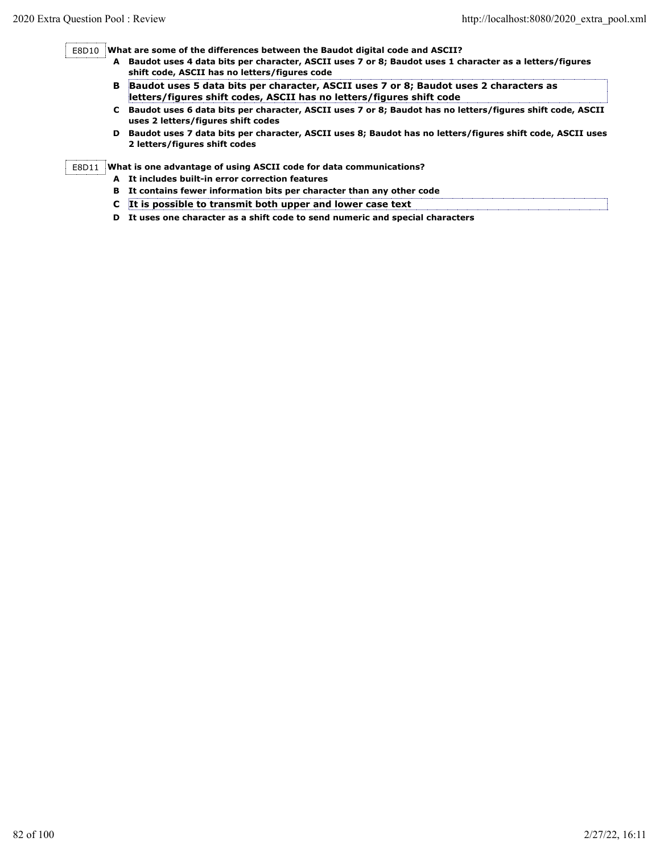E8D10 **What are some of the differences between the Baudot digital code and ASCII?**

- **A Baudot uses 4 data bits per character, ASCII uses 7 or 8; Baudot uses 1 character as a letters/figures shift code, ASCII has no letters/figures code**
- **B Baudot uses 5 data bits per character, ASCII uses 7 or 8; Baudot uses 2 characters as letters/figures shift codes, ASCII has no letters/figures shift code**
- **C Baudot uses 6 data bits per character, ASCII uses 7 or 8; Baudot has no letters/figures shift code, ASCII uses 2 letters/figures shift codes**
- **D Baudot uses 7 data bits per character, ASCII uses 8; Baudot has no letters/figures shift code, ASCII uses 2 letters/figures shift codes**

E8D11 **What is one advantage of using ASCII code for data communications?**

- **A It includes built-in error correction features**
- **B It contains fewer information bits per character than any other code**
- **C It is possible to transmit both upper and lower case text**
- **D It uses one character as a shift code to send numeric and special characters**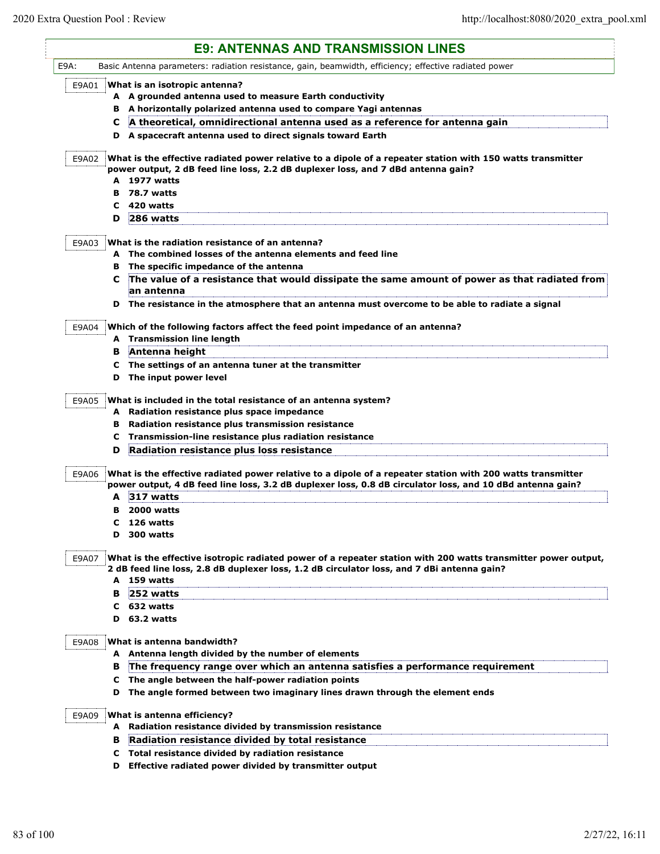|       |        | <b>E9: ANTENNAS AND TRANSMISSION LINES</b>                                                                    |
|-------|--------|---------------------------------------------------------------------------------------------------------------|
| E9A:  |        | Basic Antenna parameters: radiation resistance, gain, beamwidth, efficiency; effective radiated power         |
| E9A01 |        | What is an isotropic antenna?                                                                                 |
|       |        | A A grounded antenna used to measure Earth conductivity                                                       |
|       |        | B A horizontally polarized antenna used to compare Yagi antennas                                              |
|       |        | C A theoretical, omnidirectional antenna used as a reference for antenna gain                                 |
|       |        | D A spacecraft antenna used to direct signals toward Earth                                                    |
| E9A02 |        | What is the effective radiated power relative to a dipole of a repeater station with 150 watts transmitter    |
|       |        | power output, 2 dB feed line loss, 2.2 dB duplexer loss, and 7 dBd antenna gain?                              |
|       |        | A 1977 watts                                                                                                  |
|       |        | <b>B</b> 78.7 watts                                                                                           |
|       | c      | 420 watts                                                                                                     |
|       | D      | 286 watts                                                                                                     |
|       |        | What is the radiation resistance of an antenna?                                                               |
| E9A03 |        | A The combined losses of the antenna elements and feed line                                                   |
|       |        | B The specific impedance of the antenna                                                                       |
|       |        |                                                                                                               |
|       |        | C The value of a resistance that would dissipate the same amount of power as that radiated from<br>an antenna |
|       |        | D The resistance in the atmosphere that an antenna must overcome to be able to radiate a signal               |
| E9A04 |        | Which of the following factors affect the feed point impedance of an antenna?                                 |
|       |        | A Transmission line length                                                                                    |
|       | в      | Antenna height                                                                                                |
|       |        | C The settings of an antenna tuner at the transmitter                                                         |
|       |        | D The input power level                                                                                       |
|       |        |                                                                                                               |
| E9A05 |        | What is included in the total resistance of an antenna system?                                                |
|       |        | A Radiation resistance plus space impedance                                                                   |
|       |        | <b>B</b> Radiation resistance plus transmission resistance                                                    |
|       |        | C Transmission-line resistance plus radiation resistance                                                      |
|       | D      | Radiation resistance plus loss resistance                                                                     |
| E9A06 |        | What is the effective radiated power relative to a dipole of a repeater station with 200 watts transmitter    |
|       |        | power output, 4 dB feed line loss, 3.2 dB duplexer loss, 0.8 dB circulator loss, and 10 dBd antenna gain?     |
|       | А      | 317 watts                                                                                                     |
|       | в      | 2000 watts                                                                                                    |
|       |        | 126 watts                                                                                                     |
|       | с<br>D |                                                                                                               |
|       |        | 300 watts                                                                                                     |
| E9A07 |        | What is the effective isotropic radiated power of a repeater station with 200 watts transmitter power output, |
|       |        | 2 dB feed line loss, 2.8 dB duplexer loss, 1.2 dB circulator loss, and 7 dBi antenna gain?                    |
|       |        | A 159 watts                                                                                                   |
|       | в      | 252 watts                                                                                                     |
|       |        | C 632 watts                                                                                                   |
|       |        | <b>D</b> 63.2 watts                                                                                           |
| E9A08 |        | What is antenna bandwidth?                                                                                    |
|       |        | A Antenna length divided by the number of elements                                                            |
|       |        | B The frequency range over which an antenna satisfies a performance requirement                               |
|       |        | C The angle between the half-power radiation points                                                           |
|       |        | D The angle formed between two imaginary lines drawn through the element ends                                 |
|       |        |                                                                                                               |
| E9A09 |        | What is antenna efficiency?                                                                                   |
|       |        | A Radiation resistance divided by transmission resistance                                                     |
|       | в      | Radiation resistance divided by total resistance                                                              |
|       |        | C Total resistance divided by radiation resistance                                                            |
|       |        | D Effective radiated power divided by transmitter output                                                      |
|       |        |                                                                                                               |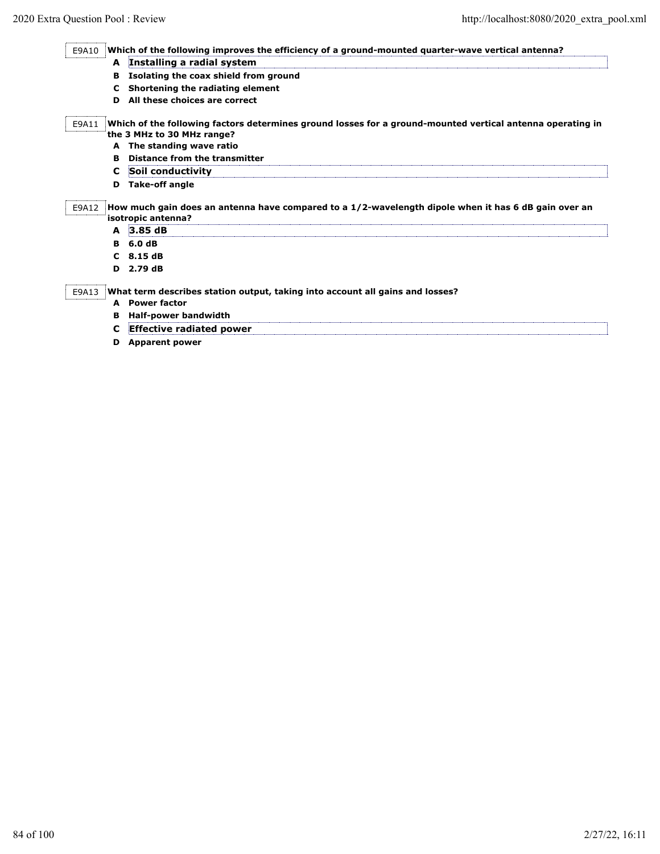| E9A10 |   | Which of the following improves the efficiency of a ground-mounted quarter-wave vertical antenna?                                         |
|-------|---|-------------------------------------------------------------------------------------------------------------------------------------------|
|       |   | A Installing a radial system                                                                                                              |
|       | в | Isolating the coax shield from ground                                                                                                     |
|       | C | Shortening the radiating element                                                                                                          |
|       | D | All these choices are correct                                                                                                             |
| E9A11 |   | Which of the following factors determines ground losses for a ground-mounted vertical antenna operating in<br>the 3 MHz to 30 MHz range?  |
|       |   | A The standing wave ratio                                                                                                                 |
|       | в | Distance from the transmitter                                                                                                             |
|       | C | Soil conductivity                                                                                                                         |
|       | D | <b>Take-off angle</b>                                                                                                                     |
| E9A12 |   | How much gain does an antenna have compared to a 1/2-wavelength dipole when it has 6 dB gain over an<br>isotropic antenna?<br>$A$ 3.85 dB |
|       | в | 6.0 dB                                                                                                                                    |
|       |   | $C$ 8.15 dB                                                                                                                               |
|       |   | D 2.79 dB                                                                                                                                 |
| E9A13 | A | What term describes station output, taking into account all gains and losses?<br><b>Power factor</b>                                      |
|       | в | Half-power bandwidth                                                                                                                      |
|       |   |                                                                                                                                           |
|       | c | <b>Effective radiated power</b>                                                                                                           |

**D Apparent power**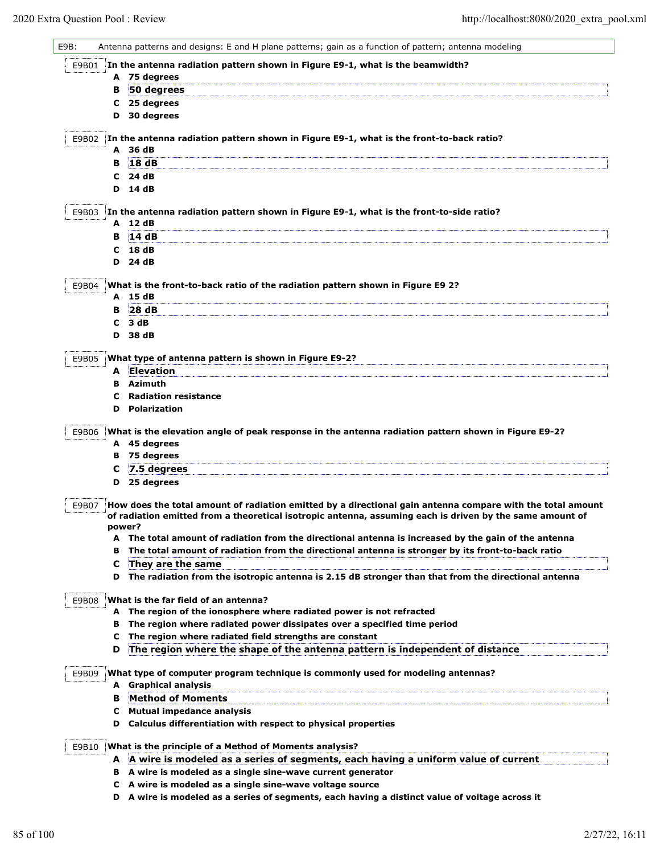2020 Extra Question Pool : Review http://localhost:8080/2020\_extra\_pool.xml

| E9B:  |    | Antenna patterns and designs: E and H plane patterns; gain as a function of pattern; antenna modeling                                                                                                                  |
|-------|----|------------------------------------------------------------------------------------------------------------------------------------------------------------------------------------------------------------------------|
| E9B01 |    | In the antenna radiation pattern shown in Figure E9-1, what is the beamwidth?                                                                                                                                          |
|       |    | A 75 degrees                                                                                                                                                                                                           |
|       | в  | 50 degrees                                                                                                                                                                                                             |
|       |    | C 25 degrees                                                                                                                                                                                                           |
|       |    | D 30 degrees                                                                                                                                                                                                           |
|       |    | E9B02 In the antenna radiation pattern shown in Figure E9-1, what is the front-to-back ratio?                                                                                                                          |
|       | A  | 36 dB                                                                                                                                                                                                                  |
|       | в  | 18dB                                                                                                                                                                                                                   |
|       |    | $C$ 24 dB                                                                                                                                                                                                              |
|       |    | D 14 dB                                                                                                                                                                                                                |
|       |    |                                                                                                                                                                                                                        |
| E9B03 |    | In the antenna radiation pattern shown in Figure E9-1, what is the front-to-side ratio?<br>A 12 dB                                                                                                                     |
|       | в  | 14dB                                                                                                                                                                                                                   |
|       |    | C <sub>18</sub> dB                                                                                                                                                                                                     |
|       | D  | 24 dB                                                                                                                                                                                                                  |
|       |    |                                                                                                                                                                                                                        |
| E9B04 |    | What is the front-to-back ratio of the radiation pattern shown in Figure E9 2?<br>A 15 dB                                                                                                                              |
|       | в  | 28dB                                                                                                                                                                                                                   |
|       | C  | 3 dB                                                                                                                                                                                                                   |
|       |    | D 38 dB                                                                                                                                                                                                                |
|       |    |                                                                                                                                                                                                                        |
| E9B05 |    | What type of antenna pattern is shown in Figure E9-2?<br><b>A</b> Elevation                                                                                                                                            |
|       |    | <b>B</b> Azimuth                                                                                                                                                                                                       |
|       |    | <b>C</b> Radiation resistance                                                                                                                                                                                          |
|       |    | <b>D</b> Polarization                                                                                                                                                                                                  |
|       |    |                                                                                                                                                                                                                        |
| E9B06 |    | What is the elevation angle of peak response in the antenna radiation pattern shown in Figure E9-2?<br>A 45 degrees                                                                                                    |
|       |    | <b>B</b> 75 degrees                                                                                                                                                                                                    |
|       | c  | 7.5 degrees                                                                                                                                                                                                            |
|       | D  | 25 degrees                                                                                                                                                                                                             |
|       |    |                                                                                                                                                                                                                        |
| E9B07 |    | How does the total amount of radiation emitted by a directional gain antenna compare with the total amount<br>of radiation emitted from a theoretical isotropic antenna, assuming each is driven by the same amount of |
|       |    | power?                                                                                                                                                                                                                 |
|       |    | A The total amount of radiation from the directional antenna is increased by the gain of the antenna                                                                                                                   |
|       | в  | The total amount of radiation from the directional antenna is stronger by its front-to-back ratio                                                                                                                      |
|       | C  | They are the same                                                                                                                                                                                                      |
|       |    | D The radiation from the isotropic antenna is 2.15 dB stronger than that from the directional antenna                                                                                                                  |
| E9B08 |    | What is the far field of an antenna?                                                                                                                                                                                   |
|       |    | A The region of the ionosphere where radiated power is not refracted                                                                                                                                                   |
|       | в  | The region where radiated power dissipates over a specified time period                                                                                                                                                |
|       | C. | The region where radiated field strengths are constant                                                                                                                                                                 |
|       | D  | The region where the shape of the antenna pattern is independent of distance                                                                                                                                           |
|       |    |                                                                                                                                                                                                                        |
| E9B09 | A  | What type of computer program technique is commonly used for modeling antennas?<br><b>Graphical analysis</b>                                                                                                           |
|       | в  | Method of Moments                                                                                                                                                                                                      |
|       | C  | <b>Mutual impedance analysis</b>                                                                                                                                                                                       |
|       |    | D Calculus differentiation with respect to physical properties                                                                                                                                                         |
|       |    |                                                                                                                                                                                                                        |
| E9B10 |    | What is the principle of a Method of Moments analysis?                                                                                                                                                                 |
|       |    | A A wire is modeled as a series of segments, each having a uniform value of current                                                                                                                                    |
|       |    | <b>B</b> A wire is modeled as a single sine-wave current generator                                                                                                                                                     |
|       |    | C A wire is modeled as a single sine-wave voltage source                                                                                                                                                               |
|       |    | D A wire is modeled as a series of segments, each having a distinct value of voltage across it                                                                                                                         |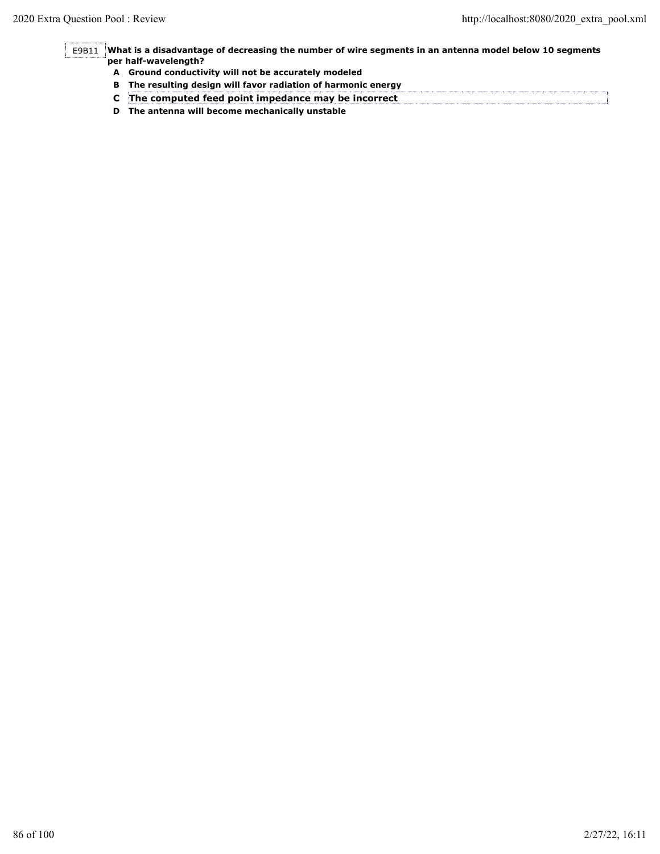E9B11 **What is a disadvantage of decreasing the number of wire segments in an antenna model below 10 segments per half-wavelength?**

- **A Ground conductivity will not be accurately modeled**
- **B The resulting design will favor radiation of harmonic energy**
- **C The computed feed point impedance may be incorrect**
- **D The antenna will become mechanically unstable**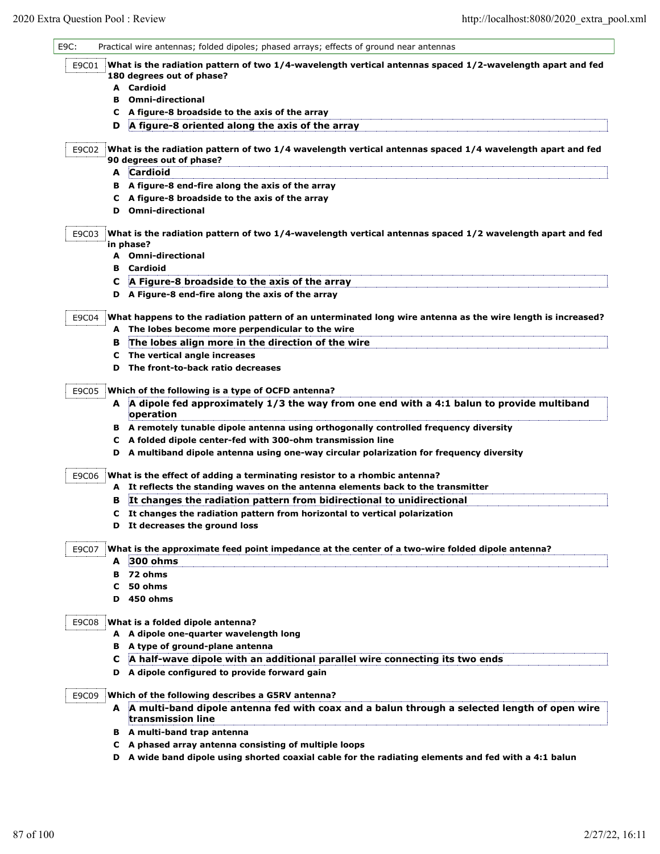$\mathsf{l}$ 

| E9C:  | Practical wire antennas; folded dipoles; phased arrays; effects of ground near antennas                                                                          |
|-------|------------------------------------------------------------------------------------------------------------------------------------------------------------------|
| E9C01 | What is the radiation pattern of two 1/4-wavelength vertical antennas spaced 1/2-wavelength apart and fed<br>180 degrees out of phase?                           |
|       | A Cardioid                                                                                                                                                       |
|       | <b>B</b> Omni-directional                                                                                                                                        |
|       | C A figure-8 broadside to the axis of the array                                                                                                                  |
| D.    | A figure-8 oriented along the axis of the array                                                                                                                  |
| E9C02 | What is the radiation pattern of two 1/4 wavelength vertical antennas spaced 1/4 wavelength apart and fed<br>90 degrees out of phase?                            |
|       | A Cardioid                                                                                                                                                       |
|       | B A figure-8 end-fire along the axis of the array                                                                                                                |
|       | C A figure-8 broadside to the axis of the array                                                                                                                  |
|       | <b>D</b> Omni-directional                                                                                                                                        |
| E9C03 | What is the radiation pattern of two 1/4-wavelength vertical antennas spaced 1/2 wavelength apart and fed<br>in phase?                                           |
|       | A Omni-directional                                                                                                                                               |
|       | <b>B</b> Cardioid                                                                                                                                                |
| C.    | A Figure-8 broadside to the axis of the array                                                                                                                    |
|       | D A Figure-8 end-fire along the axis of the array                                                                                                                |
| E9C04 | What happens to the radiation pattern of an unterminated long wire antenna as the wire length is increased?<br>A The lobes become more perpendicular to the wire |
| в     | The lobes align more in the direction of the wire                                                                                                                |
|       | C The vertical angle increases                                                                                                                                   |
|       | D The front-to-back ratio decreases                                                                                                                              |
| E9C05 | Which of the following is a type of OCFD antenna?                                                                                                                |
|       | A A dipole fed approximately 1/3 the way from one end with a 4:1 balun to provide multiband<br>operation                                                         |
|       | B A remotely tunable dipole antenna using orthogonally controlled frequency diversity                                                                            |
|       | C A folded dipole center-fed with 300-ohm transmission line                                                                                                      |
|       | D A multiband dipole antenna using one-way circular polarization for frequency diversity                                                                         |
| E9C06 | What is the effect of adding a terminating resistor to a rhombic antenna?                                                                                        |
|       | A It reflects the standing waves on the antenna elements back to the transmitter                                                                                 |
| в     | It changes the radiation pattern from bidirectional to unidirectional                                                                                            |
| C     | It changes the radiation pattern from horizontal to vertical polarization                                                                                        |
| D     | It decreases the ground loss                                                                                                                                     |
| E9C07 | What is the approximate feed point impedance at the center of a two-wire folded dipole antenna?                                                                  |
|       | A 300 ohms                                                                                                                                                       |
|       | B 72 ohms                                                                                                                                                        |
|       | C <sub>50 ohms</sub>                                                                                                                                             |
|       | <b>D</b> 450 ohms                                                                                                                                                |
| E9C08 | What is a folded dipole antenna?                                                                                                                                 |
|       | A A dipole one-quarter wavelength long                                                                                                                           |
|       | B A type of ground-plane antenna                                                                                                                                 |
|       | C A half-wave dipole with an additional parallel wire connecting its two ends                                                                                    |
|       | D A dipole configured to provide forward gain                                                                                                                    |
| E9C09 | Which of the following describes a G5RV antenna?                                                                                                                 |
|       | A A multi-band dipole antenna fed with coax and a balun through a selected length of open wire<br>transmission line                                              |
|       | <b>B</b> A multi-band trap antenna                                                                                                                               |
|       | C A phased array antenna consisting of multiple loops                                                                                                            |
|       | D A wide band dipole using shorted coaxial cable for the radiating elements and fed with a 4:1 balun                                                             |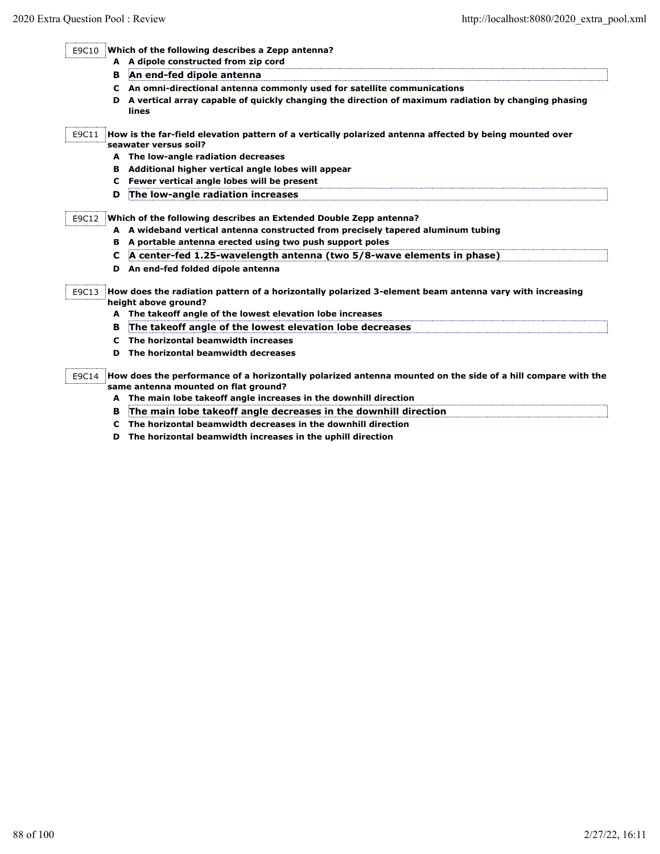E9C10 **Which of the following describes a Zepp antenna?**

- **A A dipole constructed from zip cord**
- **B An end-fed dipole antenna**
- **C An omni-directional antenna commonly used for satellite communications**
- **D A vertical array capable of quickly changing the direction of maximum radiation by changing phasing lines**

E9C11 **How is the far-field elevation pattern of a vertically polarized antenna affected by being mounted over seawater versus soil?**

- **A The low-angle radiation decreases**
- **B Additional higher vertical angle lobes will appear**
- **C Fewer vertical angle lobes will be present**
- **D The low-angle radiation increases**

E9C12 **Which of the following describes an Extended Double Zepp antenna?**

- **A A wideband vertical antenna constructed from precisely tapered aluminum tubing**
- **B A portable antenna erected using two push support poles**
- **C A center-fed 1.25-wavelength antenna (two 5/8-wave elements in phase)**
- **D An end-fed folded dipole antenna**
- E9C13 **How does the radiation pattern of a horizontally polarized 3-element beam antenna vary with increasing height above ground?**
	- **A The takeoff angle of the lowest elevation lobe increases**
	- **B The takeoff angle of the lowest elevation lobe decreases**
	- **C The horizontal beamwidth increases**
	- **D The horizontal beamwidth decreases**
- E9C14 **How does the performance of a horizontally polarized antenna mounted on the side of a hill compare with the same antenna mounted on flat ground?**
	- **A The main lobe takeoff angle increases in the downhill direction**
	- **B The main lobe takeoff angle decreases in the downhill direction**
	- **C The horizontal beamwidth decreases in the downhill direction**
	- **D The horizontal beamwidth increases in the uphill direction**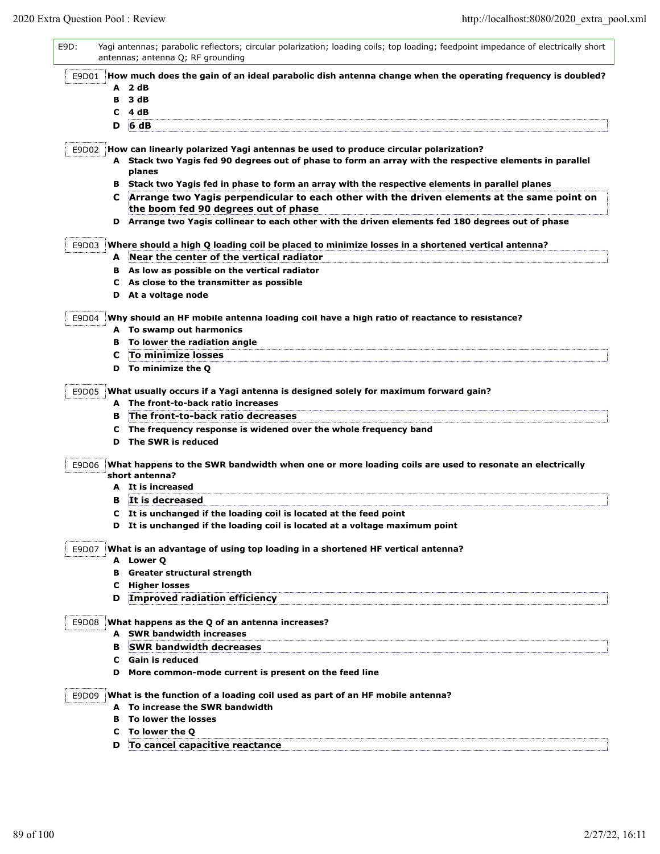| E9D:  |       | Yagi antennas; parabolic reflectors; circular polarization; loading coils; top loading; feedpoint impedance of electrically short<br>antennas; antenna Q; RF grounding |
|-------|-------|------------------------------------------------------------------------------------------------------------------------------------------------------------------------|
| E9D01 |       | How much does the gain of an ideal parabolic dish antenna change when the operating frequency is doubled?                                                              |
|       |       | A 2 dB                                                                                                                                                                 |
|       | в     | 3 dB                                                                                                                                                                   |
|       | C     | - 4 dB                                                                                                                                                                 |
|       | D     | <b>6 dB</b>                                                                                                                                                            |
| E9D02 |       | How can linearly polarized Yagi antennas be used to produce circular polarization?                                                                                     |
|       |       | A Stack two Yagis fed 90 degrees out of phase to form an array with the respective elements in parallel                                                                |
|       |       | planes                                                                                                                                                                 |
|       |       | B Stack two Yagis fed in phase to form an array with the respective elements in parallel planes                                                                        |
|       | C.    | Arrange two Yagis perpendicular to each other with the driven elements at the same point on<br>the boom fed 90 degrees out of phase                                    |
|       |       | D Arrange two Yagis collinear to each other with the driven elements fed 180 degrees out of phase                                                                      |
|       |       |                                                                                                                                                                        |
|       | E9D03 | Where should a high Q loading coil be placed to minimize losses in a shortened vertical antenna?                                                                       |
|       |       | A Near the center of the vertical radiator                                                                                                                             |
|       |       | B As low as possible on the vertical radiator                                                                                                                          |
|       |       | C As close to the transmitter as possible                                                                                                                              |
|       |       | D At a voltage node                                                                                                                                                    |
| E9D04 |       | Why should an HF mobile antenna loading coil have a high ratio of reactance to resistance?                                                                             |
|       |       | A To swamp out harmonics                                                                                                                                               |
|       | в     | To lower the radiation angle                                                                                                                                           |
|       | c     | To minimize losses                                                                                                                                                     |
|       |       | D To minimize the Q                                                                                                                                                    |
|       |       |                                                                                                                                                                        |
| E9D05 |       | What usually occurs if a Yagi antenna is designed solely for maximum forward gain?                                                                                     |
|       |       | A The front-to-back ratio increases                                                                                                                                    |
|       | в     | The front-to-back ratio decreases                                                                                                                                      |
|       |       | C The frequency response is widened over the whole frequency band                                                                                                      |
|       |       | D The SWR is reduced                                                                                                                                                   |
| E9D06 |       | What happens to the SWR bandwidth when one or more loading coils are used to resonate an electrically                                                                  |
|       |       | short antenna?                                                                                                                                                         |
|       |       | A It is increased                                                                                                                                                      |
|       | в     | It is decreased                                                                                                                                                        |
|       |       | C It is unchanged if the loading coil is located at the feed point                                                                                                     |
|       |       | D It is unchanged if the loading coil is located at a voltage maximum point                                                                                            |
| E9D07 |       | What is an advantage of using top loading in a shortened HF vertical antenna?                                                                                          |
|       |       | A Lower Q                                                                                                                                                              |
|       |       | <b>B</b> Greater structural strength                                                                                                                                   |
|       |       | <b>C</b> Higher losses                                                                                                                                                 |
|       | D     | Improved radiation efficiency                                                                                                                                          |
|       |       |                                                                                                                                                                        |
| E9D08 |       | What happens as the Q of an antenna increases?                                                                                                                         |
|       |       | A SWR bandwidth increases                                                                                                                                              |
|       | в     | <b>SWR bandwidth decreases</b>                                                                                                                                         |
|       |       | C Gain is reduced                                                                                                                                                      |
|       |       | D More common-mode current is present on the feed line                                                                                                                 |
| E9D09 |       | What is the function of a loading coil used as part of an HF mobile antenna?                                                                                           |
|       |       | A To increase the SWR bandwidth                                                                                                                                        |
|       |       | <b>B</b> To lower the losses                                                                                                                                           |
|       | C     | To lower the Q                                                                                                                                                         |
|       | D     | To cancel capacitive reactance                                                                                                                                         |
|       |       |                                                                                                                                                                        |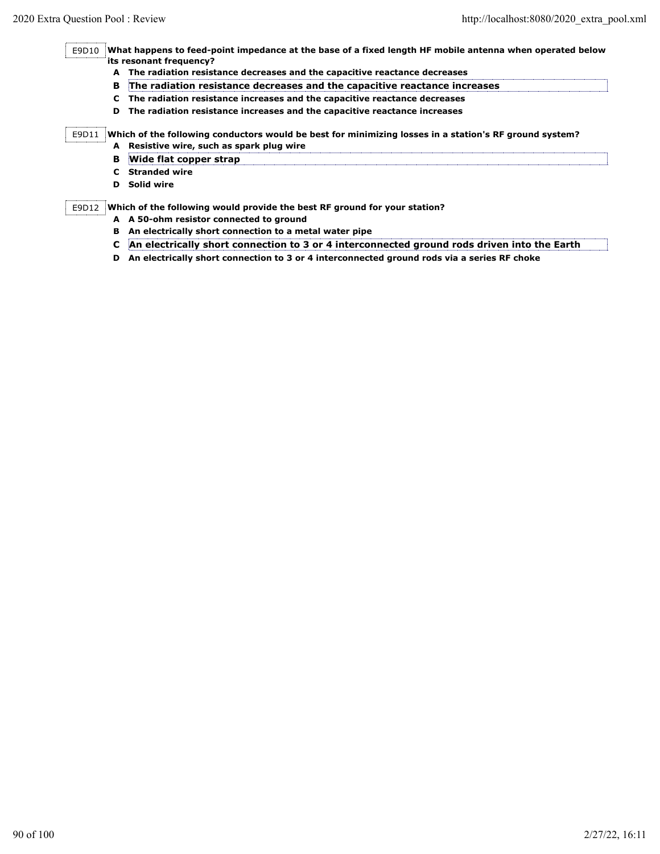E9D10 **What happens to feed-point impedance at the base of a fixed length HF mobile antenna when operated below its resonant frequency?**

**A The radiation resistance decreases and the capacitive reactance decreases**

- **B The radiation resistance decreases and the capacitive reactance increases**
- **C The radiation resistance increases and the capacitive reactance decreases**
- **D The radiation resistance increases and the capacitive reactance increases**

E9D11 **Which of the following conductors would be best for minimizing losses in a station's RF ground system? A Resistive wire, such as spark plug wire**

- **B Wide flat copper strap**
- **C Stranded wire**
- **D Solid wire**

E9D12 **Which of the following would provide the best RF ground for your station?**

- **A A 50-ohm resistor connected to ground**
- **B An electrically short connection to a metal water pipe**
- **C An electrically short connection to 3 or 4 interconnected ground rods driven into the Earth**
- **D An electrically short connection to 3 or 4 interconnected ground rods via a series RF choke**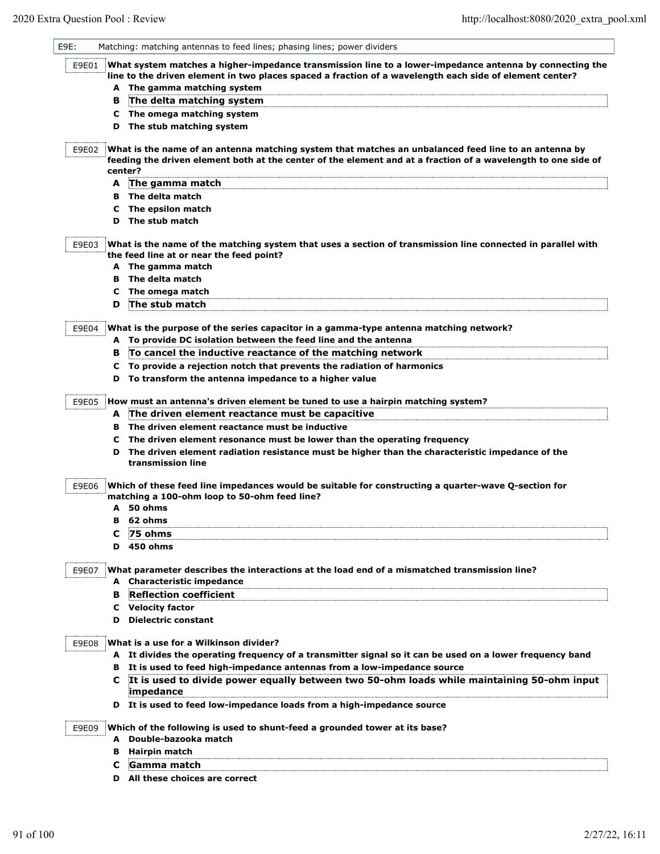| E9E:  |    | Matching: matching antennas to feed lines; phasing lines; power dividers                                                                                                                                              |
|-------|----|-----------------------------------------------------------------------------------------------------------------------------------------------------------------------------------------------------------------------|
| E9E01 |    | What system matches a higher-impedance transmission line to a lower-impedance antenna by connecting the                                                                                                               |
|       |    | line to the driven element in two places spaced a fraction of a wavelength each side of element center?                                                                                                               |
|       |    | A The gamma matching system                                                                                                                                                                                           |
|       | в  | The delta matching system                                                                                                                                                                                             |
|       |    | C The omega matching system                                                                                                                                                                                           |
|       | D  | The stub matching system                                                                                                                                                                                              |
| E9E02 |    | What is the name of an antenna matching system that matches an unbalanced feed line to an antenna by<br>feeding the driven element both at the center of the element and at a fraction of a wavelength to one side of |
|       |    | center?                                                                                                                                                                                                               |
|       |    | A The gamma match                                                                                                                                                                                                     |
|       |    | <b>B</b> The delta match                                                                                                                                                                                              |
|       |    | C The epsilon match                                                                                                                                                                                                   |
|       | D  | The stub match                                                                                                                                                                                                        |
| E9E03 |    | What is the name of the matching system that uses a section of transmission line connected in parallel with<br>the feed line at or near the feed point?                                                               |
|       |    | A The gamma match                                                                                                                                                                                                     |
|       |    | <b>B</b> The delta match                                                                                                                                                                                              |
|       | C  | The omega match                                                                                                                                                                                                       |
|       | D  | The stub match                                                                                                                                                                                                        |
|       |    |                                                                                                                                                                                                                       |
| E9E04 |    | What is the purpose of the series capacitor in a gamma-type antenna matching network?                                                                                                                                 |
|       |    | A To provide DC isolation between the feed line and the antenna                                                                                                                                                       |
|       | в  | To cancel the inductive reactance of the matching network                                                                                                                                                             |
|       |    | C To provide a rejection notch that prevents the radiation of harmonics                                                                                                                                               |
|       |    | D To transform the antenna impedance to a higher value                                                                                                                                                                |
|       |    |                                                                                                                                                                                                                       |
| E9E05 |    | How must an antenna's driven element be tuned to use a hairpin matching system?                                                                                                                                       |
|       |    | A The driven element reactance must be capacitive                                                                                                                                                                     |
|       |    | <b>B</b> The driven element reactance must be inductive                                                                                                                                                               |
|       | C. | The driven element resonance must be lower than the operating frequency                                                                                                                                               |
|       | D  | The driven element radiation resistance must be higher than the characteristic impedance of the<br>transmission line                                                                                                  |
| E9E06 |    | Which of these feed line impedances would be suitable for constructing a quarter-wave Q-section for<br>matching a 100-ohm loop to 50-ohm feed line?                                                                   |
|       |    | A 50 ohms                                                                                                                                                                                                             |
|       | в  | 62 ohms                                                                                                                                                                                                               |
|       | с  | 75 ohms                                                                                                                                                                                                               |
|       | D  | 450 ohms                                                                                                                                                                                                              |
|       |    |                                                                                                                                                                                                                       |
| E9E07 |    | What parameter describes the interactions at the load end of a mismatched transmission line?<br>A Characteristic impedance                                                                                            |
|       |    |                                                                                                                                                                                                                       |
|       | в  | <b>Reflection coefficient</b>                                                                                                                                                                                         |
|       |    | C Velocity factor                                                                                                                                                                                                     |
|       | D  | <b>Dielectric constant</b>                                                                                                                                                                                            |
| E9E08 |    | What is a use for a Wilkinson divider?                                                                                                                                                                                |
|       |    | A It divides the operating frequency of a transmitter signal so it can be used on a lower frequency band                                                                                                              |
|       | в  | It is used to feed high-impedance antennas from a low-impedance source                                                                                                                                                |
|       | C  | It is used to divide power equally between two 50-ohm loads while maintaining 50-ohm input                                                                                                                            |
|       |    | impedance<br>D It is used to feed low-impedance loads from a high-impedance source                                                                                                                                    |
| E9E09 |    | Which of the following is used to shunt-feed a grounded tower at its base?                                                                                                                                            |
|       |    | A Double-bazooka match                                                                                                                                                                                                |
|       | в  | Hairpin match                                                                                                                                                                                                         |
|       | c  | Gamma match                                                                                                                                                                                                           |
|       |    | D All these choices are correct                                                                                                                                                                                       |
|       |    |                                                                                                                                                                                                                       |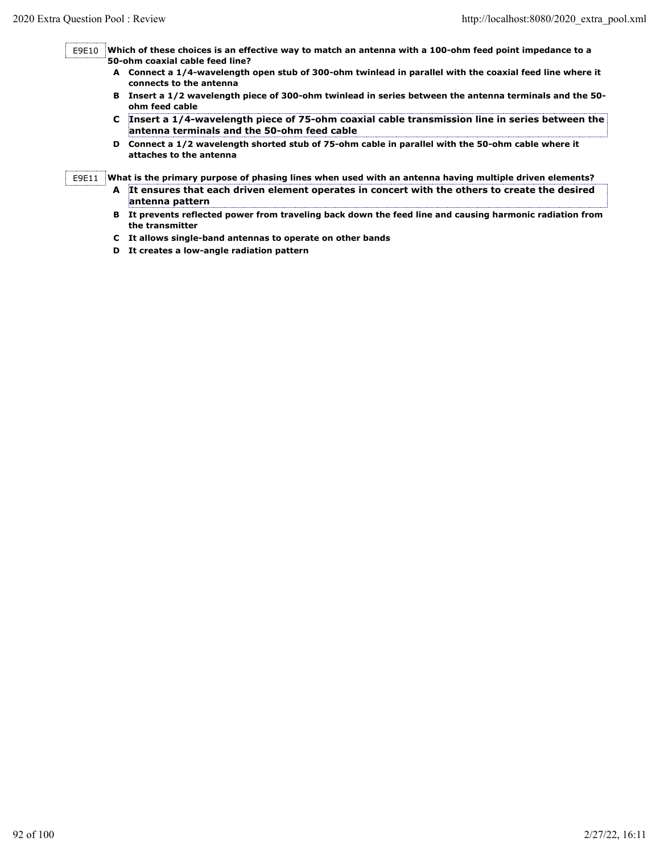E9E10 **Which of these choices is an effective way to match an antenna with a 100-ohm feed point impedance to a 50-ohm coaxial cable feed line?**

- **A Connect a 1/4-wavelength open stub of 300-ohm twinlead in parallel with the coaxial feed line where it connects to the antenna**
- **B Insert a 1/2 wavelength piece of 300-ohm twinlead in series between the antenna terminals and the 50 ohm feed cable**
- **C Insert a 1/4-wavelength piece of 75-ohm coaxial cable transmission line in series between the antenna terminals and the 50-ohm feed cable**
- **D Connect a 1/2 wavelength shorted stub of 75-ohm cable in parallel with the 50-ohm cable where it attaches to the antenna**

E9E11 **What is the primary purpose of phasing lines when used with an antenna having multiple driven elements?**

- **A It ensures that each driven element operates in concert with the others to create the desired antenna pattern**
- **B It prevents reflected power from traveling back down the feed line and causing harmonic radiation from the transmitter**
- **C It allows single-band antennas to operate on other bands**
- **D It creates a low-angle radiation pattern**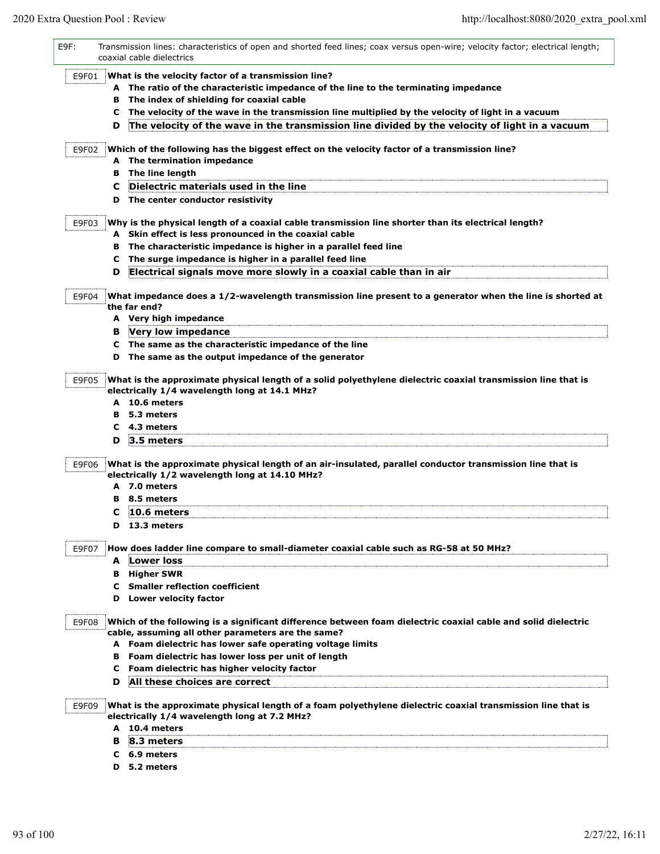| E9F:  |   | Transmission lines: characteristics of open and shorted feed lines; coax versus open-wire; velocity factor; electrical length;<br>coaxial cable dielectrics                                  |
|-------|---|----------------------------------------------------------------------------------------------------------------------------------------------------------------------------------------------|
| E9F01 |   | What is the velocity factor of a transmission line?                                                                                                                                          |
|       |   | A The ratio of the characteristic impedance of the line to the terminating impedance                                                                                                         |
|       | в | The index of shielding for coaxial cable                                                                                                                                                     |
|       | C | The velocity of the wave in the transmission line multiplied by the velocity of light in a vacuum                                                                                            |
|       | D | The velocity of the wave in the transmission line divided by the velocity of light in a vacuum                                                                                               |
| E9F02 |   | Which of the following has the biggest effect on the velocity factor of a transmission line?                                                                                                 |
|       |   | A The termination impedance                                                                                                                                                                  |
|       | в | The line length                                                                                                                                                                              |
|       | c | Dielectric materials used in the line                                                                                                                                                        |
|       |   | D The center conductor resistivity                                                                                                                                                           |
|       |   |                                                                                                                                                                                              |
| E9F03 |   | Why is the physical length of a coaxial cable transmission line shorter than its electrical length?                                                                                          |
|       |   | A Skin effect is less pronounced in the coaxial cable                                                                                                                                        |
|       |   | B The characteristic impedance is higher in a parallel feed line                                                                                                                             |
|       | C | The surge impedance is higher in a parallel feed line                                                                                                                                        |
|       | D | Electrical signals move more slowly in a coaxial cable than in air                                                                                                                           |
| E9F04 |   | What impedance does a 1/2-wavelength transmission line present to a generator when the line is shorted at<br>the far end?                                                                    |
|       |   | A Very high impedance                                                                                                                                                                        |
|       | в | Very low impedance                                                                                                                                                                           |
|       |   | C The same as the characteristic impedance of the line                                                                                                                                       |
|       |   | D The same as the output impedance of the generator                                                                                                                                          |
| E9F05 | в | What is the approximate physical length of a solid polyethylene dielectric coaxial transmission line that is<br>electrically 1/4 wavelength long at 14.1 MHz?<br>A 10.6 meters<br>5.3 meters |
|       | C | 4.3 meters                                                                                                                                                                                   |
|       | D | 3.5 meters                                                                                                                                                                                   |
|       |   |                                                                                                                                                                                              |
| E9F06 |   | What is the approximate physical length of an air-insulated, parallel conductor transmission line that is<br>electrically 1/2 wavelength long at 14.10 MHz?                                  |
|       |   | A 7.0 meters                                                                                                                                                                                 |
|       | в | 8.5 meters                                                                                                                                                                                   |
|       | C | 10.6 meters                                                                                                                                                                                  |
|       | D | 13.3 meters                                                                                                                                                                                  |
|       |   |                                                                                                                                                                                              |
| E9F07 |   | How does ladder line compare to small-diameter coaxial cable such as RG-58 at 50 MHz?                                                                                                        |
|       |   | A Lower loss                                                                                                                                                                                 |
|       |   | <b>B</b> Higher SWR                                                                                                                                                                          |
|       |   | <b>C</b> Smaller reflection coefficient                                                                                                                                                      |
|       |   | D Lower velocity factor                                                                                                                                                                      |
| E9F08 |   | Which of the following is a significant difference between foam dielectric coaxial cable and solid dielectric<br>cable, assuming all other parameters are the same?                          |
|       |   | A Foam dielectric has lower safe operating voltage limits                                                                                                                                    |
|       |   | B Foam dielectric has lower loss per unit of length                                                                                                                                          |
|       |   | C Foam dielectric has higher velocity factor                                                                                                                                                 |
|       | D | All these choices are correct                                                                                                                                                                |
|       |   |                                                                                                                                                                                              |
| E9F09 |   | What is the approximate physical length of a foam polyethylene dielectric coaxial transmission line that is<br>electrically 1/4 wavelength long at 7.2 MHz?                                  |
|       |   | A 10.4 meters                                                                                                                                                                                |
|       | в | 8.3 meters                                                                                                                                                                                   |
|       |   | C 6.9 meters                                                                                                                                                                                 |
|       |   | D 5.2 meters                                                                                                                                                                                 |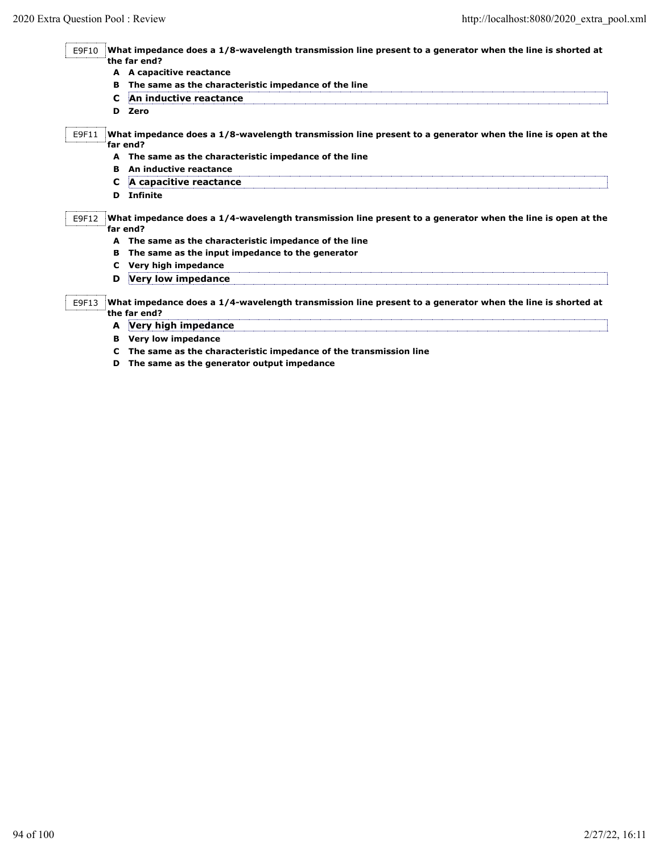| E9F10 |                                                                                                                           | What impedance does a $1/8$ -wavelength transmission line present to a generator when the line is shorted at           |  |
|-------|---------------------------------------------------------------------------------------------------------------------------|------------------------------------------------------------------------------------------------------------------------|--|
|       |                                                                                                                           | the far end?                                                                                                           |  |
|       |                                                                                                                           | A A capacitive reactance                                                                                               |  |
|       | в                                                                                                                         | The same as the characteristic impedance of the line                                                                   |  |
|       | C                                                                                                                         | An inductive reactance                                                                                                 |  |
|       | D                                                                                                                         | Zero                                                                                                                   |  |
| E9F11 |                                                                                                                           | What impedance does a 1/8-wavelength transmission line present to a generator when the line is open at the<br>far end? |  |
|       |                                                                                                                           | A The same as the characteristic impedance of the line                                                                 |  |
|       | в                                                                                                                         | An inductive reactance                                                                                                 |  |
|       | C                                                                                                                         | A capacitive reactance                                                                                                 |  |
|       | D                                                                                                                         | <b>Infinite</b>                                                                                                        |  |
| E9F12 | What impedance does a 1/4-wavelength transmission line present to a generator when the line is open at the<br>far end?    |                                                                                                                        |  |
|       |                                                                                                                           | A The same as the characteristic impedance of the line                                                                 |  |
|       | в                                                                                                                         | The same as the input impedance to the generator                                                                       |  |
|       | C                                                                                                                         | Very high impedance                                                                                                    |  |
|       | D                                                                                                                         | Very low impedance                                                                                                     |  |
| E9F13 | What impedance does a 1/4-wavelength transmission line present to a generator when the line is shorted at<br>the far end? |                                                                                                                        |  |
|       |                                                                                                                           | A Very high impedance                                                                                                  |  |
|       |                                                                                                                           | <b>B</b> Very low impedance                                                                                            |  |
|       |                                                                                                                           | C The same as the characteristic impedance of the transmission line                                                    |  |

**D The same as the generator output impedance**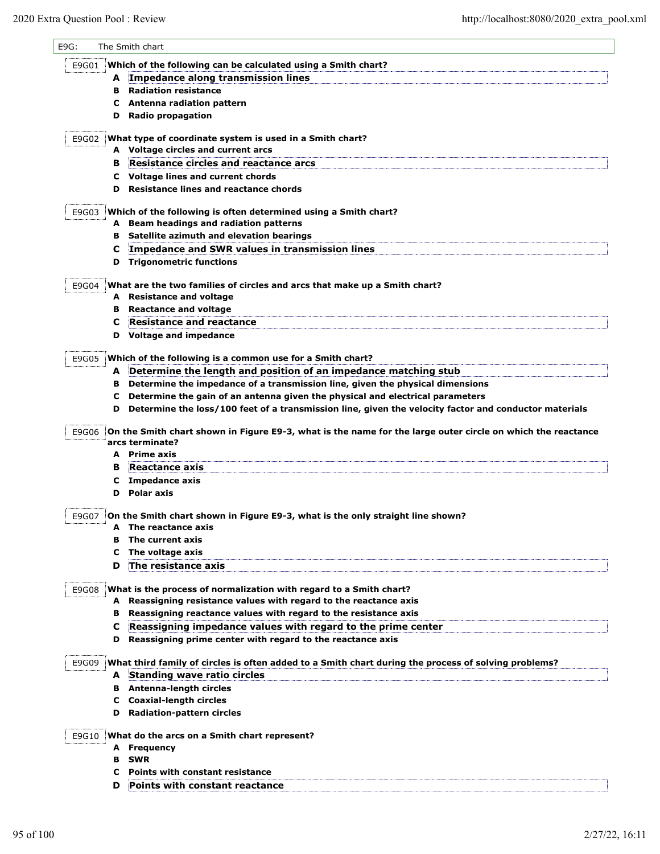$\mathsf{l}$ 

| E9G:  |    | The Smith chart                                                                                                                |
|-------|----|--------------------------------------------------------------------------------------------------------------------------------|
| E9G01 |    | Which of the following can be calculated using a Smith chart?                                                                  |
|       |    | A Impedance along transmission lines                                                                                           |
|       | в  | <b>Radiation resistance</b>                                                                                                    |
|       |    | <b>C</b> Antenna radiation pattern                                                                                             |
|       |    | <b>D</b> Radio propagation                                                                                                     |
| E9G02 |    | What type of coordinate system is used in a Smith chart?                                                                       |
|       |    | A Voltage circles and current arcs                                                                                             |
|       | в  | Resistance circles and reactance arcs                                                                                          |
|       |    | C Voltage lines and current chords                                                                                             |
|       |    | D Resistance lines and reactance chords                                                                                        |
| E9G03 |    | Which of the following is often determined using a Smith chart?                                                                |
|       |    | A Beam headings and radiation patterns                                                                                         |
|       |    | <b>B</b> Satellite azimuth and elevation bearings                                                                              |
|       | C  | Impedance and SWR values in transmission lines                                                                                 |
|       |    | <b>D</b> Trigonometric functions                                                                                               |
| E9G04 |    | What are the two families of circles and arcs that make up a Smith chart?                                                      |
|       |    | A Resistance and voltage                                                                                                       |
|       |    | <b>B</b> Reactance and voltage                                                                                                 |
|       | c  | <b>Resistance and reactance</b>                                                                                                |
|       |    | D Voltage and impedance                                                                                                        |
| E9G05 |    | Which of the following is a common use for a Smith chart?                                                                      |
|       |    | A Determine the length and position of an impedance matching stub                                                              |
|       |    | B Determine the impedance of a transmission line, given the physical dimensions                                                |
|       | C. | Determine the gain of an antenna given the physical and electrical parameters                                                  |
|       |    | D Determine the loss/100 feet of a transmission line, given the velocity factor and conductor materials                        |
| E9G06 |    | On the Smith chart shown in Figure E9-3, what is the name for the large outer circle on which the reactance<br>arcs terminate? |
|       |    | A Prime axis                                                                                                                   |
|       | в  | <b>Reactance axis</b>                                                                                                          |
|       | C  | Impedance axis                                                                                                                 |
|       |    | <b>D</b> Polar axis                                                                                                            |
| E9G07 |    | On the Smith chart shown in Figure E9-3, what is the only straight line shown?                                                 |
|       |    | A The reactance axis                                                                                                           |
|       | в  | The current axis                                                                                                               |
|       | c  | The voltage axis                                                                                                               |
|       | D  | The resistance axis                                                                                                            |
| E9G08 |    | What is the process of normalization with regard to a Smith chart?                                                             |
|       |    | A Reassigning resistance values with regard to the reactance axis                                                              |
|       | в  | Reassigning reactance values with regard to the resistance axis                                                                |
|       | C  | Reassigning impedance values with regard to the prime center                                                                   |
|       | D  | Reassigning prime center with regard to the reactance axis                                                                     |
| E9G09 |    | What third family of circles is often added to a Smith chart during the process of solving problems?                           |
|       |    | A Standing wave ratio circles                                                                                                  |
|       |    | <b>B</b> Antenna-length circles                                                                                                |
|       |    | C Coaxial-length circles                                                                                                       |
|       |    | <b>D</b> Radiation-pattern circles                                                                                             |
| E9G10 |    | What do the arcs on a Smith chart represent?                                                                                   |
|       |    | A Frequency                                                                                                                    |
|       | в  | <b>SWR</b>                                                                                                                     |
|       | C  | Points with constant resistance                                                                                                |
|       | D  | Points with constant reactance                                                                                                 |
|       |    |                                                                                                                                |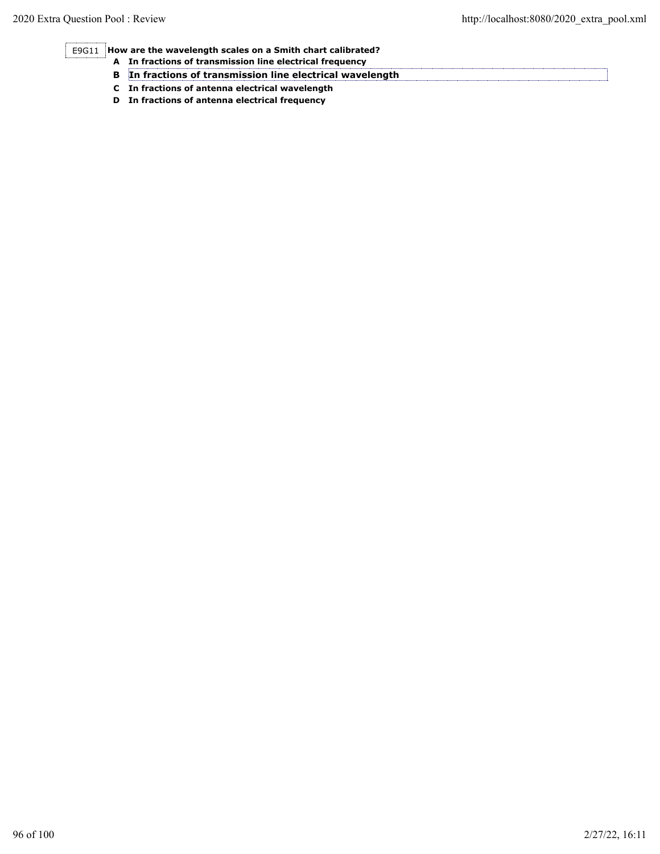E9G11 **How are the wavelength scales on a Smith chart calibrated?**

- **A In fractions of transmission line electrical frequency**
- **B In fractions of transmission line electrical wavelength**
- **C In fractions of antenna electrical wavelength**
- **D In fractions of antenna electrical frequency**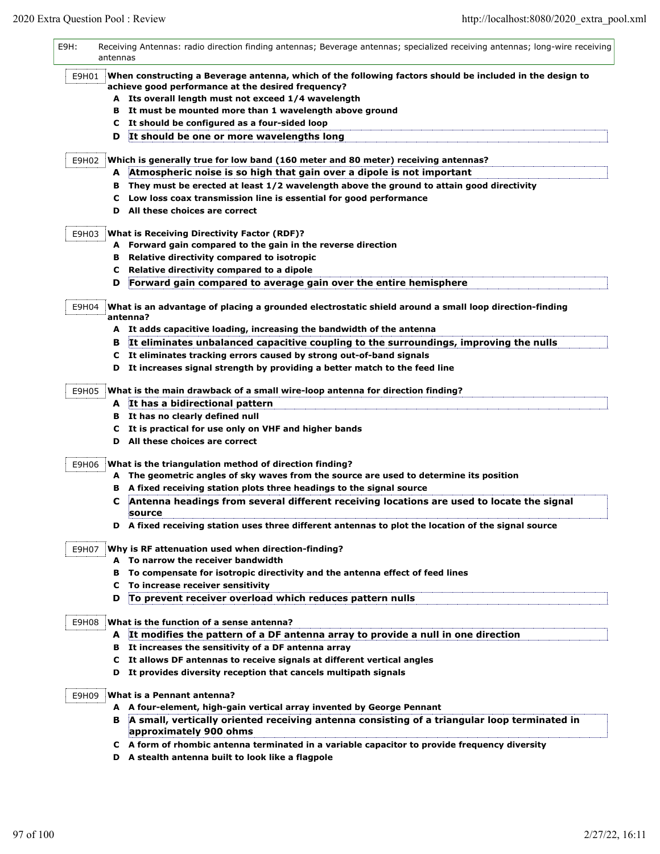| E9H: |       | Receiving Antennas: radio direction finding antennas; Beverage antennas; specialized receiving antennas; long-wire receiving<br>antennas    |  |  |
|------|-------|---------------------------------------------------------------------------------------------------------------------------------------------|--|--|
|      | E9H01 | When constructing a Beverage antenna, which of the following factors should be included in the design to                                    |  |  |
|      |       | achieve good performance at the desired frequency?                                                                                          |  |  |
|      |       | A Its overall length must not exceed 1/4 wavelength                                                                                         |  |  |
|      | в     | It must be mounted more than 1 wavelength above ground                                                                                      |  |  |
|      | c     | It should be configured as a four-sided loop                                                                                                |  |  |
|      | D     | It should be one or more wavelengths long                                                                                                   |  |  |
|      | E9H02 | Which is generally true for low band (160 meter and 80 meter) receiving antennas?                                                           |  |  |
|      | A     | Atmospheric noise is so high that gain over a dipole is not important                                                                       |  |  |
|      |       | B They must be erected at least 1/2 wavelength above the ground to attain good directivity                                                  |  |  |
|      | c     | Low loss coax transmission line is essential for good performance                                                                           |  |  |
|      | D     | All these choices are correct                                                                                                               |  |  |
|      | E9H03 | <b>What is Receiving Directivity Factor (RDF)?</b>                                                                                          |  |  |
|      |       | A Forward gain compared to the gain in the reverse direction                                                                                |  |  |
|      |       | <b>B</b> Relative directivity compared to isotropic                                                                                         |  |  |
|      | c     | Relative directivity compared to a dipole                                                                                                   |  |  |
|      |       |                                                                                                                                             |  |  |
|      | D     | Forward gain compared to average gain over the entire hemisphere                                                                            |  |  |
|      | E9H04 | What is an advantage of placing a grounded electrostatic shield around a small loop direction-finding<br>antenna?                           |  |  |
|      |       | A It adds capacitive loading, increasing the bandwidth of the antenna                                                                       |  |  |
|      | в     | It eliminates unbalanced capacitive coupling to the surroundings, improving the nulls                                                       |  |  |
|      | c     | It eliminates tracking errors caused by strong out-of-band signals                                                                          |  |  |
|      |       | D It increases signal strength by providing a better match to the feed line                                                                 |  |  |
|      |       |                                                                                                                                             |  |  |
|      | E9H05 | What is the main drawback of a small wire-loop antenna for direction finding?                                                               |  |  |
|      |       | A It has a bidirectional pattern                                                                                                            |  |  |
|      |       | <b>B</b> It has no clearly defined null                                                                                                     |  |  |
|      | C     | It is practical for use only on VHF and higher bands                                                                                        |  |  |
|      | D     | All these choices are correct                                                                                                               |  |  |
|      | E9H06 | What is the triangulation method of direction finding?                                                                                      |  |  |
|      |       | A The geometric angles of sky waves from the source are used to determine its position                                                      |  |  |
|      | в     | A fixed receiving station plots three headings to the signal source                                                                         |  |  |
|      |       |                                                                                                                                             |  |  |
|      | с     | Antenna headings from several different receiving locations are used to locate the signal<br>source                                         |  |  |
|      |       | D A fixed receiving station uses three different antennas to plot the location of the signal source                                         |  |  |
|      | E9H07 | Why is RF attenuation used when direction-finding?                                                                                          |  |  |
|      |       | A To narrow the receiver bandwidth                                                                                                          |  |  |
|      | в     | To compensate for isotropic directivity and the antenna effect of feed lines                                                                |  |  |
|      | c     | To increase receiver sensitivity                                                                                                            |  |  |
|      | D     | To prevent receiver overload which reduces pattern nulls                                                                                    |  |  |
|      | E9H08 | What is the function of a sense antenna?                                                                                                    |  |  |
|      |       | A It modifies the pattern of a DF antenna array to provide a null in one direction                                                          |  |  |
|      |       |                                                                                                                                             |  |  |
|      |       | B It increases the sensitivity of a DF antenna array                                                                                        |  |  |
|      |       | C It allows DF antennas to receive signals at different vertical angles<br>D It provides diversity reception that cancels multipath signals |  |  |
|      |       |                                                                                                                                             |  |  |
|      | E9H09 | What is a Pennant antenna?                                                                                                                  |  |  |
|      |       | A A four-element, high-gain vertical array invented by George Pennant                                                                       |  |  |
|      | в     | A small, vertically oriented receiving antenna consisting of a triangular loop terminated in<br>approximately 900 ohms                      |  |  |
|      |       | C A form of rhombic antenna terminated in a variable capacitor to provide frequency diversity                                               |  |  |
|      |       | D A stealth antenna built to look like a flagpole                                                                                           |  |  |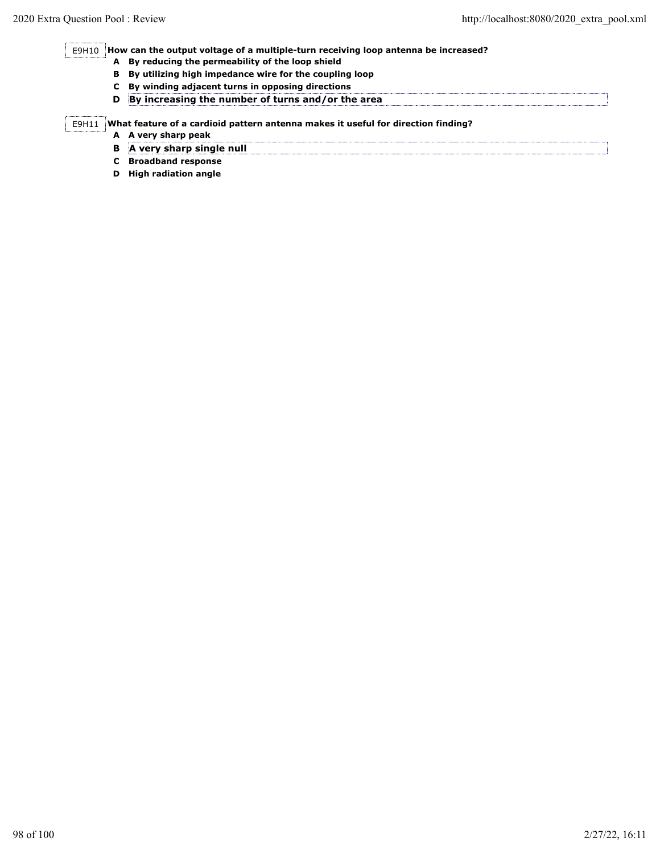E9H10 **How can the output voltage of a multiple-turn receiving loop antenna be increased?**

- **A By reducing the permeability of the loop shield**
- **B By utilizing high impedance wire for the coupling loop**
- **C By winding adjacent turns in opposing directions**
- **D By increasing the number of turns and/or the area**

## E9H11 **What feature of a cardioid pattern antenna makes it useful for direction finding?**

- **A A very sharp peak**
	- **B A very sharp single null**
	- **C Broadband response**
	- **D High radiation angle**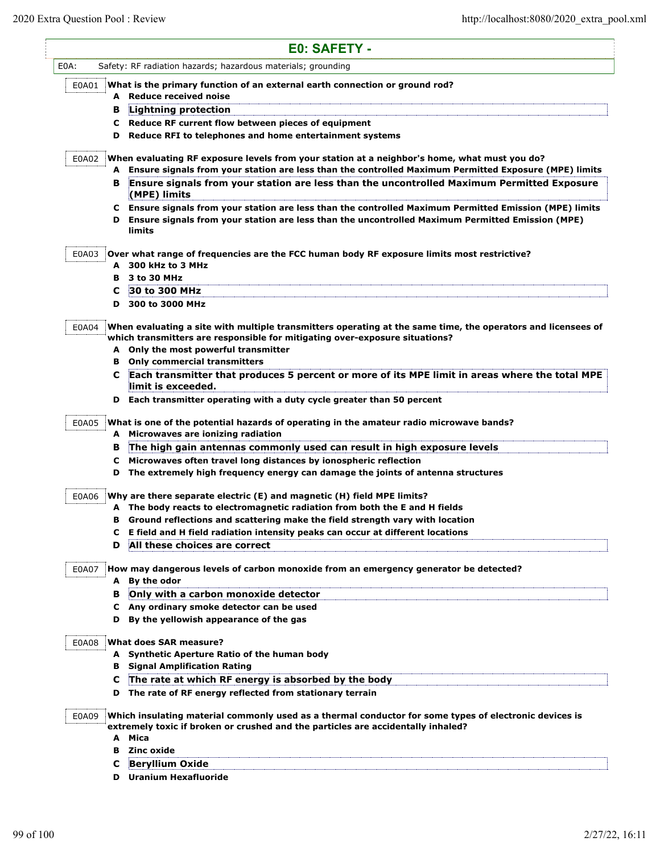| E0: SAFETY - |                                                                                                                                                                                            |  |  |
|--------------|--------------------------------------------------------------------------------------------------------------------------------------------------------------------------------------------|--|--|
| E0A:         | Safety: RF radiation hazards; hazardous materials; grounding                                                                                                                               |  |  |
| E0A01        | What is the primary function of an external earth connection or ground rod?<br>A Reduce received noise                                                                                     |  |  |
| в            | Lightning protection                                                                                                                                                                       |  |  |
|              | C Reduce RF current flow between pieces of equipment                                                                                                                                       |  |  |
| D            | Reduce RFI to telephones and home entertainment systems                                                                                                                                    |  |  |
| E0A02        | When evaluating RF exposure levels from your station at a neighbor's home, what must you do?                                                                                               |  |  |
|              | A Ensure signals from your station are less than the controlled Maximum Permitted Exposure (MPE) limits                                                                                    |  |  |
| в            | Ensure signals from your station are less than the uncontrolled Maximum Permitted Exposure                                                                                                 |  |  |
|              | (MPE) limits                                                                                                                                                                               |  |  |
|              | C Ensure signals from your station are less than the controlled Maximum Permitted Emission (MPE) limits                                                                                    |  |  |
| D            | Ensure signals from your station are less than the uncontrolled Maximum Permitted Emission (MPE)<br>limits                                                                                 |  |  |
|              |                                                                                                                                                                                            |  |  |
| E0A03        | Over what range of frequencies are the FCC human body RF exposure limits most restrictive?<br>A 300 kHz to 3 MHz                                                                           |  |  |
| в            | 3 to 30 MHz                                                                                                                                                                                |  |  |
| С            | 30 to 300 MHz                                                                                                                                                                              |  |  |
| D            | 300 to 3000 MHz                                                                                                                                                                            |  |  |
|              |                                                                                                                                                                                            |  |  |
| E0A04        | When evaluating a site with multiple transmitters operating at the same time, the operators and licensees of                                                                               |  |  |
|              | which transmitters are responsible for mitigating over-exposure situations?<br>A Only the most powerful transmitter                                                                        |  |  |
| в            | <b>Only commercial transmitters</b>                                                                                                                                                        |  |  |
| C            | Each transmitter that produces 5 percent or more of its MPE limit in areas where the total MPE                                                                                             |  |  |
|              | limit is exceeded.                                                                                                                                                                         |  |  |
| D            | Each transmitter operating with a duty cycle greater than 50 percent                                                                                                                       |  |  |
| E0A05        | What is one of the potential hazards of operating in the amateur radio microwave bands?                                                                                                    |  |  |
|              | A Microwaves are ionizing radiation                                                                                                                                                        |  |  |
| в            | The high gain antennas commonly used can result in high exposure levels                                                                                                                    |  |  |
| c            | Microwaves often travel long distances by ionospheric reflection                                                                                                                           |  |  |
| D            | The extremely high frequency energy can damage the joints of antenna structures                                                                                                            |  |  |
| E0A06        | Why are there separate electric (E) and magnetic (H) field MPE limits?                                                                                                                     |  |  |
|              | A The body reacts to electromagnetic radiation from both the E and H fields                                                                                                                |  |  |
|              | Ground reflections and scattering make the field strength vary with location                                                                                                               |  |  |
| С            | E field and H field radiation intensity peaks can occur at different locations                                                                                                             |  |  |
| D            | All these choices are correct                                                                                                                                                              |  |  |
| E0A07        | How may dangerous levels of carbon monoxide from an emergency generator be detected?<br>A By the odor                                                                                      |  |  |
| в            | Only with a carbon monoxide detector                                                                                                                                                       |  |  |
|              | C Any ordinary smoke detector can be used                                                                                                                                                  |  |  |
|              | D By the yellowish appearance of the gas                                                                                                                                                   |  |  |
| E0A08        | What does SAR measure?                                                                                                                                                                     |  |  |
|              | A Synthetic Aperture Ratio of the human body                                                                                                                                               |  |  |
|              | <b>B</b> Signal Amplification Rating                                                                                                                                                       |  |  |
|              | C The rate at which RF energy is absorbed by the body                                                                                                                                      |  |  |
|              | D The rate of RF energy reflected from stationary terrain                                                                                                                                  |  |  |
| E0A09        | Which insulating material commonly used as a thermal conductor for some types of electronic devices is<br>extremely toxic if broken or crushed and the particles are accidentally inhaled? |  |  |
|              | A Mica                                                                                                                                                                                     |  |  |
| в            | Zinc oxide                                                                                                                                                                                 |  |  |
| с            | <b>Beryllium Oxide</b>                                                                                                                                                                     |  |  |
|              | <b>D</b> Uranium Hexafluoride                                                                                                                                                              |  |  |